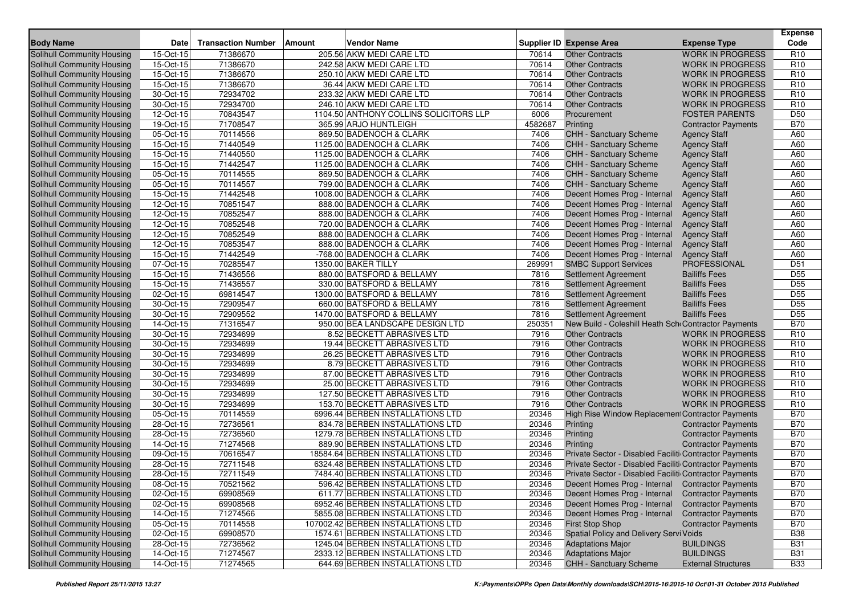|                                   |           |                           |                                        |         |                                                        |                            | <b>Expense</b>  |
|-----------------------------------|-----------|---------------------------|----------------------------------------|---------|--------------------------------------------------------|----------------------------|-----------------|
| <b>Body Name</b>                  | Date      | <b>Transaction Number</b> | <b>Vendor Name</b><br>Amount           |         | <b>Supplier ID Expense Area</b>                        | <b>Expense Type</b>        | Code            |
| Solihull Community Housing        | 15-Oct-15 | 71386670                  | 205.56 AKW MEDI CARE LTD               | 70614   | <b>Other Contracts</b>                                 | <b>WORK IN PROGRESS</b>    | R <sub>10</sub> |
| Solihull Community Housing        | 15-Oct-15 | 71386670                  | 242.58 AKW MEDI CARE LTD               | 70614   | <b>Other Contracts</b>                                 | <b>WORK IN PROGRESS</b>    | R <sub>10</sub> |
| Solihull Community Housing        | 15-Oct-15 | 71386670                  | 250.10 AKW MEDI CARE LTD               | 70614   | <b>Other Contracts</b>                                 | <b>WORK IN PROGRESS</b>    | R <sub>10</sub> |
| Solihull Community Housing        | 15-Oct-15 | 71386670                  | 36.44 AKW MEDI CARE LTD                | 70614   | <b>Other Contracts</b>                                 | <b>WORK IN PROGRESS</b>    | R <sub>10</sub> |
| Solihull Community Housing        | 30-Oct-15 | 72934702                  | 233.32 AKW MEDI CARE LTD               | 70614   | <b>Other Contracts</b>                                 | <b>WORK IN PROGRESS</b>    | R <sub>10</sub> |
| Solihull Community Housing        | 30-Oct-15 | 72934700                  | 246.10 AKW MEDI CARE LTD               | 70614   | <b>Other Contracts</b>                                 | <b>WORK IN PROGRESS</b>    | R <sub>10</sub> |
| Solihull Community Housing        | 12-Oct-15 | 70843547                  | 1104.50 ANTHONY COLLINS SOLICITORS LLP | 6006    | Procurement                                            | <b>FOSTER PARENTS</b>      | D <sub>50</sub> |
| Solihull Community Housing        | 19-Oct-15 | 71708547                  | 365.99 ARJO HUNTLEIGH                  | 4582687 | Printing                                               | <b>Contractor Payments</b> | <b>B70</b>      |
| Solihull Community Housing        | 05-Oct-15 | 70114556                  | 869.50 BADENOCH & CLARK                | 7406    | CHH - Sanctuary Scheme                                 | <b>Agency Staff</b>        | A60             |
| Solihull Community Housing        | 15-Oct-15 | 71440549                  | 1125.00 BADENOCH & CLARK               | 7406    | <b>CHH - Sanctuary Scheme</b>                          | <b>Agency Staff</b>        | A60             |
| Solihull Community Housing        | 15-Oct-15 | 71440550                  | 1125.00 BADENOCH & CLARK               | 7406    | <b>CHH - Sanctuary Scheme</b>                          | <b>Agency Staff</b>        | A60             |
| Solihull Community Housing        | 15-Oct-15 | 71442547                  | 1125.00 BADENOCH & CLARK               | 7406    | CHH - Sanctuary Scheme                                 | <b>Agency Staff</b>        | A60             |
| Solihull Community Housing        | 05-Oct-15 | 70114555                  | 869.50 BADENOCH & CLARK                | 7406    | CHH - Sanctuary Scheme                                 | <b>Agency Staff</b>        | A60             |
| Solihull Community Housing        | 05-Oct-15 | 70114557                  | 799.00 BADENOCH & CLARK                | 7406    | <b>CHH - Sanctuary Scheme</b>                          | <b>Agency Staff</b>        | A60             |
| Solihull Community Housing        | 15-Oct-15 | 71442548                  | 1008.00 BADENOCH & CLARK               | 7406    | Decent Homes Prog - Internal                           | <b>Agency Staff</b>        | A60             |
| Solihull Community Housing        | 12-Oct-15 | 70851547                  | 888.00 BADENOCH & CLARK                | 7406    | Decent Homes Prog - Internal                           | <b>Agency Staff</b>        | A60             |
| Solihull Community Housing        | 12-Oct-15 | 70852547                  | 888.00 BADENOCH & CLARK                | 7406    | Decent Homes Prog - Internal                           | <b>Agency Staff</b>        | A60             |
| Solihull Community Housing        | 12-Oct-15 | 70852548                  | 720.00 BADENOCH & CLARK                | 7406    | Decent Homes Prog - Internal                           | <b>Agency Staff</b>        | A60             |
| Solihull Community Housing        | 12-Oct-15 | 70852549                  | 888.00 BADENOCH & CLARK                | 7406    | Decent Homes Prog - Internal                           | <b>Agency Staff</b>        | A60             |
| Solihull Community Housing        | 12-Oct-15 | 70853547                  | 888.00 BADENOCH & CLARK                | 7406    | Decent Homes Prog - Internal                           | <b>Agency Staff</b>        | A60             |
| Solihull Community Housing        | 15-Oct-15 | 71442549                  | -768.00 BADENOCH & CLARK               | 7406    | Decent Homes Prog - Internal                           | <b>Agency Staff</b>        | A60             |
| Solihull Community Housing        | 07-Oct-15 | 70285547                  | 1350.00 BAKER TILLY                    | 269991  | <b>SMBC Support Services</b>                           | <b>PROFESSIONAL</b>        | D <sub>51</sub> |
| Solihull Community Housing        | 15-Oct-15 | 71436556                  | 880.00 BATSFORD & BELLAMY              | 7816    | Settlement Agreement                                   | <b>Bailiffs Fees</b>       | D <sub>55</sub> |
| Solihull Community Housing        | 15-Oct-15 | 71436557                  | 330.00 BATSFORD & BELLAMY              | 7816    | Settlement Agreement                                   | <b>Bailiffs Fees</b>       | D <sub>55</sub> |
| Solihull Community Housing        | 02-Oct-15 | 69814547                  | 1300.00 BATSFORD & BELLAMY             | 7816    | Settlement Agreement                                   | <b>Bailiffs Fees</b>       | D <sub>55</sub> |
| Solihull Community Housing        | 30-Oct-15 | 72909547                  | 660.00 BATSFORD & BELLAMY              | 7816    | Settlement Agreement                                   | <b>Bailiffs Fees</b>       | D <sub>55</sub> |
| Solihull Community Housing        | 30-Oct-15 | 72909552                  | 1470.00 BATSFORD & BELLAMY             | 7816    | Settlement Agreement                                   | <b>Bailiffs Fees</b>       | D <sub>55</sub> |
| Solihull Community Housing        | 14-Oct-15 | 71316547                  | 950.00 BEA LANDSCAPE DESIGN LTD        | 250351  | New Build - Coleshill Heath Sch Contractor Payments    |                            | <b>B70</b>      |
| Solihull Community Housing        | 30-Oct-15 | 72934699                  | 8.52 BECKETT ABRASIVES LTD             | 7916    | <b>Other Contracts</b>                                 | <b>WORK IN PROGRESS</b>    | R <sub>10</sub> |
| Solihull Community Housing        | 30-Oct-15 | 72934699                  | 19.44 BECKETT ABRASIVES LTD            | 7916    | <b>Other Contracts</b>                                 | <b>WORK IN PROGRESS</b>    | R <sub>10</sub> |
| Solihull Community Housing        | 30-Oct-15 | 72934699                  | 26.25 BECKETT ABRASIVES LTD            | 7916    | <b>Other Contracts</b>                                 | <b>WORK IN PROGRESS</b>    | R <sub>10</sub> |
| Solihull Community Housing        | 30-Oct-15 | 72934699                  | 8.79 BECKETT ABRASIVES LTD             | 7916    | <b>Other Contracts</b>                                 | <b>WORK IN PROGRESS</b>    | R <sub>10</sub> |
| Solihull Community Housing        | 30-Oct-15 | 72934699                  | 87.00 BECKETT ABRASIVES LTD            | 7916    | <b>Other Contracts</b>                                 | <b>WORK IN PROGRESS</b>    | R <sub>10</sub> |
| Solihull Community Housing        | 30-Oct-15 | 72934699                  | 25.00 BECKETT ABRASIVES LTD            | 7916    | <b>Other Contracts</b>                                 | <b>WORK IN PROGRESS</b>    | R <sub>10</sub> |
| Solihull Community Housing        | 30-Oct-15 | 72934699                  | 127.50 BECKETT ABRASIVES LTD           | 7916    | <b>Other Contracts</b>                                 | <b>WORK IN PROGRESS</b>    | R <sub>10</sub> |
| Solihull Community Housing        | 30-Oct-15 | 72934699                  | 153.70 BECKETT ABRASIVES LTD           | 7916    | <b>Other Contracts</b>                                 | <b>WORK IN PROGRESS</b>    | R <sub>10</sub> |
| Solihull Community Housing        | 05-Oct-15 | 70114559                  | 6996.44 BERBEN INSTALLATIONS LTD       | 20346   | High Rise Window Replacement Contractor Payments       |                            | <b>B70</b>      |
| Solihull Community Housing        | 28-Oct-15 | 72736561                  | 834.78 BERBEN INSTALLATIONS LTD        | 20346   | Printing                                               | <b>Contractor Payments</b> | <b>B70</b>      |
| Solihull Community Housing        | 28-Oct-15 | 72736560                  | 1279.78 BERBEN INSTALLATIONS LTD       | 20346   | Printing                                               | <b>Contractor Payments</b> | <b>B70</b>      |
| Solihull Community Housing        | 14-Oct-15 | 71274568                  | 889.90 BERBEN INSTALLATIONS LTD        | 20346   | Printing                                               | <b>Contractor Payments</b> | <b>B70</b>      |
| Solihull Community Housing        | 09-Oct-15 | 70616547                  | 18584.64 BERBEN INSTALLATIONS LTD      | 20346   | Private Sector - Disabled Faciliti Contractor Payments |                            | <b>B70</b>      |
| Solihull Community Housing        | 28-Oct-15 | 72711548                  | 6324.48 BERBEN INSTALLATIONS LTD       | 20346   | Private Sector - Disabled Faciliti Contractor Payments |                            | <b>B70</b>      |
| Solihull Community Housing        | 28-Oct-15 | 72711549                  | 7484.40 BERBEN INSTALLATIONS LTD       | 20346   | Private Sector - Disabled Faciliti Contractor Payments |                            | <b>B70</b>      |
| Solihull Community Housing        | 08-Oct-15 | 70521562                  | 596.42 BERBEN INSTALLATIONS LTD        | 20346   | Decent Homes Prog - Internal Contractor Payments       |                            | <b>B70</b>      |
| Solihull Community Housing        | 02-Oct-15 | 69908569                  | 611.77 BERBEN INSTALLATIONS LTD        | 20346   | Decent Homes Prog - Internal Contractor Payments       |                            | <b>B70</b>      |
| Solihull Community Housing        | 02-Oct-15 | 69908568                  | 6952.46 BERBEN INSTALLATIONS LTD       | 20346   | Decent Homes Prog - Internal                           | <b>Contractor Payments</b> | <b>B70</b>      |
| Solihull Community Housing        | 14-Oct-15 | 71274566                  | 5855.08 BERBEN INSTALLATIONS LTD       | 20346   | Decent Homes Prog - Internal                           | <b>Contractor Payments</b> | <b>B70</b>      |
| <b>Solihull Community Housing</b> | 05-Oct-15 | 70114558                  | 107002.42 BERBEN INSTALLATIONS LTD     | 20346   | <b>First Stop Shop</b>                                 | <b>Contractor Payments</b> | <b>B70</b>      |
| Solihull Community Housing        | 02-Oct-15 | 69908570                  | 1574.61 BERBEN INSTALLATIONS LTD       | 20346   | Spatial Policy and Delivery Servi Voids                |                            | <b>B38</b>      |
| Solihull Community Housing        | 28-Oct-15 | 72736562                  | 1245.04 BERBEN INSTALLATIONS LTD       | 20346   | <b>Adaptations Major</b>                               | <b>BUILDINGS</b>           | <b>B31</b>      |
| Solihull Community Housing        | 14-Oct-15 | 71274567                  | 2333.12 BERBEN INSTALLATIONS LTD       | 20346   | <b>Adaptations Major</b>                               | <b>BUILDINGS</b>           | <b>B31</b>      |
| Solihull Community Housing        | 14-Oct-15 | 71274565                  | 644.69 BERBEN INSTALLATIONS LTD        | 20346   | CHH - Sanctuary Scheme                                 | <b>External Structures</b> | <b>B33</b>      |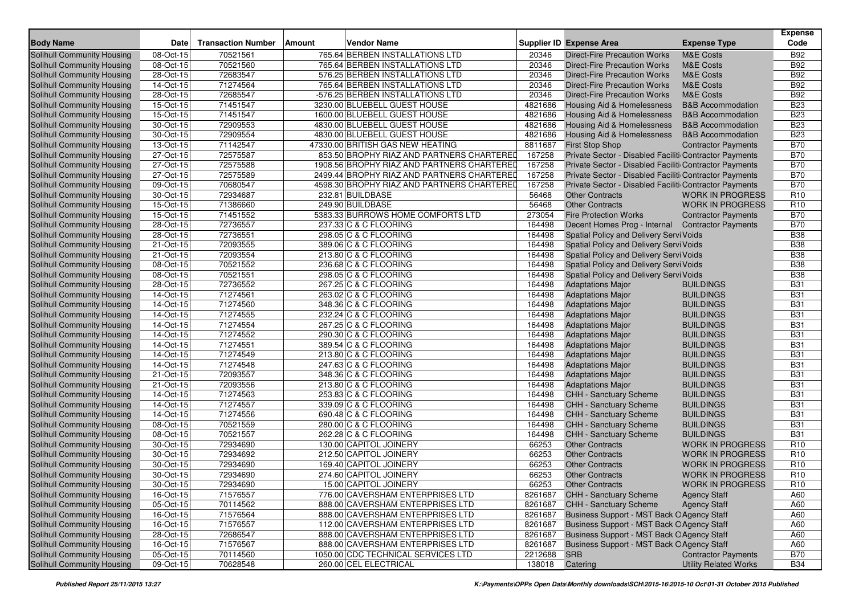| <b>Body Name</b>                  | <b>Date</b> | <b>Transaction Number</b> | <b>Vendor Name</b><br>Amount               |         | <b>Supplier ID Expense Area</b>                        | <b>Expense Type</b>          | <b>Expense</b><br>Code |
|-----------------------------------|-------------|---------------------------|--------------------------------------------|---------|--------------------------------------------------------|------------------------------|------------------------|
| Solihull Community Housing        | 08-Oct-15   | 70521561                  | 765.64 BERBEN INSTALLATIONS LTD            | 20346   | <b>Direct-Fire Precaution Works</b>                    | <b>M&amp;E Costs</b>         | <b>B92</b>             |
| Solihull Community Housing        | 08-Oct-15   | 70521560                  | 765.64 BERBEN INSTALLATIONS LTD            | 20346   | <b>Direct-Fire Precaution Works</b>                    | <b>M&amp;E Costs</b>         | <b>B92</b>             |
| <b>Solihull Community Housing</b> | 28-Oct-15   | 72683547                  | 576.25 BERBEN INSTALLATIONS LTD            | 20346   | <b>Direct-Fire Precaution Works</b>                    | <b>M&amp;E Costs</b>         | <b>B92</b>             |
| Solihull Community Housing        | 14-Oct-15   | 71274564                  | 765.64 BERBEN INSTALLATIONS LTD            | 20346   | <b>Direct-Fire Precaution Works</b>                    | <b>M&amp;E Costs</b>         | <b>B92</b>             |
| Solihull Community Housing        | 28-Oct-15   | 72685547                  | -576.25 BERBEN INSTALLATIONS LTD           | 20346   | <b>Direct-Fire Precaution Works</b>                    | M&E Costs                    | <b>B92</b>             |
| Solihull Community Housing        | 15-Oct-15   | 71451547                  | 3230.00 BLUEBELL GUEST HOUSE               | 4821686 | <b>Housing Aid &amp; Homelessness</b>                  | <b>B&amp;B</b> Accommodation | <b>B23</b>             |
| Solihull Community Housing        | 15-Oct-15   | 71451547                  | 1600.00 BLUEBELL GUEST HOUSE               | 4821686 | Housing Aid & Homelessness                             | <b>B&amp;B Accommodation</b> | <b>B23</b>             |
| Solihull Community Housing        | 30-Oct-15   | 72909553                  | 4830.00 BLUEBELL GUEST HOUSE               | 4821686 | Housing Aid & Homelessness                             | <b>B&amp;B</b> Accommodation | <b>B23</b>             |
| Solihull Community Housing        | 30-Oct-15   | 72909554                  | 4830.00 BLUEBELL GUEST HOUSE               | 4821686 | Housing Aid & Homelessness                             | <b>B&amp;B</b> Accommodation | <b>B23</b>             |
| Solihull Community Housing        | 13-Oct-15   | 71142547                  | 47330.00 BRITISH GAS NEW HEATING           | 8811687 | <b>First Stop Shop</b>                                 | <b>Contractor Payments</b>   | <b>B70</b>             |
| Solihull Community Housing        | 27-Oct-15   | 72575587                  | 853.50 BROPHY RIAZ AND PARTNERS CHARTERED  | 167258  | Private Sector - Disabled Faciliti Contractor Payments |                              | <b>B70</b>             |
| Solihull Community Housing        | 27-Oct-15   | 72575588                  | 1908.56 BROPHY RIAZ AND PARTNERS CHARTERED | 167258  | Private Sector - Disabled Faciliti Contractor Payments |                              | <b>B70</b>             |
| Solihull Community Housing        | 27-Oct-15   | 72575589                  | 2499.44 BROPHY RIAZ AND PARTNERS CHARTERED | 167258  | Private Sector - Disabled Faciliti Contractor Payments |                              | <b>B70</b>             |
| Solihull Community Housing        | 09-Oct-15   | 70680547                  | 4598.30 BROPHY RIAZ AND PARTNERS CHARTERED | 167258  | Private Sector - Disabled Faciliti Contractor Payments |                              | <b>B70</b>             |
| Solihull Community Housing        | 30-Oct-15   | 72934687                  | 232.81 BUILDBASE                           | 56468   | <b>Other Contracts</b>                                 | <b>WORK IN PROGRESS</b>      | R <sub>10</sub>        |
| Solihull Community Housing        | 15-Oct-15   | 71386660                  | 249.90 BUILDBASE                           | 56468   | <b>Other Contracts</b>                                 | <b>WORK IN PROGRESS</b>      | R <sub>10</sub>        |
| Solihull Community Housing        | 15-Oct-15   | 71451552                  | 5383.33 BURROWS HOME COMFORTS LTD          | 273054  | <b>Fire Protection Works</b>                           | <b>Contractor Payments</b>   | <b>B70</b>             |
| Solihull Community Housing        | 28-Oct-15   | 72736557                  | 237.33 C & C FLOORING                      | 164498  | Decent Homes Prog - Internal Contractor Payments       |                              | <b>B70</b>             |
| Solihull Community Housing        | 28-Oct-15   | 72736551                  | 298.05 C & C FLOORING                      | 164498  | Spatial Policy and Delivery Servi Voids                |                              | <b>B38</b>             |
| Solihull Community Housing        | 21-Oct-15   | 72093555                  | 389.06 C & C FLOORING                      | 164498  | Spatial Policy and Delivery Servi Voids                |                              | <b>B38</b>             |
| Solihull Community Housing        | 21-Oct-15   | 72093554                  | 213.80 C & C FLOORING                      | 164498  | Spatial Policy and Delivery Servi Voids                |                              | <b>B38</b>             |
| Solihull Community Housing        | 08-Oct-15   | 70521552                  | 236.68 C & C FLOORING                      | 164498  | Spatial Policy and Delivery Servi Voids                |                              | <b>B38</b>             |
| Solihull Community Housing        | 08-Oct-15   | 70521551                  | 298.05 C & C FLOORING                      | 164498  | Spatial Policy and Delivery Servi Voids                |                              | <b>B38</b>             |
| Solihull Community Housing        | 28-Oct-15   | 72736552                  | 267.25 C & C FLOORING                      | 164498  | <b>Adaptations Major</b>                               | <b>BUILDINGS</b>             | <b>B31</b>             |
| Solihull Community Housing        | 14-Oct-15   | 71274561                  | 263.02 C & C FLOORING                      | 164498  | <b>Adaptations Major</b>                               | <b>BUILDINGS</b>             | <b>B31</b>             |
| Solihull Community Housing        | 14-Oct-15   | 71274560                  | 348.36 C & C FLOORING                      | 164498  | <b>Adaptations Major</b>                               | <b>BUILDINGS</b>             | <b>B31</b>             |
| Solihull Community Housing        | 14-Oct-15   | 71274555                  | 232.24 C & C FLOORING                      | 164498  | <b>Adaptations Major</b>                               | <b>BUILDINGS</b>             | <b>B31</b>             |
| Solihull Community Housing        | 14-Oct-15   | 71274554                  | 267.25 C & C FLOORING                      | 164498  | <b>Adaptations Major</b>                               | <b>BUILDINGS</b>             | <b>B31</b>             |
| Solihull Community Housing        | 14-Oct-15   | 71274552                  | 290.30 C & C FLOORING                      | 164498  | <b>Adaptations Major</b>                               | <b>BUILDINGS</b>             | <b>B31</b>             |
| Solihull Community Housing        | 14-Oct-15   | 71274551                  | 389.54 C & C FLOORING                      | 164498  | <b>Adaptations Major</b>                               | <b>BUILDINGS</b>             | <b>B31</b>             |
| Solihull Community Housing        | 14-Oct-15   | 71274549                  | 213.80 C & C FLOORING                      | 164498  | <b>Adaptations Major</b>                               | <b>BUILDINGS</b>             | <b>B31</b>             |
| Solihull Community Housing        | 14-Oct-15   | 71274548                  | 247.63 C & C FLOORING                      | 164498  | <b>Adaptations Major</b>                               | <b>BUILDINGS</b>             | <b>B31</b>             |
| Solihull Community Housing        | 21-Oct-15   | 72093557                  | 348.36 C & C FLOORING                      | 164498  | <b>Adaptations Major</b>                               | <b>BUILDINGS</b>             | <b>B31</b>             |
| Solihull Community Housing        | 21-Oct-15   | 72093556                  | 213.80 C & C FLOORING                      | 164498  | <b>Adaptations Major</b>                               | <b>BUILDINGS</b>             | <b>B31</b>             |
| Solihull Community Housing        | 14-Oct-15   | 71274563                  | 253.83 C & C FLOORING                      | 164498  | CHH - Sanctuary Scheme                                 | <b>BUILDINGS</b>             | <b>B31</b>             |
| Solihull Community Housing        | 14-Oct-15   | 71274557                  | 339.09 C & C FLOORING                      | 164498  | CHH - Sanctuary Scheme                                 | <b>BUILDINGS</b>             | <b>B31</b>             |
| Solihull Community Housing        | 14-Oct-15   | 71274556                  | 690.48 C & C FLOORING                      | 164498  | CHH - Sanctuary Scheme                                 | <b>BUILDINGS</b>             | <b>B31</b>             |
| Solihull Community Housing        | 08-Oct-15   | 70521559                  | 280.00 C & C FLOORING                      | 164498  | CHH - Sanctuary Scheme                                 | <b>BUILDINGS</b>             | <b>B31</b>             |
| Solihull Community Housing        | 08-Oct-15   | 70521557                  | 262.28 C & C FLOORING                      | 164498  | CHH - Sanctuary Scheme                                 | <b>BUILDINGS</b>             | <b>B31</b>             |
| Solihull Community Housing        | 30-Oct-15   | 72934690                  | 130.00 CAPITOL JOINERY                     | 66253   | <b>Other Contracts</b>                                 | <b>WORK IN PROGRESS</b>      | R <sub>10</sub>        |
| Solihull Community Housing        | 30-Oct-15   | 72934692                  | 212.50 CAPITOL JOINERY                     | 66253   | <b>Other Contracts</b>                                 | <b>WORK IN PROGRESS</b>      | R <sub>10</sub>        |
| Solihull Community Housing        | 30-Oct-15   | 72934690                  | 169.40 CAPITOL JOINERY                     | 66253   | <b>Other Contracts</b>                                 | <b>WORK IN PROGRESS</b>      | R <sub>10</sub>        |
| Solihull Community Housing        | 30-Oct-15   | 72934690                  | 274.60 CAPITOL JOINERY                     | 66253   | <b>Other Contracts</b>                                 | <b>WORK IN PROGRESS</b>      | R <sub>10</sub>        |
| Solihull Community Housing        | 30-Oct-15   | 72934690                  | 15.00 CAPITOL JOINERY                      | 66253   | <b>Other Contracts</b>                                 | <b>WORK IN PROGRESS</b>      | R <sub>10</sub>        |
| Solihull Community Housing        | 16-Oct-15   | 71576557                  | 776.00 CAVERSHAM ENTERPRISES LTD           | 8261687 | <b>CHH - Sanctuary Scheme</b>                          | <b>Agency Staff</b>          | A60                    |
| Solihull Community Housing        | 05-Oct-15   | 70114562                  | 888.00 CAVERSHAM ENTERPRISES LTD           | 8261687 | CHH - Sanctuary Scheme                                 | <b>Agency Staff</b>          | A60                    |
| Solihull Community Housing        | 16-Oct-15   | 71576564                  | 888.00 CAVERSHAM ENTERPRISES LTD           | 8261687 | Business Support - MST Back O Agency Staff             |                              | A60                    |
| Solihull Community Housing        | 16-Oct-15   | 71576557                  | 112.00 CAVERSHAM ENTERPRISES LTD           | 8261687 | Business Support - MST Back O Agency Staff             |                              | A60                    |
| Solihull Community Housing        | 28-Oct-15   | 72686547                  | 888.00 CAVERSHAM ENTERPRISES LTD           | 8261687 | Business Support - MST Back O Agency Staff             |                              | A60                    |
| Solihull Community Housing        | 16-Oct-15   | 71576567                  | 888.00 CAVERSHAM ENTERPRISES LTD           | 8261687 | Business Support - MST Back O Agency Staff             |                              | A60                    |
| Solihull Community Housing        | 05-Oct-15   | 70114560                  | 1050.00 CDC TECHNICAL SERVICES LTD         | 2212688 | <b>SRB</b>                                             | <b>Contractor Payments</b>   | <b>B70</b>             |
| Solihull Community Housing        | 09-Oct-15   | 70628548                  | 260.00 CEL ELECTRICAL                      | 138018  | Catering                                               | <b>Utility Related Works</b> | <b>B34</b>             |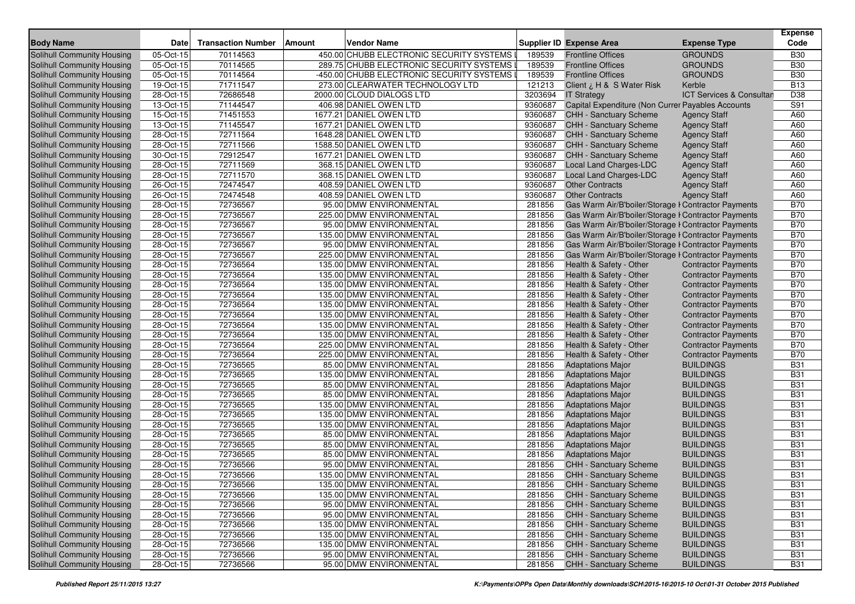| <b>Body Name</b>                  | Date                    | <b>Transaction Number</b> | <b>Amount</b><br>Vendor Name              |         | <b>Supplier ID Expense Area</b>                     | <b>Expense Type</b>                 | <b>Expense</b><br>Code |
|-----------------------------------|-------------------------|---------------------------|-------------------------------------------|---------|-----------------------------------------------------|-------------------------------------|------------------------|
| Solihull Community Housing        | 05-Oct-15               | 70114563                  | 450.00 CHUBB ELECTRONIC SECURITY SYSTEMS  | 189539  | <b>Frontline Offices</b>                            | <b>GROUNDS</b>                      | <b>B30</b>             |
| <b>Solihull Community Housing</b> | 05-Oct-15               | 70114565                  | 289.75 CHUBB ELECTRONIC SECURITY SYSTEMS  | 189539  | <b>Frontline Offices</b>                            | <b>GROUNDS</b>                      | <b>B30</b>             |
| Solihull Community Housing        | 05-Oct-15               | 70114564                  | -450.00 CHUBB ELECTRONIC SECURITY SYSTEMS | 189539  | <b>Frontline Offices</b>                            | <b>GROUNDS</b>                      | <b>B30</b>             |
| Solihull Community Housing        | $\overline{19}$ -Oct-15 | 71711547                  | 273.00 CLEARWATER TECHNOLOGY LTD          | 121213  | Client ¿ H & S Water Risk                           | Kerble                              | <b>B13</b>             |
| Solihull Community Housing        | 28-Oct-15               | 72686548                  | 2000.00 CLOUD DIALOGS LTD                 | 3203694 | <b>IT Strategy</b>                                  | <b>ICT Services &amp; Consultan</b> | D38                    |
| Solihull Community Housing        | 13-Oct-15               | 71144547                  | 406.98 DANIEL OWEN LTD                    | 9360687 | Capital Expenditure (Non Currer Payables Accounts   |                                     | S91                    |
| Solihull Community Housing        | 15-Oct-15               | 71451553                  | 1677.21 DANIEL OWEN LTD                   | 9360687 | CHH - Sanctuary Scheme                              | <b>Agency Staff</b>                 | A60                    |
| Solihull Community Housing        | 13-Oct-15               | 71145547                  | 1677.21 DANIEL OWEN LTD                   | 9360687 | <b>CHH - Sanctuary Scheme</b>                       | <b>Agency Staff</b>                 | A60                    |
| Solihull Community Housing        | 28-Oct-15               | 72711564                  | 1648.28 DANIEL OWEN LTD                   | 9360687 | CHH - Sanctuary Scheme                              | <b>Agency Staff</b>                 | A60                    |
| Solihull Community Housing        | 28-Oct-15               | 72711566                  | 1588.50 DANIEL OWEN LTD                   | 9360687 | <b>CHH - Sanctuary Scheme</b>                       | <b>Agency Staff</b>                 | A60                    |
| Solihull Community Housing        | 30-Oct-15               | 72912547                  | 1677.21 DANIEL OWEN LTD                   | 9360687 | CHH - Sanctuary Scheme                              | <b>Agency Staff</b>                 | A60                    |
| Solihull Community Housing        | 28-Oct-15               | 72711569                  | 368.15 DANIEL OWEN LTD                    | 9360687 | Local Land Charges-LDC                              | <b>Agency Staff</b>                 | A60                    |
| Solihull Community Housing        | 28-Oct-15               | 72711570                  | 368.15 DANIEL OWEN LTD                    | 9360687 | Local Land Charges-LDC                              | <b>Agency Staff</b>                 | A60                    |
| Solihull Community Housing        | 26-Oct-15               | 72474547                  | 408.59 DANIEL OWEN LTD                    | 9360687 | <b>Other Contracts</b>                              | <b>Agency Staff</b>                 | A60                    |
| Solihull Community Housing        | 26-Oct-15               | 72474548                  | 408.59 DANIEL OWEN LTD                    | 9360687 | <b>Other Contracts</b>                              | <b>Agency Staff</b>                 | A60                    |
| Solihull Community Housing        | 28-Oct-15               | 72736567                  | 95.00 DMW ENVIRONMENTAL                   | 281856  | Gas Warm Air/B'boiler/Storage I Contractor Payments |                                     | <b>B70</b>             |
| <b>Solihull Community Housing</b> | 28-Oct-15               | 72736567                  | 225.00 DMW ENVIRONMENTAL                  | 281856  | Gas Warm Air/B'boiler/Storage I Contractor Payments |                                     | <b>B70</b>             |
| Solihull Community Housing        | 28-Oct-15               | 72736567                  | 95.00 DMW ENVIRONMENTAL                   | 281856  | Gas Warm Air/B'boiler/Storage I Contractor Payments |                                     | <b>B70</b>             |
| Solihull Community Housing        | 28-Oct-15               | 72736567                  | 135.00 DMW ENVIRONMENTAL                  | 281856  | Gas Warm Air/B'boiler/Storage I Contractor Payments |                                     | <b>B70</b>             |
| Solihull Community Housing        | 28-Oct-15               | 72736567                  | 95.00 DMW ENVIRONMENTAL                   | 281856  | Gas Warm Air/B'boiler/Storage I Contractor Payments |                                     | <b>B70</b>             |
| <b>Solihull Community Housing</b> | 28-Oct-15               | 72736567                  | 225.00 DMW ENVIRONMENTAL                  | 281856  | Gas Warm Air/B'boiler/Storage I Contractor Payments |                                     | <b>B70</b>             |
| Solihull Community Housing        | 28-Oct-15               | 72736564                  | 135.00 DMW ENVIRONMENTAL                  | 281856  | Health & Safety - Other                             | <b>Contractor Payments</b>          | <b>B70</b>             |
| Solihull Community Housing        | 28-Oct-15               | 72736564                  | 135.00 DMW ENVIRONMENTAL                  | 281856  | Health & Safety - Other                             | <b>Contractor Payments</b>          | <b>B70</b>             |
| Solihull Community Housing        | 28-Oct-15               | 72736564                  | 135.00 DMW ENVIRONMENTAL                  | 281856  | Health & Safety - Other                             | <b>Contractor Payments</b>          | <b>B70</b>             |
| Solihull Community Housing        | 28-Oct-15               | 72736564                  | 135.00 DMW ENVIRONMENTAL                  | 281856  | Health & Safety - Other                             | <b>Contractor Payments</b>          | <b>B70</b>             |
| Solihull Community Housing        | 28-Oct-15               | 72736564                  | 135.00 DMW ENVIRONMENTAL                  | 281856  | Health & Safety - Other                             | <b>Contractor Payments</b>          | <b>B70</b>             |
| Solihull Community Housing        | 28-Oct-15               | 72736564                  | 135.00 DMW ENVIRONMENTAL                  | 281856  | Health & Safety - Other                             | <b>Contractor Payments</b>          | <b>B70</b>             |
| Solihull Community Housing        | 28-Oct-15               | 72736564                  | 135.00 DMW ENVIRONMENTAL                  | 281856  | Health & Safety - Other                             | <b>Contractor Payments</b>          | <b>B70</b>             |
| Solihull Community Housing        | 28-Oct-15               | 72736564                  | 135.00 DMW ENVIRONMENTAL                  | 281856  | Health & Safety - Other                             | <b>Contractor Payments</b>          | <b>B70</b>             |
| Solihull Community Housing        | 28-Oct-15               | 72736564                  | 225.00 DMW ENVIRONMENTAL                  | 281856  | Health & Safety - Other                             | <b>Contractor Payments</b>          | <b>B70</b>             |
| Solihull Community Housing        | 28-Oct-15               | 72736564                  | 225.00 DMW ENVIRONMENTAL                  | 281856  | Health & Safety - Other                             | <b>Contractor Payments</b>          | <b>B70</b>             |
| Solihull Community Housing        | 28-Oct-15               | 72736565                  | 85.00 DMW ENVIRONMENTAL                   | 281856  | <b>Adaptations Major</b>                            | <b>BUILDINGS</b>                    | <b>B31</b>             |
| Solihull Community Housing        | 28-Oct-15               | 72736565                  | 135.00 DMW ENVIRONMENTAL                  | 281856  | <b>Adaptations Major</b>                            | <b>BUILDINGS</b>                    | <b>B31</b>             |
| Solihull Community Housing        | 28-Oct-15               | 72736565                  | 85.00 DMW ENVIRONMENTAL                   | 281856  | <b>Adaptations Major</b>                            | <b>BUILDINGS</b>                    | <b>B31</b>             |
| Solihull Community Housing        | 28-Oct-15               | 72736565                  | 85.00 DMW ENVIRONMENTAL                   | 281856  | <b>Adaptations Major</b>                            | <b>BUILDINGS</b>                    | <b>B31</b>             |
| Solihull Community Housing        | 28-Oct-15               | 72736565                  | 135.00 DMW ENVIRONMENTAL                  | 281856  | <b>Adaptations Major</b>                            | <b>BUILDINGS</b>                    | <b>B31</b>             |
| Solihull Community Housing        | 28-Oct-15               | 72736565                  | 135.00 DMW ENVIRONMENTAL                  | 281856  | <b>Adaptations Major</b>                            | <b>BUILDINGS</b>                    | <b>B31</b>             |
| Solihull Community Housing        | 28-Oct-15               | 72736565                  | 135.00 DMW ENVIRONMENTAL                  | 281856  | <b>Adaptations Major</b>                            | <b>BUILDINGS</b>                    | <b>B31</b>             |
| Solihull Community Housing        | 28-Oct-15               | 72736565                  | 85.00 DMW ENVIRONMENTAL                   | 281856  | <b>Adaptations Major</b>                            | <b>BUILDINGS</b>                    | <b>B31</b>             |
| Solihull Community Housing        | 28-Oct-15               | 72736565                  | 85.00 DMW ENVIRONMENTAL                   | 281856  | <b>Adaptations Major</b>                            | <b>BUILDINGS</b>                    | <b>B31</b>             |
| Solihull Community Housing        | 28-Oct-15               | 72736565                  | 85.00 DMW ENVIRONMENTAL                   | 281856  | <b>Adaptations Major</b>                            | <b>BUILDINGS</b>                    | <b>B31</b>             |
| <b>Solihull Community Housing</b> | 28-Oct-15               | 72736566                  | 95.00 DMW ENVIRONMENTAL                   | 281856  | CHH - Sanctuary Scheme                              | <b>BUILDINGS</b>                    | <b>B31</b>             |
| Solihull Community Housing        | 28-Oct-15               | 72736566                  | 135.00 DMW ENVIRONMENTAL                  | 281856  | <b>CHH - Sanctuary Scheme</b>                       | <b>BUILDINGS</b>                    | <b>B31</b>             |
| Solihull Community Housing        | 28-Oct-15               | 72736566                  | 135.00 DMW ENVIRONMENTAL                  | 281856  | CHH - Sanctuary Scheme                              | <b>BUILDINGS</b>                    | <b>B31</b>             |
| Solihull Community Housing        | 28-Oct-15               | 72736566                  | 135.00 DMW ENVIRONMENTAL                  | 281856  | CHH - Sanctuary Scheme                              | <b>BUILDINGS</b>                    | <b>B31</b>             |
| Solihull Community Housing        | 28-Oct-15               | 72736566                  | 95.00 DMW ENVIRONMENTAL                   | 281856  | CHH - Sanctuary Scheme                              | <b>BUILDINGS</b>                    | <b>B31</b>             |
| Solihull Community Housing        | 28-Oct-15               | 72736566                  | 95.00 DMW ENVIRONMENTAL                   | 281856  | CHH - Sanctuary Scheme                              | <b>BUILDINGS</b>                    | <b>B31</b>             |
| Solihull Community Housing        | $28-Oct-15$             | 72736566                  | 135.00 DMW ENVIRONMENTAL                  | 281856  | CHH - Sanctuary Scheme                              | <b>BUILDINGS</b>                    | <b>B31</b>             |
| Solihull Community Housing        | 28-Oct-15               | 72736566                  | 135.00 DMW ENVIRONMENTAL                  | 281856  | <b>CHH - Sanctuary Scheme</b>                       | <b>BUILDINGS</b>                    | <b>B31</b>             |
| Solihull Community Housing        | 28-Oct-15               | 72736566                  | 135.00 DMW ENVIRONMENTAL                  | 281856  | CHH - Sanctuary Scheme                              | <b>BUILDINGS</b>                    | <b>B31</b>             |
| Solihull Community Housing        | 28-Oct-15               | 72736566                  | 95.00 DMW ENVIRONMENTAL                   | 281856  | CHH - Sanctuary Scheme                              | <b>BUILDINGS</b>                    | <b>B31</b>             |
| Solihull Community Housing        | 28-Oct-15               | 72736566                  | 95.00 DMW ENVIRONMENTAL                   | 281856  | <b>CHH - Sanctuary Scheme</b>                       | <b>BUILDINGS</b>                    | <b>B31</b>             |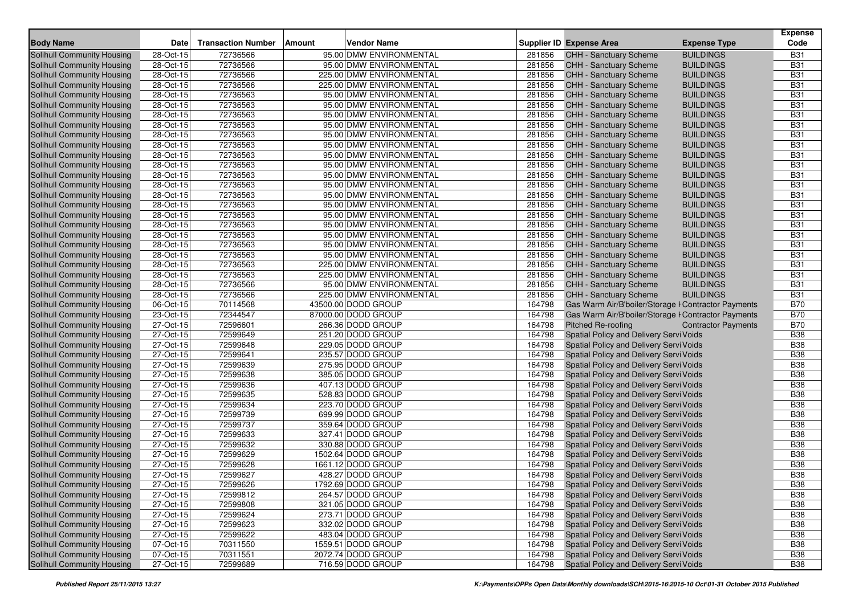| <b>Body Name</b>                  | Date         | <b>Transaction Number</b> | Vendor Name<br>Amount    |        | Supplier ID Expense Area                            | <b>Expense Type</b>        | <b>Expense</b><br>Code |
|-----------------------------------|--------------|---------------------------|--------------------------|--------|-----------------------------------------------------|----------------------------|------------------------|
| <b>Solihull Community Housing</b> | 28-Oct-15    | 72736566                  | 95.00 DMW ENVIRONMENTAL  | 281856 | CHH - Sanctuary Scheme                              | <b>BUILDINGS</b>           | <b>B31</b>             |
| Solihull Community Housing        | 28-Oct-15    | 72736566                  | 95.00 DMW ENVIRONMENTAL  | 281856 | <b>CHH - Sanctuary Scheme</b>                       | <b>BUILDINGS</b>           | <b>B31</b>             |
| Solihull Community Housing        | 28-Oct-15    | 72736566                  | 225.00 DMW ENVIRONMENTAL | 281856 | <b>CHH - Sanctuary Scheme</b>                       | <b>BUILDINGS</b>           | <b>B31</b>             |
| Solihull Community Housing        | 28-Oct-15    | 72736566                  | 225.00 DMW ENVIRONMENTAL | 281856 | CHH - Sanctuary Scheme                              | <b>BUILDINGS</b>           | <b>B31</b>             |
| Solihull Community Housing        | 28-Oct-15    | 72736563                  | 95.00 DMW ENVIRONMENTAL  | 281856 | CHH - Sanctuary Scheme                              | <b>BUILDINGS</b>           | <b>B31</b>             |
| Solihull Community Housing        | 28-Oct-15    | 72736563                  | 95.00 DMW ENVIRONMENTAL  | 281856 | <b>CHH - Sanctuary Scheme</b>                       | <b>BUILDINGS</b>           | <b>B31</b>             |
| Solihull Community Housing        | 28-Oct-15    | 72736563                  | 95.00 DMW ENVIRONMENTAL  | 281856 | <b>CHH - Sanctuary Scheme</b>                       | <b>BUILDINGS</b>           | B31                    |
| Solihull Community Housing        | 28-Oct-15    | 72736563                  | 95.00 DMW ENVIRONMENTAL  | 281856 | CHH - Sanctuary Scheme                              | <b>BUILDINGS</b>           | <b>B31</b>             |
| <b>Solihull Community Housing</b> | 28-Oct-15    | 72736563                  | 95.00 DMW ENVIRONMENTAL  | 281856 | CHH - Sanctuary Scheme                              | <b>BUILDINGS</b>           | <b>B31</b>             |
| Solihull Community Housing        | 28-Oct-15    | 72736563                  | 95.00 DMW ENVIRONMENTAL  | 281856 | <b>CHH - Sanctuary Scheme</b>                       | <b>BUILDINGS</b>           | <b>B31</b>             |
| Solihull Community Housing        | 28-Oct-15    | 72736563                  | 95.00 DMW ENVIRONMENTAL  | 281856 | CHH - Sanctuary Scheme                              | <b>BUILDINGS</b>           | <b>B31</b>             |
| Solihull Community Housing        | 28-Oct-15    | 72736563                  | 95.00 DMW ENVIRONMENTAL  | 281856 | CHH - Sanctuary Scheme                              | <b>BUILDINGS</b>           | <b>B31</b>             |
| Solihull Community Housing        | 28-Oct-15    | 72736563                  | 95.00 DMW ENVIRONMENTAL  | 281856 | CHH - Sanctuary Scheme                              | <b>BUILDINGS</b>           | <b>B31</b>             |
| <b>Solihull Community Housing</b> | 28-Oct-15    | 72736563                  | 95.00 DMW ENVIRONMENTAL  | 281856 | <b>CHH - Sanctuary Scheme</b>                       | <b>BUILDINGS</b>           | <b>B31</b>             |
| Solihull Community Housing        | 28-Oct-15    | 72736563                  | 95.00 DMW ENVIRONMENTAL  | 281856 | CHH - Sanctuary Scheme                              | <b>BUILDINGS</b>           | <b>B31</b>             |
| Solihull Community Housing        | 28-Oct-15    | 72736563                  | 95.00 DMW ENVIRONMENTAL  | 281856 | CHH - Sanctuary Scheme                              | <b>BUILDINGS</b>           | <b>B31</b>             |
| Solihull Community Housing        | 28-Oct-15    | 72736563                  | 95.00 DMW ENVIRONMENTAL  | 281856 | <b>CHH - Sanctuary Scheme</b>                       | <b>BUILDINGS</b>           | <b>B31</b>             |
| Solihull Community Housing        | 28-Oct-15    | 72736563                  | 95.00 DMW ENVIRONMENTAL  | 281856 | CHH - Sanctuary Scheme                              | <b>BUILDINGS</b>           | <b>B31</b>             |
| Solihull Community Housing        | 28-Oct-15    | 72736563                  | 95.00 DMW ENVIRONMENTAL  | 281856 | <b>CHH - Sanctuary Scheme</b>                       | <b>BUILDINGS</b>           | <b>B31</b>             |
| Solihull Community Housing        | 28-Oct-15    | 72736563                  | 95.00 DMW ENVIRONMENTAL  | 281856 | CHH - Sanctuary Scheme                              | <b>BUILDINGS</b>           | <b>B31</b>             |
| <b>Solihull Community Housing</b> | 28-Oct-15    | 72736563                  | 95.00 DMW ENVIRONMENTAL  | 281856 | CHH - Sanctuary Scheme                              | <b>BUILDINGS</b>           | <b>B31</b>             |
| Solihull Community Housing        | 28-Oct-15    | 72736563                  | 225.00 DMW ENVIRONMENTAL | 281856 | <b>CHH - Sanctuary Scheme</b>                       | <b>BUILDINGS</b>           | <b>B31</b>             |
| <b>Solihull Community Housing</b> | 28-Oct-15    | 72736563                  | 225.00 DMW ENVIRONMENTAL | 281856 | CHH - Sanctuary Scheme                              | <b>BUILDINGS</b>           | <b>B31</b>             |
| Solihull Community Housing        | 28-Oct-15    | 72736566                  | 95.00 DMW ENVIRONMENTAL  | 281856 | CHH - Sanctuary Scheme                              | <b>BUILDINGS</b>           | <b>B31</b>             |
| Solihull Community Housing        | 28-Oct-15    | 72736566                  | 225.00 DMW ENVIRONMENTAL | 281856 | CHH - Sanctuary Scheme                              | <b>BUILDINGS</b>           | <b>B31</b>             |
| Solihull Community Housing        | 06-Oct-15    | 70114568                  | 43500.00 DODD GROUP      | 164798 | Gas Warm Air/B'boiler/Storage I Contractor Payments |                            | <b>B70</b>             |
| Solihull Community Housing        | 23-Oct-15    | 72344547                  | 87000.00 DODD GROUP      | 164798 | Gas Warm Air/B'boiler/Storage I Contractor Payments |                            | <b>B70</b>             |
| Solihull Community Housing        | 27-Oct-15    | 72596601                  | 266.36 DODD GROUP        | 164798 | <b>Pitched Re-roofing</b>                           | <b>Contractor Payments</b> | <b>B70</b>             |
| Solihull Community Housing        | 27-Oct-15    | 72599649                  | 251.20 DODD GROUP        | 164798 | Spatial Policy and Delivery Servi Voids             |                            | <b>B38</b>             |
| Solihull Community Housing        | 27-Oct-15    | 72599648                  | 229.05 DODD GROUP        | 164798 | Spatial Policy and Delivery Servi Voids             |                            | <b>B38</b>             |
| Solihull Community Housing        | 27-Oct-15    | 72599641                  | 235.57 DODD GROUP        | 164798 | Spatial Policy and Delivery Servi Voids             |                            | <b>B38</b>             |
| Solihull Community Housing        | 27-Oct-15    | 72599639                  | 275.95 DODD GROUP        | 164798 | Spatial Policy and Delivery Servi Voids             |                            | <b>B38</b>             |
| Solihull Community Housing        | 27-Oct-15    | 72599638                  | 385.05 DODD GROUP        | 164798 | Spatial Policy and Delivery Servi Voids             |                            | <b>B38</b>             |
| <b>Solihull Community Housing</b> | 27-Oct-15    | 72599636                  | 407.13 DODD GROUP        | 164798 | Spatial Policy and Delivery Servi Voids             |                            | <b>B38</b>             |
| Solihull Community Housing        | 27-Oct-15    | 72599635                  | 528.83 DODD GROUP        | 164798 | Spatial Policy and Delivery Servi Voids             |                            | <b>B38</b>             |
| Solihull Community Housing        | 27-Oct-15    | 72599634                  | 223.70 DODD GROUP        | 164798 | Spatial Policy and Delivery Servi Voids             |                            | <b>B38</b>             |
| Solihull Community Housing        | 27-Oct-15    | 72599739                  | 699.99 DODD GROUP        | 164798 | Spatial Policy and Delivery Servi Voids             |                            | <b>B38</b>             |
| Solihull Community Housing        | 27-Oct-15    | 72599737                  | 359.64 DODD GROUP        | 164798 | Spatial Policy and Delivery Servi Voids             |                            | <b>B38</b>             |
| <b>Solihull Community Housing</b> | 27-Oct-15    | 72599633                  | 327.41 DODD GROUP        | 164798 | Spatial Policy and Delivery Servi Voids             |                            | <b>B38</b>             |
| Solihull Community Housing        | 27-Oct-15    | 72599632                  | 330.88 DODD GROUP        | 164798 | Spatial Policy and Delivery Servi Voids             |                            | <b>B38</b>             |
| Solihull Community Housing        | 27-Oct-15    | 72599629                  | 1502.64 DODD GROUP       | 164798 | Spatial Policy and Delivery Servi Voids             |                            | <b>B38</b>             |
| Solihull Community Housing        | 27-Oct-15    | 72599628                  | 1661.12 DODD GROUP       | 164798 | Spatial Policy and Delivery Servi Voids             |                            | <b>B38</b>             |
| Solihull Community Housing        | 27-Oct-15    | 72599627                  | 428.27 DODD GROUP        | 164798 | Spatial Policy and Delivery Servi Voids             |                            | <b>B38</b>             |
| Solihull Community Housing        | 27-Oct-15    | 72599626                  | 1792.69 DODD GROUP       | 164798 | Spatial Policy and Delivery Servi Voids             |                            | <b>B38</b>             |
| Solihull Community Housing        | 27-Oct-15    | 72599812                  | 264.57 DODD GROUP        | 164798 | Spatial Policy and Delivery Servi Voids             |                            | <b>B38</b>             |
| Solihull Community Housing        | 27-Oct-15    | 72599808                  | 321.05 DODD GROUP        | 164798 | Spatial Policy and Delivery Servi Voids             |                            | <b>B38</b>             |
| Solihull Community Housing        | 27-Oct-15    | 72599624                  | 273.71 DODD GROUP        | 164798 | Spatial Policy and Delivery Servi Voids             |                            | <b>B38</b>             |
| Solihull Community Housing        | 27-Oct-15    | 72599623                  | 332.02 DODD GROUP        | 164798 | Spatial Policy and Delivery Servi Voids             |                            | <b>B38</b>             |
| <b>Solihull Community Housing</b> | 27-Oct-15    | 72599622                  | 483.04 DODD GROUP        | 164798 | Spatial Policy and Delivery Servi Voids             |                            | <b>B38</b>             |
| Solihull Community Housing        | 07-Oct-15    | 70311550                  | 1559.51 DODD GROUP       | 164798 | Spatial Policy and Delivery Servi Voids             |                            | <b>B38</b>             |
| Solihull Community Housing        | $07$ -Oct-15 | 70311551                  | 2072.74 DODD GROUP       | 164798 | Spatial Policy and Delivery Servi Voids             |                            | <b>B38</b>             |
| Solihull Community Housing        | 27-Oct-15    | 72599689                  | 716.59 DODD GROUP        | 164798 | Spatial Policy and Delivery Servi Voids             |                            | <b>B38</b>             |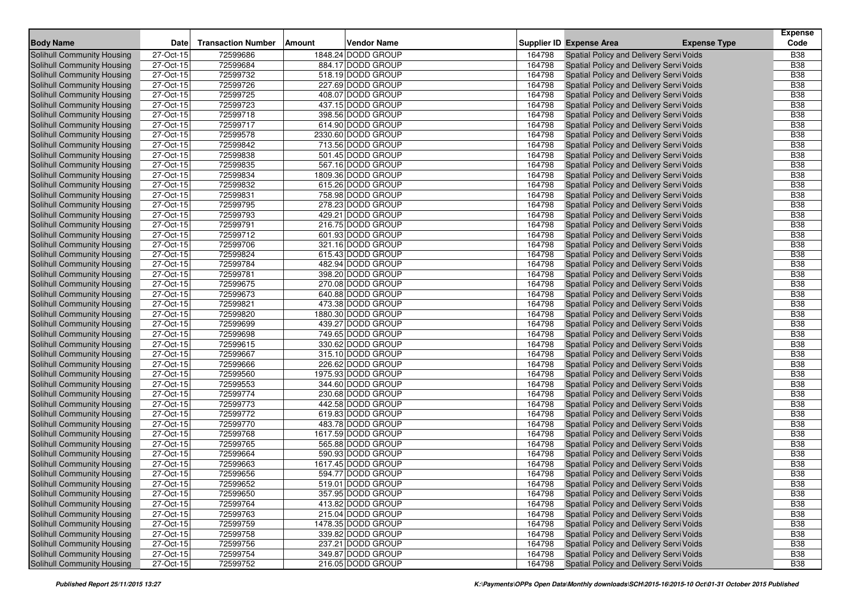| <b>Body Name</b>                  | Date                    | <b>Transaction Number</b> | <b>Amount</b> | <b>Vendor Name</b> |        | Supplier ID Expense Area                | <b>Expense Type</b> | <b>Expense</b><br>Code |
|-----------------------------------|-------------------------|---------------------------|---------------|--------------------|--------|-----------------------------------------|---------------------|------------------------|
| Solihull Community Housing        | 27-Oct-15               | 72599686                  |               | 1848.24 DODD GROUP | 164798 | Spatial Policy and Delivery Servi Voids |                     | <b>B38</b>             |
| <b>Solihull Community Housing</b> | 27-Oct-15               | 72599684                  |               | 884.17 DODD GROUP  | 164798 | Spatial Policy and Delivery Servi Voids |                     | <b>B38</b>             |
| <b>Solihull Community Housing</b> | 27-Oct-15               | 72599732                  |               | 518.19 DODD GROUP  | 164798 | Spatial Policy and Delivery Servi Voids |                     | <b>B38</b>             |
| Solihull Community Housing        | 27-Oct-15               | 72599726                  |               | 227.69 DODD GROUP  | 164798 | Spatial Policy and Delivery Servi Voids |                     | <b>B38</b>             |
| Solihull Community Housing        | 27-Oct-15               | 72599725                  |               | 408.07 DODD GROUP  | 164798 | Spatial Policy and Delivery Servi Voids |                     | <b>B38</b>             |
| Solihull Community Housing        | 27-Oct-15               | 72599723                  |               | 437.15 DODD GROUP  | 164798 | Spatial Policy and Delivery Servi Voids |                     | <b>B38</b>             |
| Solihull Community Housing        | 27-Oct-15               | 72599718                  |               | 398.56 DODD GROUP  | 164798 | Spatial Policy and Delivery Servi Voids |                     | <b>B38</b>             |
| Solihull Community Housing        | 27-Oct-15               | 72599717                  |               | 614.90 DODD GROUP  | 164798 | Spatial Policy and Delivery Servi Voids |                     | <b>B38</b>             |
| Solihull Community Housing        | 27-Oct-15               | 72599578                  |               | 2330.60 DODD GROUP | 164798 | Spatial Policy and Delivery Servi Voids |                     | <b>B38</b>             |
| Solihull Community Housing        | 27-Oct-15               | 72599842                  |               | 713.56 DODD GROUP  | 164798 | Spatial Policy and Delivery Servi Voids |                     | <b>B38</b>             |
| Solihull Community Housing        | 27-Oct-15               | 72599838                  |               | 501.45 DODD GROUP  | 164798 | Spatial Policy and Delivery Servi Voids |                     | <b>B38</b>             |
| Solihull Community Housing        | 27-Oct-15               | 72599835                  |               | 567.16 DODD GROUP  | 164798 | Spatial Policy and Delivery Servi Voids |                     | <b>B38</b>             |
| Solihull Community Housing        | 27-Oct-15               | 72599834                  |               | 1809.36 DODD GROUP | 164798 | Spatial Policy and Delivery Servi Voids |                     | <b>B38</b>             |
| <b>Solihull Community Housing</b> | 27-Oct-15               | 72599832                  |               | 615.26 DODD GROUP  | 164798 | Spatial Policy and Delivery Servi Voids |                     | <b>B38</b>             |
| Solihull Community Housing        | 27-Oct-15               | 72599831                  |               | 758.98 DODD GROUP  | 164798 | Spatial Policy and Delivery Servi Voids |                     | <b>B38</b>             |
| Solihull Community Housing        | 27-Oct-15               | 72599795                  |               | 278.23 DODD GROUP  | 164798 | Spatial Policy and Delivery Servi Voids |                     | <b>B38</b>             |
| Solihull Community Housing        | 27-Oct-15               | 72599793                  |               | 429.21 DODD GROUP  | 164798 | Spatial Policy and Delivery Servi Voids |                     | <b>B38</b>             |
| Solihull Community Housing        | $\overline{27}$ -Oct-15 | 72599791                  |               | 216.75 DODD GROUP  | 164798 | Spatial Policy and Delivery Servi Voids |                     | <b>B38</b>             |
| Solihull Community Housing        | 27-Oct-15               | 72599712                  |               | 601.93 DODD GROUP  | 164798 | Spatial Policy and Delivery Servi Voids |                     | <b>B38</b>             |
| Solihull Community Housing        | 27-Oct-15               | 72599706                  |               | 321.16 DODD GROUP  | 164798 | Spatial Policy and Delivery Servi Voids |                     | <b>B38</b>             |
| Solihull Community Housing        | 27-Oct-15               | 72599824                  |               | 615.43 DODD GROUP  | 164798 | Spatial Policy and Delivery Servi Voids |                     | <b>B38</b>             |
| Solihull Community Housing        | 27-Oct-15               | 72599784                  |               | 482.94 DODD GROUP  | 164798 | Spatial Policy and Delivery Servi Voids |                     | <b>B38</b>             |
| Solihull Community Housing        | 27-Oct-15               | 72599781                  |               | 398.20 DODD GROUP  | 164798 | Spatial Policy and Delivery Servi Voids |                     | <b>B38</b>             |
| Solihull Community Housing        | 27-Oct-15               | 72599675                  |               | 270.08 DODD GROUP  | 164798 | Spatial Policy and Delivery Servi Voids |                     | <b>B38</b>             |
| Solihull Community Housing        | 27-Oct-15               | 72599673                  |               | 640.88 DODD GROUP  | 164798 | Spatial Policy and Delivery Servi Voids |                     | <b>B38</b>             |
| Solihull Community Housing        | 27-Oct-15               | 72599821                  |               | 473.38 DODD GROUP  | 164798 | Spatial Policy and Delivery Servi Voids |                     | <b>B38</b>             |
| Solihull Community Housing        | 27-Oct-15               | 72599820                  |               | 1880.30 DODD GROUP | 164798 | Spatial Policy and Delivery Servi Voids |                     | <b>B38</b>             |
| Solihull Community Housing        | 27-Oct-15               | 72599699                  |               | 439.27 DODD GROUP  | 164798 | Spatial Policy and Delivery Servi Voids |                     | <b>B38</b>             |
| Solihull Community Housing        | 27-Oct-15               | 72599698                  |               | 749.65 DODD GROUP  | 164798 | Spatial Policy and Delivery Servi Voids |                     | <b>B38</b>             |
| Solihull Community Housing        | 27-Oct-15               | 72599615                  |               | 330.62 DODD GROUP  | 164798 | Spatial Policy and Delivery Servi Voids |                     | <b>B38</b>             |
| Solihull Community Housing        | 27-Oct-15               | 72599667                  |               | 315.10 DODD GROUP  | 164798 | Spatial Policy and Delivery Servi Voids |                     | <b>B38</b>             |
| Solihull Community Housing        | 27-Oct-15               | 72599666                  |               | 226.62 DODD GROUP  | 164798 | Spatial Policy and Delivery Servi Voids |                     | <b>B38</b>             |
| Solihull Community Housing        | 27-Oct-15               | 72599560                  |               | 1975.93 DODD GROUP | 164798 | Spatial Policy and Delivery Servi Voids |                     | <b>B38</b>             |
| Solihull Community Housing        | 27-Oct-15               | 72599553                  |               | 344.60 DODD GROUP  | 164798 | Spatial Policy and Delivery Servi Voids |                     | <b>B38</b>             |
| Solihull Community Housing        | 27-Oct-15               | 72599774                  |               | 230.68 DODD GROUP  | 164798 | Spatial Policy and Delivery Servi Voids |                     | <b>B38</b>             |
| Solihull Community Housing        | 27-Oct-15               | 72599773                  |               | 442.58 DODD GROUP  | 164798 | Spatial Policy and Delivery Servi Voids |                     | <b>B38</b>             |
| Solihull Community Housing        | 27-Oct-15               | 72599772                  |               | 619.83 DODD GROUP  | 164798 | Spatial Policy and Delivery Servi Voids |                     | <b>B38</b>             |
| Solihull Community Housing        | 27-Oct-15               | 72599770                  |               | 483.78 DODD GROUP  | 164798 | Spatial Policy and Delivery Servi Voids |                     | <b>B38</b>             |
| Solihull Community Housing        | 27-Oct-15               | 72599768                  |               | 1617.59 DODD GROUP | 164798 | Spatial Policy and Delivery Servi Voids |                     | <b>B38</b>             |
| Solihull Community Housing        | 27-Oct-15               | 72599765                  |               | 565.88 DODD GROUP  | 164798 | Spatial Policy and Delivery Servi Voids |                     | <b>B38</b>             |
| Solihull Community Housing        | 27-Oct-15               | 72599664                  |               | 590.93 DODD GROUP  | 164798 | Spatial Policy and Delivery Servi Voids |                     | <b>B38</b>             |
| Solihull Community Housing        | 27-Oct-15               | 72599663                  |               | 1617.45 DODD GROUP | 164798 | Spatial Policy and Delivery Servi Voids |                     | <b>B38</b>             |
| Solihull Community Housing        | 27-Oct-15               | 72599656                  |               | 594.77 DODD GROUP  | 164798 | Spatial Policy and Delivery Servi Voids |                     | <b>B38</b>             |
| Solihull Community Housing        | 27-Oct-15               | 72599652                  |               | 519.01 DODD GROUP  | 164798 | Spatial Policy and Delivery Servi Voids |                     | <b>B38</b>             |
| Solihull Community Housing        | 27-Oct-15               | 72599650                  |               | 357.95 DODD GROUP  | 164798 | Spatial Policy and Delivery Servi Voids |                     | <b>B38</b>             |
| Solihull Community Housing        | 27-Oct-15               | 72599764                  |               | 413.82 DODD GROUP  | 164798 | Spatial Policy and Delivery Servi Voids |                     | <b>B38</b>             |
| Solihull Community Housing        | 27-Oct-15               | 72599763                  |               | 215.04 DODD GROUP  | 164798 | Spatial Policy and Delivery Servi Voids |                     | <b>B38</b>             |
| Solihull Community Housing        | 27-Oct-15               | 72599759                  |               | 1478.35 DODD GROUP | 164798 | Spatial Policy and Delivery Servi Voids |                     | <b>B38</b>             |
| Solihull Community Housing        | 27-Oct-15               | 72599758                  |               | 339.82 DODD GROUP  | 164798 | Spatial Policy and Delivery Servi Voids |                     | <b>B38</b>             |
| Solihull Community Housing        | 27-Oct-15               | 72599756                  |               | 237.21 DODD GROUP  | 164798 | Spatial Policy and Delivery Servi Voids |                     | <b>B38</b>             |
| Solihull Community Housing        | 27-Oct-15               | 72599754                  |               | 349.87 DODD GROUP  | 164798 | Spatial Policy and Delivery Servi Voids |                     | <b>B38</b>             |
| Solihull Community Housing        | 27-Oct-15               | 72599752                  |               | 216.05 DODD GROUP  | 164798 | Spatial Policy and Delivery Servi Voids |                     | <b>B38</b>             |
|                                   |                         |                           |               |                    |        |                                         |                     |                        |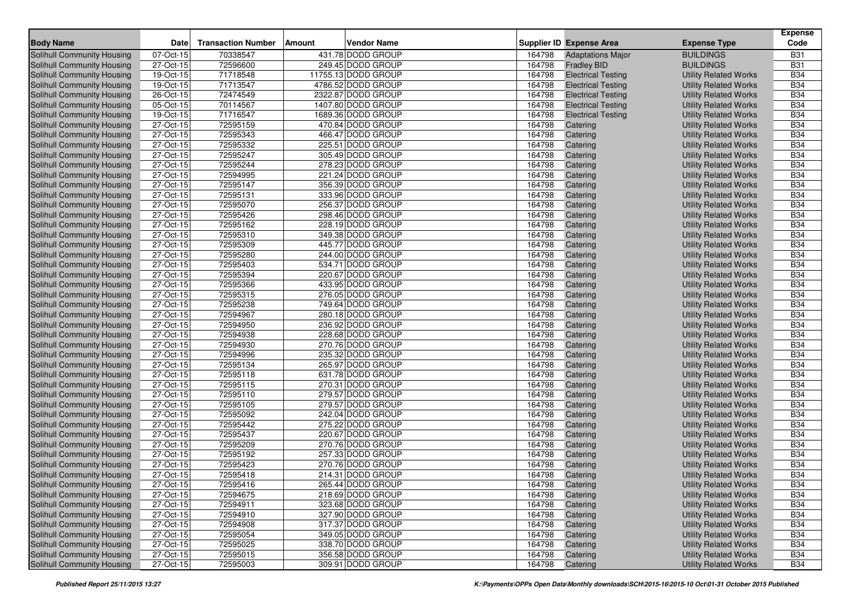| <b>Body Name</b>                  | Date      | <b>Transaction Number</b> | Vendor Name<br><b>Amount</b> |        | Supplier ID Expense Area  | <b>Expense Type</b>          | <b>Expense</b><br>Code |
|-----------------------------------|-----------|---------------------------|------------------------------|--------|---------------------------|------------------------------|------------------------|
| Solihull Community Housing        | 07-Oct-15 | 70338547                  | 431.78 DODD GROUP            | 164798 | <b>Adaptations Major</b>  | <b>BUILDINGS</b>             | <b>B31</b>             |
| Solihull Community Housing        | 27-Oct-15 | 72596600                  | 249.45 DODD GROUP            | 164798 | <b>Fradley BID</b>        | <b>BUILDINGS</b>             | <b>B31</b>             |
| Solihull Community Housing        | 19-Oct-15 | 71718548                  | 11755.13 DODD GROUP          | 164798 | <b>Electrical Testing</b> | <b>Utility Related Works</b> | <b>B34</b>             |
| Solihull Community Housing        | 19-Oct-15 | 71713547                  | 4786.52 DODD GROUP           | 164798 | <b>Electrical Testing</b> | <b>Utility Related Works</b> | <b>B34</b>             |
| Solihull Community Housing        | 26-Oct-15 | 72474549                  | 2322.87 DODD GROUP           | 164798 | <b>Electrical Testing</b> | <b>Utility Related Works</b> | <b>B34</b>             |
| Solihull Community Housing        | 05-Oct-15 | 70114567                  | 1407.80 DODD GROUP           | 164798 | <b>Electrical Testing</b> | <b>Utility Related Works</b> | <b>B34</b>             |
| Solihull Community Housing        | 19-Oct-15 | 71716547                  | 1689.36 DODD GROUP           | 164798 | <b>Electrical Testing</b> | <b>Utility Related Works</b> | <b>B34</b>             |
| <b>Solihull Community Housing</b> | 27-Oct-15 | 72595159                  | 470.84 DODD GROUP            | 164798 | Catering                  | <b>Utility Related Works</b> | <b>B34</b>             |
| Solihull Community Housing        | 27-Oct-15 | 72595343                  | 466.47 DODD GROUP            | 164798 | Catering                  | <b>Utility Related Works</b> | <b>B34</b>             |
| <b>Solihull Community Housing</b> | 27-Oct-15 | 72595332                  | 225.51 DODD GROUP            | 164798 | Catering                  | <b>Utility Related Works</b> | <b>B34</b>             |
| Solihull Community Housing        | 27-Oct-15 | 72595247                  | 305.49 DODD GROUP            | 164798 | Catering                  | <b>Utility Related Works</b> | <b>B34</b>             |
| Solihull Community Housing        | 27-Oct-15 | 72595244                  | 278.23 DODD GROUP            | 164798 | Catering                  | <b>Utility Related Works</b> | <b>B34</b>             |
| <b>Solihull Community Housing</b> | 27-Oct-15 | 72594995                  | 221.24 DODD GROUP            | 164798 | Catering                  | <b>Utility Related Works</b> | <b>B34</b>             |
| Solihull Community Housing        | 27-Oct-15 | 72595147                  | 356.39 DODD GROUP            | 164798 | Catering                  | <b>Utility Related Works</b> | <b>B34</b>             |
| Solihull Community Housing        | 27-Oct-15 | 72595131                  | 333.96 DODD GROUP            | 164798 | Catering                  | <b>Utility Related Works</b> | <b>B34</b>             |
| Solihull Community Housing        | 27-Oct-15 | 72595070                  | 256.37 DODD GROUP            | 164798 | Catering                  | <b>Utility Related Works</b> | <b>B34</b>             |
| Solihull Community Housing        | 27-Oct-15 | 72595426                  | 298.46 DODD GROUP            | 164798 | Catering                  | <b>Utility Related Works</b> | <b>B34</b>             |
| Solihull Community Housing        | 27-Oct-15 | 72595162                  | 228.19 DODD GROUP            | 164798 | Catering                  | <b>Utility Related Works</b> | <b>B34</b>             |
| Solihull Community Housing        | 27-Oct-15 | 72595310                  | 349.38 DODD GROUP            | 164798 | Catering                  | <b>Utility Related Works</b> | <b>B34</b>             |
| Solihull Community Housing        | 27-Oct-15 | 72595309                  | 445.77 DODD GROUP            | 164798 | Catering                  | <b>Utility Related Works</b> | <b>B34</b>             |
| Solihull Community Housing        | 27-Oct-15 | 72595280                  | 244.00 DODD GROUP            | 164798 | Catering                  | <b>Utility Related Works</b> | <b>B34</b>             |
| Solihull Community Housing        | 27-Oct-15 | 72595403                  | 534.71 DODD GROUP            | 164798 | Catering                  | <b>Utility Related Works</b> | <b>B34</b>             |
| Solihull Community Housing        | 27-Oct-15 | 72595394                  | 220.67 DODD GROUP            | 164798 | Catering                  | <b>Utility Related Works</b> | <b>B34</b>             |
| Solihull Community Housing        | 27-Oct-15 | 72595366                  | 433.95 DODD GROUP            | 164798 | Catering                  | <b>Utility Related Works</b> | <b>B34</b>             |
| Solihull Community Housing        | 27-Oct-15 | 72595315                  | 276.05 DODD GROUP            | 164798 | Catering                  | <b>Utility Related Works</b> | <b>B34</b>             |
| Solihull Community Housing        | 27-Oct-15 | 72595238                  | 749.64 DODD GROUP            | 164798 | Catering                  | <b>Utility Related Works</b> | <b>B34</b>             |
| <b>Solihull Community Housing</b> | 27-Oct-15 | 72594967                  | 280.18 DODD GROUP            | 164798 | Catering                  | <b>Utility Related Works</b> | <b>B34</b>             |
| Solihull Community Housing        | 27-Oct-15 | 72594950                  | 236.92 DODD GROUP            | 164798 | Catering                  | <b>Utility Related Works</b> | <b>B34</b>             |
| Solihull Community Housing        | 27-Oct-15 | 72594938                  | 228.68 DODD GROUP            | 164798 | Catering                  | <b>Utility Related Works</b> | <b>B34</b>             |
| Solihull Community Housing        | 27-Oct-15 | 72594930                  | 270.76 DODD GROUP            | 164798 | Catering                  | <b>Utility Related Works</b> | <b>B34</b>             |
| <b>Solihull Community Housing</b> | 27-Oct-15 | 72594996                  | 235.32 DODD GROUP            | 164798 | Catering                  | <b>Utility Related Works</b> | <b>B34</b>             |
| Solihull Community Housing        | 27-Oct-15 | 72595134                  | 265.97 DODD GROUP            | 164798 | Catering                  | <b>Utility Related Works</b> | <b>B34</b>             |
| Solihull Community Housing        | 27-Oct-15 | 72595118                  | 631.78 DODD GROUP            | 164798 | Catering                  | <b>Utility Related Works</b> | <b>B34</b>             |
| Solihull Community Housing        | 27-Oct-15 | 72595115                  | 270.31 DODD GROUP            | 164798 | Catering                  | <b>Utility Related Works</b> | <b>B34</b>             |
| <b>Solihull Community Housing</b> | 27-Oct-15 | 72595110                  | 279.57 DODD GROUP            | 164798 | Catering                  | <b>Utility Related Works</b> | <b>B34</b>             |
| <b>Solihull Community Housing</b> | 27-Oct-15 | 72595105                  | 279.57 DODD GROUP            | 164798 | Catering                  | <b>Utility Related Works</b> | <b>B34</b>             |
| Solihull Community Housing        | 27-Oct-15 | 72595092                  | 242.04 DODD GROUP            | 164798 | Catering                  | <b>Utility Related Works</b> | <b>B34</b>             |
| <b>Solihull Community Housing</b> | 27-Oct-15 | 72595442                  | 275.22 DODD GROUP            | 164798 | Catering                  | <b>Utility Related Works</b> | <b>B34</b>             |
| Solihull Community Housing        | 27-Oct-15 | 72595437                  | 220.67 DODD GROUP            | 164798 | Catering                  | <b>Utility Related Works</b> | <b>B34</b>             |
| Solihull Community Housing        | 27-Oct-15 | 72595209                  | 270.76 DODD GROUP            | 164798 | Catering                  | <b>Utility Related Works</b> | <b>B34</b>             |
| Solihull Community Housing        | 27-Oct-15 | 72595192                  | 257.33 DODD GROUP            | 164798 | Catering                  | <b>Utility Related Works</b> | <b>B34</b>             |
| Solihull Community Housing        | 27-Oct-15 | 72595423                  | 270.76 DODD GROUP            | 164798 | Catering                  | <b>Utility Related Works</b> | <b>B34</b>             |
| Solihull Community Housing        | 27-Oct-15 | 72595418                  | 214.31 DODD GROUP            | 164798 | Catering                  | <b>Utility Related Works</b> | <b>B34</b>             |
| Solihull Community Housing        | 27-Oct-15 | 72595416                  | 265.44 DODD GROUP            | 164798 | Catering                  | <b>Utility Related Works</b> | <b>B34</b>             |
| Solihull Community Housing        | 27-Oct-15 | 72594675                  | 218.69 DODD GROUP            | 164798 | Catering                  | <b>Utility Related Works</b> | <b>B34</b>             |
| Solihull Community Housing        | 27-Oct-15 | 72594911                  | 323.68 DODD GROUP            | 164798 | Catering                  | <b>Utility Related Works</b> | <b>B34</b>             |
| Solihull Community Housing        | 27-Oct-15 | 72594910                  | 327.90 DODD GROUP            | 164798 | Catering                  | <b>Utility Related Works</b> | <b>B34</b>             |
| Solihull Community Housing        | 27-Oct-15 | 72594908                  | 317.37 DODD GROUP            | 164798 | Catering                  | <b>Utility Related Works</b> | <b>B34</b>             |
| Solihull Community Housing        | 27-Oct-15 | 72595054                  | 349.05 DODD GROUP            | 164798 | Catering                  | <b>Utility Related Works</b> | <b>B34</b>             |
| Solihull Community Housing        | 27-Oct-15 | 72595025                  | 338.70 DODD GROUP            | 164798 | Catering                  | <b>Utility Related Works</b> | <b>B34</b>             |
| Solihull Community Housing        | 27-Oct-15 | 72595015                  | 356.58 DODD GROUP            | 164798 | Catering                  | <b>Utility Related Works</b> | <b>B34</b>             |
| Solihull Community Housing        | 27-Oct-15 | 72595003                  | 309.91 DODD GROUP            | 164798 | Catering                  | <b>Utility Related Works</b> | <b>B34</b>             |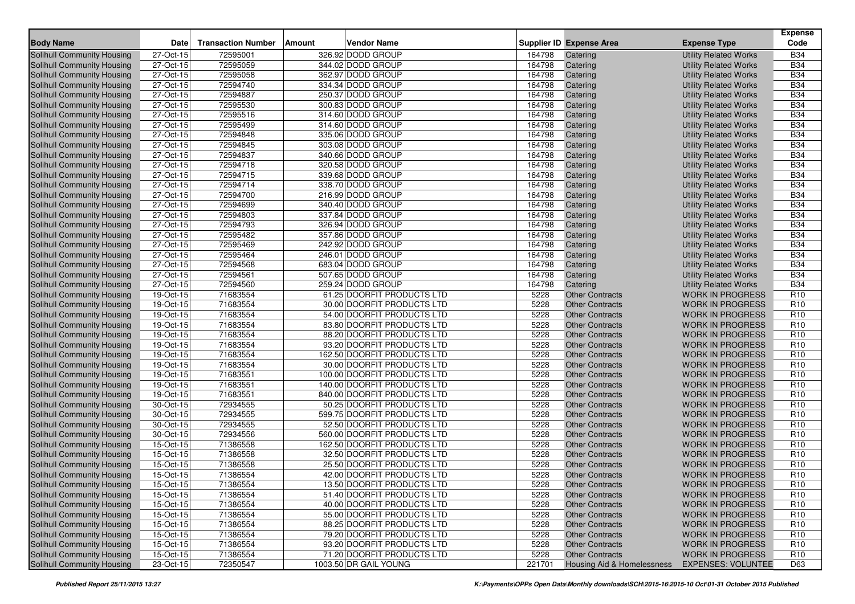| <b>Solihull Community Housing</b><br>27-Oct-15<br>72595001<br>326.92 DODD GROUP<br><b>Utility Related Works</b><br><b>B34</b><br>164798<br>Catering<br>72595059<br><b>B34</b><br>27-Oct-15<br>344.02 DODD GROUP<br>164798<br><b>Utility Related Works</b><br>Solihull Community Housing<br>Catering<br>362.97 DODD GROUP<br><b>B34</b><br>27-Oct-15<br>72595058<br>164798<br>Solihull Community Housing<br>Catering<br><b>Utility Related Works</b><br>72594740<br>334.34 DODD GROUP<br><b>B34</b><br>Solihull Community Housing<br>27-Oct-15<br>164798<br>Catering<br><b>Utility Related Works</b><br><b>B34</b><br>27-Oct-15<br>72594887<br>250.37 DODD GROUP<br>164798<br>Solihull Community Housing<br>Catering<br><b>Utility Related Works</b><br>27-Oct-15<br>72595530<br>300.83 DODD GROUP<br>164798<br><b>B34</b><br>Solihull Community Housing<br><b>Utility Related Works</b><br>Catering<br>Solihull Community Housing<br>27-Oct-15<br>72595516<br>314.60 DODD GROUP<br>164798<br><b>B34</b><br>Catering<br><b>Utility Related Works</b><br>72595499<br><b>B34</b><br>27-Oct-15<br>314.60 DODD GROUP<br>164798<br><b>Utility Related Works</b><br>Solihull Community Housing<br>Catering<br><b>B34</b><br>Solihull Community Housing<br>27-Oct-15<br>72594848<br>335.06 DODD GROUP<br>164798<br><b>Utility Related Works</b><br>Catering<br><b>B34</b><br>Solihull Community Housing<br>27-Oct-15<br>72594845<br>303.08 DODD GROUP<br>164798<br>Catering<br><b>Utility Related Works</b><br>72594837<br><b>B34</b><br>27-Oct-15<br>340.66 DODD GROUP<br>164798<br>Solihull Community Housing<br>Catering<br><b>Utility Related Works</b><br>27-Oct-15<br>72594718<br>320.58 DODD GROUP<br>164798<br><b>Utility Related Works</b><br><b>B34</b><br>Solihull Community Housing<br>Catering<br>27-Oct-15<br>72594715<br>339.68 DODD GROUP<br>164798<br><b>B34</b><br>Solihull Community Housing<br><b>Utility Related Works</b><br>Catering<br>72594714<br><b>B34</b><br><b>Solihull Community Housing</b><br>27-Oct-15<br>338.70 DODD GROUP<br>164798<br>Catering<br><b>Utility Related Works</b><br><b>B34</b><br>27-Oct-15<br>72594700<br>216.99 DODD GROUP<br>164798<br>Solihull Community Housing<br>Catering<br><b>Utility Related Works</b><br>72594699<br><b>B34</b><br>27-Oct-15<br>340.40 DODD GROUP<br>164798<br>Solihull Community Housing<br>Catering<br><b>Utility Related Works</b><br>337.84 DODD GROUP<br><b>B34</b><br>27-Oct-15<br>72594803<br>164798<br>Solihull Community Housing<br><b>Utility Related Works</b><br>Catering<br><b>B34</b><br>Solihull Community Housing<br>27-Oct-15<br>72594793<br>326.94 DODD GROUP<br>164798<br><b>Utility Related Works</b><br>Catering<br>72595482<br>27-Oct-15<br>357.86 DODD GROUP<br>164798<br><b>B34</b><br>Solihull Community Housing<br>Catering<br><b>Utility Related Works</b><br>27-Oct-15<br>72595469<br><b>B34</b><br>Solihull Community Housing<br>242.92 DODD GROUP<br>164798<br><b>Utility Related Works</b><br>Catering<br>27-Oct-15<br>72595464<br>246.01 DODD GROUP<br>164798<br><b>B34</b><br>Solihull Community Housing<br><b>Utility Related Works</b><br>Catering<br>72594568<br>683.04 DODD GROUP<br><b>B34</b><br>Solihull Community Housing<br>27-Oct-15<br>164798<br><b>Utility Related Works</b><br>Catering<br>27-Oct-15<br>72594561<br><b>B34</b><br>Solihull Community Housing<br>507.65 DODD GROUP<br>164798<br><b>Utility Related Works</b><br>Catering<br><b>B34</b><br>27-Oct-15<br>72594560<br>259.24 DODD GROUP<br>164798<br>Solihull Community Housing<br>Catering<br><b>Utility Related Works</b><br>71683554<br>R <sub>10</sub><br>19-Oct-15<br>61.25 DOORFIT PRODUCTS LTD<br>5228<br>Solihull Community Housing<br><b>Other Contracts</b><br><b>WORK IN PROGRESS</b><br>R <sub>10</sub><br>19-Oct-15<br>71683554<br>30.00 DOORFIT PRODUCTS LTD<br>5228<br><b>WORK IN PROGRESS</b><br>Solihull Community Housing<br><b>Other Contracts</b><br>71683554<br>R <sub>10</sub><br>Solihull Community Housing<br>19-Oct-15<br>54.00 DOORFIT PRODUCTS LTD<br>5228<br><b>Other Contracts</b><br><b>WORK IN PROGRESS</b><br>83.80 DOORFIT PRODUCTS LTD<br>R <sub>10</sub><br>19-Oct-15<br>71683554<br>5228<br><b>Other Contracts</b><br><b>WORK IN PROGRESS</b><br>Solihull Community Housing<br>R <sub>10</sub><br>$19-Oct-15$<br>71683554<br>88.20 DOORFIT PRODUCTS LTD<br>5228<br><b>WORK IN PROGRESS</b><br>Solihull Community Housing<br><b>Other Contracts</b><br>71683554<br>R <sub>10</sub><br>19-Oct-15<br>93.20 DOORFIT PRODUCTS LTD<br>5228<br><b>Other Contracts</b><br>Solihull Community Housing<br><b>WORK IN PROGRESS</b><br>R <sub>10</sub><br>Solihull Community Housing<br>19-Oct-15<br>71683554<br>162.50 DOORFIT PRODUCTS LTD<br>5228<br><b>Other Contracts</b><br><b>WORK IN PROGRESS</b><br>R <sub>10</sub><br>71683554<br>30.00 DOORFIT PRODUCTS LTD<br>5228<br>Solihull Community Housing<br>19-Oct-15<br><b>Other Contracts</b><br><b>WORK IN PROGRESS</b><br>71683551<br>R <sub>10</sub><br>19-Oct-15<br>100.00 DOORFIT PRODUCTS LTD<br>5228<br><b>Other Contracts</b><br><b>WORK IN PROGRESS</b><br>Solihull Community Housing<br>19-Oct-15<br>71683551<br>R <sub>10</sub><br><b>Solihull Community Housing</b><br>140.00 DOORFIT PRODUCTS LTD<br>5228<br><b>Other Contracts</b><br><b>WORK IN PROGRESS</b><br>R <sub>10</sub><br>Solihull Community Housing<br>19-Oct-15<br>71683551<br>840.00 DOORFIT PRODUCTS LTD<br>5228<br><b>Other Contracts</b><br><b>WORK IN PROGRESS</b><br>R <sub>10</sub><br>30-Oct-15<br>72934555<br>50.25 DOORFIT PRODUCTS LTD<br>5228<br><b>WORK IN PROGRESS</b><br>Solihull Community Housing<br><b>Other Contracts</b><br>30-Oct-15<br>72934555<br>599.75 DOORFIT PRODUCTS LTD<br>5228<br>R <sub>10</sub><br>Solihull Community Housing<br><b>Other Contracts</b><br><b>WORK IN PROGRESS</b><br>72934555<br>30-Oct-15<br>52.50 DOORFIT PRODUCTS LTD<br>5228<br><b>Other Contracts</b><br>R <sub>10</sub><br>Solihull Community Housing<br><b>WORK IN PROGRESS</b><br>72934556<br>R <sub>10</sub><br><b>Solihull Community Housing</b><br>30-Oct-15<br>560.00 DOORFIT PRODUCTS LTD<br>5228<br><b>Other Contracts</b><br><b>WORK IN PROGRESS</b><br>R <sub>10</sub><br>15-Oct-15<br>71386558<br>162.50 DOORFIT PRODUCTS LTD<br>5228<br><b>Other Contracts</b><br><b>WORK IN PROGRESS</b><br>Solihull Community Housing<br>71386558<br>15-Oct-15<br>32.50 DOORFIT PRODUCTS LTD<br>5228<br>R <sub>10</sub><br>Solihull Community Housing<br><b>Other Contracts</b><br><b>WORK IN PROGRESS</b><br>15-Oct-15<br>71386558<br>25.50 DOORFIT PRODUCTS LTD<br>5228<br><b>WORK IN PROGRESS</b><br>R <sub>10</sub><br>Solihull Community Housing<br><b>Other Contracts</b><br>R <sub>10</sub><br>15-Oct-15<br>71386554<br>42.00 DOORFIT PRODUCTS LTD<br>5228<br><b>WORK IN PROGRESS</b><br>Solihull Community Housing<br><b>Other Contracts</b><br>15-Oct-15<br>71386554<br>5228<br>Other Contracts<br>WORK IN PROGRESS<br>R <sub>10</sub><br>Solihull Community Housing<br>13.50 DOORFIT PRODUCTS LTD<br>Solihull Community Housing<br>15-Oct-15<br>71386554<br>51.40 DOORFIT PRODUCTS LTD<br>5228<br><b>WORK IN PROGRESS</b><br>R <sub>10</sub><br><b>Other Contracts</b><br>Solihull Community Housing<br>15-Oct-15<br>71386554<br>40.00 DOORFIT PRODUCTS LTD<br>5228<br><b>Other Contracts</b><br><b>WORK IN PROGRESS</b><br>R <sub>10</sub><br>Solihull Community Housing<br>15-Oct-15<br>71386554<br>55.00 DOORFIT PRODUCTS LTD<br>5228<br>R <sub>10</sub><br><b>Other Contracts</b><br><b>WORK IN PROGRESS</b><br>Solihull Community Housing<br>15-Oct-15<br>88.25 DOORFIT PRODUCTS LTD<br>5228<br>R <sub>10</sub><br>71386554<br><b>Other Contracts</b><br><b>WORK IN PROGRESS</b><br>Solihull Community Housing<br>15-Oct-15<br>71386554<br>79.20 DOORFIT PRODUCTS LTD<br>R <sub>10</sub><br>5228<br><b>Other Contracts</b><br><b>WORK IN PROGRESS</b><br>15-Oct-15<br>71386554<br>R <sub>10</sub><br>Solihull Community Housing<br>93.20 DOORFIT PRODUCTS LTD<br>5228<br><b>Other Contracts</b><br><b>WORK IN PROGRESS</b><br>Solihull Community Housing<br>15-Oct-15<br>71.20 DOORFIT PRODUCTS LTD<br>R <sub>10</sub><br>71386554<br>5228<br><b>Other Contracts</b><br><b>WORK IN PROGRESS</b><br>1003.50 DR GAIL YOUNG | <b>Body Name</b>           | <b>Date</b> | <b>Transaction Number</b> | <b>Amount</b> | <b>Vendor Name</b> |        | <b>Supplier ID Expense Area</b> | <b>Expense Type</b>       | <b>Expense</b><br>Code |
|-------------------------------------------------------------------------------------------------------------------------------------------------------------------------------------------------------------------------------------------------------------------------------------------------------------------------------------------------------------------------------------------------------------------------------------------------------------------------------------------------------------------------------------------------------------------------------------------------------------------------------------------------------------------------------------------------------------------------------------------------------------------------------------------------------------------------------------------------------------------------------------------------------------------------------------------------------------------------------------------------------------------------------------------------------------------------------------------------------------------------------------------------------------------------------------------------------------------------------------------------------------------------------------------------------------------------------------------------------------------------------------------------------------------------------------------------------------------------------------------------------------------------------------------------------------------------------------------------------------------------------------------------------------------------------------------------------------------------------------------------------------------------------------------------------------------------------------------------------------------------------------------------------------------------------------------------------------------------------------------------------------------------------------------------------------------------------------------------------------------------------------------------------------------------------------------------------------------------------------------------------------------------------------------------------------------------------------------------------------------------------------------------------------------------------------------------------------------------------------------------------------------------------------------------------------------------------------------------------------------------------------------------------------------------------------------------------------------------------------------------------------------------------------------------------------------------------------------------------------------------------------------------------------------------------------------------------------------------------------------------------------------------------------------------------------------------------------------------------------------------------------------------------------------------------------------------------------------------------------------------------------------------------------------------------------------------------------------------------------------------------------------------------------------------------------------------------------------------------------------------------------------------------------------------------------------------------------------------------------------------------------------------------------------------------------------------------------------------------------------------------------------------------------------------------------------------------------------------------------------------------------------------------------------------------------------------------------------------------------------------------------------------------------------------------------------------------------------------------------------------------------------------------------------------------------------------------------------------------------------------------------------------------------------------------------------------------------------------------------------------------------------------------------------------------------------------------------------------------------------------------------------------------------------------------------------------------------------------------------------------------------------------------------------------------------------------------------------------------------------------------------------------------------------------------------------------------------------------------------------------------------------------------------------------------------------------------------------------------------------------------------------------------------------------------------------------------------------------------------------------------------------------------------------------------------------------------------------------------------------------------------------------------------------------------------------------------------------------------------------------------------------------------------------------------------------------------------------------------------------------------------------------------------------------------------------------------------------------------------------------------------------------------------------------------------------------------------------------------------------------------------------------------------------------------------------------------------------------------------------------------------------------------------------------------------------------------------------------------------------------------------------------------------------------------------------------------------------------------------------------------------------------------------------------------------------------------------------------------------------------------------------------------------------------------------------------------------------------------------------------------------------------------------------------------------------------------------------------------------------------------------------------------------------------------------------------------------------------------------------------------------------------------------------------------------------------------------------------------------------------------------------------------------------------------------------------------------------------------------------------------------------------------------------------------------------------------------------------------------------------------------------------------------------------------------------------------------------------------------------------------------------------------------------------------------------------------------------------------------------------------------------------------------------------------------------------------------------------------------------------------------------------------------------------------------------------------------------------------------------------------------------------------------------------------------------------------------------------------------------------------------------------------------------------------------------------------------------------------------------------------------------------------------------------------------------------------------------------------------------------------------------------------------------------------------------------------------------------------------------------------------------------------------------------------------------------------------------------------------------------------------------------------------------------------------------------------------------------------------------------------------------------------------|----------------------------|-------------|---------------------------|---------------|--------------------|--------|---------------------------------|---------------------------|------------------------|
|                                                                                                                                                                                                                                                                                                                                                                                                                                                                                                                                                                                                                                                                                                                                                                                                                                                                                                                                                                                                                                                                                                                                                                                                                                                                                                                                                                                                                                                                                                                                                                                                                                                                                                                                                                                                                                                                                                                                                                                                                                                                                                                                                                                                                                                                                                                                                                                                                                                                                                                                                                                                                                                                                                                                                                                                                                                                                                                                                                                                                                                                                                                                                                                                                                                                                                                                                                                                                                                                                                                                                                                                                                                                                                                                                                                                                                                                                                                                                                                                                                                                                                                                                                                                                                                                                                                                                                                                                                                                                                                                                                                                                                                                                                                                                                                                                                                                                                                                                                                                                                                                                                                                                                                                                                                                                                                                                                                                                                                                                                                                                                                                                                                                                                                                                                                                                                                                                                                                                                                                                                                                                                                                                                                                                                                                                                                                                                                                                                                                                                                                                                                                                                                                                                                                                                                                                                                                                                                                                                                                                                                                                                                                                                                                                                                                                                                                                                                                                                                                                                                                                                                                                                                                                                                                                                                                                                                                                                                                                                                                                                                                                                                                                                                                                                                                                     |                            |             |                           |               |                    |        |                                 |                           |                        |
|                                                                                                                                                                                                                                                                                                                                                                                                                                                                                                                                                                                                                                                                                                                                                                                                                                                                                                                                                                                                                                                                                                                                                                                                                                                                                                                                                                                                                                                                                                                                                                                                                                                                                                                                                                                                                                                                                                                                                                                                                                                                                                                                                                                                                                                                                                                                                                                                                                                                                                                                                                                                                                                                                                                                                                                                                                                                                                                                                                                                                                                                                                                                                                                                                                                                                                                                                                                                                                                                                                                                                                                                                                                                                                                                                                                                                                                                                                                                                                                                                                                                                                                                                                                                                                                                                                                                                                                                                                                                                                                                                                                                                                                                                                                                                                                                                                                                                                                                                                                                                                                                                                                                                                                                                                                                                                                                                                                                                                                                                                                                                                                                                                                                                                                                                                                                                                                                                                                                                                                                                                                                                                                                                                                                                                                                                                                                                                                                                                                                                                                                                                                                                                                                                                                                                                                                                                                                                                                                                                                                                                                                                                                                                                                                                                                                                                                                                                                                                                                                                                                                                                                                                                                                                                                                                                                                                                                                                                                                                                                                                                                                                                                                                                                                                                                                                     |                            |             |                           |               |                    |        |                                 |                           |                        |
|                                                                                                                                                                                                                                                                                                                                                                                                                                                                                                                                                                                                                                                                                                                                                                                                                                                                                                                                                                                                                                                                                                                                                                                                                                                                                                                                                                                                                                                                                                                                                                                                                                                                                                                                                                                                                                                                                                                                                                                                                                                                                                                                                                                                                                                                                                                                                                                                                                                                                                                                                                                                                                                                                                                                                                                                                                                                                                                                                                                                                                                                                                                                                                                                                                                                                                                                                                                                                                                                                                                                                                                                                                                                                                                                                                                                                                                                                                                                                                                                                                                                                                                                                                                                                                                                                                                                                                                                                                                                                                                                                                                                                                                                                                                                                                                                                                                                                                                                                                                                                                                                                                                                                                                                                                                                                                                                                                                                                                                                                                                                                                                                                                                                                                                                                                                                                                                                                                                                                                                                                                                                                                                                                                                                                                                                                                                                                                                                                                                                                                                                                                                                                                                                                                                                                                                                                                                                                                                                                                                                                                                                                                                                                                                                                                                                                                                                                                                                                                                                                                                                                                                                                                                                                                                                                                                                                                                                                                                                                                                                                                                                                                                                                                                                                                                                                     |                            |             |                           |               |                    |        |                                 |                           |                        |
|                                                                                                                                                                                                                                                                                                                                                                                                                                                                                                                                                                                                                                                                                                                                                                                                                                                                                                                                                                                                                                                                                                                                                                                                                                                                                                                                                                                                                                                                                                                                                                                                                                                                                                                                                                                                                                                                                                                                                                                                                                                                                                                                                                                                                                                                                                                                                                                                                                                                                                                                                                                                                                                                                                                                                                                                                                                                                                                                                                                                                                                                                                                                                                                                                                                                                                                                                                                                                                                                                                                                                                                                                                                                                                                                                                                                                                                                                                                                                                                                                                                                                                                                                                                                                                                                                                                                                                                                                                                                                                                                                                                                                                                                                                                                                                                                                                                                                                                                                                                                                                                                                                                                                                                                                                                                                                                                                                                                                                                                                                                                                                                                                                                                                                                                                                                                                                                                                                                                                                                                                                                                                                                                                                                                                                                                                                                                                                                                                                                                                                                                                                                                                                                                                                                                                                                                                                                                                                                                                                                                                                                                                                                                                                                                                                                                                                                                                                                                                                                                                                                                                                                                                                                                                                                                                                                                                                                                                                                                                                                                                                                                                                                                                                                                                                                                                     |                            |             |                           |               |                    |        |                                 |                           |                        |
|                                                                                                                                                                                                                                                                                                                                                                                                                                                                                                                                                                                                                                                                                                                                                                                                                                                                                                                                                                                                                                                                                                                                                                                                                                                                                                                                                                                                                                                                                                                                                                                                                                                                                                                                                                                                                                                                                                                                                                                                                                                                                                                                                                                                                                                                                                                                                                                                                                                                                                                                                                                                                                                                                                                                                                                                                                                                                                                                                                                                                                                                                                                                                                                                                                                                                                                                                                                                                                                                                                                                                                                                                                                                                                                                                                                                                                                                                                                                                                                                                                                                                                                                                                                                                                                                                                                                                                                                                                                                                                                                                                                                                                                                                                                                                                                                                                                                                                                                                                                                                                                                                                                                                                                                                                                                                                                                                                                                                                                                                                                                                                                                                                                                                                                                                                                                                                                                                                                                                                                                                                                                                                                                                                                                                                                                                                                                                                                                                                                                                                                                                                                                                                                                                                                                                                                                                                                                                                                                                                                                                                                                                                                                                                                                                                                                                                                                                                                                                                                                                                                                                                                                                                                                                                                                                                                                                                                                                                                                                                                                                                                                                                                                                                                                                                                                                     |                            |             |                           |               |                    |        |                                 |                           |                        |
|                                                                                                                                                                                                                                                                                                                                                                                                                                                                                                                                                                                                                                                                                                                                                                                                                                                                                                                                                                                                                                                                                                                                                                                                                                                                                                                                                                                                                                                                                                                                                                                                                                                                                                                                                                                                                                                                                                                                                                                                                                                                                                                                                                                                                                                                                                                                                                                                                                                                                                                                                                                                                                                                                                                                                                                                                                                                                                                                                                                                                                                                                                                                                                                                                                                                                                                                                                                                                                                                                                                                                                                                                                                                                                                                                                                                                                                                                                                                                                                                                                                                                                                                                                                                                                                                                                                                                                                                                                                                                                                                                                                                                                                                                                                                                                                                                                                                                                                                                                                                                                                                                                                                                                                                                                                                                                                                                                                                                                                                                                                                                                                                                                                                                                                                                                                                                                                                                                                                                                                                                                                                                                                                                                                                                                                                                                                                                                                                                                                                                                                                                                                                                                                                                                                                                                                                                                                                                                                                                                                                                                                                                                                                                                                                                                                                                                                                                                                                                                                                                                                                                                                                                                                                                                                                                                                                                                                                                                                                                                                                                                                                                                                                                                                                                                                                                     |                            |             |                           |               |                    |        |                                 |                           |                        |
|                                                                                                                                                                                                                                                                                                                                                                                                                                                                                                                                                                                                                                                                                                                                                                                                                                                                                                                                                                                                                                                                                                                                                                                                                                                                                                                                                                                                                                                                                                                                                                                                                                                                                                                                                                                                                                                                                                                                                                                                                                                                                                                                                                                                                                                                                                                                                                                                                                                                                                                                                                                                                                                                                                                                                                                                                                                                                                                                                                                                                                                                                                                                                                                                                                                                                                                                                                                                                                                                                                                                                                                                                                                                                                                                                                                                                                                                                                                                                                                                                                                                                                                                                                                                                                                                                                                                                                                                                                                                                                                                                                                                                                                                                                                                                                                                                                                                                                                                                                                                                                                                                                                                                                                                                                                                                                                                                                                                                                                                                                                                                                                                                                                                                                                                                                                                                                                                                                                                                                                                                                                                                                                                                                                                                                                                                                                                                                                                                                                                                                                                                                                                                                                                                                                                                                                                                                                                                                                                                                                                                                                                                                                                                                                                                                                                                                                                                                                                                                                                                                                                                                                                                                                                                                                                                                                                                                                                                                                                                                                                                                                                                                                                                                                                                                                                                     |                            |             |                           |               |                    |        |                                 |                           |                        |
|                                                                                                                                                                                                                                                                                                                                                                                                                                                                                                                                                                                                                                                                                                                                                                                                                                                                                                                                                                                                                                                                                                                                                                                                                                                                                                                                                                                                                                                                                                                                                                                                                                                                                                                                                                                                                                                                                                                                                                                                                                                                                                                                                                                                                                                                                                                                                                                                                                                                                                                                                                                                                                                                                                                                                                                                                                                                                                                                                                                                                                                                                                                                                                                                                                                                                                                                                                                                                                                                                                                                                                                                                                                                                                                                                                                                                                                                                                                                                                                                                                                                                                                                                                                                                                                                                                                                                                                                                                                                                                                                                                                                                                                                                                                                                                                                                                                                                                                                                                                                                                                                                                                                                                                                                                                                                                                                                                                                                                                                                                                                                                                                                                                                                                                                                                                                                                                                                                                                                                                                                                                                                                                                                                                                                                                                                                                                                                                                                                                                                                                                                                                                                                                                                                                                                                                                                                                                                                                                                                                                                                                                                                                                                                                                                                                                                                                                                                                                                                                                                                                                                                                                                                                                                                                                                                                                                                                                                                                                                                                                                                                                                                                                                                                                                                                                                     |                            |             |                           |               |                    |        |                                 |                           |                        |
|                                                                                                                                                                                                                                                                                                                                                                                                                                                                                                                                                                                                                                                                                                                                                                                                                                                                                                                                                                                                                                                                                                                                                                                                                                                                                                                                                                                                                                                                                                                                                                                                                                                                                                                                                                                                                                                                                                                                                                                                                                                                                                                                                                                                                                                                                                                                                                                                                                                                                                                                                                                                                                                                                                                                                                                                                                                                                                                                                                                                                                                                                                                                                                                                                                                                                                                                                                                                                                                                                                                                                                                                                                                                                                                                                                                                                                                                                                                                                                                                                                                                                                                                                                                                                                                                                                                                                                                                                                                                                                                                                                                                                                                                                                                                                                                                                                                                                                                                                                                                                                                                                                                                                                                                                                                                                                                                                                                                                                                                                                                                                                                                                                                                                                                                                                                                                                                                                                                                                                                                                                                                                                                                                                                                                                                                                                                                                                                                                                                                                                                                                                                                                                                                                                                                                                                                                                                                                                                                                                                                                                                                                                                                                                                                                                                                                                                                                                                                                                                                                                                                                                                                                                                                                                                                                                                                                                                                                                                                                                                                                                                                                                                                                                                                                                                                                     |                            |             |                           |               |                    |        |                                 |                           |                        |
|                                                                                                                                                                                                                                                                                                                                                                                                                                                                                                                                                                                                                                                                                                                                                                                                                                                                                                                                                                                                                                                                                                                                                                                                                                                                                                                                                                                                                                                                                                                                                                                                                                                                                                                                                                                                                                                                                                                                                                                                                                                                                                                                                                                                                                                                                                                                                                                                                                                                                                                                                                                                                                                                                                                                                                                                                                                                                                                                                                                                                                                                                                                                                                                                                                                                                                                                                                                                                                                                                                                                                                                                                                                                                                                                                                                                                                                                                                                                                                                                                                                                                                                                                                                                                                                                                                                                                                                                                                                                                                                                                                                                                                                                                                                                                                                                                                                                                                                                                                                                                                                                                                                                                                                                                                                                                                                                                                                                                                                                                                                                                                                                                                                                                                                                                                                                                                                                                                                                                                                                                                                                                                                                                                                                                                                                                                                                                                                                                                                                                                                                                                                                                                                                                                                                                                                                                                                                                                                                                                                                                                                                                                                                                                                                                                                                                                                                                                                                                                                                                                                                                                                                                                                                                                                                                                                                                                                                                                                                                                                                                                                                                                                                                                                                                                                                                     |                            |             |                           |               |                    |        |                                 |                           |                        |
|                                                                                                                                                                                                                                                                                                                                                                                                                                                                                                                                                                                                                                                                                                                                                                                                                                                                                                                                                                                                                                                                                                                                                                                                                                                                                                                                                                                                                                                                                                                                                                                                                                                                                                                                                                                                                                                                                                                                                                                                                                                                                                                                                                                                                                                                                                                                                                                                                                                                                                                                                                                                                                                                                                                                                                                                                                                                                                                                                                                                                                                                                                                                                                                                                                                                                                                                                                                                                                                                                                                                                                                                                                                                                                                                                                                                                                                                                                                                                                                                                                                                                                                                                                                                                                                                                                                                                                                                                                                                                                                                                                                                                                                                                                                                                                                                                                                                                                                                                                                                                                                                                                                                                                                                                                                                                                                                                                                                                                                                                                                                                                                                                                                                                                                                                                                                                                                                                                                                                                                                                                                                                                                                                                                                                                                                                                                                                                                                                                                                                                                                                                                                                                                                                                                                                                                                                                                                                                                                                                                                                                                                                                                                                                                                                                                                                                                                                                                                                                                                                                                                                                                                                                                                                                                                                                                                                                                                                                                                                                                                                                                                                                                                                                                                                                                                                     |                            |             |                           |               |                    |        |                                 |                           |                        |
|                                                                                                                                                                                                                                                                                                                                                                                                                                                                                                                                                                                                                                                                                                                                                                                                                                                                                                                                                                                                                                                                                                                                                                                                                                                                                                                                                                                                                                                                                                                                                                                                                                                                                                                                                                                                                                                                                                                                                                                                                                                                                                                                                                                                                                                                                                                                                                                                                                                                                                                                                                                                                                                                                                                                                                                                                                                                                                                                                                                                                                                                                                                                                                                                                                                                                                                                                                                                                                                                                                                                                                                                                                                                                                                                                                                                                                                                                                                                                                                                                                                                                                                                                                                                                                                                                                                                                                                                                                                                                                                                                                                                                                                                                                                                                                                                                                                                                                                                                                                                                                                                                                                                                                                                                                                                                                                                                                                                                                                                                                                                                                                                                                                                                                                                                                                                                                                                                                                                                                                                                                                                                                                                                                                                                                                                                                                                                                                                                                                                                                                                                                                                                                                                                                                                                                                                                                                                                                                                                                                                                                                                                                                                                                                                                                                                                                                                                                                                                                                                                                                                                                                                                                                                                                                                                                                                                                                                                                                                                                                                                                                                                                                                                                                                                                                                                     |                            |             |                           |               |                    |        |                                 |                           |                        |
|                                                                                                                                                                                                                                                                                                                                                                                                                                                                                                                                                                                                                                                                                                                                                                                                                                                                                                                                                                                                                                                                                                                                                                                                                                                                                                                                                                                                                                                                                                                                                                                                                                                                                                                                                                                                                                                                                                                                                                                                                                                                                                                                                                                                                                                                                                                                                                                                                                                                                                                                                                                                                                                                                                                                                                                                                                                                                                                                                                                                                                                                                                                                                                                                                                                                                                                                                                                                                                                                                                                                                                                                                                                                                                                                                                                                                                                                                                                                                                                                                                                                                                                                                                                                                                                                                                                                                                                                                                                                                                                                                                                                                                                                                                                                                                                                                                                                                                                                                                                                                                                                                                                                                                                                                                                                                                                                                                                                                                                                                                                                                                                                                                                                                                                                                                                                                                                                                                                                                                                                                                                                                                                                                                                                                                                                                                                                                                                                                                                                                                                                                                                                                                                                                                                                                                                                                                                                                                                                                                                                                                                                                                                                                                                                                                                                                                                                                                                                                                                                                                                                                                                                                                                                                                                                                                                                                                                                                                                                                                                                                                                                                                                                                                                                                                                                                     |                            |             |                           |               |                    |        |                                 |                           |                        |
|                                                                                                                                                                                                                                                                                                                                                                                                                                                                                                                                                                                                                                                                                                                                                                                                                                                                                                                                                                                                                                                                                                                                                                                                                                                                                                                                                                                                                                                                                                                                                                                                                                                                                                                                                                                                                                                                                                                                                                                                                                                                                                                                                                                                                                                                                                                                                                                                                                                                                                                                                                                                                                                                                                                                                                                                                                                                                                                                                                                                                                                                                                                                                                                                                                                                                                                                                                                                                                                                                                                                                                                                                                                                                                                                                                                                                                                                                                                                                                                                                                                                                                                                                                                                                                                                                                                                                                                                                                                                                                                                                                                                                                                                                                                                                                                                                                                                                                                                                                                                                                                                                                                                                                                                                                                                                                                                                                                                                                                                                                                                                                                                                                                                                                                                                                                                                                                                                                                                                                                                                                                                                                                                                                                                                                                                                                                                                                                                                                                                                                                                                                                                                                                                                                                                                                                                                                                                                                                                                                                                                                                                                                                                                                                                                                                                                                                                                                                                                                                                                                                                                                                                                                                                                                                                                                                                                                                                                                                                                                                                                                                                                                                                                                                                                                                                                     |                            |             |                           |               |                    |        |                                 |                           |                        |
|                                                                                                                                                                                                                                                                                                                                                                                                                                                                                                                                                                                                                                                                                                                                                                                                                                                                                                                                                                                                                                                                                                                                                                                                                                                                                                                                                                                                                                                                                                                                                                                                                                                                                                                                                                                                                                                                                                                                                                                                                                                                                                                                                                                                                                                                                                                                                                                                                                                                                                                                                                                                                                                                                                                                                                                                                                                                                                                                                                                                                                                                                                                                                                                                                                                                                                                                                                                                                                                                                                                                                                                                                                                                                                                                                                                                                                                                                                                                                                                                                                                                                                                                                                                                                                                                                                                                                                                                                                                                                                                                                                                                                                                                                                                                                                                                                                                                                                                                                                                                                                                                                                                                                                                                                                                                                                                                                                                                                                                                                                                                                                                                                                                                                                                                                                                                                                                                                                                                                                                                                                                                                                                                                                                                                                                                                                                                                                                                                                                                                                                                                                                                                                                                                                                                                                                                                                                                                                                                                                                                                                                                                                                                                                                                                                                                                                                                                                                                                                                                                                                                                                                                                                                                                                                                                                                                                                                                                                                                                                                                                                                                                                                                                                                                                                                                                     |                            |             |                           |               |                    |        |                                 |                           |                        |
|                                                                                                                                                                                                                                                                                                                                                                                                                                                                                                                                                                                                                                                                                                                                                                                                                                                                                                                                                                                                                                                                                                                                                                                                                                                                                                                                                                                                                                                                                                                                                                                                                                                                                                                                                                                                                                                                                                                                                                                                                                                                                                                                                                                                                                                                                                                                                                                                                                                                                                                                                                                                                                                                                                                                                                                                                                                                                                                                                                                                                                                                                                                                                                                                                                                                                                                                                                                                                                                                                                                                                                                                                                                                                                                                                                                                                                                                                                                                                                                                                                                                                                                                                                                                                                                                                                                                                                                                                                                                                                                                                                                                                                                                                                                                                                                                                                                                                                                                                                                                                                                                                                                                                                                                                                                                                                                                                                                                                                                                                                                                                                                                                                                                                                                                                                                                                                                                                                                                                                                                                                                                                                                                                                                                                                                                                                                                                                                                                                                                                                                                                                                                                                                                                                                                                                                                                                                                                                                                                                                                                                                                                                                                                                                                                                                                                                                                                                                                                                                                                                                                                                                                                                                                                                                                                                                                                                                                                                                                                                                                                                                                                                                                                                                                                                                                                     |                            |             |                           |               |                    |        |                                 |                           |                        |
|                                                                                                                                                                                                                                                                                                                                                                                                                                                                                                                                                                                                                                                                                                                                                                                                                                                                                                                                                                                                                                                                                                                                                                                                                                                                                                                                                                                                                                                                                                                                                                                                                                                                                                                                                                                                                                                                                                                                                                                                                                                                                                                                                                                                                                                                                                                                                                                                                                                                                                                                                                                                                                                                                                                                                                                                                                                                                                                                                                                                                                                                                                                                                                                                                                                                                                                                                                                                                                                                                                                                                                                                                                                                                                                                                                                                                                                                                                                                                                                                                                                                                                                                                                                                                                                                                                                                                                                                                                                                                                                                                                                                                                                                                                                                                                                                                                                                                                                                                                                                                                                                                                                                                                                                                                                                                                                                                                                                                                                                                                                                                                                                                                                                                                                                                                                                                                                                                                                                                                                                                                                                                                                                                                                                                                                                                                                                                                                                                                                                                                                                                                                                                                                                                                                                                                                                                                                                                                                                                                                                                                                                                                                                                                                                                                                                                                                                                                                                                                                                                                                                                                                                                                                                                                                                                                                                                                                                                                                                                                                                                                                                                                                                                                                                                                                                                     |                            |             |                           |               |                    |        |                                 |                           |                        |
|                                                                                                                                                                                                                                                                                                                                                                                                                                                                                                                                                                                                                                                                                                                                                                                                                                                                                                                                                                                                                                                                                                                                                                                                                                                                                                                                                                                                                                                                                                                                                                                                                                                                                                                                                                                                                                                                                                                                                                                                                                                                                                                                                                                                                                                                                                                                                                                                                                                                                                                                                                                                                                                                                                                                                                                                                                                                                                                                                                                                                                                                                                                                                                                                                                                                                                                                                                                                                                                                                                                                                                                                                                                                                                                                                                                                                                                                                                                                                                                                                                                                                                                                                                                                                                                                                                                                                                                                                                                                                                                                                                                                                                                                                                                                                                                                                                                                                                                                                                                                                                                                                                                                                                                                                                                                                                                                                                                                                                                                                                                                                                                                                                                                                                                                                                                                                                                                                                                                                                                                                                                                                                                                                                                                                                                                                                                                                                                                                                                                                                                                                                                                                                                                                                                                                                                                                                                                                                                                                                                                                                                                                                                                                                                                                                                                                                                                                                                                                                                                                                                                                                                                                                                                                                                                                                                                                                                                                                                                                                                                                                                                                                                                                                                                                                                                                     |                            |             |                           |               |                    |        |                                 |                           |                        |
|                                                                                                                                                                                                                                                                                                                                                                                                                                                                                                                                                                                                                                                                                                                                                                                                                                                                                                                                                                                                                                                                                                                                                                                                                                                                                                                                                                                                                                                                                                                                                                                                                                                                                                                                                                                                                                                                                                                                                                                                                                                                                                                                                                                                                                                                                                                                                                                                                                                                                                                                                                                                                                                                                                                                                                                                                                                                                                                                                                                                                                                                                                                                                                                                                                                                                                                                                                                                                                                                                                                                                                                                                                                                                                                                                                                                                                                                                                                                                                                                                                                                                                                                                                                                                                                                                                                                                                                                                                                                                                                                                                                                                                                                                                                                                                                                                                                                                                                                                                                                                                                                                                                                                                                                                                                                                                                                                                                                                                                                                                                                                                                                                                                                                                                                                                                                                                                                                                                                                                                                                                                                                                                                                                                                                                                                                                                                                                                                                                                                                                                                                                                                                                                                                                                                                                                                                                                                                                                                                                                                                                                                                                                                                                                                                                                                                                                                                                                                                                                                                                                                                                                                                                                                                                                                                                                                                                                                                                                                                                                                                                                                                                                                                                                                                                                                                     |                            |             |                           |               |                    |        |                                 |                           |                        |
|                                                                                                                                                                                                                                                                                                                                                                                                                                                                                                                                                                                                                                                                                                                                                                                                                                                                                                                                                                                                                                                                                                                                                                                                                                                                                                                                                                                                                                                                                                                                                                                                                                                                                                                                                                                                                                                                                                                                                                                                                                                                                                                                                                                                                                                                                                                                                                                                                                                                                                                                                                                                                                                                                                                                                                                                                                                                                                                                                                                                                                                                                                                                                                                                                                                                                                                                                                                                                                                                                                                                                                                                                                                                                                                                                                                                                                                                                                                                                                                                                                                                                                                                                                                                                                                                                                                                                                                                                                                                                                                                                                                                                                                                                                                                                                                                                                                                                                                                                                                                                                                                                                                                                                                                                                                                                                                                                                                                                                                                                                                                                                                                                                                                                                                                                                                                                                                                                                                                                                                                                                                                                                                                                                                                                                                                                                                                                                                                                                                                                                                                                                                                                                                                                                                                                                                                                                                                                                                                                                                                                                                                                                                                                                                                                                                                                                                                                                                                                                                                                                                                                                                                                                                                                                                                                                                                                                                                                                                                                                                                                                                                                                                                                                                                                                                                                     |                            |             |                           |               |                    |        |                                 |                           |                        |
|                                                                                                                                                                                                                                                                                                                                                                                                                                                                                                                                                                                                                                                                                                                                                                                                                                                                                                                                                                                                                                                                                                                                                                                                                                                                                                                                                                                                                                                                                                                                                                                                                                                                                                                                                                                                                                                                                                                                                                                                                                                                                                                                                                                                                                                                                                                                                                                                                                                                                                                                                                                                                                                                                                                                                                                                                                                                                                                                                                                                                                                                                                                                                                                                                                                                                                                                                                                                                                                                                                                                                                                                                                                                                                                                                                                                                                                                                                                                                                                                                                                                                                                                                                                                                                                                                                                                                                                                                                                                                                                                                                                                                                                                                                                                                                                                                                                                                                                                                                                                                                                                                                                                                                                                                                                                                                                                                                                                                                                                                                                                                                                                                                                                                                                                                                                                                                                                                                                                                                                                                                                                                                                                                                                                                                                                                                                                                                                                                                                                                                                                                                                                                                                                                                                                                                                                                                                                                                                                                                                                                                                                                                                                                                                                                                                                                                                                                                                                                                                                                                                                                                                                                                                                                                                                                                                                                                                                                                                                                                                                                                                                                                                                                                                                                                                                                     |                            |             |                           |               |                    |        |                                 |                           |                        |
|                                                                                                                                                                                                                                                                                                                                                                                                                                                                                                                                                                                                                                                                                                                                                                                                                                                                                                                                                                                                                                                                                                                                                                                                                                                                                                                                                                                                                                                                                                                                                                                                                                                                                                                                                                                                                                                                                                                                                                                                                                                                                                                                                                                                                                                                                                                                                                                                                                                                                                                                                                                                                                                                                                                                                                                                                                                                                                                                                                                                                                                                                                                                                                                                                                                                                                                                                                                                                                                                                                                                                                                                                                                                                                                                                                                                                                                                                                                                                                                                                                                                                                                                                                                                                                                                                                                                                                                                                                                                                                                                                                                                                                                                                                                                                                                                                                                                                                                                                                                                                                                                                                                                                                                                                                                                                                                                                                                                                                                                                                                                                                                                                                                                                                                                                                                                                                                                                                                                                                                                                                                                                                                                                                                                                                                                                                                                                                                                                                                                                                                                                                                                                                                                                                                                                                                                                                                                                                                                                                                                                                                                                                                                                                                                                                                                                                                                                                                                                                                                                                                                                                                                                                                                                                                                                                                                                                                                                                                                                                                                                                                                                                                                                                                                                                                                                     |                            |             |                           |               |                    |        |                                 |                           |                        |
|                                                                                                                                                                                                                                                                                                                                                                                                                                                                                                                                                                                                                                                                                                                                                                                                                                                                                                                                                                                                                                                                                                                                                                                                                                                                                                                                                                                                                                                                                                                                                                                                                                                                                                                                                                                                                                                                                                                                                                                                                                                                                                                                                                                                                                                                                                                                                                                                                                                                                                                                                                                                                                                                                                                                                                                                                                                                                                                                                                                                                                                                                                                                                                                                                                                                                                                                                                                                                                                                                                                                                                                                                                                                                                                                                                                                                                                                                                                                                                                                                                                                                                                                                                                                                                                                                                                                                                                                                                                                                                                                                                                                                                                                                                                                                                                                                                                                                                                                                                                                                                                                                                                                                                                                                                                                                                                                                                                                                                                                                                                                                                                                                                                                                                                                                                                                                                                                                                                                                                                                                                                                                                                                                                                                                                                                                                                                                                                                                                                                                                                                                                                                                                                                                                                                                                                                                                                                                                                                                                                                                                                                                                                                                                                                                                                                                                                                                                                                                                                                                                                                                                                                                                                                                                                                                                                                                                                                                                                                                                                                                                                                                                                                                                                                                                                                                     |                            |             |                           |               |                    |        |                                 |                           |                        |
|                                                                                                                                                                                                                                                                                                                                                                                                                                                                                                                                                                                                                                                                                                                                                                                                                                                                                                                                                                                                                                                                                                                                                                                                                                                                                                                                                                                                                                                                                                                                                                                                                                                                                                                                                                                                                                                                                                                                                                                                                                                                                                                                                                                                                                                                                                                                                                                                                                                                                                                                                                                                                                                                                                                                                                                                                                                                                                                                                                                                                                                                                                                                                                                                                                                                                                                                                                                                                                                                                                                                                                                                                                                                                                                                                                                                                                                                                                                                                                                                                                                                                                                                                                                                                                                                                                                                                                                                                                                                                                                                                                                                                                                                                                                                                                                                                                                                                                                                                                                                                                                                                                                                                                                                                                                                                                                                                                                                                                                                                                                                                                                                                                                                                                                                                                                                                                                                                                                                                                                                                                                                                                                                                                                                                                                                                                                                                                                                                                                                                                                                                                                                                                                                                                                                                                                                                                                                                                                                                                                                                                                                                                                                                                                                                                                                                                                                                                                                                                                                                                                                                                                                                                                                                                                                                                                                                                                                                                                                                                                                                                                                                                                                                                                                                                                                                     |                            |             |                           |               |                    |        |                                 |                           |                        |
|                                                                                                                                                                                                                                                                                                                                                                                                                                                                                                                                                                                                                                                                                                                                                                                                                                                                                                                                                                                                                                                                                                                                                                                                                                                                                                                                                                                                                                                                                                                                                                                                                                                                                                                                                                                                                                                                                                                                                                                                                                                                                                                                                                                                                                                                                                                                                                                                                                                                                                                                                                                                                                                                                                                                                                                                                                                                                                                                                                                                                                                                                                                                                                                                                                                                                                                                                                                                                                                                                                                                                                                                                                                                                                                                                                                                                                                                                                                                                                                                                                                                                                                                                                                                                                                                                                                                                                                                                                                                                                                                                                                                                                                                                                                                                                                                                                                                                                                                                                                                                                                                                                                                                                                                                                                                                                                                                                                                                                                                                                                                                                                                                                                                                                                                                                                                                                                                                                                                                                                                                                                                                                                                                                                                                                                                                                                                                                                                                                                                                                                                                                                                                                                                                                                                                                                                                                                                                                                                                                                                                                                                                                                                                                                                                                                                                                                                                                                                                                                                                                                                                                                                                                                                                                                                                                                                                                                                                                                                                                                                                                                                                                                                                                                                                                                                                     |                            |             |                           |               |                    |        |                                 |                           |                        |
|                                                                                                                                                                                                                                                                                                                                                                                                                                                                                                                                                                                                                                                                                                                                                                                                                                                                                                                                                                                                                                                                                                                                                                                                                                                                                                                                                                                                                                                                                                                                                                                                                                                                                                                                                                                                                                                                                                                                                                                                                                                                                                                                                                                                                                                                                                                                                                                                                                                                                                                                                                                                                                                                                                                                                                                                                                                                                                                                                                                                                                                                                                                                                                                                                                                                                                                                                                                                                                                                                                                                                                                                                                                                                                                                                                                                                                                                                                                                                                                                                                                                                                                                                                                                                                                                                                                                                                                                                                                                                                                                                                                                                                                                                                                                                                                                                                                                                                                                                                                                                                                                                                                                                                                                                                                                                                                                                                                                                                                                                                                                                                                                                                                                                                                                                                                                                                                                                                                                                                                                                                                                                                                                                                                                                                                                                                                                                                                                                                                                                                                                                                                                                                                                                                                                                                                                                                                                                                                                                                                                                                                                                                                                                                                                                                                                                                                                                                                                                                                                                                                                                                                                                                                                                                                                                                                                                                                                                                                                                                                                                                                                                                                                                                                                                                                                                     |                            |             |                           |               |                    |        |                                 |                           |                        |
|                                                                                                                                                                                                                                                                                                                                                                                                                                                                                                                                                                                                                                                                                                                                                                                                                                                                                                                                                                                                                                                                                                                                                                                                                                                                                                                                                                                                                                                                                                                                                                                                                                                                                                                                                                                                                                                                                                                                                                                                                                                                                                                                                                                                                                                                                                                                                                                                                                                                                                                                                                                                                                                                                                                                                                                                                                                                                                                                                                                                                                                                                                                                                                                                                                                                                                                                                                                                                                                                                                                                                                                                                                                                                                                                                                                                                                                                                                                                                                                                                                                                                                                                                                                                                                                                                                                                                                                                                                                                                                                                                                                                                                                                                                                                                                                                                                                                                                                                                                                                                                                                                                                                                                                                                                                                                                                                                                                                                                                                                                                                                                                                                                                                                                                                                                                                                                                                                                                                                                                                                                                                                                                                                                                                                                                                                                                                                                                                                                                                                                                                                                                                                                                                                                                                                                                                                                                                                                                                                                                                                                                                                                                                                                                                                                                                                                                                                                                                                                                                                                                                                                                                                                                                                                                                                                                                                                                                                                                                                                                                                                                                                                                                                                                                                                                                                     |                            |             |                           |               |                    |        |                                 |                           |                        |
|                                                                                                                                                                                                                                                                                                                                                                                                                                                                                                                                                                                                                                                                                                                                                                                                                                                                                                                                                                                                                                                                                                                                                                                                                                                                                                                                                                                                                                                                                                                                                                                                                                                                                                                                                                                                                                                                                                                                                                                                                                                                                                                                                                                                                                                                                                                                                                                                                                                                                                                                                                                                                                                                                                                                                                                                                                                                                                                                                                                                                                                                                                                                                                                                                                                                                                                                                                                                                                                                                                                                                                                                                                                                                                                                                                                                                                                                                                                                                                                                                                                                                                                                                                                                                                                                                                                                                                                                                                                                                                                                                                                                                                                                                                                                                                                                                                                                                                                                                                                                                                                                                                                                                                                                                                                                                                                                                                                                                                                                                                                                                                                                                                                                                                                                                                                                                                                                                                                                                                                                                                                                                                                                                                                                                                                                                                                                                                                                                                                                                                                                                                                                                                                                                                                                                                                                                                                                                                                                                                                                                                                                                                                                                                                                                                                                                                                                                                                                                                                                                                                                                                                                                                                                                                                                                                                                                                                                                                                                                                                                                                                                                                                                                                                                                                                                                     |                            |             |                           |               |                    |        |                                 |                           |                        |
|                                                                                                                                                                                                                                                                                                                                                                                                                                                                                                                                                                                                                                                                                                                                                                                                                                                                                                                                                                                                                                                                                                                                                                                                                                                                                                                                                                                                                                                                                                                                                                                                                                                                                                                                                                                                                                                                                                                                                                                                                                                                                                                                                                                                                                                                                                                                                                                                                                                                                                                                                                                                                                                                                                                                                                                                                                                                                                                                                                                                                                                                                                                                                                                                                                                                                                                                                                                                                                                                                                                                                                                                                                                                                                                                                                                                                                                                                                                                                                                                                                                                                                                                                                                                                                                                                                                                                                                                                                                                                                                                                                                                                                                                                                                                                                                                                                                                                                                                                                                                                                                                                                                                                                                                                                                                                                                                                                                                                                                                                                                                                                                                                                                                                                                                                                                                                                                                                                                                                                                                                                                                                                                                                                                                                                                                                                                                                                                                                                                                                                                                                                                                                                                                                                                                                                                                                                                                                                                                                                                                                                                                                                                                                                                                                                                                                                                                                                                                                                                                                                                                                                                                                                                                                                                                                                                                                                                                                                                                                                                                                                                                                                                                                                                                                                                                                     |                            |             |                           |               |                    |        |                                 |                           |                        |
|                                                                                                                                                                                                                                                                                                                                                                                                                                                                                                                                                                                                                                                                                                                                                                                                                                                                                                                                                                                                                                                                                                                                                                                                                                                                                                                                                                                                                                                                                                                                                                                                                                                                                                                                                                                                                                                                                                                                                                                                                                                                                                                                                                                                                                                                                                                                                                                                                                                                                                                                                                                                                                                                                                                                                                                                                                                                                                                                                                                                                                                                                                                                                                                                                                                                                                                                                                                                                                                                                                                                                                                                                                                                                                                                                                                                                                                                                                                                                                                                                                                                                                                                                                                                                                                                                                                                                                                                                                                                                                                                                                                                                                                                                                                                                                                                                                                                                                                                                                                                                                                                                                                                                                                                                                                                                                                                                                                                                                                                                                                                                                                                                                                                                                                                                                                                                                                                                                                                                                                                                                                                                                                                                                                                                                                                                                                                                                                                                                                                                                                                                                                                                                                                                                                                                                                                                                                                                                                                                                                                                                                                                                                                                                                                                                                                                                                                                                                                                                                                                                                                                                                                                                                                                                                                                                                                                                                                                                                                                                                                                                                                                                                                                                                                                                                                                     |                            |             |                           |               |                    |        |                                 |                           |                        |
|                                                                                                                                                                                                                                                                                                                                                                                                                                                                                                                                                                                                                                                                                                                                                                                                                                                                                                                                                                                                                                                                                                                                                                                                                                                                                                                                                                                                                                                                                                                                                                                                                                                                                                                                                                                                                                                                                                                                                                                                                                                                                                                                                                                                                                                                                                                                                                                                                                                                                                                                                                                                                                                                                                                                                                                                                                                                                                                                                                                                                                                                                                                                                                                                                                                                                                                                                                                                                                                                                                                                                                                                                                                                                                                                                                                                                                                                                                                                                                                                                                                                                                                                                                                                                                                                                                                                                                                                                                                                                                                                                                                                                                                                                                                                                                                                                                                                                                                                                                                                                                                                                                                                                                                                                                                                                                                                                                                                                                                                                                                                                                                                                                                                                                                                                                                                                                                                                                                                                                                                                                                                                                                                                                                                                                                                                                                                                                                                                                                                                                                                                                                                                                                                                                                                                                                                                                                                                                                                                                                                                                                                                                                                                                                                                                                                                                                                                                                                                                                                                                                                                                                                                                                                                                                                                                                                                                                                                                                                                                                                                                                                                                                                                                                                                                                                                     |                            |             |                           |               |                    |        |                                 |                           |                        |
|                                                                                                                                                                                                                                                                                                                                                                                                                                                                                                                                                                                                                                                                                                                                                                                                                                                                                                                                                                                                                                                                                                                                                                                                                                                                                                                                                                                                                                                                                                                                                                                                                                                                                                                                                                                                                                                                                                                                                                                                                                                                                                                                                                                                                                                                                                                                                                                                                                                                                                                                                                                                                                                                                                                                                                                                                                                                                                                                                                                                                                                                                                                                                                                                                                                                                                                                                                                                                                                                                                                                                                                                                                                                                                                                                                                                                                                                                                                                                                                                                                                                                                                                                                                                                                                                                                                                                                                                                                                                                                                                                                                                                                                                                                                                                                                                                                                                                                                                                                                                                                                                                                                                                                                                                                                                                                                                                                                                                                                                                                                                                                                                                                                                                                                                                                                                                                                                                                                                                                                                                                                                                                                                                                                                                                                                                                                                                                                                                                                                                                                                                                                                                                                                                                                                                                                                                                                                                                                                                                                                                                                                                                                                                                                                                                                                                                                                                                                                                                                                                                                                                                                                                                                                                                                                                                                                                                                                                                                                                                                                                                                                                                                                                                                                                                                                                     |                            |             |                           |               |                    |        |                                 |                           |                        |
|                                                                                                                                                                                                                                                                                                                                                                                                                                                                                                                                                                                                                                                                                                                                                                                                                                                                                                                                                                                                                                                                                                                                                                                                                                                                                                                                                                                                                                                                                                                                                                                                                                                                                                                                                                                                                                                                                                                                                                                                                                                                                                                                                                                                                                                                                                                                                                                                                                                                                                                                                                                                                                                                                                                                                                                                                                                                                                                                                                                                                                                                                                                                                                                                                                                                                                                                                                                                                                                                                                                                                                                                                                                                                                                                                                                                                                                                                                                                                                                                                                                                                                                                                                                                                                                                                                                                                                                                                                                                                                                                                                                                                                                                                                                                                                                                                                                                                                                                                                                                                                                                                                                                                                                                                                                                                                                                                                                                                                                                                                                                                                                                                                                                                                                                                                                                                                                                                                                                                                                                                                                                                                                                                                                                                                                                                                                                                                                                                                                                                                                                                                                                                                                                                                                                                                                                                                                                                                                                                                                                                                                                                                                                                                                                                                                                                                                                                                                                                                                                                                                                                                                                                                                                                                                                                                                                                                                                                                                                                                                                                                                                                                                                                                                                                                                                                     |                            |             |                           |               |                    |        |                                 |                           |                        |
|                                                                                                                                                                                                                                                                                                                                                                                                                                                                                                                                                                                                                                                                                                                                                                                                                                                                                                                                                                                                                                                                                                                                                                                                                                                                                                                                                                                                                                                                                                                                                                                                                                                                                                                                                                                                                                                                                                                                                                                                                                                                                                                                                                                                                                                                                                                                                                                                                                                                                                                                                                                                                                                                                                                                                                                                                                                                                                                                                                                                                                                                                                                                                                                                                                                                                                                                                                                                                                                                                                                                                                                                                                                                                                                                                                                                                                                                                                                                                                                                                                                                                                                                                                                                                                                                                                                                                                                                                                                                                                                                                                                                                                                                                                                                                                                                                                                                                                                                                                                                                                                                                                                                                                                                                                                                                                                                                                                                                                                                                                                                                                                                                                                                                                                                                                                                                                                                                                                                                                                                                                                                                                                                                                                                                                                                                                                                                                                                                                                                                                                                                                                                                                                                                                                                                                                                                                                                                                                                                                                                                                                                                                                                                                                                                                                                                                                                                                                                                                                                                                                                                                                                                                                                                                                                                                                                                                                                                                                                                                                                                                                                                                                                                                                                                                                                                     |                            |             |                           |               |                    |        |                                 |                           |                        |
|                                                                                                                                                                                                                                                                                                                                                                                                                                                                                                                                                                                                                                                                                                                                                                                                                                                                                                                                                                                                                                                                                                                                                                                                                                                                                                                                                                                                                                                                                                                                                                                                                                                                                                                                                                                                                                                                                                                                                                                                                                                                                                                                                                                                                                                                                                                                                                                                                                                                                                                                                                                                                                                                                                                                                                                                                                                                                                                                                                                                                                                                                                                                                                                                                                                                                                                                                                                                                                                                                                                                                                                                                                                                                                                                                                                                                                                                                                                                                                                                                                                                                                                                                                                                                                                                                                                                                                                                                                                                                                                                                                                                                                                                                                                                                                                                                                                                                                                                                                                                                                                                                                                                                                                                                                                                                                                                                                                                                                                                                                                                                                                                                                                                                                                                                                                                                                                                                                                                                                                                                                                                                                                                                                                                                                                                                                                                                                                                                                                                                                                                                                                                                                                                                                                                                                                                                                                                                                                                                                                                                                                                                                                                                                                                                                                                                                                                                                                                                                                                                                                                                                                                                                                                                                                                                                                                                                                                                                                                                                                                                                                                                                                                                                                                                                                                                     |                            |             |                           |               |                    |        |                                 |                           |                        |
|                                                                                                                                                                                                                                                                                                                                                                                                                                                                                                                                                                                                                                                                                                                                                                                                                                                                                                                                                                                                                                                                                                                                                                                                                                                                                                                                                                                                                                                                                                                                                                                                                                                                                                                                                                                                                                                                                                                                                                                                                                                                                                                                                                                                                                                                                                                                                                                                                                                                                                                                                                                                                                                                                                                                                                                                                                                                                                                                                                                                                                                                                                                                                                                                                                                                                                                                                                                                                                                                                                                                                                                                                                                                                                                                                                                                                                                                                                                                                                                                                                                                                                                                                                                                                                                                                                                                                                                                                                                                                                                                                                                                                                                                                                                                                                                                                                                                                                                                                                                                                                                                                                                                                                                                                                                                                                                                                                                                                                                                                                                                                                                                                                                                                                                                                                                                                                                                                                                                                                                                                                                                                                                                                                                                                                                                                                                                                                                                                                                                                                                                                                                                                                                                                                                                                                                                                                                                                                                                                                                                                                                                                                                                                                                                                                                                                                                                                                                                                                                                                                                                                                                                                                                                                                                                                                                                                                                                                                                                                                                                                                                                                                                                                                                                                                                                                     |                            |             |                           |               |                    |        |                                 |                           |                        |
|                                                                                                                                                                                                                                                                                                                                                                                                                                                                                                                                                                                                                                                                                                                                                                                                                                                                                                                                                                                                                                                                                                                                                                                                                                                                                                                                                                                                                                                                                                                                                                                                                                                                                                                                                                                                                                                                                                                                                                                                                                                                                                                                                                                                                                                                                                                                                                                                                                                                                                                                                                                                                                                                                                                                                                                                                                                                                                                                                                                                                                                                                                                                                                                                                                                                                                                                                                                                                                                                                                                                                                                                                                                                                                                                                                                                                                                                                                                                                                                                                                                                                                                                                                                                                                                                                                                                                                                                                                                                                                                                                                                                                                                                                                                                                                                                                                                                                                                                                                                                                                                                                                                                                                                                                                                                                                                                                                                                                                                                                                                                                                                                                                                                                                                                                                                                                                                                                                                                                                                                                                                                                                                                                                                                                                                                                                                                                                                                                                                                                                                                                                                                                                                                                                                                                                                                                                                                                                                                                                                                                                                                                                                                                                                                                                                                                                                                                                                                                                                                                                                                                                                                                                                                                                                                                                                                                                                                                                                                                                                                                                                                                                                                                                                                                                                                                     |                            |             |                           |               |                    |        |                                 |                           |                        |
|                                                                                                                                                                                                                                                                                                                                                                                                                                                                                                                                                                                                                                                                                                                                                                                                                                                                                                                                                                                                                                                                                                                                                                                                                                                                                                                                                                                                                                                                                                                                                                                                                                                                                                                                                                                                                                                                                                                                                                                                                                                                                                                                                                                                                                                                                                                                                                                                                                                                                                                                                                                                                                                                                                                                                                                                                                                                                                                                                                                                                                                                                                                                                                                                                                                                                                                                                                                                                                                                                                                                                                                                                                                                                                                                                                                                                                                                                                                                                                                                                                                                                                                                                                                                                                                                                                                                                                                                                                                                                                                                                                                                                                                                                                                                                                                                                                                                                                                                                                                                                                                                                                                                                                                                                                                                                                                                                                                                                                                                                                                                                                                                                                                                                                                                                                                                                                                                                                                                                                                                                                                                                                                                                                                                                                                                                                                                                                                                                                                                                                                                                                                                                                                                                                                                                                                                                                                                                                                                                                                                                                                                                                                                                                                                                                                                                                                                                                                                                                                                                                                                                                                                                                                                                                                                                                                                                                                                                                                                                                                                                                                                                                                                                                                                                                                                                     |                            |             |                           |               |                    |        |                                 |                           |                        |
|                                                                                                                                                                                                                                                                                                                                                                                                                                                                                                                                                                                                                                                                                                                                                                                                                                                                                                                                                                                                                                                                                                                                                                                                                                                                                                                                                                                                                                                                                                                                                                                                                                                                                                                                                                                                                                                                                                                                                                                                                                                                                                                                                                                                                                                                                                                                                                                                                                                                                                                                                                                                                                                                                                                                                                                                                                                                                                                                                                                                                                                                                                                                                                                                                                                                                                                                                                                                                                                                                                                                                                                                                                                                                                                                                                                                                                                                                                                                                                                                                                                                                                                                                                                                                                                                                                                                                                                                                                                                                                                                                                                                                                                                                                                                                                                                                                                                                                                                                                                                                                                                                                                                                                                                                                                                                                                                                                                                                                                                                                                                                                                                                                                                                                                                                                                                                                                                                                                                                                                                                                                                                                                                                                                                                                                                                                                                                                                                                                                                                                                                                                                                                                                                                                                                                                                                                                                                                                                                                                                                                                                                                                                                                                                                                                                                                                                                                                                                                                                                                                                                                                                                                                                                                                                                                                                                                                                                                                                                                                                                                                                                                                                                                                                                                                                                                     |                            |             |                           |               |                    |        |                                 |                           |                        |
|                                                                                                                                                                                                                                                                                                                                                                                                                                                                                                                                                                                                                                                                                                                                                                                                                                                                                                                                                                                                                                                                                                                                                                                                                                                                                                                                                                                                                                                                                                                                                                                                                                                                                                                                                                                                                                                                                                                                                                                                                                                                                                                                                                                                                                                                                                                                                                                                                                                                                                                                                                                                                                                                                                                                                                                                                                                                                                                                                                                                                                                                                                                                                                                                                                                                                                                                                                                                                                                                                                                                                                                                                                                                                                                                                                                                                                                                                                                                                                                                                                                                                                                                                                                                                                                                                                                                                                                                                                                                                                                                                                                                                                                                                                                                                                                                                                                                                                                                                                                                                                                                                                                                                                                                                                                                                                                                                                                                                                                                                                                                                                                                                                                                                                                                                                                                                                                                                                                                                                                                                                                                                                                                                                                                                                                                                                                                                                                                                                                                                                                                                                                                                                                                                                                                                                                                                                                                                                                                                                                                                                                                                                                                                                                                                                                                                                                                                                                                                                                                                                                                                                                                                                                                                                                                                                                                                                                                                                                                                                                                                                                                                                                                                                                                                                                                                     |                            |             |                           |               |                    |        |                                 |                           |                        |
|                                                                                                                                                                                                                                                                                                                                                                                                                                                                                                                                                                                                                                                                                                                                                                                                                                                                                                                                                                                                                                                                                                                                                                                                                                                                                                                                                                                                                                                                                                                                                                                                                                                                                                                                                                                                                                                                                                                                                                                                                                                                                                                                                                                                                                                                                                                                                                                                                                                                                                                                                                                                                                                                                                                                                                                                                                                                                                                                                                                                                                                                                                                                                                                                                                                                                                                                                                                                                                                                                                                                                                                                                                                                                                                                                                                                                                                                                                                                                                                                                                                                                                                                                                                                                                                                                                                                                                                                                                                                                                                                                                                                                                                                                                                                                                                                                                                                                                                                                                                                                                                                                                                                                                                                                                                                                                                                                                                                                                                                                                                                                                                                                                                                                                                                                                                                                                                                                                                                                                                                                                                                                                                                                                                                                                                                                                                                                                                                                                                                                                                                                                                                                                                                                                                                                                                                                                                                                                                                                                                                                                                                                                                                                                                                                                                                                                                                                                                                                                                                                                                                                                                                                                                                                                                                                                                                                                                                                                                                                                                                                                                                                                                                                                                                                                                                                     |                            |             |                           |               |                    |        |                                 |                           |                        |
|                                                                                                                                                                                                                                                                                                                                                                                                                                                                                                                                                                                                                                                                                                                                                                                                                                                                                                                                                                                                                                                                                                                                                                                                                                                                                                                                                                                                                                                                                                                                                                                                                                                                                                                                                                                                                                                                                                                                                                                                                                                                                                                                                                                                                                                                                                                                                                                                                                                                                                                                                                                                                                                                                                                                                                                                                                                                                                                                                                                                                                                                                                                                                                                                                                                                                                                                                                                                                                                                                                                                                                                                                                                                                                                                                                                                                                                                                                                                                                                                                                                                                                                                                                                                                                                                                                                                                                                                                                                                                                                                                                                                                                                                                                                                                                                                                                                                                                                                                                                                                                                                                                                                                                                                                                                                                                                                                                                                                                                                                                                                                                                                                                                                                                                                                                                                                                                                                                                                                                                                                                                                                                                                                                                                                                                                                                                                                                                                                                                                                                                                                                                                                                                                                                                                                                                                                                                                                                                                                                                                                                                                                                                                                                                                                                                                                                                                                                                                                                                                                                                                                                                                                                                                                                                                                                                                                                                                                                                                                                                                                                                                                                                                                                                                                                                                                     |                            |             |                           |               |                    |        |                                 |                           |                        |
|                                                                                                                                                                                                                                                                                                                                                                                                                                                                                                                                                                                                                                                                                                                                                                                                                                                                                                                                                                                                                                                                                                                                                                                                                                                                                                                                                                                                                                                                                                                                                                                                                                                                                                                                                                                                                                                                                                                                                                                                                                                                                                                                                                                                                                                                                                                                                                                                                                                                                                                                                                                                                                                                                                                                                                                                                                                                                                                                                                                                                                                                                                                                                                                                                                                                                                                                                                                                                                                                                                                                                                                                                                                                                                                                                                                                                                                                                                                                                                                                                                                                                                                                                                                                                                                                                                                                                                                                                                                                                                                                                                                                                                                                                                                                                                                                                                                                                                                                                                                                                                                                                                                                                                                                                                                                                                                                                                                                                                                                                                                                                                                                                                                                                                                                                                                                                                                                                                                                                                                                                                                                                                                                                                                                                                                                                                                                                                                                                                                                                                                                                                                                                                                                                                                                                                                                                                                                                                                                                                                                                                                                                                                                                                                                                                                                                                                                                                                                                                                                                                                                                                                                                                                                                                                                                                                                                                                                                                                                                                                                                                                                                                                                                                                                                                                                                     |                            |             |                           |               |                    |        |                                 |                           |                        |
|                                                                                                                                                                                                                                                                                                                                                                                                                                                                                                                                                                                                                                                                                                                                                                                                                                                                                                                                                                                                                                                                                                                                                                                                                                                                                                                                                                                                                                                                                                                                                                                                                                                                                                                                                                                                                                                                                                                                                                                                                                                                                                                                                                                                                                                                                                                                                                                                                                                                                                                                                                                                                                                                                                                                                                                                                                                                                                                                                                                                                                                                                                                                                                                                                                                                                                                                                                                                                                                                                                                                                                                                                                                                                                                                                                                                                                                                                                                                                                                                                                                                                                                                                                                                                                                                                                                                                                                                                                                                                                                                                                                                                                                                                                                                                                                                                                                                                                                                                                                                                                                                                                                                                                                                                                                                                                                                                                                                                                                                                                                                                                                                                                                                                                                                                                                                                                                                                                                                                                                                                                                                                                                                                                                                                                                                                                                                                                                                                                                                                                                                                                                                                                                                                                                                                                                                                                                                                                                                                                                                                                                                                                                                                                                                                                                                                                                                                                                                                                                                                                                                                                                                                                                                                                                                                                                                                                                                                                                                                                                                                                                                                                                                                                                                                                                                                     |                            |             |                           |               |                    |        |                                 |                           |                        |
|                                                                                                                                                                                                                                                                                                                                                                                                                                                                                                                                                                                                                                                                                                                                                                                                                                                                                                                                                                                                                                                                                                                                                                                                                                                                                                                                                                                                                                                                                                                                                                                                                                                                                                                                                                                                                                                                                                                                                                                                                                                                                                                                                                                                                                                                                                                                                                                                                                                                                                                                                                                                                                                                                                                                                                                                                                                                                                                                                                                                                                                                                                                                                                                                                                                                                                                                                                                                                                                                                                                                                                                                                                                                                                                                                                                                                                                                                                                                                                                                                                                                                                                                                                                                                                                                                                                                                                                                                                                                                                                                                                                                                                                                                                                                                                                                                                                                                                                                                                                                                                                                                                                                                                                                                                                                                                                                                                                                                                                                                                                                                                                                                                                                                                                                                                                                                                                                                                                                                                                                                                                                                                                                                                                                                                                                                                                                                                                                                                                                                                                                                                                                                                                                                                                                                                                                                                                                                                                                                                                                                                                                                                                                                                                                                                                                                                                                                                                                                                                                                                                                                                                                                                                                                                                                                                                                                                                                                                                                                                                                                                                                                                                                                                                                                                                                                     |                            |             |                           |               |                    |        |                                 |                           |                        |
|                                                                                                                                                                                                                                                                                                                                                                                                                                                                                                                                                                                                                                                                                                                                                                                                                                                                                                                                                                                                                                                                                                                                                                                                                                                                                                                                                                                                                                                                                                                                                                                                                                                                                                                                                                                                                                                                                                                                                                                                                                                                                                                                                                                                                                                                                                                                                                                                                                                                                                                                                                                                                                                                                                                                                                                                                                                                                                                                                                                                                                                                                                                                                                                                                                                                                                                                                                                                                                                                                                                                                                                                                                                                                                                                                                                                                                                                                                                                                                                                                                                                                                                                                                                                                                                                                                                                                                                                                                                                                                                                                                                                                                                                                                                                                                                                                                                                                                                                                                                                                                                                                                                                                                                                                                                                                                                                                                                                                                                                                                                                                                                                                                                                                                                                                                                                                                                                                                                                                                                                                                                                                                                                                                                                                                                                                                                                                                                                                                                                                                                                                                                                                                                                                                                                                                                                                                                                                                                                                                                                                                                                                                                                                                                                                                                                                                                                                                                                                                                                                                                                                                                                                                                                                                                                                                                                                                                                                                                                                                                                                                                                                                                                                                                                                                                                                     |                            |             |                           |               |                    |        |                                 |                           |                        |
|                                                                                                                                                                                                                                                                                                                                                                                                                                                                                                                                                                                                                                                                                                                                                                                                                                                                                                                                                                                                                                                                                                                                                                                                                                                                                                                                                                                                                                                                                                                                                                                                                                                                                                                                                                                                                                                                                                                                                                                                                                                                                                                                                                                                                                                                                                                                                                                                                                                                                                                                                                                                                                                                                                                                                                                                                                                                                                                                                                                                                                                                                                                                                                                                                                                                                                                                                                                                                                                                                                                                                                                                                                                                                                                                                                                                                                                                                                                                                                                                                                                                                                                                                                                                                                                                                                                                                                                                                                                                                                                                                                                                                                                                                                                                                                                                                                                                                                                                                                                                                                                                                                                                                                                                                                                                                                                                                                                                                                                                                                                                                                                                                                                                                                                                                                                                                                                                                                                                                                                                                                                                                                                                                                                                                                                                                                                                                                                                                                                                                                                                                                                                                                                                                                                                                                                                                                                                                                                                                                                                                                                                                                                                                                                                                                                                                                                                                                                                                                                                                                                                                                                                                                                                                                                                                                                                                                                                                                                                                                                                                                                                                                                                                                                                                                                                                     |                            |             |                           |               |                    |        |                                 |                           |                        |
|                                                                                                                                                                                                                                                                                                                                                                                                                                                                                                                                                                                                                                                                                                                                                                                                                                                                                                                                                                                                                                                                                                                                                                                                                                                                                                                                                                                                                                                                                                                                                                                                                                                                                                                                                                                                                                                                                                                                                                                                                                                                                                                                                                                                                                                                                                                                                                                                                                                                                                                                                                                                                                                                                                                                                                                                                                                                                                                                                                                                                                                                                                                                                                                                                                                                                                                                                                                                                                                                                                                                                                                                                                                                                                                                                                                                                                                                                                                                                                                                                                                                                                                                                                                                                                                                                                                                                                                                                                                                                                                                                                                                                                                                                                                                                                                                                                                                                                                                                                                                                                                                                                                                                                                                                                                                                                                                                                                                                                                                                                                                                                                                                                                                                                                                                                                                                                                                                                                                                                                                                                                                                                                                                                                                                                                                                                                                                                                                                                                                                                                                                                                                                                                                                                                                                                                                                                                                                                                                                                                                                                                                                                                                                                                                                                                                                                                                                                                                                                                                                                                                                                                                                                                                                                                                                                                                                                                                                                                                                                                                                                                                                                                                                                                                                                                                                     |                            |             |                           |               |                    |        |                                 |                           |                        |
|                                                                                                                                                                                                                                                                                                                                                                                                                                                                                                                                                                                                                                                                                                                                                                                                                                                                                                                                                                                                                                                                                                                                                                                                                                                                                                                                                                                                                                                                                                                                                                                                                                                                                                                                                                                                                                                                                                                                                                                                                                                                                                                                                                                                                                                                                                                                                                                                                                                                                                                                                                                                                                                                                                                                                                                                                                                                                                                                                                                                                                                                                                                                                                                                                                                                                                                                                                                                                                                                                                                                                                                                                                                                                                                                                                                                                                                                                                                                                                                                                                                                                                                                                                                                                                                                                                                                                                                                                                                                                                                                                                                                                                                                                                                                                                                                                                                                                                                                                                                                                                                                                                                                                                                                                                                                                                                                                                                                                                                                                                                                                                                                                                                                                                                                                                                                                                                                                                                                                                                                                                                                                                                                                                                                                                                                                                                                                                                                                                                                                                                                                                                                                                                                                                                                                                                                                                                                                                                                                                                                                                                                                                                                                                                                                                                                                                                                                                                                                                                                                                                                                                                                                                                                                                                                                                                                                                                                                                                                                                                                                                                                                                                                                                                                                                                                                     |                            |             |                           |               |                    |        |                                 |                           |                        |
|                                                                                                                                                                                                                                                                                                                                                                                                                                                                                                                                                                                                                                                                                                                                                                                                                                                                                                                                                                                                                                                                                                                                                                                                                                                                                                                                                                                                                                                                                                                                                                                                                                                                                                                                                                                                                                                                                                                                                                                                                                                                                                                                                                                                                                                                                                                                                                                                                                                                                                                                                                                                                                                                                                                                                                                                                                                                                                                                                                                                                                                                                                                                                                                                                                                                                                                                                                                                                                                                                                                                                                                                                                                                                                                                                                                                                                                                                                                                                                                                                                                                                                                                                                                                                                                                                                                                                                                                                                                                                                                                                                                                                                                                                                                                                                                                                                                                                                                                                                                                                                                                                                                                                                                                                                                                                                                                                                                                                                                                                                                                                                                                                                                                                                                                                                                                                                                                                                                                                                                                                                                                                                                                                                                                                                                                                                                                                                                                                                                                                                                                                                                                                                                                                                                                                                                                                                                                                                                                                                                                                                                                                                                                                                                                                                                                                                                                                                                                                                                                                                                                                                                                                                                                                                                                                                                                                                                                                                                                                                                                                                                                                                                                                                                                                                                                                     |                            |             |                           |               |                    |        |                                 |                           |                        |
|                                                                                                                                                                                                                                                                                                                                                                                                                                                                                                                                                                                                                                                                                                                                                                                                                                                                                                                                                                                                                                                                                                                                                                                                                                                                                                                                                                                                                                                                                                                                                                                                                                                                                                                                                                                                                                                                                                                                                                                                                                                                                                                                                                                                                                                                                                                                                                                                                                                                                                                                                                                                                                                                                                                                                                                                                                                                                                                                                                                                                                                                                                                                                                                                                                                                                                                                                                                                                                                                                                                                                                                                                                                                                                                                                                                                                                                                                                                                                                                                                                                                                                                                                                                                                                                                                                                                                                                                                                                                                                                                                                                                                                                                                                                                                                                                                                                                                                                                                                                                                                                                                                                                                                                                                                                                                                                                                                                                                                                                                                                                                                                                                                                                                                                                                                                                                                                                                                                                                                                                                                                                                                                                                                                                                                                                                                                                                                                                                                                                                                                                                                                                                                                                                                                                                                                                                                                                                                                                                                                                                                                                                                                                                                                                                                                                                                                                                                                                                                                                                                                                                                                                                                                                                                                                                                                                                                                                                                                                                                                                                                                                                                                                                                                                                                                                                     | Solihull Community Housing | 23-Oct-15   | 72350547                  |               |                    | 221701 | Housing Aid & Homelessness      | <b>EXPENSES: VOLUNTEE</b> | D63                    |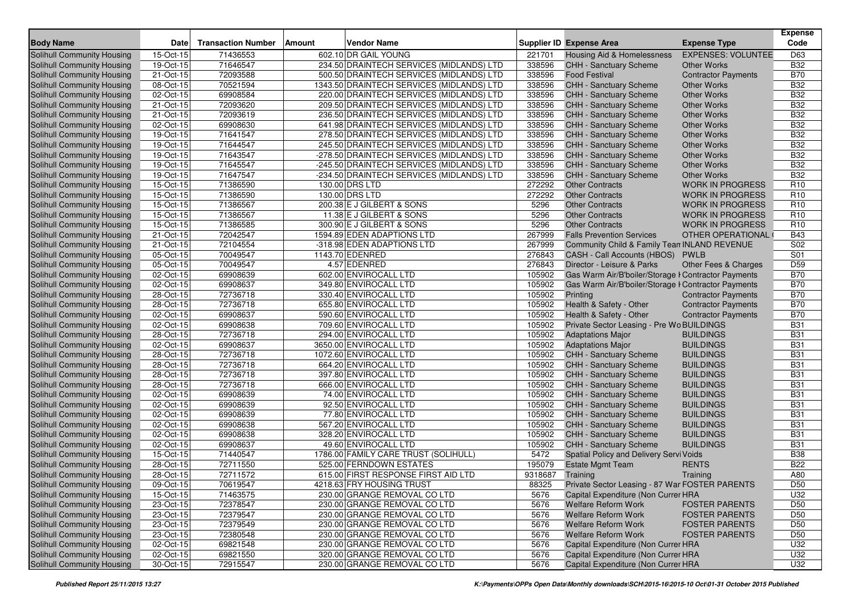| <b>Body Name</b>                                                | <b>Date</b>             | <b>Transaction Number</b> | Amount | <b>Vendor Name</b>                                                                   |                  | <b>Supplier ID Expense Area</b>                       | <b>Expense Type</b>                              | <b>Expense</b><br>Code |
|-----------------------------------------------------------------|-------------------------|---------------------------|--------|--------------------------------------------------------------------------------------|------------------|-------------------------------------------------------|--------------------------------------------------|------------------------|
| <b>Solihull Community Housing</b>                               |                         | 71436553                  |        | 602.10 DR GAIL YOUNG                                                                 |                  |                                                       | <b>EXPENSES: VOLUNTEE</b>                        | D63                    |
|                                                                 | 15-Oct-15               |                           |        |                                                                                      | 221701           | Housing Aid & Homelessness                            |                                                  | <b>B32</b>             |
| <b>Solihull Community Housing</b>                               | 19-Oct-15<br>21-Oct-15  | 71646547<br>72093588      |        | 234.50 DRAINTECH SERVICES (MIDLANDS) LTD<br>500.50 DRAINTECH SERVICES (MIDLANDS) LTD | 338596<br>338596 | <b>CHH - Sanctuary Scheme</b><br><b>Food Festival</b> | <b>Other Works</b><br><b>Contractor Payments</b> | <b>B70</b>             |
| <b>Solihull Community Housing</b><br>Solihull Community Housing | 08-Oct-15               | 70521594                  |        | 1343.50 DRAINTECH SERVICES (MIDLANDS) LTD                                            | 338596           | CHH - Sanctuary Scheme                                | <b>Other Works</b>                               | <b>B32</b>             |
| Solihull Community Housing                                      | 02-Oct-15               | 69908584                  |        | 220.00 DRAINTECH SERVICES (MIDLANDS) LTD                                             | 338596           | CHH - Sanctuary Scheme                                | <b>Other Works</b>                               | <b>B32</b>             |
| Solihull Community Housing                                      | 21-Oct-15               | 72093620                  |        | 209.50 DRAINTECH SERVICES (MIDLANDS) LTD                                             | 338596           | <b>CHH - Sanctuary Scheme</b>                         | <b>Other Works</b>                               | <b>B32</b>             |
| Solihull Community Housing                                      | 21-Oct-15               | 72093619                  |        | 236.50 DRAINTECH SERVICES (MIDLANDS) LTD                                             | 338596           | <b>CHH - Sanctuary Scheme</b>                         | <b>Other Works</b>                               | <b>B32</b>             |
| Solihull Community Housing                                      | 02-Oct-15               | 69908630                  |        | 641.98 DRAINTECH SERVICES (MIDLANDS) LTD                                             | 338596           | <b>CHH - Sanctuary Scheme</b>                         | <b>Other Works</b>                               | <b>B32</b>             |
| Solihull Community Housing                                      | 19-Oct-15               | 71641547                  |        | 278.50 DRAINTECH SERVICES (MIDLANDS) LTD                                             | 338596           | <b>CHH - Sanctuary Scheme</b>                         | <b>Other Works</b>                               | <b>B32</b>             |
| Solihull Community Housing                                      | 19-Oct-15               | 71644547                  |        | 245.50 DRAINTECH SERVICES (MIDLANDS) LTD                                             | 338596           | CHH - Sanctuary Scheme                                | <b>Other Works</b>                               | <b>B32</b>             |
| Solihull Community Housing                                      | 19-Oct-15               | 71643547                  |        | -278.50 DRAINTECH SERVICES (MIDLANDS) LTD                                            | 338596           | CHH - Sanctuary Scheme                                | <b>Other Works</b>                               | <b>B32</b>             |
| Solihull Community Housing                                      | 19-Oct-15               | 71645547                  |        | -245.50 DRAINTECH SERVICES (MIDLANDS) LTD                                            | 338596           | <b>CHH - Sanctuary Scheme</b>                         | <b>Other Works</b>                               | <b>B32</b>             |
| Solihull Community Housing                                      | 19-Oct-15               | 71647547                  |        | -234.50 DRAINTECH SERVICES (MIDLANDS) LTD                                            | 338596           | CHH - Sanctuary Scheme                                | <b>Other Works</b>                               | <b>B32</b>             |
| Solihull Community Housing                                      | 15-Oct-15               | 71386590                  |        | 130.00 DRS LTD                                                                       | 272292           | <b>Other Contracts</b>                                | <b>WORK IN PROGRESS</b>                          | R <sub>10</sub>        |
| Solihull Community Housing                                      | $15-Or-15$              | 71386590                  |        | 130.00 DRS LTD                                                                       | 272292           | <b>Other Contracts</b>                                | <b>WORK IN PROGRESS</b>                          | R <sub>10</sub>        |
| Solihull Community Housing                                      | 15-Oct-15               | 71386567                  |        | 200.38 E J GILBERT & SONS                                                            | 5296             | <b>Other Contracts</b>                                | <b>WORK IN PROGRESS</b>                          | R <sub>10</sub>        |
| Solihull Community Housing                                      | 15-Oct-15               | 71386567                  |        | 11.38 E J GILBERT & SONS                                                             | 5296             | <b>Other Contracts</b>                                | <b>WORK IN PROGRESS</b>                          | R <sub>10</sub>        |
| Solihull Community Housing                                      | 15-Oct-15               | 71386585                  |        | 300.90 E J GILBERT & SONS                                                            | 5296             | <b>Other Contracts</b>                                | <b>WORK IN PROGRESS</b>                          | R <sub>10</sub>        |
| Solihull Community Housing                                      | 21-Oct-15               | 72042547                  |        | 1594.89 EDEN ADAPTIONS LTD                                                           | 267999           | <b>Falls Prevention Services</b>                      | OTHER OPERATIONAL                                | <b>B43</b>             |
| Solihull Community Housing                                      | 21-Oct-15               | 72104554                  |        | -318.98 EDEN ADAPTIONS LTD                                                           | 267999           | Community Child & Family Tean INLAND REVENUE          |                                                  | S02                    |
| Solihull Community Housing                                      | 05-Oct-15               | 70049547                  |        | 1143.70 EDENRED                                                                      | 276843           | CASH - Call Accounts (HBOS)                           | <b>PWLB</b>                                      | S01                    |
| Solihull Community Housing                                      | 05-Oct-15               | 70049547                  |        | 4.57 EDENRED                                                                         | 276843           | Director - Leisure & Parks                            | Other Fees & Charges                             | D59                    |
| Solihull Community Housing                                      | 02-Oct-15               | 69908639                  |        | 602.00 ENVIROCALL LTD                                                                | 105902           | Gas Warm Air/B'boiler/Storage I Contractor Payments   |                                                  | <b>B70</b>             |
| Solihull Community Housing                                      | 02-Oct-15               | 69908637                  |        | 349.80 ENVIROCALL LTD                                                                | 105902           | Gas Warm Air/B'boiler/Storage I Contractor Payments   |                                                  | <b>B70</b>             |
| Solihull Community Housing                                      | 28-Oct-15               | 72736718                  |        | 330.40 ENVIROCALL LTD                                                                | 105902           | Printing                                              | <b>Contractor Payments</b>                       | <b>B70</b>             |
| Solihull Community Housing                                      | 28-Oct-15               | 72736718                  |        | 655.80 ENVIROCALL LTD                                                                | 105902           | Health & Safety - Other                               | <b>Contractor Payments</b>                       | <b>B70</b>             |
| Solihull Community Housing                                      | 02-Oct-15               | 69908637                  |        | 590.60 ENVIROCALL LTD                                                                | 105902           | Health & Safety - Other                               | <b>Contractor Payments</b>                       | <b>B70</b>             |
| Solihull Community Housing                                      | 02-Oct-15               | 69908638                  |        | 709.60 ENVIROCALL LTD                                                                | 105902           | Private Sector Leasing - Pre Wo BUILDINGS             |                                                  | <b>B31</b>             |
| Solihull Community Housing                                      | 28-Oct-15               | 72736718                  |        | 294.00 ENVIROCALL LTD                                                                | 105902           | <b>Adaptations Major</b>                              | <b>BUILDINGS</b>                                 | <b>B31</b>             |
| Solihull Community Housing                                      | 02-Oct-15               | 69908637                  |        | 3650.00 ENVIROCALL LTD                                                               | 105902           | <b>Adaptations Major</b>                              | <b>BUILDINGS</b>                                 | <b>B31</b>             |
| Solihull Community Housing                                      | 28-Oct-15               | 72736718                  |        | 1072.60 ENVIROCALL LTD                                                               | 105902           | CHH - Sanctuary Scheme                                | <b>BUILDINGS</b>                                 | <b>B31</b>             |
| Solihull Community Housing                                      | 28-Oct-15               | 72736718                  |        | 664.20 ENVIROCALL LTD                                                                | 105902           | CHH - Sanctuary Scheme                                | <b>BUILDINGS</b>                                 | <b>B31</b>             |
| Solihull Community Housing                                      | 28-Oct-15               | 72736718                  |        | 397.80 ENVIROCALL LTD                                                                | 105902           | CHH - Sanctuary Scheme                                | <b>BUILDINGS</b>                                 | <b>B31</b>             |
| Solihull Community Housing                                      | 28-Oct-15               | 72736718                  |        | 666.00 ENVIROCALL LTD                                                                | 105902           | <b>CHH - Sanctuary Scheme</b>                         | <b>BUILDINGS</b>                                 | <b>B31</b>             |
| Solihull Community Housing                                      | 02-Oct-15               | 69908639                  |        | 74.00 ENVIROCALL LTD                                                                 | 105902           | CHH - Sanctuary Scheme                                | <b>BUILDINGS</b>                                 | <b>B31</b>             |
| Solihull Community Housing                                      | 02-Oct-15               | 69908639                  |        | 92.50 ENVIROCALL LTD                                                                 | 105902           | <b>CHH - Sanctuary Scheme</b>                         | <b>BUILDINGS</b>                                 | <b>B31</b>             |
| Solihull Community Housing                                      | 02-Oct-15               | 69908639                  |        | 77.80 ENVIROCALL LTD                                                                 | 105902           | <b>CHH - Sanctuary Scheme</b>                         | <b>BUILDINGS</b>                                 | <b>B31</b>             |
| Solihull Community Housing                                      | 02-Oct-15               | 69908638                  |        | 567.20 ENVIROCALL LTD                                                                | 105902           | <b>CHH - Sanctuary Scheme</b>                         | <b>BUILDINGS</b>                                 | <b>B31</b>             |
| Solihull Community Housing                                      | 02-Oct-15               | 69908638                  |        | 328.20 ENVIROCALL LTD                                                                | 105902           | CHH - Sanctuary Scheme                                | <b>BUILDINGS</b>                                 | <b>B31</b>             |
| Solihull Community Housing                                      | $\overline{02}$ -Oct-15 | 69908637                  |        | 49.60 ENVIROCALL LTD                                                                 | 105902           | <b>CHH - Sanctuary Scheme</b>                         | <b>BUILDINGS</b>                                 | <b>B31</b>             |
| Solihull Community Housing                                      | 15-Oct-15               | 71440547                  |        | 1786.00 FAMILY CARE TRUST (SOLIHULL)                                                 | 5472             | Spatial Policy and Delivery Servi Voids               |                                                  | <b>B38</b>             |
| Solihull Community Housing                                      | 28-Oct-15               | 72711550                  |        | 525.00 FERNDOWN ESTATES                                                              | 195079           | <b>Estate Mgmt Team</b>                               | <b>RENTS</b>                                     | <b>B22</b>             |
| Solihull Community Housing                                      | 28-Oct-15               | 72711572                  |        | 615.00 FIRST RESPONSE FIRST AID LTD                                                  | 9318687          | Training                                              | Training                                         | A80                    |
| Solihull Community Housing                                      | 09-Oct-15               | 70619547                  |        | 4218.63 FRY HOUSING TRUST                                                            | 88325            | Private Sector Leasing - 87 War FOSTER PARENTS        |                                                  | D <sub>50</sub>        |
| Solihull Community Housing                                      | 15-Oct-15               | 71463575                  |        | 230.00 GRANGE REMOVAL CO LTD                                                         | 5676             | Capital Expenditure (Non Currer HRA                   |                                                  | U32                    |
| Solihull Community Housing                                      | 23-Oct-15               | 72378547                  |        | 230.00 GRANGE REMOVAL CO LTD                                                         | 5676             | Welfare Reform Work                                   | <b>FOSTER PARENTS</b>                            | D <sub>50</sub>        |
| Solihull Community Housing                                      | 23-Oct-15               | 72379547                  |        | 230.00 GRANGE REMOVAL CO LTD                                                         | 5676             | <b>Welfare Reform Work</b>                            | <b>FOSTER PARENTS</b>                            | D <sub>50</sub>        |
| Solihull Community Housing                                      | 23-Oct-15               | 72379549                  |        | 230.00 GRANGE REMOVAL CO LTD                                                         | 5676             | Welfare Reform Work                                   | <b>FOSTER PARENTS</b>                            | D <sub>50</sub>        |
| Solihull Community Housing                                      | 23-Oct-15               | 72380548                  |        | 230.00 GRANGE REMOVAL CO LTD                                                         | 5676             | <b>Welfare Reform Work</b>                            | <b>FOSTER PARENTS</b>                            | D <sub>50</sub>        |
| Solihull Community Housing                                      | 02-Oct-15               | 69821548                  |        | 230.00 GRANGE REMOVAL CO LTD                                                         | 5676             | Capital Expenditure (Non Currer HRA                   |                                                  | U32                    |
| Solihull Community Housing                                      | 02-Oct-15               | 69821550                  |        | 320.00 GRANGE REMOVAL CO LTD                                                         | 5676             | Capital Expenditure (Non Currer HRA                   |                                                  | U32                    |
| Solihull Community Housing                                      | 30-Oct-15               | 72915547                  |        | 230.00 GRANGE REMOVAL CO LTD                                                         | 5676             | Capital Expenditure (Non Currer HRA                   |                                                  | U32                    |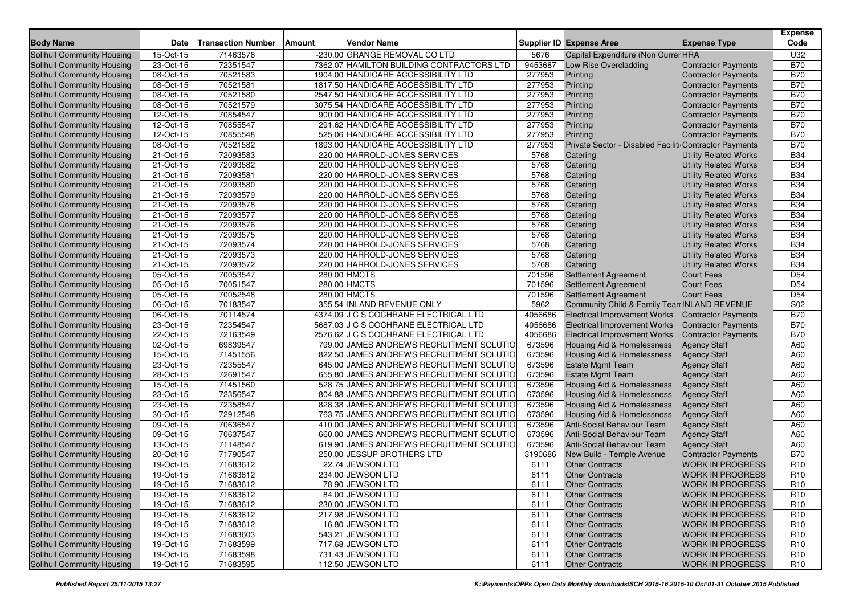| <b>Body Name</b>                                                | <b>Date</b>            | <b>Transaction Number</b> | Amount | <b>Vendor Name</b>                                                     |                   | <b>Supplier ID Expense Area</b>                        | <b>Expense Type</b>                                   | <b>Expense</b><br>Code |
|-----------------------------------------------------------------|------------------------|---------------------------|--------|------------------------------------------------------------------------|-------------------|--------------------------------------------------------|-------------------------------------------------------|------------------------|
| Solihull Community Housing                                      | 15-Oct-15              | 71463576                  |        | -230.00 GRANGE REMOVAL CO LTD                                          | 5676              | Capital Expenditure (Non Currer HRA                    |                                                       | U32                    |
| Solihull Community Housing                                      | 23-Oct-15              | 72351547                  |        | 7362.07 HAMILTON BUILDING CONTRACTORS LTD                              | 9453687           | Low Rise Overcladding                                  | <b>Contractor Payments</b>                            | <b>B70</b>             |
| Solihull Community Housing                                      | 08-Oct-15              | 70521583                  |        | 1904.00 HANDICARE ACCESSIBILITY LTD                                    | 277953            | Printing                                               | <b>Contractor Payments</b>                            | <b>B70</b>             |
| Solihull Community Housing                                      | 08-Oct-15              | 70521581                  |        | 1817.50 HANDICARE ACCESSIBILITY LTD                                    | 277953            | Printing                                               | <b>Contractor Payments</b>                            | <b>B70</b>             |
| Solihull Community Housing                                      | 08-Oct-15              | 70521580                  |        | 2547.50 HANDICARE ACCESSIBILITY LTD                                    | 277953            | Printing                                               | <b>Contractor Payments</b>                            | <b>B70</b>             |
| Solihull Community Housing                                      | 08-Oct-15              | 70521579                  |        | 3075.54 HANDICARE ACCESSIBILITY LTD                                    | 277953            | Printing                                               | <b>Contractor Payments</b>                            | <b>B70</b>             |
| Solihull Community Housing                                      | 12-Oct-15              | 70854547                  |        | 900.00 HANDICARE ACCESSIBILITY LTD                                     | 277953            | Printing                                               | <b>Contractor Payments</b>                            | <b>B70</b>             |
| Solihull Community Housing                                      | 12-Oct-15              | 70855547                  |        | 291.62 HANDICARE ACCESSIBILITY LTD                                     | 277953            | Printing                                               | <b>Contractor Payments</b>                            | <b>B70</b>             |
| Solihull Community Housing                                      | 12-Oct-15              | 70855548                  |        | 525.06 HANDICARE ACCESSIBILITY LTD                                     | 277953            | Printing                                               | <b>Contractor Payments</b>                            | <b>B70</b>             |
| Solihull Community Housing                                      | 08-Oct-15              | 70521582                  |        | 1893.00 HANDICARE ACCESSIBILITY LTD                                    | 277953            | Private Sector - Disabled Faciliti Contractor Payments |                                                       | <b>B70</b>             |
| Solihull Community Housing                                      | 21-Oct-15              | 72093583                  |        | 220.00 HARROLD-JONES SERVICES                                          | 5768              | Catering                                               | <b>Utility Related Works</b>                          | <b>B34</b>             |
| Solihull Community Housing                                      | 21-Oct-15              | 72093582                  |        | 220.00 HARROLD-JONES SERVICES                                          | 5768              | Catering                                               | <b>Utility Related Works</b>                          | <b>B34</b>             |
| Solihull Community Housing                                      | 21-Oct-15              | 72093581                  |        | 220.00 HARROLD-JONES SERVICES                                          | 5768              | Catering                                               | <b>Utility Related Works</b>                          | <b>B34</b>             |
| Solihull Community Housing                                      | 21-Oct-15              | 72093580                  |        | 220.00 HARROLD-JONES SERVICES                                          | 5768              | Catering                                               | <b>Utility Related Works</b>                          | <b>B34</b>             |
| Solihull Community Housing                                      | 21-Oct-15              | 72093579                  |        | 220.00 HARROLD-JONES SERVICES                                          | 5768              | Catering                                               | <b>Utility Related Works</b>                          | <b>B34</b>             |
| Solihull Community Housing                                      | 21-Oct-15              | 72093578                  |        | 220.00 HARROLD-JONES SERVICES                                          | 5768              | Catering                                               | <b>Utility Related Works</b>                          | <b>B34</b>             |
| Solihull Community Housing                                      | 21-Oct-15              | 72093577                  |        | 220.00 HARROLD-JONES SERVICES                                          | 5768              | Catering                                               | <b>Utility Related Works</b>                          | <b>B34</b>             |
| Solihull Community Housing                                      | 21-Oct-15              | 72093576                  |        | 220.00 HARROLD-JONES SERVICES                                          | 5768              | Catering                                               | <b>Utility Related Works</b>                          | <b>B34</b>             |
| Solihull Community Housing                                      | 21-Oct-15              | 72093575                  |        | 220.00 HARROLD-JONES SERVICES                                          | 5768              | Catering                                               | <b>Utility Related Works</b>                          | <b>B34</b>             |
| Solihull Community Housing                                      | 21-Oct-15              | 72093574                  |        | 220.00 HARROLD-JONES SERVICES                                          | 5768              | Catering                                               | <b>Utility Related Works</b>                          | <b>B34</b>             |
| Solihull Community Housing                                      | 21-Oct-15              | 72093573                  |        | 220.00 HARROLD-JONES SERVICES                                          | 5768              | Catering                                               | <b>Utility Related Works</b>                          | <b>B34</b>             |
| Solihull Community Housing                                      | 21-Oct-15              | 72093572                  |        | 220.00 HARROLD-JONES SERVICES                                          | 5768              | Catering                                               | <b>Utility Related Works</b>                          | <b>B34</b>             |
| Solihull Community Housing                                      | 05-Oct-15              | 70053547                  |        | 280.00 HMCTS                                                           | 701596            | <b>Settlement Agreement</b>                            | <b>Court Fees</b>                                     | D <sub>54</sub>        |
| Solihull Community Housing                                      | 05-Oct-15              | 70051547                  |        | 280.00 HMCTS                                                           | 701596            | <b>Settlement Agreement</b>                            | Court Fees                                            | D <sub>54</sub>        |
| Solihull Community Housing                                      | 05-Oct-15              | 70052548                  |        | 280.00 HMCTS                                                           | 701596            | <b>Settlement Agreement</b>                            | <b>Court Fees</b>                                     | D <sub>54</sub>        |
| Solihull Community Housing                                      | 06-Oct-15              | 70183547                  |        | 355.54 INLAND REVENUE ONLY                                             | 5962              | Community Child & Family Tean INLAND REVENUE           |                                                       | S02                    |
| Solihull Community Housing                                      | 06-Oct-15              | 70114574                  |        | 4374.09 J C S COCHRANE ELECTRICAL LTD                                  | 4056686           | <b>Electrical Improvement Works</b>                    | <b>Contractor Payments</b>                            | <b>B70</b>             |
| Solihull Community Housing                                      | 23-Oct-15              | 72354547                  |        | 5687.03 J C S COCHRANE ELECTRICAL LTD                                  | 4056686           | <b>Electrical Improvement Works</b>                    | <b>Contractor Payments</b>                            | <b>B70</b>             |
| Solihull Community Housing                                      | 22-Oct-15              | 72163549                  |        | 2576.62 J C S COCHRANE ELECTRICAL LTD                                  | 4056686           | <b>Electrical Improvement Works</b>                    | <b>Contractor Payments</b>                            | <b>B70</b>             |
| Solihull Community Housing                                      | 02-Oct-15              | 69839547                  |        | 799.00 JAMES ANDREWS RECRUITMENT SOLUTIO                               | 673596            | Housing Aid & Homelessness                             | <b>Agency Staff</b>                                   | A60                    |
| Solihull Community Housing                                      | 15-Oct-15              | 71451556                  |        | 822.50 JAMES ANDREWS RECRUITMENT SOLUTIO                               | 673596            | <b>Housing Aid &amp; Homelessness</b>                  | <b>Agency Staff</b>                                   | A60                    |
| Solihull Community Housing                                      | 23-Oct-15              | 72355547                  |        | 645.00 JAMES ANDREWS RECRUITMENT SOLUTIO                               | 673596            | <b>Estate Mgmt Team</b>                                | <b>Agency Staff</b>                                   | A60                    |
| Solihull Community Housing                                      | 28-Oct-15              | 72691547                  |        | 655.80 JAMES ANDREWS RECRUITMENT SOLUTIO                               | 673596            | <b>Estate Mgmt Team</b>                                | <b>Agency Staff</b>                                   | A60                    |
| Solihull Community Housing                                      | 15-Oct-15              | 71451560                  |        | 528.75 JAMES ANDREWS RECRUITMENT SOLUTIO                               | 673596            | Housing Aid & Homelessness                             | <b>Agency Staff</b>                                   | A60                    |
| <b>Solihull Community Housing</b>                               | 23-Oct-15              | 72356547                  |        | 804.88 JAMES ANDREWS RECRUITMENT SOLUTIO                               | 673596            | <b>Housing Aid &amp; Homelessness</b>                  | <b>Agency Staff</b>                                   | A60                    |
| Solihull Community Housing                                      | 23-Oct-15              | 72358547                  |        | 828.38 JAMES ANDREWS RECRUITMENT SOLUTIO                               | 673596            | Housing Aid & Homelessness                             | <b>Agency Staff</b>                                   | A60                    |
| Solihull Community Housing                                      | 30-Oct-15              | 72912548                  |        | 763.75 JAMES ANDREWS RECRUITMENT SOLUTIO                               | 673596            | Housing Aid & Homelessness                             | <b>Agency Staff</b>                                   | A60                    |
| Solihull Community Housing                                      | 09-Oct-15              | 70636547                  |        | 410.00 JAMES ANDREWS RECRUITMENT SOLUTIO                               | 673596            | Anti-Social Behaviour Team                             | <b>Agency Staff</b>                                   | A60                    |
| Solihull Community Housing<br>Solihull Community Housing        | 09-Oct-15              | 70637547                  |        | 660.00 JAMES ANDREWS RECRUITMENT SOLUTIO                               | 673596            | Anti-Social Behaviour Team                             | <b>Agency Staff</b>                                   | A60<br>A60             |
|                                                                 | 13-Oct-15<br>20-Oct-15 | 71148547<br>71790547      |        | 619.90 JAMES ANDREWS RECRUITMENT SOLUTIO<br>250.00 JESSUP BROTHERS LTD | 673596<br>3190686 | Anti-Social Behaviour Team                             | <b>Agency Staff</b>                                   | <b>B70</b>             |
| Solihull Community Housing                                      |                        |                           |        |                                                                        |                   | New Build - Temple Avenue                              | <b>Contractor Payments</b><br><b>WORK IN PROGRESS</b> | R <sub>10</sub>        |
| <b>Solihull Community Housing</b>                               | 19-Oct-15              | 71683612<br>71683612      |        | 22.74 JEWSON LTD<br>234.00 JEWSON LTD                                  | 6111              | <b>Other Contracts</b>                                 | <b>WORK IN PROGRESS</b>                               | R <sub>10</sub>        |
| Solihull Community Housing<br><b>Solihull Community Housing</b> | 19-Oct-15<br>19-Oct-15 | 71683612                  |        | 78.90 JEWSON LTD                                                       | 6111<br>6111      | <b>Other Contracts</b><br>Other Contracts              | WORK IN PROGRESS                                      | R <sub>10</sub>        |
| Solihull Community Housing                                      | 19-Oct-15              | 71683612                  |        | 84.00 JEWSON LTD                                                       | 6111              | <b>Other Contracts</b>                                 | <b>WORK IN PROGRESS</b>                               | R <sub>10</sub>        |
| Solihull Community Housing                                      | 19-Oct-15              | 71683612                  |        | 230.00 JEWSON LTD                                                      | 6111              | <b>Other Contracts</b>                                 | <b>WORK IN PROGRESS</b>                               | R <sub>10</sub>        |
| Solihull Community Housing                                      | 19-Oct-15              | 71683612                  |        | 217.98 JEWSON LTD                                                      | 6111              | <b>Other Contracts</b>                                 | <b>WORK IN PROGRESS</b>                               | R <sub>10</sub>        |
| Solihull Community Housing                                      | 19-Oct-15              | 71683612                  |        | 16.80 JEWSON LTD                                                       | 6111              | <b>Other Contracts</b>                                 | <b>WORK IN PROGRESS</b>                               | R <sub>10</sub>        |
| Solihull Community Housing                                      | 19-Oct-15              | 71683603                  |        | 543.21 JEWSON LTD                                                      | 6111              | <b>Other Contracts</b>                                 | <b>WORK IN PROGRESS</b>                               | R <sub>10</sub>        |
| Solihull Community Housing                                      | 19-Oct-15              | 71683599                  |        | 717.68 JEWSON LTD                                                      | 6111              | <b>Other Contracts</b>                                 | <b>WORK IN PROGRESS</b>                               | R <sub>10</sub>        |
| Solihull Community Housing                                      | 19-Oct-15              | 71683598                  |        | 731.43 JEWSON LTD                                                      | 6111              | <b>Other Contracts</b>                                 | <b>WORK IN PROGRESS</b>                               | R <sub>10</sub>        |
| Solihull Community Housing                                      | 19-Oct-15              | 71683595                  |        | 112.50 JEWSON LTD                                                      | 6111              | <b>Other Contracts</b>                                 | <b>WORK IN PROGRESS</b>                               | R <sub>10</sub>        |
|                                                                 |                        |                           |        |                                                                        |                   |                                                        |                                                       |                        |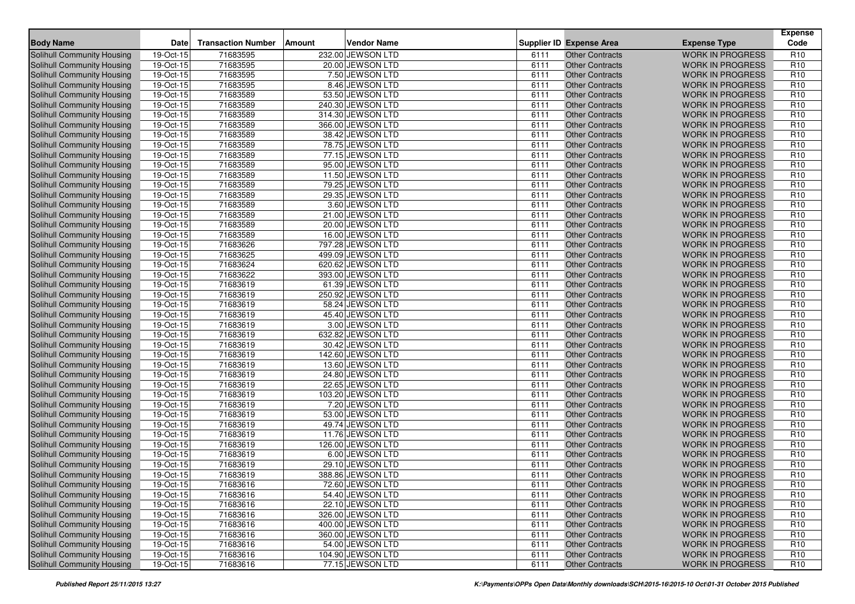| <b>Body Name</b>                  | <b>Date</b> | <b>Transaction Number</b> | Amount | <b>Vendor Name</b> |      | <b>Supplier ID Expense Area</b> | <b>Expense Type</b>     | <b>Expense</b><br>Code |
|-----------------------------------|-------------|---------------------------|--------|--------------------|------|---------------------------------|-------------------------|------------------------|
| Solihull Community Housing        | 19-Oct-15   | 71683595                  |        | 232.00 JEWSON LTD  | 6111 | <b>Other Contracts</b>          | <b>WORK IN PROGRESS</b> | R <sub>10</sub>        |
| <b>Solihull Community Housing</b> | 19-Oct-15   | 71683595                  |        | 20.00 JEWSON LTD   | 6111 | <b>Other Contracts</b>          | <b>WORK IN PROGRESS</b> | R <sub>10</sub>        |
| <b>Solihull Community Housing</b> | 19-Oct-15   | 71683595                  |        | 7.50 JEWSON LTD    | 6111 | <b>Other Contracts</b>          | <b>WORK IN PROGRESS</b> | R <sub>10</sub>        |
| Solihull Community Housing        | 19-Oct-15   | 71683595                  |        | 8.46 JEWSON LTD    | 6111 | <b>Other Contracts</b>          | <b>WORK IN PROGRESS</b> | R <sub>10</sub>        |
| Solihull Community Housing        | 19-Oct-15   | 71683589                  |        | 53.50 JEWSON LTD   | 6111 | <b>Other Contracts</b>          | <b>WORK IN PROGRESS</b> | R <sub>10</sub>        |
| Solihull Community Housing        | 19-Oct-15   | 71683589                  |        | 240.30 JEWSON LTD  | 6111 | <b>Other Contracts</b>          | <b>WORK IN PROGRESS</b> | R <sub>10</sub>        |
| Solihull Community Housing        | $19-Oct-15$ | 71683589                  |        | 314.30 JEWSON LTD  | 6111 | <b>Other Contracts</b>          | <b>WORK IN PROGRESS</b> | R <sub>10</sub>        |
| <b>Solihull Community Housing</b> | 19-Oct-15   | 71683589                  |        | 366.00 JEWSON LTD  | 6111 | <b>Other Contracts</b>          | <b>WORK IN PROGRESS</b> | R <sub>10</sub>        |
| Solihull Community Housing        | 19-Oct-15   | 71683589                  |        | 38.42 JEWSON LTD   | 6111 | <b>Other Contracts</b>          | <b>WORK IN PROGRESS</b> | R <sub>10</sub>        |
| Solihull Community Housing        | 19-Oct-15   | 71683589                  |        | 78.75 JEWSON LTD   | 6111 | <b>Other Contracts</b>          | <b>WORK IN PROGRESS</b> | R <sub>10</sub>        |
| <b>Solihull Community Housing</b> | 19-Oct-15   | 71683589                  |        | 77.15 JEWSON LTD   | 6111 | <b>Other Contracts</b>          | <b>WORK IN PROGRESS</b> | R <sub>10</sub>        |
| Solihull Community Housing        | 19-Oct-15   | 71683589                  |        | 95.00 JEWSON LTD   | 6111 | <b>Other Contracts</b>          | <b>WORK IN PROGRESS</b> | R <sub>10</sub>        |
| <b>Solihull Community Housing</b> | 19-Oct-15   | 71683589                  |        | 11.50 JEWSON LTD   | 6111 | <b>Other Contracts</b>          | <b>WORK IN PROGRESS</b> | R <sub>10</sub>        |
| <b>Solihull Community Housing</b> | 19-Oct-15   | 71683589                  |        | 79.25 JEWSON LTD   | 6111 | <b>Other Contracts</b>          | <b>WORK IN PROGRESS</b> | R <sub>10</sub>        |
| Solihull Community Housing        | 19-Oct-15   | 71683589                  |        | 29.35 JEWSON LTD   | 6111 | <b>Other Contracts</b>          | <b>WORK IN PROGRESS</b> | R <sub>10</sub>        |
| Solihull Community Housing        | 19-Oct-15   | 71683589                  |        | 3.60 JEWSON LTD    | 6111 | <b>Other Contracts</b>          | <b>WORK IN PROGRESS</b> | R <sub>10</sub>        |
| Solihull Community Housing        | 19-Oct-15   | 71683589                  |        | 21.00 JEWSON LTD   | 6111 | <b>Other Contracts</b>          | <b>WORK IN PROGRESS</b> | R <sub>10</sub>        |
| Solihull Community Housing        | 19-Oct-15   | 71683589                  |        | 20.00 JEWSON LTD   | 6111 | <b>Other Contracts</b>          | <b>WORK IN PROGRESS</b> | R <sub>10</sub>        |
| Solihull Community Housing        | 19-Oct-15   | 71683589                  |        | 16.00 JEWSON LTD   | 6111 | <b>Other Contracts</b>          | <b>WORK IN PROGRESS</b> | R <sub>10</sub>        |
| Solihull Community Housing        | 19-Oct-15   | 71683626                  |        | 797.28 JEWSON LTD  | 6111 | <b>Other Contracts</b>          | <b>WORK IN PROGRESS</b> | R <sub>10</sub>        |
| Solihull Community Housing        | 19-Oct-15   | 71683625                  |        | 499.09 JEWSON LTD  | 6111 | <b>Other Contracts</b>          | <b>WORK IN PROGRESS</b> | R <sub>10</sub>        |
| Solihull Community Housing        | 19-Oct-15   | 71683624                  |        | 620.62 JEWSON LTD  | 6111 | <b>Other Contracts</b>          | <b>WORK IN PROGRESS</b> | R <sub>10</sub>        |
| Solihull Community Housing        | 19-Oct-15   | 71683622                  |        | 393.00 JEWSON LTD  | 6111 | <b>Other Contracts</b>          | <b>WORK IN PROGRESS</b> | R <sub>10</sub>        |
| <b>Solihull Community Housing</b> | 19-Oct-15   | 71683619                  |        | 61.39 JEWSON LTD   | 6111 | <b>Other Contracts</b>          | <b>WORK IN PROGRESS</b> | R <sub>10</sub>        |
| <b>Solihull Community Housing</b> | 19-Oct-15   | 71683619                  |        | 250.92 JEWSON LTD  | 6111 | <b>Other Contracts</b>          | <b>WORK IN PROGRESS</b> | R <sub>10</sub>        |
| Solihull Community Housing        | 19-Oct-15   | 71683619                  |        | 58.24 JEWSON LTD   | 6111 | <b>Other Contracts</b>          | <b>WORK IN PROGRESS</b> | R <sub>10</sub>        |
| <b>Solihull Community Housing</b> | 19-Oct-15   | 71683619                  |        | 45.40 JEWSON LTD   | 6111 | <b>Other Contracts</b>          | <b>WORK IN PROGRESS</b> | R <sub>10</sub>        |
| Solihull Community Housing        | 19-Oct-15   | 71683619                  |        | 3.00 JEWSON LTD    | 6111 | <b>Other Contracts</b>          | <b>WORK IN PROGRESS</b> | R <sub>10</sub>        |
| Solihull Community Housing        | 19-Oct-15   | 71683619                  |        | 632.82 JEWSON LTD  | 6111 | <b>Other Contracts</b>          | <b>WORK IN PROGRESS</b> | R <sub>10</sub>        |
| Solihull Community Housing        | 19-Oct-15   | 71683619                  |        | 30.42 JEWSON LTD   | 6111 | <b>Other Contracts</b>          | <b>WORK IN PROGRESS</b> | R <sub>10</sub>        |
| Solihull Community Housing        | 19-Oct-15   | 71683619                  |        | 142.60 JEWSON LTD  | 6111 | <b>Other Contracts</b>          | <b>WORK IN PROGRESS</b> | R <sub>10</sub>        |
| Solihull Community Housing        | 19-Oct-15   | 71683619                  |        | 13.60 JEWSON LTD   | 6111 | <b>Other Contracts</b>          | <b>WORK IN PROGRESS</b> | R <sub>10</sub>        |
| Solihull Community Housing        | 19-Oct-15   | 71683619                  |        | 24.80 JEWSON LTD   | 6111 | <b>Other Contracts</b>          | <b>WORK IN PROGRESS</b> | R <sub>10</sub>        |
| Solihull Community Housing        | 19-Oct-15   | 71683619                  |        | 22.65 JEWSON LTD   | 6111 | <b>Other Contracts</b>          | <b>WORK IN PROGRESS</b> | R <sub>10</sub>        |
| <b>Solihull Community Housing</b> | 19-Oct-15   | 71683619                  |        | 103.20 JEWSON LTD  | 6111 | <b>Other Contracts</b>          | <b>WORK IN PROGRESS</b> | R <sub>10</sub>        |
| <b>Solihull Community Housing</b> | 19-Oct-15   | 71683619                  |        | 7.20 JEWSON LTD    | 6111 | <b>Other Contracts</b>          | <b>WORK IN PROGRESS</b> | R <sub>10</sub>        |
| Solihull Community Housing        | 19-Oct-15   | 71683619                  |        | 53.00 JEWSON LTD   | 6111 | <b>Other Contracts</b>          | <b>WORK IN PROGRESS</b> | R <sub>10</sub>        |
| <b>Solihull Community Housing</b> | 19-Oct-15   | 71683619                  |        | 49.74 JEWSON LTD   | 6111 | <b>Other Contracts</b>          | <b>WORK IN PROGRESS</b> | R <sub>10</sub>        |
| <b>Solihull Community Housing</b> | 19-Oct-15   | 71683619                  |        | 11.76 JEWSON LTD   | 6111 | <b>Other Contracts</b>          | <b>WORK IN PROGRESS</b> | R <sub>10</sub>        |
| Solihull Community Housing        | 19-Oct-15   | 71683619                  |        | 126.00 JEWSON LTD  | 6111 | <b>Other Contracts</b>          | <b>WORK IN PROGRESS</b> | R <sub>10</sub>        |
| Solihull Community Housing        | 19-Oct-15   | 71683619                  |        | 6.00 JEWSON LTD    | 6111 | <b>Other Contracts</b>          | <b>WORK IN PROGRESS</b> | R <sub>10</sub>        |
| Solihull Community Housing        | 19-Oct-15   | 71683619                  |        | 29.10 JEWSON LTD   | 6111 | <b>Other Contracts</b>          | <b>WORK IN PROGRESS</b> | R <sub>10</sub>        |
| Solihull Community Housing        | $19-Oct-15$ | 71683619                  |        | 388.86 JEWSON LTD  | 6111 | <b>Other Contracts</b>          | <b>WORK IN PROGRESS</b> | R <sub>10</sub>        |
| Solihull Community Housing        | 19-Oct-15   | 71683616                  |        | 72.60 JEWSON LTD   | 6111 | Other Contracts                 | WORK IN PROGRESS        | R <sub>10</sub>        |
| Solihull Community Housing        | 19-Oct-15   | 71683616                  |        | 54.40 JEWSON LTD   | 6111 | <b>Other Contracts</b>          | <b>WORK IN PROGRESS</b> | R <sub>10</sub>        |
| Solihull Community Housing        | 19-Oct-15   | 71683616                  |        | 22.10 JEWSON LTD   | 6111 | <b>Other Contracts</b>          | <b>WORK IN PROGRESS</b> | R <sub>10</sub>        |
| Solihull Community Housing        | 19-Oct-15   | 71683616                  |        | 326.00 JEWSON LTD  | 6111 | <b>Other Contracts</b>          | <b>WORK IN PROGRESS</b> | R <sub>10</sub>        |
| Solihull Community Housing        | $19-Oct-15$ | 71683616                  |        | 400.00 JEWSON LTD  | 6111 | <b>Other Contracts</b>          | <b>WORK IN PROGRESS</b> | R <sub>10</sub>        |
| Solihull Community Housing        | 19-Oct-15   | 71683616                  |        | 360.00 JEWSON LTD  | 6111 | <b>Other Contracts</b>          | <b>WORK IN PROGRESS</b> | R <sub>10</sub>        |
| Solihull Community Housing        | 19-Oct-15   | 71683616                  |        | 54.00 JEWSON LTD   | 6111 | <b>Other Contracts</b>          | <b>WORK IN PROGRESS</b> | R <sub>10</sub>        |
| Solihull Community Housing        | 19-Oct-15   | 71683616                  |        | 104.90 JEWSON LTD  | 6111 | <b>Other Contracts</b>          | <b>WORK IN PROGRESS</b> | R <sub>10</sub>        |
| Solihull Community Housing        | 19-Oct-15   | 71683616                  |        | 77.15 JEWSON LTD   | 6111 | <b>Other Contracts</b>          | WORK IN PROGRESS        | R <sub>10</sub>        |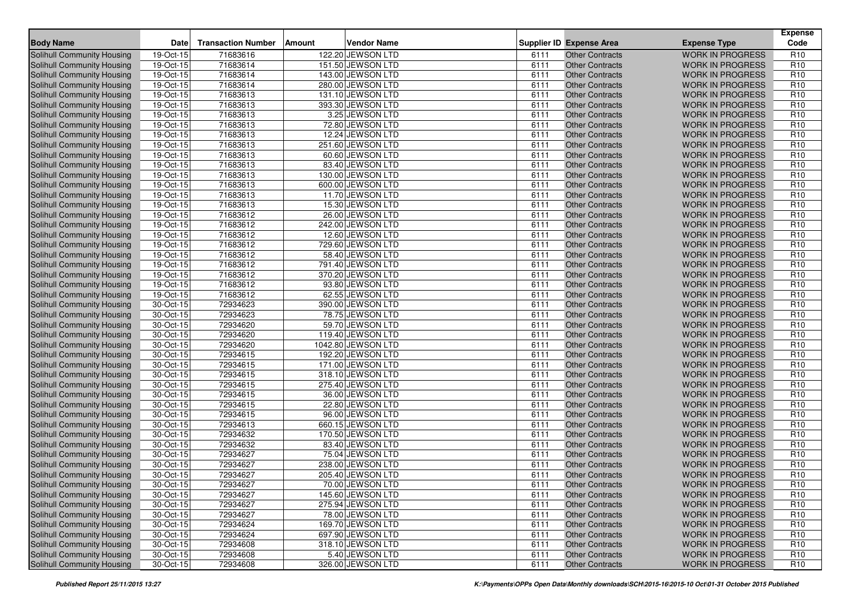| <b>Body Name</b>                  | Date                    | <b>Transaction Number</b> | <b>Amount</b> | <b>Vendor Name</b> |      | <b>Supplier ID Expense Area</b> | <b>Expense Type</b>     | <b>Expense</b><br>Code |
|-----------------------------------|-------------------------|---------------------------|---------------|--------------------|------|---------------------------------|-------------------------|------------------------|
| Solihull Community Housing        | 19-Oct-15               | 71683616                  |               | 122.20 JEWSON LTD  | 6111 | <b>Other Contracts</b>          | <b>WORK IN PROGRESS</b> | R <sub>10</sub>        |
| Solihull Community Housing        | 19-Oct-15               | 71683614                  |               | 151.50 JEWSON LTD  | 6111 | <b>Other Contracts</b>          | <b>WORK IN PROGRESS</b> | R <sub>10</sub>        |
| Solihull Community Housing        | 19-Oct-15               | 71683614                  |               | 143.00 JEWSON LTD  | 6111 | <b>Other Contracts</b>          | <b>WORK IN PROGRESS</b> | R <sub>10</sub>        |
| <b>Solihull Community Housing</b> | 19-Oct-15               | 71683614                  |               | 280.00 JEWSON LTD  | 6111 | <b>Other Contracts</b>          | <b>WORK IN PROGRESS</b> | R <sub>10</sub>        |
| Solihull Community Housing        | 19-Oct-15               | 71683613                  |               | 131.10 JEWSON LTD  | 6111 | <b>Other Contracts</b>          | <b>WORK IN PROGRESS</b> | R <sub>10</sub>        |
| Solihull Community Housing        | 19-Oct-15               | 71683613                  |               | 393.30 JEWSON LTD  | 6111 | <b>Other Contracts</b>          | <b>WORK IN PROGRESS</b> | R <sub>10</sub>        |
| Solihull Community Housing        | 19-Oct-15               | 71683613                  |               | 3.25 JEWSON LTD    | 6111 | <b>Other Contracts</b>          | <b>WORK IN PROGRESS</b> | R <sub>10</sub>        |
| Solihull Community Housing        | 19-Oct-15               | 71683613                  |               | 72.80 JEWSON LTD   | 6111 | <b>Other Contracts</b>          | <b>WORK IN PROGRESS</b> | R <sub>10</sub>        |
| Solihull Community Housing        | 19-Oct-15               | 71683613                  |               | 12.24 JEWSON LTD   | 6111 | <b>Other Contracts</b>          | <b>WORK IN PROGRESS</b> | R <sub>10</sub>        |
| <b>Solihull Community Housing</b> | 19-Oct-15               | 71683613                  |               | 251.60 JEWSON LTD  | 6111 | <b>Other Contracts</b>          | <b>WORK IN PROGRESS</b> | R <sub>10</sub>        |
| <b>Solihull Community Housing</b> | 19-Oct-15               | 71683613                  |               | 60.60 JEWSON LTD   | 6111 | <b>Other Contracts</b>          | <b>WORK IN PROGRESS</b> | R <sub>10</sub>        |
| <b>Solihull Community Housing</b> | 19-Oct-15               | 71683613                  |               | 83.40 JEWSON LTD   | 6111 | <b>Other Contracts</b>          | <b>WORK IN PROGRESS</b> | R <sub>10</sub>        |
| Solihull Community Housing        | 19-Oct-15               | 71683613                  |               | 130.00 JEWSON LTD  | 6111 | <b>Other Contracts</b>          | <b>WORK IN PROGRESS</b> | R <sub>10</sub>        |
| Solihull Community Housing        | 19-Oct-15               | 71683613                  |               | 600.00 JEWSON LTD  | 6111 | <b>Other Contracts</b>          | <b>WORK IN PROGRESS</b> | R <sub>10</sub>        |
| Solihull Community Housing        | 19-Oct-15               | 71683613                  |               | 11.70 JEWSON LTD   | 6111 | <b>Other Contracts</b>          | <b>WORK IN PROGRESS</b> | R <sub>10</sub>        |
| Solihull Community Housing        | 19-Oct-15               | 71683613                  |               | 15.30 JEWSON LTD   | 6111 | <b>Other Contracts</b>          | <b>WORK IN PROGRESS</b> | R <sub>10</sub>        |
| Solihull Community Housing        | 19-Oct-15               | 71683612                  |               | 26.00 JEWSON LTD   | 6111 | <b>Other Contracts</b>          | <b>WORK IN PROGRESS</b> | R <sub>10</sub>        |
| <b>Solihull Community Housing</b> | 19-Oct-15               | 71683612                  |               | 242.00 JEWSON LTD  | 6111 | <b>Other Contracts</b>          | <b>WORK IN PROGRESS</b> | R <sub>10</sub>        |
| Solihull Community Housing        | 19-Oct-15               | 71683612                  |               | 12.60 JEWSON LTD   | 6111 | <b>Other Contracts</b>          | <b>WORK IN PROGRESS</b> | R <sub>10</sub>        |
| Solihull Community Housing        | 19-Oct-15               | 71683612                  |               | 729.60 JEWSON LTD  | 6111 | <b>Other Contracts</b>          | <b>WORK IN PROGRESS</b> | R <sub>10</sub>        |
| Solihull Community Housing        | 19-Oct-15               | 71683612                  |               | 58.40 JEWSON LTD   | 6111 | <b>Other Contracts</b>          | <b>WORK IN PROGRESS</b> | R <sub>10</sub>        |
| Solihull Community Housing        | 19-Oct-15               | 71683612                  |               | 791.40 JEWSON LTD  | 6111 | <b>Other Contracts</b>          | <b>WORK IN PROGRESS</b> | R <sub>10</sub>        |
| Solihull Community Housing        | 19-Oct-15               | 71683612                  |               | 370.20 JEWSON LTD  | 6111 | <b>Other Contracts</b>          | <b>WORK IN PROGRESS</b> | R <sub>10</sub>        |
| Solihull Community Housing        | 19-Oct-15               | 71683612                  |               | 93.80 JEWSON LTD   | 6111 | <b>Other Contracts</b>          | <b>WORK IN PROGRESS</b> | R <sub>10</sub>        |
| Solihull Community Housing        | 19-Oct-15               | 71683612                  |               | 62.55 JEWSON LTD   | 6111 | <b>Other Contracts</b>          | <b>WORK IN PROGRESS</b> | R <sub>10</sub>        |
| <b>Solihull Community Housing</b> | 30-Oct-15               | 72934623                  |               | 390.00 JEWSON LTD  | 6111 | <b>Other Contracts</b>          | <b>WORK IN PROGRESS</b> | R <sub>10</sub>        |
| Solihull Community Housing        | 30-Oct-15               | 72934623                  |               | 78.75 JEWSON LTD   | 6111 | <b>Other Contracts</b>          | <b>WORK IN PROGRESS</b> | R <sub>10</sub>        |
| Solihull Community Housing        | 30-Oct-15               | 72934620                  |               | 59.70 JEWSON LTD   | 6111 | <b>Other Contracts</b>          | <b>WORK IN PROGRESS</b> | R <sub>10</sub>        |
| <b>Solihull Community Housing</b> | 30-Oct-15               | 72934620                  |               | 119.40 JEWSON LTD  | 6111 | Other Contracts                 | <b>WORK IN PROGRESS</b> | R <sub>10</sub>        |
| Solihull Community Housing        | 30-Oct-15               | 72934620                  |               | 1042.80 JEWSON LTD | 6111 | <b>Other Contracts</b>          | <b>WORK IN PROGRESS</b> | R <sub>10</sub>        |
| Solihull Community Housing        | 30-Oct-15               | 72934615                  |               | 192.20 JEWSON LTD  | 6111 | <b>Other Contracts</b>          | <b>WORK IN PROGRESS</b> | R <sub>10</sub>        |
| Solihull Community Housing        | 30-Oct-15               | 72934615                  |               | 171.00 JEWSON LTD  | 6111 | <b>Other Contracts</b>          | <b>WORK IN PROGRESS</b> | R <sub>10</sub>        |
| Solihull Community Housing        | 30-Oct-15               | 72934615                  |               | 318.10 JEWSON LTD  | 6111 | <b>Other Contracts</b>          | <b>WORK IN PROGRESS</b> | R <sub>10</sub>        |
| Solihull Community Housing        | 30-Oct-15               | 72934615                  |               | 275.40 JEWSON LTD  | 6111 | <b>Other Contracts</b>          | <b>WORK IN PROGRESS</b> | R <sub>10</sub>        |
| <b>Solihull Community Housing</b> | 30-Oct-15               | 72934615                  |               | 36.00 JEWSON LTD   | 6111 | <b>Other Contracts</b>          | <b>WORK IN PROGRESS</b> | R <sub>10</sub>        |
| Solihull Community Housing        | 30-Oct-15               | 72934615                  |               | 22.80 JEWSON LTD   | 6111 | <b>Other Contracts</b>          | <b>WORK IN PROGRESS</b> | R <sub>10</sub>        |
| <b>Solihull Community Housing</b> | 30-Oct-15               | 72934615                  |               | 96.00 JEWSON LTD   | 6111 | <b>Other Contracts</b>          | <b>WORK IN PROGRESS</b> | R <sub>10</sub>        |
| Solihull Community Housing        | 30-Oct-15               | 72934613                  |               | 660.15 JEWSON LTD  | 6111 | <b>Other Contracts</b>          | <b>WORK IN PROGRESS</b> | R <sub>10</sub>        |
| <b>Solihull Community Housing</b> | 30-Oct-15               | 72934632                  |               | 170.50 JEWSON LTD  | 6111 | <b>Other Contracts</b>          | <b>WORK IN PROGRESS</b> | R <sub>10</sub>        |
| <b>Solihull Community Housing</b> | 30-Oct-15               | 72934632                  |               | 83.40 JEWSON LTD   | 6111 | <b>Other Contracts</b>          | <b>WORK IN PROGRESS</b> | R <sub>10</sub>        |
| Solihull Community Housing        | 30-Oct-15               | 72934627                  |               | 75.04 JEWSON LTD   | 6111 | <b>Other Contracts</b>          | <b>WORK IN PROGRESS</b> | R <sub>10</sub>        |
| <b>Solihull Community Housing</b> | 30-Oct-15               | 72934627                  |               | 238.00 JEWSON LTD  | 6111 | <b>Other Contracts</b>          | <b>WORK IN PROGRESS</b> | R <sub>10</sub>        |
| Solihull Community Housing        | 30-Oct-15               | 72934627                  |               | 205.40 JEWSON LTD  | 6111 | <b>Other Contracts</b>          | <b>WORK IN PROGRESS</b> | R <sub>10</sub>        |
| Solihull Community Housing        | 30-Oct-15               | 72934627                  |               | 70.00 JEWSON LTD   | 6111 | <b>Other Contracts</b>          | <b>WORK IN PROGRESS</b> | R <sub>10</sub>        |
| <b>Solihull Community Housing</b> | 30-Oct-15               | 72934627                  |               | 145.60 JEWSON LTD  | 6111 | <b>Other Contracts</b>          | <b>WORK IN PROGRESS</b> | R <sub>10</sub>        |
| <b>Solihull Community Housing</b> | 30-Oct-15               | 72934627                  |               | 275.94 JEWSON LTD  | 6111 | <b>Other Contracts</b>          | <b>WORK IN PROGRESS</b> | R <sub>10</sub>        |
| <b>Solihull Community Housing</b> | 30-Oct-15               | 72934627                  |               | 78.00 JEWSON LTD   | 6111 | <b>Other Contracts</b>          | <b>WORK IN PROGRESS</b> | R <sub>10</sub>        |
| <b>Solihull Community Housing</b> | 30-Oct-15               | 72934624                  |               | 169.70 JEWSON LTD  | 6111 | <b>Other Contracts</b>          | <b>WORK IN PROGRESS</b> | R <sub>10</sub>        |
| <b>Solihull Community Housing</b> | 30-Oct-15               | 72934624                  |               | 697.90 JEWSON LTD  | 6111 | <b>Other Contracts</b>          | <b>WORK IN PROGRESS</b> | R <sub>10</sub>        |
| Solihull Community Housing        | 30-Oct-15               | 72934608                  |               | 318.10 JEWSON LTD  | 6111 | <b>Other Contracts</b>          | <b>WORK IN PROGRESS</b> | R <sub>10</sub>        |
| <b>Solihull Community Housing</b> | $\overline{30}$ -Oct-15 | 72934608                  |               | 5.40 JEWSON LTD    | 6111 | <b>Other Contracts</b>          | <b>WORK IN PROGRESS</b> | R <sub>10</sub>        |
| Solihull Community Housing        | 30-Oct-15               | 72934608                  |               | 326.00 JEWSON LTD  | 6111 | <b>Other Contracts</b>          | WORK IN PROGRESS        | R <sub>10</sub>        |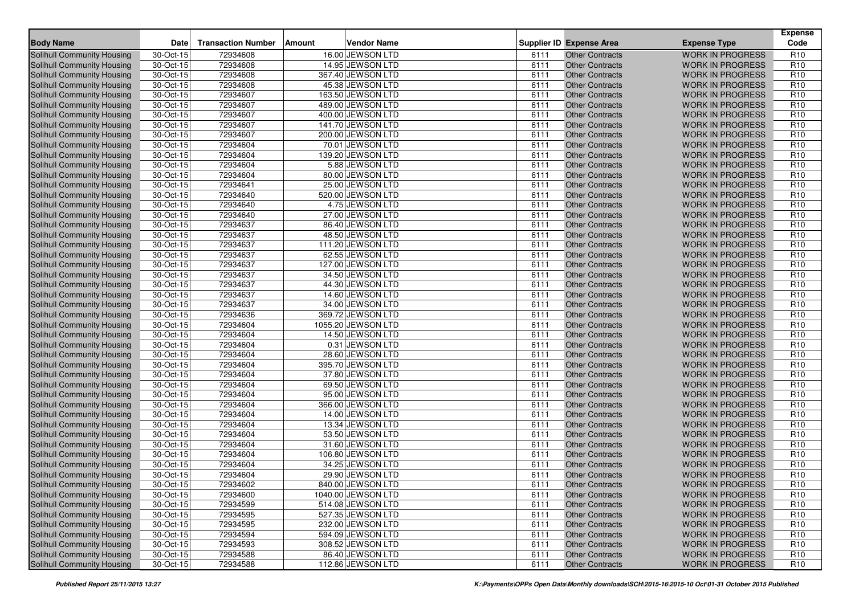| <b>Body Name</b>                  | <b>Date</b>             | <b>Transaction Number</b> | Amount | <b>Vendor Name</b> |      | <b>Supplier ID Expense Area</b> | <b>Expense Type</b>     | <b>Expense</b><br>Code |
|-----------------------------------|-------------------------|---------------------------|--------|--------------------|------|---------------------------------|-------------------------|------------------------|
| Solihull Community Housing        | 30-Oct-15               | 72934608                  |        | 16.00 JEWSON LTD   | 6111 | <b>Other Contracts</b>          | <b>WORK IN PROGRESS</b> | R <sub>10</sub>        |
| <b>Solihull Community Housing</b> | 30-Oct-15               | 72934608                  |        | 14.95 JEWSON LTD   | 6111 | <b>Other Contracts</b>          | <b>WORK IN PROGRESS</b> | R <sub>10</sub>        |
| <b>Solihull Community Housing</b> | 30-Oct-15               | 72934608                  |        | 367.40 JEWSON LTD  | 6111 | <b>Other Contracts</b>          | <b>WORK IN PROGRESS</b> | R <sub>10</sub>        |
| Solihull Community Housing        | $\overline{30}$ -Oct-15 | 72934608                  |        | 45.38 JEWSON LTD   | 6111 | <b>Other Contracts</b>          | <b>WORK IN PROGRESS</b> | R <sub>10</sub>        |
| Solihull Community Housing        | 30-Oct-15               | 72934607                  |        | 163.50 JEWSON LTD  | 6111 | <b>Other Contracts</b>          | <b>WORK IN PROGRESS</b> | R <sub>10</sub>        |
| <b>Solihull Community Housing</b> | 30-Oct-15               | 72934607                  |        | 489.00 JEWSON LTD  | 6111 | <b>Other Contracts</b>          | <b>WORK IN PROGRESS</b> | R <sub>10</sub>        |
| Solihull Community Housing        | $30-Oct-15$             | 72934607                  |        | 400.00 JEWSON LTD  | 6111 | <b>Other Contracts</b>          | <b>WORK IN PROGRESS</b> | R <sub>10</sub>        |
| <b>Solihull Community Housing</b> | 30-Oct-15               | 72934607                  |        | 141.70 JEWSON LTD  | 6111 | <b>Other Contracts</b>          | <b>WORK IN PROGRESS</b> | R <sub>10</sub>        |
| Solihull Community Housing        | 30-Oct-15               | 72934607                  |        | 200.00 JEWSON LTD  | 6111 | <b>Other Contracts</b>          | <b>WORK IN PROGRESS</b> | R <sub>10</sub>        |
| Solihull Community Housing        | 30-Oct-15               | 72934604                  |        | 70.01 JEWSON LTD   | 6111 | <b>Other Contracts</b>          | <b>WORK IN PROGRESS</b> | R <sub>10</sub>        |
| Solihull Community Housing        | 30-Oct-15               | 72934604                  |        | 139.20 JEWSON LTD  | 6111 | <b>Other Contracts</b>          | <b>WORK IN PROGRESS</b> | R <sub>10</sub>        |
| Solihull Community Housing        | 30-Oct-15               | 72934604                  |        | 5.88 JEWSON LTD    | 6111 | <b>Other Contracts</b>          | <b>WORK IN PROGRESS</b> | R <sub>10</sub>        |
| <b>Solihull Community Housing</b> | 30-Oct-15               | 72934604                  |        | 80.00 JEWSON LTD   | 6111 | <b>Other Contracts</b>          | <b>WORK IN PROGRESS</b> | R <sub>10</sub>        |
| <b>Solihull Community Housing</b> | 30-Oct-15               | 72934641                  |        | 25.00 JEWSON LTD   | 6111 | <b>Other Contracts</b>          | <b>WORK IN PROGRESS</b> | R <sub>10</sub>        |
| Solihull Community Housing        | 30-Oct-15               | 72934640                  |        | 520.00 JEWSON LTD  | 6111 | <b>Other Contracts</b>          | <b>WORK IN PROGRESS</b> | R <sub>10</sub>        |
| Solihull Community Housing        | 30-Oct-15               | 72934640                  |        | 4.75 JEWSON LTD    | 6111 | <b>Other Contracts</b>          | <b>WORK IN PROGRESS</b> | R <sub>10</sub>        |
| Solihull Community Housing        | 30-Oct-15               | 72934640                  |        | 27.00 JEWSON LTD   | 6111 | <b>Other Contracts</b>          | <b>WORK IN PROGRESS</b> | R <sub>10</sub>        |
| Solihull Community Housing        | 30-Oct-15               | 72934637                  |        | 86.40 JEWSON LTD   | 6111 | <b>Other Contracts</b>          | <b>WORK IN PROGRESS</b> | R <sub>10</sub>        |
| <b>Solihull Community Housing</b> | 30-Oct-15               | 72934637                  |        | 48.50 JEWSON LTD   | 6111 | <b>Other Contracts</b>          | <b>WORK IN PROGRESS</b> | R <sub>10</sub>        |
| Solihull Community Housing        | 30-Oct-15               | 72934637                  |        | 111.20 JEWSON LTD  | 6111 | <b>Other Contracts</b>          | <b>WORK IN PROGRESS</b> | R <sub>10</sub>        |
| Solihull Community Housing        | 30-Oct-15               | 72934637                  |        | 62.55 JEWSON LTD   | 6111 | <b>Other Contracts</b>          | <b>WORK IN PROGRESS</b> | R <sub>10</sub>        |
| Solihull Community Housing        | 30-Oct-15               | 72934637                  |        | 127.00 JEWSON LTD  | 6111 | <b>Other Contracts</b>          | <b>WORK IN PROGRESS</b> | R <sub>10</sub>        |
| Solihull Community Housing        | 30-Oct-15               | 72934637                  |        | 34.50 JEWSON LTD   | 6111 | <b>Other Contracts</b>          | <b>WORK IN PROGRESS</b> | R <sub>10</sub>        |
| <b>Solihull Community Housing</b> | 30-Oct-15               | 72934637                  |        | 44.30 JEWSON LTD   | 6111 | <b>Other Contracts</b>          | <b>WORK IN PROGRESS</b> | R <sub>10</sub>        |
| <b>Solihull Community Housing</b> | 30-Oct-15               | 72934637                  |        | 14.60 JEWSON LTD   | 6111 | <b>Other Contracts</b>          | <b>WORK IN PROGRESS</b> | R <sub>10</sub>        |
| Solihull Community Housing        | 30-Oct-15               | 72934637                  |        | 34.00 JEWSON LTD   | 6111 | <b>Other Contracts</b>          | <b>WORK IN PROGRESS</b> | R <sub>10</sub>        |
| <b>Solihull Community Housing</b> | 30-Oct-15               | 72934636                  |        | 369.72 JEWSON LTD  | 6111 | <b>Other Contracts</b>          | <b>WORK IN PROGRESS</b> | R <sub>10</sub>        |
| Solihull Community Housing        | 30-Oct-15               | 72934604                  |        | 1055.20 JEWSON LTD | 6111 | <b>Other Contracts</b>          | <b>WORK IN PROGRESS</b> | R <sub>10</sub>        |
| Solihull Community Housing        | 30-Oct-15               | 72934604                  |        | 14.50 JEWSON LTD   | 6111 | <b>Other Contracts</b>          | <b>WORK IN PROGRESS</b> | R <sub>10</sub>        |
| Solihull Community Housing        | 30-Oct-15               | 72934604                  |        | 0.31 JEWSON LTD    | 6111 | <b>Other Contracts</b>          | <b>WORK IN PROGRESS</b> | R <sub>10</sub>        |
| Solihull Community Housing        | 30-Oct-15               | 72934604                  |        | 28.60 JEWSON LTD   | 6111 | <b>Other Contracts</b>          | <b>WORK IN PROGRESS</b> | R <sub>10</sub>        |
| Solihull Community Housing        | 30-Oct-15               | 72934604                  |        | 395.70 JEWSON LTD  | 6111 | <b>Other Contracts</b>          | <b>WORK IN PROGRESS</b> | R <sub>10</sub>        |
| Solihull Community Housing        | 30-Oct-15               | 72934604                  |        | 37.80 JEWSON LTD   | 6111 | <b>Other Contracts</b>          | <b>WORK IN PROGRESS</b> | R <sub>10</sub>        |
| Solihull Community Housing        | 30-Oct-15               | 72934604                  |        | 69.50 JEWSON LTD   | 6111 | <b>Other Contracts</b>          | <b>WORK IN PROGRESS</b> | R <sub>10</sub>        |
| <b>Solihull Community Housing</b> | 30-Oct-15               | 72934604                  |        | 95.00 JEWSON LTD   | 6111 | <b>Other Contracts</b>          | <b>WORK IN PROGRESS</b> | R <sub>10</sub>        |
| <b>Solihull Community Housing</b> | 30-Oct-15               | 72934604                  |        | 366.00 JEWSON LTD  | 6111 | <b>Other Contracts</b>          | <b>WORK IN PROGRESS</b> | R <sub>10</sub>        |
| Solihull Community Housing        | 30-Oct-15               | 72934604                  |        | 14.00 JEWSON LTD   | 6111 | <b>Other Contracts</b>          | <b>WORK IN PROGRESS</b> | R <sub>10</sub>        |
| <b>Solihull Community Housing</b> | 30-Oct-15               | 72934604                  |        | 13.34 JEWSON LTD   | 6111 | <b>Other Contracts</b>          | <b>WORK IN PROGRESS</b> | R <sub>10</sub>        |
| <b>Solihull Community Housing</b> | 30-Oct-15               | 72934604                  |        | 53.50 JEWSON LTD   | 6111 | <b>Other Contracts</b>          | <b>WORK IN PROGRESS</b> | R <sub>10</sub>        |
| Solihull Community Housing        | 30-Oct-15               | 72934604                  |        | 31.60 JEWSON LTD   | 6111 | <b>Other Contracts</b>          | <b>WORK IN PROGRESS</b> | R <sub>10</sub>        |
| Solihull Community Housing        | 30-Oct-15               | 72934604                  |        | 106.80 JEWSON LTD  | 6111 | <b>Other Contracts</b>          | <b>WORK IN PROGRESS</b> | R <sub>10</sub>        |
| <b>Solihull Community Housing</b> | 30-Oct-15               | 72934604                  |        | 34.25 JEWSON LTD   | 6111 | <b>Other Contracts</b>          | <b>WORK IN PROGRESS</b> | R <sub>10</sub>        |
| Solihull Community Housing        | $\overline{30}$ -Oct-15 | 72934604                  |        | 29.90 JEWSON LTD   | 6111 | <b>Other Contracts</b>          | <b>WORK IN PROGRESS</b> | R <sub>10</sub>        |
| Solihull Community Housing        | 30-Oct-15               | 72934602                  |        | 840.00 JEWSON LTD  | 6111 | Other Contracts                 | WORK IN PROGRESS        | R <sub>10</sub>        |
| Solihull Community Housing        | 30-Oct-15               | 72934600                  |        | 1040.00 JEWSON LTD | 6111 | <b>Other Contracts</b>          | <b>WORK IN PROGRESS</b> | R <sub>10</sub>        |
| Solihull Community Housing        | 30-Oct-15               | 72934599                  |        | 514.08 JEWSON LTD  | 6111 | <b>Other Contracts</b>          | <b>WORK IN PROGRESS</b> | R <sub>10</sub>        |
| Solihull Community Housing        | 30-Oct-15               | 72934595                  |        | 527.35 JEWSON LTD  | 6111 | <b>Other Contracts</b>          | <b>WORK IN PROGRESS</b> | R <sub>10</sub>        |
| Solihull Community Housing        | $30-Oct-15$             | 72934595                  |        | 232.00 JEWSON LTD  | 6111 | <b>Other Contracts</b>          | <b>WORK IN PROGRESS</b> | R <sub>10</sub>        |
| Solihull Community Housing        | 30-Oct-15               | 72934594                  |        | 594.09 JEWSON LTD  | 6111 | <b>Other Contracts</b>          | <b>WORK IN PROGRESS</b> | R <sub>10</sub>        |
| Solihull Community Housing        | 30-Oct-15               | 72934593                  |        | 308.52 JEWSON LTD  | 6111 | <b>Other Contracts</b>          | <b>WORK IN PROGRESS</b> | R <sub>10</sub>        |
| Solihull Community Housing        | 30-Oct-15               | 72934588                  |        | 86.40 JEWSON LTD   | 6111 | <b>Other Contracts</b>          | <b>WORK IN PROGRESS</b> | R <sub>10</sub>        |
| Solihull Community Housing        | 30-Oct-15               | 72934588                  |        | 112.86 JEWSON LTD  | 6111 | <b>Other Contracts</b>          | WORK IN PROGRESS        | R <sub>10</sub>        |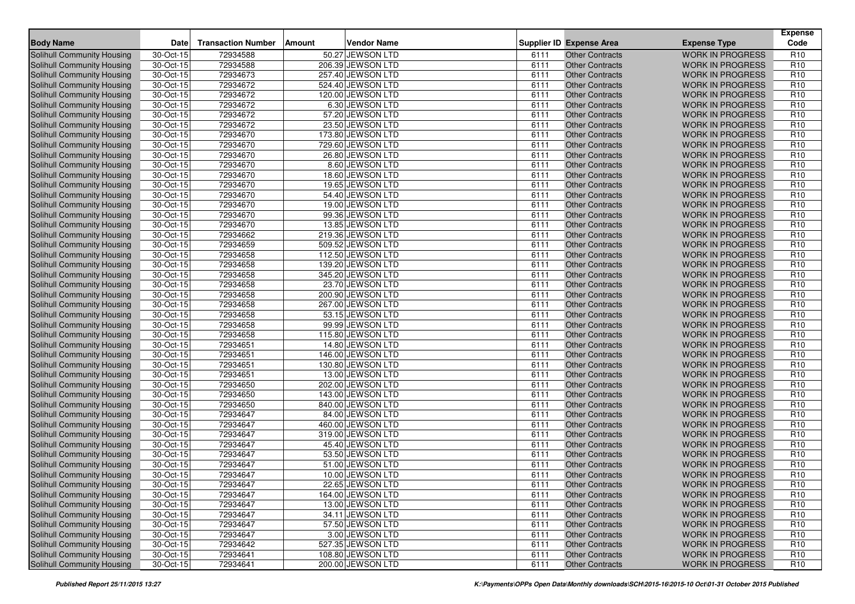| <b>Body Name</b>                  | Date                    | <b>Transaction Number</b> | <b>Amount</b> | <b>Vendor Name</b> |      | <b>Supplier ID Expense Area</b> | <b>Expense Type</b>     | <b>Expense</b><br>Code |
|-----------------------------------|-------------------------|---------------------------|---------------|--------------------|------|---------------------------------|-------------------------|------------------------|
| Solihull Community Housing        | 30-Oct-15               | 72934588                  |               | 50.27 JEWSON LTD   | 6111 | <b>Other Contracts</b>          | <b>WORK IN PROGRESS</b> | R <sub>10</sub>        |
| Solihull Community Housing        | 30-Oct-15               | 72934588                  |               | 206.39 JEWSON LTD  | 6111 | <b>Other Contracts</b>          | <b>WORK IN PROGRESS</b> | R <sub>10</sub>        |
| Solihull Community Housing        | 30-Oct-15               | 72934673                  |               | 257.40 JEWSON LTD  | 6111 | <b>Other Contracts</b>          | <b>WORK IN PROGRESS</b> | R <sub>10</sub>        |
| Solihull Community Housing        | 30-Oct-15               | 72934672                  |               | 524.40 JEWSON LTD  | 6111 | <b>Other Contracts</b>          | <b>WORK IN PROGRESS</b> | R <sub>10</sub>        |
| Solihull Community Housing        | 30-Oct-15               | 72934672                  |               | 120.00 JEWSON LTD  | 6111 | <b>Other Contracts</b>          | <b>WORK IN PROGRESS</b> | R <sub>10</sub>        |
| Solihull Community Housing        | 30-Oct-15               | 72934672                  |               | 6.30 JEWSON LTD    | 6111 | <b>Other Contracts</b>          | <b>WORK IN PROGRESS</b> | R <sub>10</sub>        |
| <b>Solihull Community Housing</b> | 30-Oct-15               | 72934672                  |               | 57.20 JEWSON LTD   | 6111 | <b>Other Contracts</b>          | <b>WORK IN PROGRESS</b> | R <sub>10</sub>        |
| Solihull Community Housing        | 30-Oct-15               | 72934672                  |               | 23.50 JEWSON LTD   | 6111 | <b>Other Contracts</b>          | <b>WORK IN PROGRESS</b> | R <sub>10</sub>        |
| Solihull Community Housing        | 30-Oct-15               | 72934670                  |               | 173.80 JEWSON LTD  | 6111 | <b>Other Contracts</b>          | <b>WORK IN PROGRESS</b> | R <sub>10</sub>        |
| Solihull Community Housing        | 30-Oct-15               | 72934670                  |               | 729.60 JEWSON LTD  | 6111 | <b>Other Contracts</b>          | <b>WORK IN PROGRESS</b> | R <sub>10</sub>        |
| Solihull Community Housing        | 30-Oct-15               | 72934670                  |               | 26.80 JEWSON LTD   | 6111 | Other Contracts                 | <b>WORK IN PROGRESS</b> | R <sub>10</sub>        |
| <b>Solihull Community Housing</b> | $30-Oct-15$             | 72934670                  |               | 8.60 JEWSON LTD    | 6111 | <b>Other Contracts</b>          | <b>WORK IN PROGRESS</b> | R <sub>10</sub>        |
| Solihull Community Housing        | 30-Oct-15               | 72934670                  |               | 18.60 JEWSON LTD   | 6111 | <b>Other Contracts</b>          | <b>WORK IN PROGRESS</b> | R <sub>10</sub>        |
| <b>Solihull Community Housing</b> | 30-Oct-15               | 72934670                  |               | 19.65 JEWSON LTD   | 6111 | <b>Other Contracts</b>          | <b>WORK IN PROGRESS</b> | R <sub>10</sub>        |
| <b>Solihull Community Housing</b> | 30-Oct-15               | 72934670                  |               | 54.40 JEWSON LTD   | 6111 | <b>Other Contracts</b>          | <b>WORK IN PROGRESS</b> | R <sub>10</sub>        |
| Solihull Community Housing        | 30-Oct-15               | 72934670                  |               | 19.00 JEWSON LTD   | 6111 | <b>Other Contracts</b>          | <b>WORK IN PROGRESS</b> | R <sub>10</sub>        |
| Solihull Community Housing        | 30-Oct-15               | 72934670                  |               | 99.36 JEWSON LTD   | 6111 | <b>Other Contracts</b>          | <b>WORK IN PROGRESS</b> | R <sub>10</sub>        |
| Solihull Community Housing        | 30-Oct-15               | 72934670                  |               | 13.85 JEWSON LTD   | 6111 | <b>Other Contracts</b>          | <b>WORK IN PROGRESS</b> | R <sub>10</sub>        |
| Solihull Community Housing        | 30-Oct-15               | 72934662                  |               | 219.36 JEWSON LTD  | 6111 | <b>Other Contracts</b>          | <b>WORK IN PROGRESS</b> | R <sub>10</sub>        |
| Solihull Community Housing        | 30-Oct-15               | 72934659                  |               | 509.52 JEWSON LTD  | 6111 | <b>Other Contracts</b>          | <b>WORK IN PROGRESS</b> | R <sub>10</sub>        |
| Solihull Community Housing        | 30-Oct-15               | 72934658                  |               | 112.50 JEWSON LTD  | 6111 | <b>Other Contracts</b>          | <b>WORK IN PROGRESS</b> | R <sub>10</sub>        |
| Solihull Community Housing        | 30-Oct-15               | 72934658                  |               | 139.20 JEWSON LTD  | 6111 | <b>Other Contracts</b>          | <b>WORK IN PROGRESS</b> | R <sub>10</sub>        |
| Solihull Community Housing        | 30-Oct-15               | 72934658                  |               | 345.20 JEWSON LTD  | 6111 | <b>Other Contracts</b>          | <b>WORK IN PROGRESS</b> | R <sub>10</sub>        |
| Solihull Community Housing        | 30-Oct-15               | 72934658                  |               | 23.70 JEWSON LTD   | 6111 | <b>Other Contracts</b>          | <b>WORK IN PROGRESS</b> | R <sub>10</sub>        |
| Solihull Community Housing        | 30-Oct-15               | 72934658                  |               | 200.90 JEWSON LTD  | 6111 | <b>Other Contracts</b>          | <b>WORK IN PROGRESS</b> | R <sub>10</sub>        |
| Solihull Community Housing        | 30-Oct-15               | 72934658                  |               | 267.00 JEWSON LTD  | 6111 | <b>Other Contracts</b>          | <b>WORK IN PROGRESS</b> | R <sub>10</sub>        |
| Solihull Community Housing        | 30-Oct-15               | 72934658                  |               | 53.15 JEWSON LTD   | 6111 | <b>Other Contracts</b>          | <b>WORK IN PROGRESS</b> | R <sub>10</sub>        |
| Solihull Community Housing        | 30-Oct-15               | 72934658                  |               | 99.99 JEWSON LTD   | 6111 | <b>Other Contracts</b>          | <b>WORK IN PROGRESS</b> | R <sub>10</sub>        |
| Solihull Community Housing        | 30-Oct-15               | 72934658                  |               | 115.80 JEWSON LTD  | 6111 | <b>Other Contracts</b>          | <b>WORK IN PROGRESS</b> | R <sub>10</sub>        |
| Solihull Community Housing        | 30-Oct-15               | 72934651                  |               | 14.80 JEWSON LTD   | 6111 | <b>Other Contracts</b>          | <b>WORK IN PROGRESS</b> | R <sub>10</sub>        |
| Solihull Community Housing        | 30-Oct-15               | 72934651                  |               | 146.00 JEWSON LTD  | 6111 | <b>Other Contracts</b>          | <b>WORK IN PROGRESS</b> | R <sub>10</sub>        |
| Solihull Community Housing        | 30-Oct-15               | 72934651                  |               | 130.80 JEWSON LTD  | 6111 | <b>Other Contracts</b>          | <b>WORK IN PROGRESS</b> | R <sub>10</sub>        |
| Solihull Community Housing        | 30-Oct-15               | 72934651                  |               | 13.00 JEWSON LTD   | 6111 | <b>Other Contracts</b>          | <b>WORK IN PROGRESS</b> | R <sub>10</sub>        |
| <b>Solihull Community Housing</b> | 30-Oct-15               | 72934650                  |               | 202.00 JEWSON LTD  | 6111 | <b>Other Contracts</b>          | <b>WORK IN PROGRESS</b> | R <sub>10</sub>        |
| Solihull Community Housing        | 30-Oct-15               | 72934650                  |               | 143.00 JEWSON LTD  | 6111 | <b>Other Contracts</b>          | <b>WORK IN PROGRESS</b> | R <sub>10</sub>        |
| Solihull Community Housing        | 30-Oct-15               | 72934650                  |               | 840.00 JEWSON LTD  | 6111 | <b>Other Contracts</b>          | <b>WORK IN PROGRESS</b> | R <sub>10</sub>        |
| <b>Solihull Community Housing</b> | 30-Oct-15               | 72934647                  |               | 84.00 JEWSON LTD   | 6111 | <b>Other Contracts</b>          | <b>WORK IN PROGRESS</b> | R <sub>10</sub>        |
| Solihull Community Housing        | 30-Oct-15               | 72934647                  |               | 460.00 JEWSON LTD  | 6111 | <b>Other Contracts</b>          | <b>WORK IN PROGRESS</b> | R <sub>10</sub>        |
| Solihull Community Housing        | 30-Oct-15               | 72934647                  |               | 319.00 JEWSON LTD  | 6111 | <b>Other Contracts</b>          | <b>WORK IN PROGRESS</b> | R <sub>10</sub>        |
| <b>Solihull Community Housing</b> | 30-Oct-15               | 72934647                  |               | 45.40 JEWSON LTD   | 6111 | <b>Other Contracts</b>          | <b>WORK IN PROGRESS</b> | R <sub>10</sub>        |
| Solihull Community Housing        | 30-Oct-15               | 72934647                  |               | 53.50 JEWSON LTD   | 6111 | <b>Other Contracts</b>          | <b>WORK IN PROGRESS</b> | R <sub>10</sub>        |
| Solihull Community Housing        | 30-Oct-15               | 72934647                  |               | 51.00 JEWSON LTD   | 6111 | <b>Other Contracts</b>          | <b>WORK IN PROGRESS</b> | R <sub>10</sub>        |
| Solihull Community Housing        | 30-Oct-15               | 72934647                  |               | 10.00 JEWSON LTD   | 6111 | <b>Other Contracts</b>          | <b>WORK IN PROGRESS</b> | R <sub>10</sub>        |
| Solihull Community Housing        | 30-Oct-15               | 72934647                  |               | 22.65 JEWSON LTD   | 6111 | Other Contracts                 | WORK IN PROGRESS        | R <sub>10</sub>        |
| Solihull Community Housing        | 30-Oct-15               | 72934647                  |               | 164.00 JEWSON LTD  | 6111 | <b>Other Contracts</b>          | <b>WORK IN PROGRESS</b> | R <sub>10</sub>        |
| <b>Solihull Community Housing</b> | 30-Oct-15               | 72934647                  |               | 13.00 JEWSON LTD   | 6111 | <b>Other Contracts</b>          | <b>WORK IN PROGRESS</b> | R <sub>10</sub>        |
| <b>Solihull Community Housing</b> | 30-Oct-15               | 72934647                  |               | 34.11 JEWSON LTD   | 6111 | <b>Other Contracts</b>          | <b>WORK IN PROGRESS</b> | R <sub>10</sub>        |
| <b>Solihull Community Housing</b> | $\overline{30}$ -Oct-15 | 72934647                  |               | 57.50 JEWSON LTD   | 6111 | <b>Other Contracts</b>          | <b>WORK IN PROGRESS</b> | R <sub>10</sub>        |
| <b>Solihull Community Housing</b> | 30-Oct-15               | 72934647                  |               | 3.00 JEWSON LTD    | 6111 | <b>Other Contracts</b>          | <b>WORK IN PROGRESS</b> | R <sub>10</sub>        |
| Solihull Community Housing        | 30-Oct-15               | 72934642                  |               | 527.35 JEWSON LTD  | 6111 | <b>Other Contracts</b>          | <b>WORK IN PROGRESS</b> | R <sub>10</sub>        |
| <b>Solihull Community Housing</b> | 30-Oct-15               | 72934641                  |               | 108.80 JEWSON LTD  | 6111 | <b>Other Contracts</b>          | <b>WORK IN PROGRESS</b> | R <sub>10</sub>        |
| Solihull Community Housing        | 30-Oct-15               | 72934641                  |               | 200.00 JEWSON LTD  | 6111 | <b>Other Contracts</b>          | <b>WORK IN PROGRESS</b> | R <sub>10</sub>        |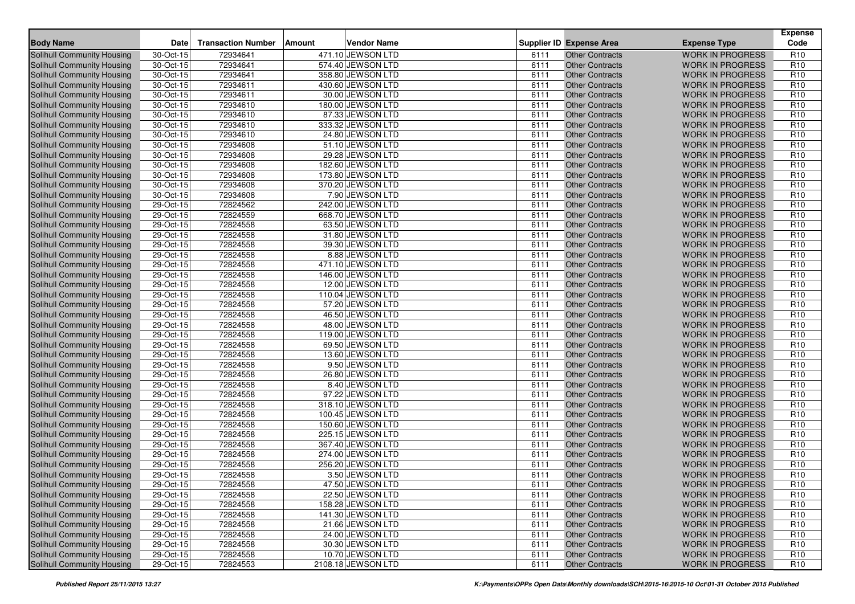| <b>Body Name</b>                  | Date         | <b>Transaction Number</b> | Amount | <b>Vendor Name</b> |      | <b>Supplier ID Expense Area</b> | <b>Expense Type</b>     | <b>Expense</b><br>Code |
|-----------------------------------|--------------|---------------------------|--------|--------------------|------|---------------------------------|-------------------------|------------------------|
| Solihull Community Housing        | 30-Oct-15    | 72934641                  |        | 471.10 JEWSON LTD  | 6111 | <b>Other Contracts</b>          | <b>WORK IN PROGRESS</b> | R <sub>10</sub>        |
| Solihull Community Housing        | 30-Oct-15    | 72934641                  |        | 574.40 JEWSON LTD  | 6111 | <b>Other Contracts</b>          | <b>WORK IN PROGRESS</b> | R <sub>10</sub>        |
| Solihull Community Housing        | 30-Oct-15    | 72934641                  |        | 358.80 JEWSON LTD  | 6111 | <b>Other Contracts</b>          | <b>WORK IN PROGRESS</b> | R <sub>10</sub>        |
| Solihull Community Housing        | 30-Oct-15    | 72934611                  |        | 430.60 JEWSON LTD  | 6111 | <b>Other Contracts</b>          | <b>WORK IN PROGRESS</b> | R <sub>10</sub>        |
| Solihull Community Housing        | 30-Oct-15    | 72934611                  |        | 30.00 JEWSON LTD   | 6111 | <b>Other Contracts</b>          | <b>WORK IN PROGRESS</b> | R <sub>10</sub>        |
| Solihull Community Housing        | 30-Oct-15    | 72934610                  |        | 180.00 JEWSON LTD  | 6111 | <b>Other Contracts</b>          | <b>WORK IN PROGRESS</b> | R <sub>10</sub>        |
| <b>Solihull Community Housing</b> | 30-Oct-15    | 72934610                  |        | 87.33 JEWSON LTD   | 6111 | <b>Other Contracts</b>          | <b>WORK IN PROGRESS</b> | R <sub>10</sub>        |
| Solihull Community Housing        | 30-Oct-15    | 72934610                  |        | 333.32 JEWSON LTD  | 6111 | <b>Other Contracts</b>          | <b>WORK IN PROGRESS</b> | R <sub>10</sub>        |
| <b>Solihull Community Housing</b> | 30-Oct-15    | 72934610                  |        | 24.80 JEWSON LTD   | 6111 | <b>Other Contracts</b>          | <b>WORK IN PROGRESS</b> | R <sub>10</sub>        |
| Solihull Community Housing        | 30-Oct-15    | 72934608                  |        | 51.10 JEWSON LTD   | 6111 | <b>Other Contracts</b>          | <b>WORK IN PROGRESS</b> | R <sub>10</sub>        |
| Solihull Community Housing        | 30-Oct-15    | 72934608                  |        | 29.28 JEWSON LTD   | 6111 | Other Contracts                 | <b>WORK IN PROGRESS</b> | R <sub>10</sub>        |
| <b>Solihull Community Housing</b> | $30-Oct-15$  | 72934608                  |        | 182.60 JEWSON LTD  | 6111 | <b>Other Contracts</b>          | <b>WORK IN PROGRESS</b> | R <sub>10</sub>        |
| Solihull Community Housing        | 30-Oct-15    | 72934608                  |        | 173.80 JEWSON LTD  | 6111 | <b>Other Contracts</b>          | <b>WORK IN PROGRESS</b> | R <sub>10</sub>        |
| Solihull Community Housing        | 30-Oct-15    | 72934608                  |        | 370.20 JEWSON LTD  | 6111 | <b>Other Contracts</b>          | <b>WORK IN PROGRESS</b> | R <sub>10</sub>        |
| <b>Solihull Community Housing</b> | 30-Oct-15    | 72934608                  |        | 7.90 JEWSON LTD    | 6111 | <b>Other Contracts</b>          | <b>WORK IN PROGRESS</b> | R <sub>10</sub>        |
| Solihull Community Housing        | 29-Oct-15    | 72824562                  |        | 242.00 JEWSON LTD  | 6111 | <b>Other Contracts</b>          | <b>WORK IN PROGRESS</b> | R <sub>10</sub>        |
| Solihull Community Housing        | 29-Oct-15    | 72824559                  |        | 668.70 JEWSON LTD  | 6111 | <b>Other Contracts</b>          | <b>WORK IN PROGRESS</b> | R <sub>10</sub>        |
| Solihull Community Housing        | 29-Oct-15    | 72824558                  |        | 63.50 JEWSON LTD   | 6111 | <b>Other Contracts</b>          | <b>WORK IN PROGRESS</b> | R <sub>10</sub>        |
| Solihull Community Housing        | 29-Oct-15    | 72824558                  |        | 31.80 JEWSON LTD   | 6111 | <b>Other Contracts</b>          | <b>WORK IN PROGRESS</b> | R <sub>10</sub>        |
| Solihull Community Housing        | 29-Oct-15    | 72824558                  |        | 39.30 JEWSON LTD   | 6111 | <b>Other Contracts</b>          | <b>WORK IN PROGRESS</b> | R <sub>10</sub>        |
| Solihull Community Housing        | 29-Oct-15    | 72824558                  |        | 8.88 JEWSON LTD    | 6111 | <b>Other Contracts</b>          | <b>WORK IN PROGRESS</b> | R <sub>10</sub>        |
| Solihull Community Housing        | 29-Oct-15    | 72824558                  |        | 471.10 JEWSON LTD  | 6111 | <b>Other Contracts</b>          | <b>WORK IN PROGRESS</b> | R <sub>10</sub>        |
| Solihull Community Housing        | 29-Oct-15    | 72824558                  |        | 146.00 JEWSON LTD  | 6111 | <b>Other Contracts</b>          | <b>WORK IN PROGRESS</b> | R <sub>10</sub>        |
| Solihull Community Housing        | 29-Oct-15    | 72824558                  |        | 12.00 JEWSON LTD   | 6111 | <b>Other Contracts</b>          | <b>WORK IN PROGRESS</b> | R <sub>10</sub>        |
| Solihull Community Housing        | 29-Oct-15    | 72824558                  |        | 110.04 JEWSON LTD  | 6111 | <b>Other Contracts</b>          | <b>WORK IN PROGRESS</b> | R <sub>10</sub>        |
| Solihull Community Housing        | 29-Oct-15    | 72824558                  |        | 57.20 JEWSON LTD   | 6111 | <b>Other Contracts</b>          | <b>WORK IN PROGRESS</b> | R <sub>10</sub>        |
| Solihull Community Housing        | 29-Oct-15    | 72824558                  |        | 46.50 JEWSON LTD   | 6111 | <b>Other Contracts</b>          | <b>WORK IN PROGRESS</b> | R <sub>10</sub>        |
| Solihull Community Housing        | 29-Oct-15    | 72824558                  |        | 48.00 JEWSON LTD   | 6111 | <b>Other Contracts</b>          | <b>WORK IN PROGRESS</b> | R <sub>10</sub>        |
| Solihull Community Housing        | 29-Oct-15    | 72824558                  |        | 119.00 JEWSON LTD  | 6111 | <b>Other Contracts</b>          | <b>WORK IN PROGRESS</b> | R <sub>10</sub>        |
| Solihull Community Housing        | 29-Oct-15    | 72824558                  |        | 69.50 JEWSON LTD   | 6111 | <b>Other Contracts</b>          | <b>WORK IN PROGRESS</b> | R <sub>10</sub>        |
| Solihull Community Housing        | 29-Oct-15    | 72824558                  |        | 13.60 JEWSON LTD   | 6111 | <b>Other Contracts</b>          | <b>WORK IN PROGRESS</b> | R <sub>10</sub>        |
| Solihull Community Housing        | 29-Oct-15    | 72824558                  |        | 9.50 JEWSON LTD    | 6111 | <b>Other Contracts</b>          | <b>WORK IN PROGRESS</b> | R <sub>10</sub>        |
| Solihull Community Housing        | 29-Oct-15    | 72824558                  |        | 26.80 JEWSON LTD   | 6111 | <b>Other Contracts</b>          | <b>WORK IN PROGRESS</b> | R <sub>10</sub>        |
| <b>Solihull Community Housing</b> | 29-Oct-15    | 72824558                  |        | 8.40 JEWSON LTD    | 6111 | <b>Other Contracts</b>          | <b>WORK IN PROGRESS</b> | R <sub>10</sub>        |
| Solihull Community Housing        | 29-Oct-15    | 72824558                  |        | 97.22 JEWSON LTD   | 6111 | <b>Other Contracts</b>          | <b>WORK IN PROGRESS</b> | R <sub>10</sub>        |
| Solihull Community Housing        | 29-Oct-15    | 72824558                  |        | 318.10 JEWSON LTD  | 6111 | <b>Other Contracts</b>          | <b>WORK IN PROGRESS</b> | R <sub>10</sub>        |
| <b>Solihull Community Housing</b> | 29-Oct-15    | 72824558                  |        | 100.45 JEWSON LTD  | 6111 | <b>Other Contracts</b>          | <b>WORK IN PROGRESS</b> | R <sub>10</sub>        |
| Solihull Community Housing        | 29-Oct-15    | 72824558                  |        | 150.60 JEWSON LTD  | 6111 | <b>Other Contracts</b>          | <b>WORK IN PROGRESS</b> | R <sub>10</sub>        |
| <b>Solihull Community Housing</b> | 29-Oct-15    | 72824558                  |        | 225.15 JEWSON LTD  | 6111 | <b>Other Contracts</b>          | <b>WORK IN PROGRESS</b> | R <sub>10</sub>        |
| <b>Solihull Community Housing</b> | 29-Oct-15    | 72824558                  |        | 367.40 JEWSON LTD  | 6111 | <b>Other Contracts</b>          | <b>WORK IN PROGRESS</b> | R <sub>10</sub>        |
| Solihull Community Housing        | $29$ -Oct-15 | 72824558                  |        | 274.00 JEWSON LTD  | 6111 | <b>Other Contracts</b>          | <b>WORK IN PROGRESS</b> | R <sub>10</sub>        |
| Solihull Community Housing        | 29-Oct-15    | 72824558                  |        | 256.20 JEWSON LTD  | 6111 | <b>Other Contracts</b>          | <b>WORK IN PROGRESS</b> | R <sub>10</sub>        |
| Solihull Community Housing        | 29-Oct-15    | 72824558                  |        | 3.50 JEWSON LTD    | 6111 | <b>Other Contracts</b>          | <b>WORK IN PROGRESS</b> | R <sub>10</sub>        |
| Solihull Community Housing        | 29-Oct-15    | 72824558                  |        | 47.50 JEWSON LTD   | 6111 | Other Contracts                 | WORK IN PROGRESS        | R <sub>10</sub>        |
| Solihull Community Housing        | 29-Oct-15    | 72824558                  |        | 22.50 JEWSON LTD   | 6111 | <b>Other Contracts</b>          | <b>WORK IN PROGRESS</b> | R <sub>10</sub>        |
| <b>Solihull Community Housing</b> | 29-Oct-15    | 72824558                  |        | 158.28 JEWSON LTD  | 6111 | <b>Other Contracts</b>          | <b>WORK IN PROGRESS</b> | R <sub>10</sub>        |
| <b>Solihull Community Housing</b> | 29-Oct-15    | 72824558                  |        | 141.30 JEWSON LTD  | 6111 | <b>Other Contracts</b>          | <b>WORK IN PROGRESS</b> | R <sub>10</sub>        |
| <b>Solihull Community Housing</b> | $29-Oct-15$  | 72824558                  |        | 21.66 JEWSON LTD   | 6111 | <b>Other Contracts</b>          | <b>WORK IN PROGRESS</b> | R <sub>10</sub>        |
| <b>Solihull Community Housing</b> | 29-Oct-15    | 72824558                  |        | 24.00 JEWSON LTD   | 6111 | <b>Other Contracts</b>          | <b>WORK IN PROGRESS</b> | R <sub>10</sub>        |
| Solihull Community Housing        | 29-Oct-15    | 72824558                  |        | 30.30 JEWSON LTD   | 6111 | <b>Other Contracts</b>          | <b>WORK IN PROGRESS</b> | R <sub>10</sub>        |
| <b>Solihull Community Housing</b> | $29-Oct-15$  | 72824558                  |        | 10.70 JEWSON LTD   | 6111 | <b>Other Contracts</b>          | <b>WORK IN PROGRESS</b> | R <sub>10</sub>        |
| Solihull Community Housing        | 29-Oct-15    | 72824553                  |        | 2108.18 JEWSON LTD | 6111 | <b>Other Contracts</b>          | <b>WORK IN PROGRESS</b> | R <sub>10</sub>        |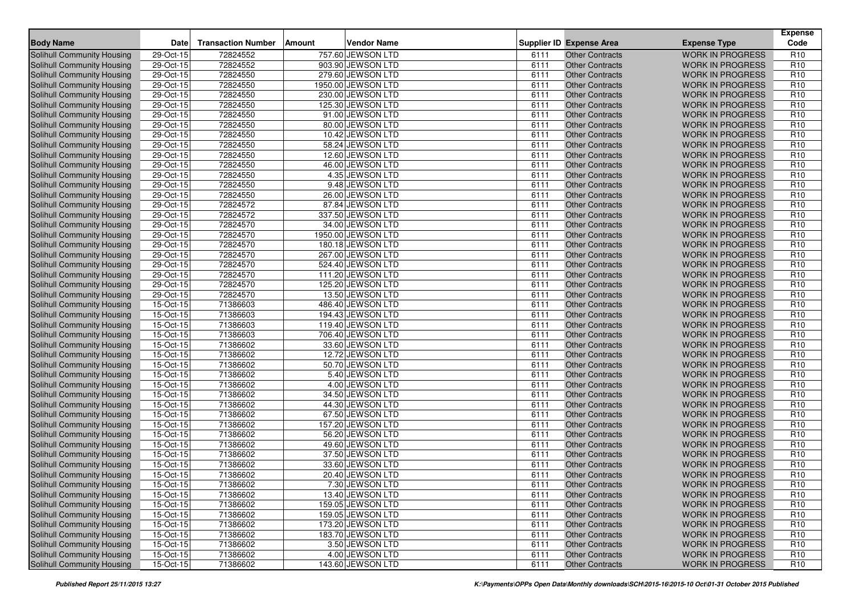| <b>Body Name</b>                  | Date        | <b>Transaction Number</b> | <b>Amount</b> | <b>Vendor Name</b> |      | <b>Supplier ID Expense Area</b> | <b>Expense Type</b>     | <b>Expense</b><br>Code |
|-----------------------------------|-------------|---------------------------|---------------|--------------------|------|---------------------------------|-------------------------|------------------------|
| Solihull Community Housing        | 29-Oct-15   | 72824552                  |               | 757.60 JEWSON LTD  | 6111 | <b>Other Contracts</b>          | <b>WORK IN PROGRESS</b> | R <sub>10</sub>        |
| Solihull Community Housing        | 29-Oct-15   | 72824552                  |               | 903.90 JEWSON LTD  | 6111 | <b>Other Contracts</b>          | <b>WORK IN PROGRESS</b> | R <sub>10</sub>        |
| Solihull Community Housing        | 29-Oct-15   | 72824550                  |               | 279.60 JEWSON LTD  | 6111 | <b>Other Contracts</b>          | <b>WORK IN PROGRESS</b> | R <sub>10</sub>        |
| Solihull Community Housing        | 29-Oct-15   | 72824550                  |               | 1950.00 JEWSON LTD | 6111 | <b>Other Contracts</b>          | <b>WORK IN PROGRESS</b> | R <sub>10</sub>        |
| Solihull Community Housing        | 29-Oct-15   | 72824550                  |               | 230.00 JEWSON LTD  | 6111 | <b>Other Contracts</b>          | <b>WORK IN PROGRESS</b> | R <sub>10</sub>        |
| Solihull Community Housing        | 29-Oct-15   | 72824550                  |               | 125.30 JEWSON LTD  | 6111 | <b>Other Contracts</b>          | <b>WORK IN PROGRESS</b> | R <sub>10</sub>        |
| Solihull Community Housing        | 29-Oct-15   | 72824550                  |               | 91.00 JEWSON LTD   | 6111 | <b>Other Contracts</b>          | <b>WORK IN PROGRESS</b> | R <sub>10</sub>        |
| Solihull Community Housing        | 29-Oct-15   | 72824550                  |               | 80.00 JEWSON LTD   | 6111 | <b>Other Contracts</b>          | <b>WORK IN PROGRESS</b> | R <sub>10</sub>        |
| <b>Solihull Community Housing</b> | 29-Oct-15   | 72824550                  |               | 10.42 JEWSON LTD   | 6111 | <b>Other Contracts</b>          | <b>WORK IN PROGRESS</b> | R <sub>10</sub>        |
| Solihull Community Housing        | 29-Oct-15   | 72824550                  |               | 58.24 JEWSON LTD   | 6111 | <b>Other Contracts</b>          | <b>WORK IN PROGRESS</b> | R <sub>10</sub>        |
| Solihull Community Housing        | 29-Oct-15   | 72824550                  |               | 12.60 JEWSON LTD   | 6111 | Other Contracts                 | <b>WORK IN PROGRESS</b> | R <sub>10</sub>        |
| <b>Solihull Community Housing</b> | 29-Oct-15   | 72824550                  |               | 46.00 JEWSON LTD   | 6111 | <b>Other Contracts</b>          | <b>WORK IN PROGRESS</b> | R <sub>10</sub>        |
| Solihull Community Housing        | 29-Oct-15   | 72824550                  |               | 4.35 JEWSON LTD    | 6111 | <b>Other Contracts</b>          | <b>WORK IN PROGRESS</b> | R <sub>10</sub>        |
| Solihull Community Housing        | 29-Oct-15   | 72824550                  |               | 9.48 JEWSON LTD    | 6111 | <b>Other Contracts</b>          | <b>WORK IN PROGRESS</b> | R <sub>10</sub>        |
| <b>Solihull Community Housing</b> | $29-Oct-15$ | 72824550                  |               | 26.00 JEWSON LTD   | 6111 | <b>Other Contracts</b>          | <b>WORK IN PROGRESS</b> | R <sub>10</sub>        |
| Solihull Community Housing        | 29-Oct-15   | 72824572                  |               | 87.84 JEWSON LTD   | 6111 | <b>Other Contracts</b>          | <b>WORK IN PROGRESS</b> | R <sub>10</sub>        |
| Solihull Community Housing        | 29-Oct-15   | 72824572                  |               | 337.50 JEWSON LTD  | 6111 | <b>Other Contracts</b>          | <b>WORK IN PROGRESS</b> | R <sub>10</sub>        |
| Solihull Community Housing        | 29-Oct-15   | 72824570                  |               | 34.00 JEWSON LTD   | 6111 | <b>Other Contracts</b>          | <b>WORK IN PROGRESS</b> | R <sub>10</sub>        |
| Solihull Community Housing        | 29-Oct-15   | 72824570                  |               | 1950.00 JEWSON LTD | 6111 | <b>Other Contracts</b>          | <b>WORK IN PROGRESS</b> | R <sub>10</sub>        |
| Solihull Community Housing        | 29-Oct-15   | 72824570                  |               | 180.18 JEWSON LTD  | 6111 | <b>Other Contracts</b>          | <b>WORK IN PROGRESS</b> | R <sub>10</sub>        |
| Solihull Community Housing        | 29-Oct-15   | 72824570                  |               | 267.00 JEWSON LTD  | 6111 | <b>Other Contracts</b>          | <b>WORK IN PROGRESS</b> | R <sub>10</sub>        |
| Solihull Community Housing        | 29-Oct-15   | 72824570                  |               | 524.40 JEWSON LTD  | 6111 | <b>Other Contracts</b>          | <b>WORK IN PROGRESS</b> | R <sub>10</sub>        |
| Solihull Community Housing        | 29-Oct-15   | 72824570                  |               | 111.20 JEWSON LTD  | 6111 | <b>Other Contracts</b>          | <b>WORK IN PROGRESS</b> | R <sub>10</sub>        |
| Solihull Community Housing        | 29-Oct-15   | 72824570                  |               | 125.20 JEWSON LTD  | 6111 | <b>Other Contracts</b>          | <b>WORK IN PROGRESS</b> | R <sub>10</sub>        |
| Solihull Community Housing        | 29-Oct-15   | 72824570                  |               | 13.50 JEWSON LTD   | 6111 | <b>Other Contracts</b>          | <b>WORK IN PROGRESS</b> | R <sub>10</sub>        |
| Solihull Community Housing        | 15-Oct-15   | 71386603                  |               | 486.40 JEWSON LTD  | 6111 | <b>Other Contracts</b>          | <b>WORK IN PROGRESS</b> | R <sub>10</sub>        |
| Solihull Community Housing        | 15-Oct-15   | 71386603                  |               | 194.43 JEWSON LTD  | 6111 | <b>Other Contracts</b>          | <b>WORK IN PROGRESS</b> | R <sub>10</sub>        |
| Solihull Community Housing        | 15-Oct-15   | 71386603                  |               | 119.40 JEWSON LTD  | 6111 | <b>Other Contracts</b>          | <b>WORK IN PROGRESS</b> | R <sub>10</sub>        |
| Solihull Community Housing        | 15-Oct-15   | 71386603                  |               | 706.40 JEWSON LTD  | 6111 | <b>Other Contracts</b>          | <b>WORK IN PROGRESS</b> | R <sub>10</sub>        |
| Solihull Community Housing        | 15-Oct-15   | 71386602                  |               | 33.60 JEWSON LTD   | 6111 | <b>Other Contracts</b>          | <b>WORK IN PROGRESS</b> | R <sub>10</sub>        |
| Solihull Community Housing        | 15-Oct-15   | 71386602                  |               | 12.72 JEWSON LTD   | 6111 | <b>Other Contracts</b>          | <b>WORK IN PROGRESS</b> | R <sub>10</sub>        |
| Solihull Community Housing        | 15-Oct-15   | 71386602                  |               | 50.70 JEWSON LTD   | 6111 | <b>Other Contracts</b>          | <b>WORK IN PROGRESS</b> | R <sub>10</sub>        |
| Solihull Community Housing        | 15-Oct-15   | 71386602                  |               | 5.40 JEWSON LTD    | 6111 | <b>Other Contracts</b>          | <b>WORK IN PROGRESS</b> | R <sub>10</sub>        |
| Solihull Community Housing        | 15-Oct-15   | 71386602                  |               | 4.00 JEWSON LTD    | 6111 | <b>Other Contracts</b>          | <b>WORK IN PROGRESS</b> | R <sub>10</sub>        |
| Solihull Community Housing        | 15-Oct-15   | 71386602                  |               | 34.50 JEWSON LTD   | 6111 | <b>Other Contracts</b>          | <b>WORK IN PROGRESS</b> | R <sub>10</sub>        |
| Solihull Community Housing        | 15-Oct-15   | 71386602                  |               | 44.30 JEWSON LTD   | 6111 | <b>Other Contracts</b>          | <b>WORK IN PROGRESS</b> | R <sub>10</sub>        |
| <b>Solihull Community Housing</b> | 15-Oct-15   | 71386602                  |               | 67.50 JEWSON LTD   | 6111 | <b>Other Contracts</b>          | <b>WORK IN PROGRESS</b> | R <sub>10</sub>        |
| Solihull Community Housing        | 15-Oct-15   | 71386602                  |               | 157.20 JEWSON LTD  | 6111 | <b>Other Contracts</b>          | <b>WORK IN PROGRESS</b> | R <sub>10</sub>        |
| <b>Solihull Community Housing</b> | 15-Oct-15   | 71386602                  |               | 56.20 JEWSON LTD   | 6111 | <b>Other Contracts</b>          | <b>WORK IN PROGRESS</b> | R <sub>10</sub>        |
| <b>Solihull Community Housing</b> | 15-Oct-15   | 71386602                  |               | 49.60 JEWSON LTD   | 6111 | <b>Other Contracts</b>          | <b>WORK IN PROGRESS</b> | R <sub>10</sub>        |
| Solihull Community Housing        | 15-Oct-15   | 71386602                  |               | 37.50 JEWSON LTD   | 6111 | <b>Other Contracts</b>          | <b>WORK IN PROGRESS</b> | R <sub>10</sub>        |
| Solihull Community Housing        | 15-Oct-15   | 71386602                  |               | 33.60 JEWSON LTD   | 6111 | <b>Other Contracts</b>          | <b>WORK IN PROGRESS</b> | R <sub>10</sub>        |
| Solihull Community Housing        | $15-Or-15$  | 71386602                  |               | 20.40 JEWSON LTD   | 6111 | <b>Other Contracts</b>          | <b>WORK IN PROGRESS</b> | R <sub>10</sub>        |
| Solihull Community Housing        | 15-Oct-15   | 71386602                  |               | 7.30 JEWSON LTD    | 6111 | Other Contracts                 | WORK IN PROGRESS        | R <sub>10</sub>        |
| Solihull Community Housing        | 15-Oct-15   | 71386602                  |               | 13.40 JEWSON LTD   | 6111 | <b>Other Contracts</b>          | <b>WORK IN PROGRESS</b> | R <sub>10</sub>        |
| <b>Solihull Community Housing</b> | 15-Oct-15   | 71386602                  |               | 159.05 JEWSON LTD  | 6111 | <b>Other Contracts</b>          | <b>WORK IN PROGRESS</b> | R <sub>10</sub>        |
| <b>Solihull Community Housing</b> | 15-Oct-15   | 71386602                  |               | 159.05 JEWSON LTD  | 6111 | <b>Other Contracts</b>          | <b>WORK IN PROGRESS</b> | R <sub>10</sub>        |
| <b>Solihull Community Housing</b> | $15-Oct-15$ | 71386602                  |               | 173.20 JEWSON LTD  | 6111 | <b>Other Contracts</b>          | <b>WORK IN PROGRESS</b> | R <sub>10</sub>        |
| <b>Solihull Community Housing</b> | 15-Oct-15   | 71386602                  |               | 183.70 JEWSON LTD  | 6111 | <b>Other Contracts</b>          | <b>WORK IN PROGRESS</b> | R <sub>10</sub>        |
| Solihull Community Housing        | 15-Oct-15   | 71386602                  |               | 3.50 JEWSON LTD    | 6111 | <b>Other Contracts</b>          | <b>WORK IN PROGRESS</b> | R <sub>10</sub>        |
| <b>Solihull Community Housing</b> | $15-Oct-15$ | 71386602                  |               | 4.00 JEWSON LTD    | 6111 | <b>Other Contracts</b>          | <b>WORK IN PROGRESS</b> | R <sub>10</sub>        |
| Solihull Community Housing        | 15-Oct-15   | 71386602                  |               | 143.60 JEWSON LTD  | 6111 | <b>Other Contracts</b>          | <b>WORK IN PROGRESS</b> | R <sub>10</sub>        |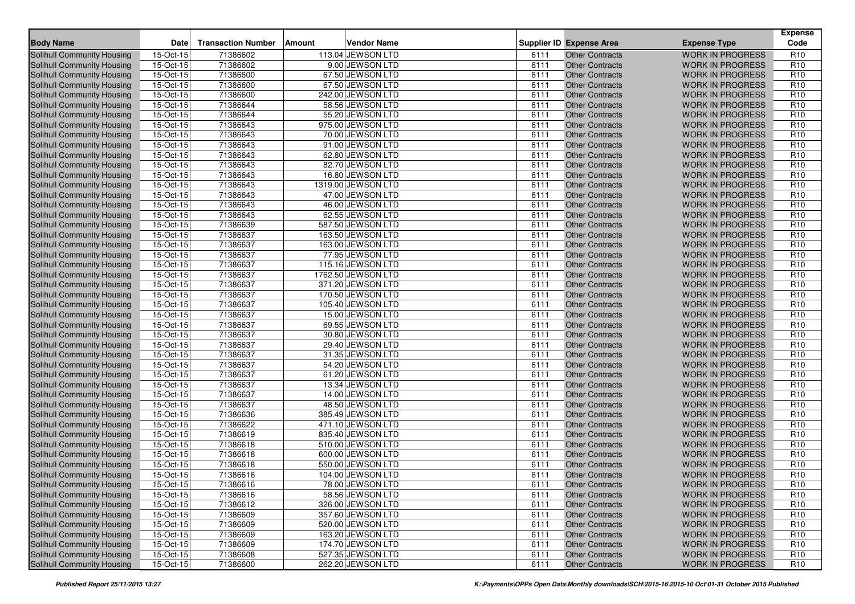| <b>Body Name</b>                  | <b>Date</b> | <b>Transaction Number</b> | Amount | <b>Vendor Name</b> |      | <b>Supplier ID Expense Area</b> | <b>Expense Type</b>     | <b>Expense</b><br>Code |
|-----------------------------------|-------------|---------------------------|--------|--------------------|------|---------------------------------|-------------------------|------------------------|
| Solihull Community Housing        | 15-Oct-15   | 71386602                  |        | 113.04 JEWSON LTD  | 6111 | <b>Other Contracts</b>          | <b>WORK IN PROGRESS</b> | R <sub>10</sub>        |
| <b>Solihull Community Housing</b> | 15-Oct-15   | 71386602                  |        | 9.00 JEWSON LTD    | 6111 | <b>Other Contracts</b>          | <b>WORK IN PROGRESS</b> | R <sub>10</sub>        |
| <b>Solihull Community Housing</b> | 15-Oct-15   | 71386600                  |        | 67.50 JEWSON LTD   | 6111 | <b>Other Contracts</b>          | <b>WORK IN PROGRESS</b> | R <sub>10</sub>        |
| Solihull Community Housing        | 15-Oct-15   | 71386600                  |        | 67.50 JEWSON LTD   | 6111 | <b>Other Contracts</b>          | <b>WORK IN PROGRESS</b> | R <sub>10</sub>        |
| Solihull Community Housing        | 15-Oct-15   | 71386600                  |        | 242.00 JEWSON LTD  | 6111 | <b>Other Contracts</b>          | <b>WORK IN PROGRESS</b> | R <sub>10</sub>        |
| Solihull Community Housing        | 15-Oct-15   | 71386644                  |        | 58.56 JEWSON LTD   | 6111 | <b>Other Contracts</b>          | <b>WORK IN PROGRESS</b> | R <sub>10</sub>        |
| Solihull Community Housing        | 15-Oct-15   | 71386644                  |        | 55.20 JEWSON LTD   | 6111 | <b>Other Contracts</b>          | <b>WORK IN PROGRESS</b> | R <sub>10</sub>        |
| <b>Solihull Community Housing</b> | 15-Oct-15   | 71386643                  |        | 975.00 JEWSON LTD  | 6111 | <b>Other Contracts</b>          | <b>WORK IN PROGRESS</b> | R <sub>10</sub>        |
| Solihull Community Housing        | 15-Oct-15   | 71386643                  |        | 70.00 JEWSON LTD   | 6111 | <b>Other Contracts</b>          | <b>WORK IN PROGRESS</b> | R <sub>10</sub>        |
| Solihull Community Housing        | 15-Oct-15   | 71386643                  |        | 91.00 JEWSON LTD   | 6111 | <b>Other Contracts</b>          | <b>WORK IN PROGRESS</b> | R <sub>10</sub>        |
| <b>Solihull Community Housing</b> | 15-Oct-15   | 71386643                  |        | 62.80 JEWSON LTD   | 6111 | <b>Other Contracts</b>          | <b>WORK IN PROGRESS</b> | R <sub>10</sub>        |
| Solihull Community Housing        | 15-Oct-15   | 71386643                  |        | 82.70 JEWSON LTD   | 6111 | <b>Other Contracts</b>          | <b>WORK IN PROGRESS</b> | R <sub>10</sub>        |
| <b>Solihull Community Housing</b> | 15-Oct-15   | 71386643                  |        | 16.80 JEWSON LTD   | 6111 | <b>Other Contracts</b>          | <b>WORK IN PROGRESS</b> | R <sub>10</sub>        |
| <b>Solihull Community Housing</b> | 15-Oct-15   | 71386643                  |        | 1319.00 JEWSON LTD | 6111 | <b>Other Contracts</b>          | <b>WORK IN PROGRESS</b> | R <sub>10</sub>        |
| Solihull Community Housing        | 15-Oct-15   | 71386643                  |        | 47.00 JEWSON LTD   | 6111 | <b>Other Contracts</b>          | <b>WORK IN PROGRESS</b> | R <sub>10</sub>        |
| <b>Solihull Community Housing</b> | 15-Oct-15   | 71386643                  |        | 46.00 JEWSON LTD   | 6111 | <b>Other Contracts</b>          | <b>WORK IN PROGRESS</b> | R <sub>10</sub>        |
| Solihull Community Housing        | 15-Oct-15   | 71386643                  |        | 62.55 JEWSON LTD   | 6111 | <b>Other Contracts</b>          | <b>WORK IN PROGRESS</b> | R <sub>10</sub>        |
| Solihull Community Housing        | 15-Oct-15   | 71386639                  |        | 587.50 JEWSON LTD  | 6111 | <b>Other Contracts</b>          | <b>WORK IN PROGRESS</b> | R <sub>10</sub>        |
| Solihull Community Housing        | 15-Oct-15   | 71386637                  |        | 163.50 JEWSON LTD  | 6111 | <b>Other Contracts</b>          | <b>WORK IN PROGRESS</b> | R <sub>10</sub>        |
| Solihull Community Housing        | 15-Oct-15   | 71386637                  |        | 163.00 JEWSON LTD  | 6111 | <b>Other Contracts</b>          | <b>WORK IN PROGRESS</b> | R <sub>10</sub>        |
| Solihull Community Housing        | 15-Oct-15   | 71386637                  |        | 77.95 JEWSON LTD   | 6111 | <b>Other Contracts</b>          | <b>WORK IN PROGRESS</b> | R <sub>10</sub>        |
| Solihull Community Housing        | 15-Oct-15   | 71386637                  |        | 115.16 JEWSON LTD  | 6111 | <b>Other Contracts</b>          | <b>WORK IN PROGRESS</b> | R <sub>10</sub>        |
| Solihull Community Housing        | $15-Oct-15$ | 71386637                  |        | 1762.50 JEWSON LTD | 6111 | <b>Other Contracts</b>          | <b>WORK IN PROGRESS</b> | R <sub>10</sub>        |
| <b>Solihull Community Housing</b> | 15-Oct-15   | 71386637                  |        | 371.20 JEWSON LTD  | 6111 | <b>Other Contracts</b>          | <b>WORK IN PROGRESS</b> | R <sub>10</sub>        |
| <b>Solihull Community Housing</b> | 15-Oct-15   | 71386637                  |        | 170.50 JEWSON LTD  | 6111 | <b>Other Contracts</b>          | <b>WORK IN PROGRESS</b> | R <sub>10</sub>        |
| Solihull Community Housing        | 15-Oct-15   | 71386637                  |        | 105.40 JEWSON LTD  | 6111 | <b>Other Contracts</b>          | <b>WORK IN PROGRESS</b> | R <sub>10</sub>        |
| <b>Solihull Community Housing</b> | 15-Oct-15   | 71386637                  |        | 15.00 JEWSON LTD   | 6111 | <b>Other Contracts</b>          | <b>WORK IN PROGRESS</b> | R <sub>10</sub>        |
| Solihull Community Housing        | 15-Oct-15   | 71386637                  |        | 69.55 JEWSON LTD   | 6111 | <b>Other Contracts</b>          | <b>WORK IN PROGRESS</b> | R <sub>10</sub>        |
| Solihull Community Housing        | 15-Oct-15   | 71386637                  |        | 30.80 JEWSON LTD   | 6111 | <b>Other Contracts</b>          | <b>WORK IN PROGRESS</b> | R <sub>10</sub>        |
| Solihull Community Housing        | 15-Oct-15   | 71386637                  |        | 29.40 JEWSON LTD   | 6111 | <b>Other Contracts</b>          | <b>WORK IN PROGRESS</b> | R <sub>10</sub>        |
| Solihull Community Housing        | 15-Oct-15   | 71386637                  |        | 31.35 JEWSON LTD   | 6111 | <b>Other Contracts</b>          | <b>WORK IN PROGRESS</b> | R <sub>10</sub>        |
| Solihull Community Housing        | $15-Or-15$  | 71386637                  |        | 54.20 JEWSON LTD   | 6111 | <b>Other Contracts</b>          | <b>WORK IN PROGRESS</b> | R <sub>10</sub>        |
| Solihull Community Housing        | 15-Oct-15   | 71386637                  |        | 61.20 JEWSON LTD   | 6111 | <b>Other Contracts</b>          | <b>WORK IN PROGRESS</b> | R <sub>10</sub>        |
| Solihull Community Housing        | 15-Oct-15   | 71386637                  |        | 13.34 JEWSON LTD   | 6111 | <b>Other Contracts</b>          | <b>WORK IN PROGRESS</b> | R <sub>10</sub>        |
| <b>Solihull Community Housing</b> | 15-Oct-15   | 71386637                  |        | 14.00 JEWSON LTD   | 6111 | <b>Other Contracts</b>          | <b>WORK IN PROGRESS</b> | R <sub>10</sub>        |
| <b>Solihull Community Housing</b> | 15-Oct-15   | 71386637                  |        | 48.50 JEWSON LTD   | 6111 | <b>Other Contracts</b>          | <b>WORK IN PROGRESS</b> | R <sub>10</sub>        |
| Solihull Community Housing        | 15-Oct-15   | 71386636                  |        | 385.49 JEWSON LTD  | 6111 | <b>Other Contracts</b>          | <b>WORK IN PROGRESS</b> | R <sub>10</sub>        |
| <b>Solihull Community Housing</b> | 15-Oct-15   | 71386622                  |        | 471.10 JEWSON LTD  | 6111 | <b>Other Contracts</b>          | <b>WORK IN PROGRESS</b> | R <sub>10</sub>        |
| <b>Solihull Community Housing</b> | 15-Oct-15   | 71386619                  |        | 835.40 JEWSON LTD  | 6111 | <b>Other Contracts</b>          | <b>WORK IN PROGRESS</b> | R <sub>10</sub>        |
| Solihull Community Housing        | 15-Oct-15   | 71386618                  |        | 510.00 JEWSON LTD  | 6111 | <b>Other Contracts</b>          | <b>WORK IN PROGRESS</b> | R <sub>10</sub>        |
| <b>Solihull Community Housing</b> | 15-Oct-15   | 71386618                  |        | 600.00 JEWSON LTD  | 6111 | <b>Other Contracts</b>          | <b>WORK IN PROGRESS</b> | R <sub>10</sub>        |
| Solihull Community Housing        | 15-Oct-15   | 71386618                  |        | 550.00 JEWSON LTD  | 6111 | <b>Other Contracts</b>          | <b>WORK IN PROGRESS</b> | R <sub>10</sub>        |
| Solihull Community Housing        | 15-Oct-15   | 71386616                  |        | 104.00 JEWSON LTD  | 6111 | <b>Other Contracts</b>          | <b>WORK IN PROGRESS</b> | R <sub>10</sub>        |
| Solihull Community Housing        | 15-Oct-15   | 71386616                  |        | 78.00 JEWSON LTD   | 6111 | Other Contracts                 | WORK IN PROGRESS        | R <sub>10</sub>        |
| Solihull Community Housing        | 15-Oct-15   | 71386616                  |        | 58.56 JEWSON LTD   | 6111 | <b>Other Contracts</b>          | <b>WORK IN PROGRESS</b> | R <sub>10</sub>        |
| Solihull Community Housing        | 15-Oct-15   | 71386612                  |        | 326.00 JEWSON LTD  | 6111 | <b>Other Contracts</b>          | <b>WORK IN PROGRESS</b> | R <sub>10</sub>        |
| Solihull Community Housing        | 15-Oct-15   | 71386609                  |        | 357.60 JEWSON LTD  | 6111 | <b>Other Contracts</b>          | <b>WORK IN PROGRESS</b> | R <sub>10</sub>        |
| Solihull Community Housing        | $15-Oct-15$ | 71386609                  |        | 520.00 JEWSON LTD  | 6111 | <b>Other Contracts</b>          | <b>WORK IN PROGRESS</b> | R <sub>10</sub>        |
| Solihull Community Housing        | 15-Oct-15   | 71386609                  |        | 163.20 JEWSON LTD  | 6111 | <b>Other Contracts</b>          | <b>WORK IN PROGRESS</b> | R <sub>10</sub>        |
| Solihull Community Housing        | 15-Oct-15   | 71386609                  |        | 174.70 JEWSON LTD  | 6111 | <b>Other Contracts</b>          | <b>WORK IN PROGRESS</b> | R <sub>10</sub>        |
| Solihull Community Housing        | 15-Oct-15   | 71386608                  |        | 527.35 JEWSON LTD  | 6111 | <b>Other Contracts</b>          | <b>WORK IN PROGRESS</b> | R <sub>10</sub>        |
| Solihull Community Housing        | 15-Oct-15   | 71386600                  |        | 262.20 JEWSON LTD  | 6111 | <b>Other Contracts</b>          | WORK IN PROGRESS        | R <sub>10</sub>        |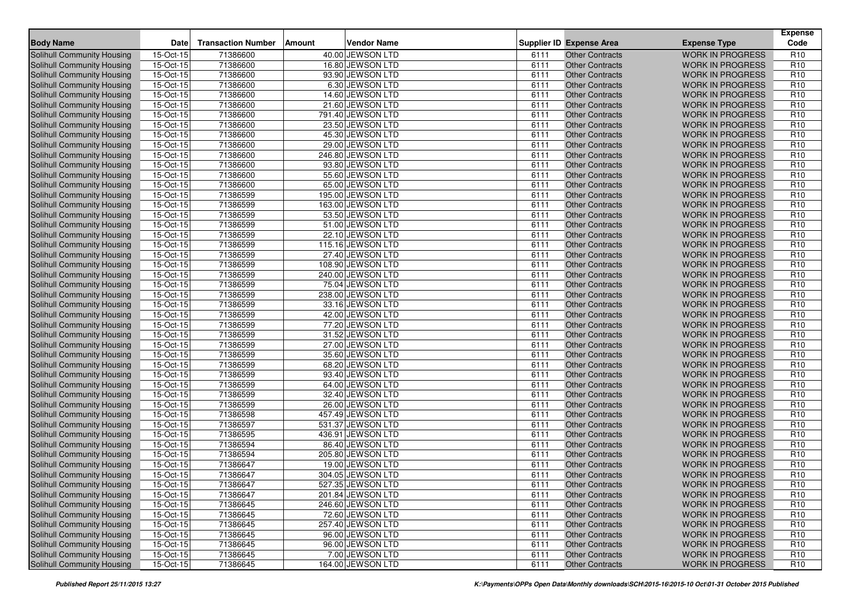|                                                          | Date                   | <b>Transaction Number</b> | Amount | <b>Vendor Name</b>                   |              |                                                  |                                                    | <b>Expense</b><br>Code             |
|----------------------------------------------------------|------------------------|---------------------------|--------|--------------------------------------|--------------|--------------------------------------------------|----------------------------------------------------|------------------------------------|
| <b>Body Name</b>                                         |                        |                           |        |                                      |              | <b>Supplier ID Expense Area</b>                  | <b>Expense Type</b>                                |                                    |
| Solihull Community Housing                               | 15-Oct-15              | 71386600                  |        | 40.00 JEWSON LTD                     | 6111         | <b>Other Contracts</b>                           | <b>WORK IN PROGRESS</b>                            | R <sub>10</sub>                    |
| <b>Solihull Community Housing</b>                        | 15-Oct-15              | 71386600                  |        | 16.80 JEWSON LTD                     | 6111         | <b>Other Contracts</b>                           | <b>WORK IN PROGRESS</b>                            | R <sub>10</sub>                    |
| <b>Solihull Community Housing</b>                        | 15-Oct-15              | 71386600                  |        | 93.90 JEWSON LTD                     | 6111         | <b>Other Contracts</b>                           | <b>WORK IN PROGRESS</b>                            | R <sub>10</sub>                    |
| Solihull Community Housing                               | 15-Oct-15              | 71386600                  |        | 6.30 JEWSON LTD                      | 6111<br>6111 | <b>Other Contracts</b>                           | <b>WORK IN PROGRESS</b><br><b>WORK IN PROGRESS</b> | R <sub>10</sub><br>R <sub>10</sub> |
| Solihull Community Housing                               | 15-Oct-15              | 71386600                  |        | 14.60 JEWSON LTD                     |              | <b>Other Contracts</b>                           |                                                    |                                    |
| <b>Solihull Community Housing</b>                        | 15-Oct-15              | 71386600                  |        | 21.60 JEWSON LTD                     | 6111         | <b>Other Contracts</b>                           | <b>WORK IN PROGRESS</b>                            | R <sub>10</sub>                    |
| Solihull Community Housing                               | 15-Oct-15              | 71386600                  |        | 791.40 JEWSON LTD                    | 6111         | <b>Other Contracts</b>                           | <b>WORK IN PROGRESS</b>                            | R <sub>10</sub>                    |
| Solihull Community Housing                               | 15-Oct-15              | 71386600                  |        | 23.50 JEWSON LTD                     | 6111         | <b>Other Contracts</b>                           | <b>WORK IN PROGRESS</b>                            | R <sub>10</sub>                    |
| Solihull Community Housing                               | 15-Oct-15              | 71386600                  |        | 45.30 JEWSON LTD                     | 6111         | <b>Other Contracts</b>                           | <b>WORK IN PROGRESS</b>                            | R <sub>10</sub>                    |
| Solihull Community Housing                               | $15-Or-15$             | 71386600                  |        | 29.00 JEWSON LTD                     | 6111         | <b>Other Contracts</b>                           | <b>WORK IN PROGRESS</b>                            | R <sub>10</sub>                    |
| Solihull Community Housing                               | 15-Oct-15              | 71386600                  |        | 246.80 JEWSON LTD                    | 6111         | <b>Other Contracts</b>                           | <b>WORK IN PROGRESS</b>                            | R <sub>10</sub>                    |
| Solihull Community Housing                               | $15-Oct-15$            | 71386600                  |        | 93.80 JEWSON LTD                     | 6111         | <b>Other Contracts</b>                           | <b>WORK IN PROGRESS</b>                            | R <sub>10</sub>                    |
| <b>Solihull Community Housing</b>                        | 15-Oct-15              | 71386600                  |        | 55.60 JEWSON LTD                     | 6111         | <b>Other Contracts</b>                           | <b>WORK IN PROGRESS</b>                            | R <sub>10</sub>                    |
| Solihull Community Housing                               | 15-Oct-15              | 71386600                  |        | 65.00 JEWSON LTD                     | 6111         | <b>Other Contracts</b>                           | <b>WORK IN PROGRESS</b>                            | R <sub>10</sub>                    |
| Solihull Community Housing                               | $15$ -Oct-15           | 71386599                  |        | 195.00 JEWSON LTD                    | 6111         | <b>Other Contracts</b>                           | <b>WORK IN PROGRESS</b>                            | R <sub>10</sub>                    |
| Solihull Community Housing                               | 15-Oct-15              | 71386599                  |        | 163.00 JEWSON LTD                    | 6111         | <b>Other Contracts</b>                           | <b>WORK IN PROGRESS</b>                            | R <sub>10</sub>                    |
| Solihull Community Housing                               | 15-Oct-15              | 71386599                  |        | 53.50 JEWSON LTD                     | 6111         | <b>Other Contracts</b>                           | <b>WORK IN PROGRESS</b>                            | R <sub>10</sub>                    |
| Solihull Community Housing                               | 15-Oct-15              | 71386599                  |        | 51.00 JEWSON LTD                     | 6111         | <b>Other Contracts</b>                           | <b>WORK IN PROGRESS</b>                            | R <sub>10</sub>                    |
| Solihull Community Housing                               | 15-Oct-15              | 71386599                  |        | 22.10 JEWSON LTD                     | 6111         | <b>Other Contracts</b>                           | <b>WORK IN PROGRESS</b>                            | R <sub>10</sub>                    |
| Solihull Community Housing                               | 15-Oct-15              | 71386599                  |        | 115.16 JEWSON LTD                    | 6111         | <b>Other Contracts</b>                           | <b>WORK IN PROGRESS</b>                            | R <sub>10</sub>                    |
| Solihull Community Housing                               | 15-Oct-15              | 71386599                  |        | 27.40 JEWSON LTD                     | 6111         | <b>Other Contracts</b>                           | <b>WORK IN PROGRESS</b>                            | R <sub>10</sub>                    |
| Solihull Community Housing                               | 15-Oct-15              | 71386599                  |        | 108.90 JEWSON LTD                    | 6111         | <b>Other Contracts</b>                           | <b>WORK IN PROGRESS</b>                            | R <sub>10</sub>                    |
| Solihull Community Housing                               | 15-Oct-15              | 71386599                  |        | 240.00 JEWSON LTD                    | 6111         | <b>Other Contracts</b>                           | <b>WORK IN PROGRESS</b>                            | R <sub>10</sub>                    |
| <b>Solihull Community Housing</b>                        | 15-Oct-15              | 71386599                  |        | 75.04 JEWSON LTD                     | 6111         | <b>Other Contracts</b>                           | <b>WORK IN PROGRESS</b>                            | R <sub>10</sub>                    |
| <b>Solihull Community Housing</b>                        | 15-Oct-15              | 71386599                  |        | 238.00 JEWSON LTD                    | 6111         | <b>Other Contracts</b>                           | <b>WORK IN PROGRESS</b>                            | R <sub>10</sub>                    |
| Solihull Community Housing                               | 15-Oct-15              | 71386599                  |        | 33.16 JEWSON LTD                     | 6111         | <b>Other Contracts</b>                           | <b>WORK IN PROGRESS</b>                            | R <sub>10</sub>                    |
| <b>Solihull Community Housing</b>                        | 15-Oct-15              | 71386599                  |        | 42.00 JEWSON LTD                     | 6111         | <b>Other Contracts</b>                           | <b>WORK IN PROGRESS</b>                            | R <sub>10</sub>                    |
| Solihull Community Housing                               | 15-Oct-15              | 71386599                  |        | 77.20 JEWSON LTD                     | 6111         | <b>Other Contracts</b>                           | <b>WORK IN PROGRESS</b>                            | R <sub>10</sub>                    |
| Solihull Community Housing                               | 15-Oct-15              | 71386599<br>71386599      |        | 31.52 JEWSON LTD                     | 6111<br>6111 | <b>Other Contracts</b>                           | <b>WORK IN PROGRESS</b>                            | R <sub>10</sub><br>R <sub>10</sub> |
| <b>Solihull Community Housing</b>                        | 15-Oct-15              |                           |        | 27.00 JEWSON LTD                     |              | <b>Other Contracts</b>                           | <b>WORK IN PROGRESS</b>                            |                                    |
| <b>Solihull Community Housing</b>                        | 15-Oct-15              | 71386599                  |        | 35.60 JEWSON LTD                     | 6111         | <b>Other Contracts</b>                           | <b>WORK IN PROGRESS</b>                            | R <sub>10</sub><br>R <sub>10</sub> |
| Solihull Community Housing                               | 15-Oct-15<br>15-Oct-15 | 71386599<br>71386599      |        | 68.20 JEWSON LTD<br>93.40 JEWSON LTD | 6111<br>6111 | <b>Other Contracts</b><br><b>Other Contracts</b> | <b>WORK IN PROGRESS</b><br><b>WORK IN PROGRESS</b> | R <sub>10</sub>                    |
| Solihull Community Housing                               | 15-Oct-15              | 71386599                  |        | 64.00 JEWSON LTD                     | 6111         | <b>Other Contracts</b>                           | <b>WORK IN PROGRESS</b>                            | R <sub>10</sub>                    |
| Solihull Community Housing<br>Solihull Community Housing | 15-Oct-15              | 71386599                  |        | 32.40 JEWSON LTD                     | 6111         | <b>Other Contracts</b>                           | <b>WORK IN PROGRESS</b>                            | R <sub>10</sub>                    |
| Solihull Community Housing                               | 15-Oct-15              | 71386599                  |        | 26.00 JEWSON LTD                     | 6111         | <b>Other Contracts</b>                           | <b>WORK IN PROGRESS</b>                            | R <sub>10</sub>                    |
| Solihull Community Housing                               | 15-Oct-15              | 71386598                  |        | 457.49 JEWSON LTD                    | 6111         | <b>Other Contracts</b>                           | <b>WORK IN PROGRESS</b>                            | R <sub>10</sub>                    |
| Solihull Community Housing                               | 15-Oct-15              | 71386597                  |        | 531.37 JEWSON LTD                    | 6111         | <b>Other Contracts</b>                           | <b>WORK IN PROGRESS</b>                            | R <sub>10</sub>                    |
| <b>Solihull Community Housing</b>                        | 15-Oct-15              | 71386595                  |        | 436.91 JEWSON LTD                    | 6111         | <b>Other Contracts</b>                           | <b>WORK IN PROGRESS</b>                            | R <sub>10</sub>                    |
| Solihull Community Housing                               | 15-Oct-15              | 71386594                  |        | 86.40 JEWSON LTD                     | 6111         | <b>Other Contracts</b>                           | <b>WORK IN PROGRESS</b>                            | R <sub>10</sub>                    |
| Solihull Community Housing                               | 15-Oct-15              | 71386594                  |        | 205.80 JEWSON LTD                    | 6111         | <b>Other Contracts</b>                           | <b>WORK IN PROGRESS</b>                            | R <sub>10</sub>                    |
| Solihull Community Housing                               | 15-Oct-15              | 71386647                  |        | 19.00 JEWSON LTD                     | 6111         | <b>Other Contracts</b>                           | <b>WORK IN PROGRESS</b>                            | R <sub>10</sub>                    |
| Solihull Community Housing                               | 15-Oct-15              | 71386647                  |        | 304.05 JEWSON LTD                    | 6111         | <b>Other Contracts</b>                           | <b>WORK IN PROGRESS</b>                            | R <sub>10</sub>                    |
| Solihull Community Housing                               | 15-Oct-15              | 71386647                  |        | 527.35 JEWSON LTD                    | 6111         | <b>Other Contracts</b>                           | <b>WORK IN PROGRESS</b>                            | R <sub>10</sub>                    |
| Solihull Community Housing                               | 15-Oct-15              | 71386647                  |        | 201.84 JEWSON LTD                    | 6111         | <b>Other Contracts</b>                           | <b>WORK IN PROGRESS</b>                            | R <sub>10</sub>                    |
| Solihull Community Housing                               | 15-Oct-15              | 71386645                  |        | 246.60 JEWSON LTD                    | 6111         | <b>Other Contracts</b>                           | <b>WORK IN PROGRESS</b>                            | R <sub>10</sub>                    |
| Solihull Community Housing                               | 15-Oct-15              | 71386645                  |        | 72.60 JEWSON LTD                     | 6111         | <b>Other Contracts</b>                           | <b>WORK IN PROGRESS</b>                            | R <sub>10</sub>                    |
| Solihull Community Housing                               | 15-Oct-15              | 71386645                  |        | 257.40 JEWSON LTD                    | 6111         | <b>Other Contracts</b>                           | <b>WORK IN PROGRESS</b>                            | R <sub>10</sub>                    |
| Solihull Community Housing                               | 15-Oct-15              | 71386645                  |        | 96.00 JEWSON LTD                     | 6111         | <b>Other Contracts</b>                           | <b>WORK IN PROGRESS</b>                            | R <sub>10</sub>                    |
| Solihull Community Housing                               | $15$ -Oct-15           | 71386645                  |        | 96.00 JEWSON LTD                     | 6111         | <b>Other Contracts</b>                           | <b>WORK IN PROGRESS</b>                            | R <sub>10</sub>                    |
| Solihull Community Housing                               | $15-Oct-15$            | 71386645                  |        | 7.00 JEWSON LTD                      | 6111         | <b>Other Contracts</b>                           | <b>WORK IN PROGRESS</b>                            | R <sub>10</sub>                    |
| Solihull Community Housing                               | 15-Oct-15              | 71386645                  |        | 164.00 JEWSON LTD                    | 6111         | <b>Other Contracts</b>                           | WORK IN PROGRESS                                   | R <sub>10</sub>                    |
|                                                          |                        |                           |        |                                      |              |                                                  |                                                    |                                    |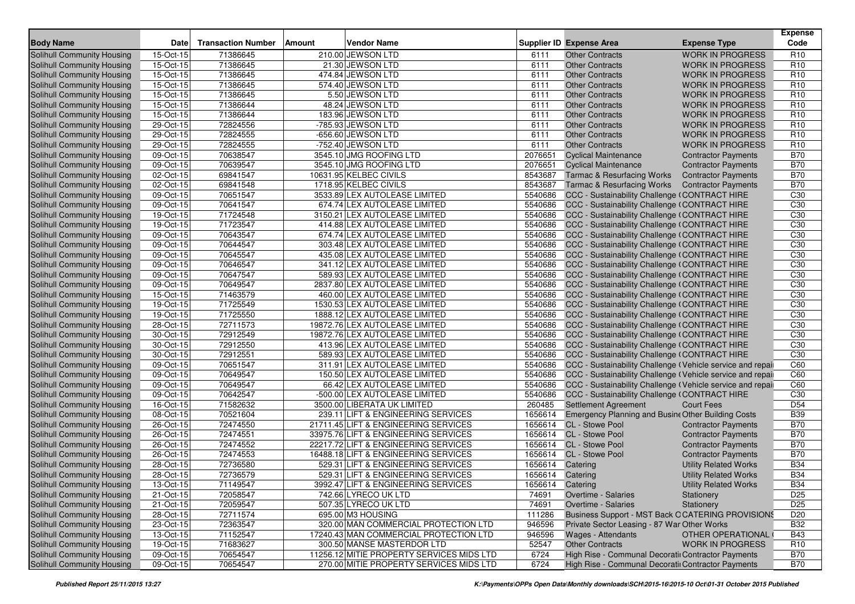| <b>Body Name</b>                  | Date      | <b>Transaction Number</b> | Amount | <b>Vendor Name</b>                        |                  | <b>Supplier ID Expense Area</b>                            | <b>Expense Type</b>          | <b>Expense</b><br>Code |
|-----------------------------------|-----------|---------------------------|--------|-------------------------------------------|------------------|------------------------------------------------------------|------------------------------|------------------------|
| <b>Solihull Community Housing</b> | 15-Oct-15 | 71386645                  |        | 210.00 JEWSON LTD                         | 6111             | <b>Other Contracts</b>                                     | <b>WORK IN PROGRESS</b>      | R <sub>10</sub>        |
| Solihull Community Housing        | 15-Oct-15 | 71386645                  |        | 21.30 JEWSON LTD                          | 6111             | <b>Other Contracts</b>                                     | <b>WORK IN PROGRESS</b>      | R <sub>10</sub>        |
| Solihull Community Housing        | 15-Oct-15 | 71386645                  |        | 474.84 JEWSON LTD                         | 6111             | <b>Other Contracts</b>                                     | <b>WORK IN PROGRESS</b>      | R <sub>10</sub>        |
| Solihull Community Housing        | 15-Oct-15 | 71386645                  |        | 574.40 JEWSON LTD                         | 6111             | <b>Other Contracts</b>                                     | <b>WORK IN PROGRESS</b>      | R <sub>10</sub>        |
| <b>Solihull Community Housing</b> | 15-Oct-15 | 71386645                  |        | 5.50 JEWSON LTD                           | 6111             | <b>Other Contracts</b>                                     | <b>WORK IN PROGRESS</b>      | R <sub>10</sub>        |
| Solihull Community Housing        | 15-Oct-15 | 71386644                  |        | 48.24 JEWSON LTD                          | 6111             | <b>Other Contracts</b>                                     | <b>WORK IN PROGRESS</b>      | R <sub>10</sub>        |
| Solihull Community Housing        | 15-Oct-15 | 71386644                  |        | 183.96 JEWSON LTD                         | 6111             | <b>Other Contracts</b>                                     | <b>WORK IN PROGRESS</b>      | R <sub>10</sub>        |
| Solihull Community Housing        | 29-Oct-15 | 72824556                  |        | -785.93 JEWSON LTD                        | 6111             | <b>Other Contracts</b>                                     | <b>WORK IN PROGRESS</b>      | R <sub>10</sub>        |
| Solihull Community Housing        | 29-Oct-15 | 72824555                  |        | -656.60 JEWSON LTD                        | 6111             | <b>Other Contracts</b>                                     | <b>WORK IN PROGRESS</b>      | R <sub>10</sub>        |
| Solihull Community Housing        | 29-Oct-15 | 72824555                  |        | -752.40 JEWSON LTD                        | 6111             | <b>Other Contracts</b>                                     | <b>WORK IN PROGRESS</b>      | R <sub>10</sub>        |
| Solihull Community Housing        | 09-Oct-15 | 70638547                  |        | 3545.10 JMG ROOFING LTD                   | 2076651          | <b>Cyclical Maintenance</b>                                | <b>Contractor Payments</b>   | <b>B70</b>             |
| <b>Solihull Community Housing</b> | 09-Oct-15 | 70639547                  |        | 3545.10 JMG ROOFING LTD                   | 2076651          | <b>Cyclical Maintenance</b>                                | <b>Contractor Payments</b>   | <b>B70</b>             |
| Solihull Community Housing        | 02-Oct-15 | 69841547                  |        | 10631.95 KELBEC CIVILS                    | 8543687          | <b>Tarmac &amp; Resurfacing Works</b>                      | <b>Contractor Payments</b>   | <b>B70</b>             |
| Solihull Community Housing        | 02-Oct-15 | 69841548                  |        | 1718.95 KELBEC CIVILS                     | 8543687          | <b>Tarmac &amp; Resurfacing Works</b>                      | <b>Contractor Payments</b>   | <b>B70</b>             |
| <b>Solihull Community Housing</b> | 09-Oct-15 | 70651547                  |        | 3533.89 LEX AUTOLEASE LIMITED             | 5540686          | CCC - Sustainability Challenge (CONTRACT HIRE              |                              | C30                    |
| Solihull Community Housing        | 09-Oct-15 | 70641547                  |        | 674.74 LEX AUTOLEASE LIMITED              | 5540686          | CCC - Sustainability Challenge (CONTRACT HIRE              |                              | C <sub>30</sub>        |
| <b>Solihull Community Housing</b> | 19-Oct-15 | 71724548                  |        | 3150.21 LEX AUTOLEASE LIMITED             | 5540686          | CCC - Sustainability Challenge (CONTRACT HIRE              |                              | C30                    |
| <b>Solihull Community Housing</b> | 19-Oct-15 | 71723547                  |        | 414.88 LEX AUTOLEASE LIMITED              | 5540686          | CCC - Sustainability Challenge (CONTRACT HIRE              |                              | C30                    |
| Solihull Community Housing        | 09-Oct-15 | 70643547                  |        | 674.74 LEX AUTOLEASE LIMITED              | 5540686          | CCC - Sustainability Challenge (CONTRACT HIRE              |                              | C <sub>30</sub>        |
| Solihull Community Housing        | 09-Oct-15 | 70644547                  |        | 303.48 LEX AUTOLEASE LIMITED              | 5540686          | CCC - Sustainability Challenge (CONTRACT HIRE              |                              | C <sub>30</sub>        |
| <b>Solihull Community Housing</b> | 09-Oct-15 | 70645547                  |        | 435.08 LEX AUTOLEASE LIMITED              | 5540686          | CCC - Sustainability Challenge (CONTRACT HIRE              |                              | C <sub>30</sub>        |
| Solihull Community Housing        | 09-Oct-15 | 70646547                  |        | 341.12 LEX AUTOLEASE LIMITED              | 5540686          | CCC - Sustainability Challenge (CONTRACT HIRE              |                              | C30                    |
| Solihull Community Housing        | 09-Oct-15 | 70647547                  |        | 589.93 LEX AUTOLEASE LIMITED              | 5540686          | CCC - Sustainability Challenge (CONTRACT HIRE              |                              | C <sub>30</sub>        |
| Solihull Community Housing        | 09-Oct-15 | 70649547                  |        | 2837.80 LEX AUTOLEASE LIMITED             | 5540686          | CCC - Sustainability Challenge (CONTRACT HIRE              |                              | C <sub>30</sub>        |
| Solihull Community Housing        | 15-Oct-15 | 71463579                  |        | 460.00 LEX AUTOLEASE LIMITED              | 5540686          | CCC - Sustainability Challenge (CONTRACT HIRE              |                              | C <sub>30</sub>        |
| Solihull Community Housing        | 19-Oct-15 | 71725549                  |        | 1530.53 LEX AUTOLEASE LIMITED             | 5540686          | CCC - Sustainability Challenge (CONTRACT HIRE              |                              | C30                    |
| Solihull Community Housing        | 19-Oct-15 | 71725550                  |        | 1888.12 LEX AUTOLEASE LIMITED             | 5540686          | CCC - Sustainability Challenge (CONTRACT HIRE              |                              | C <sub>30</sub>        |
| Solihull Community Housing        | 28-Oct-15 | 72711573                  |        | 19872.76 LEX AUTOLEASE LIMITED            | 5540686          | CCC - Sustainability Challenge (CONTRACT HIRE              |                              | C <sub>30</sub>        |
| Solihull Community Housing        | 30-Oct-15 | 72912549                  |        | 19872.76 LEX AUTOLEASE LIMITED            | 5540686          | CCC - Sustainability Challenge (CONTRACT HIRE              |                              | C <sub>30</sub>        |
| Solihull Community Housing        | 30-Oct-15 | 72912550                  |        | 413.96 LEX AUTOLEASE LIMITED              | 5540686          | CCC - Sustainability Challenge (CONTRACT HIRE              |                              | C30                    |
| Solihull Community Housing        | 30-Oct-15 | 72912551                  |        | 589.93 LEX AUTOLEASE LIMITED              | 5540686          | CCC - Sustainability Challenge (CONTRACT HIRE              |                              | C <sub>30</sub>        |
| <b>Solihull Community Housing</b> | 09-Oct-15 | 70651547                  |        | 311.91 LEX AUTOLEASE LIMITED              | 5540686          | CCC - Sustainability Challenge (Vehicle service and repail |                              | C60                    |
| Solihull Community Housing        | 09-Oct-15 | 70649547                  |        | 150.50 LEX AUTOLEASE LIMITED              | 5540686          | CCC - Sustainability Challenge (Vehicle service and repail |                              | C60                    |
| Solihull Community Housing        | 09-Oct-15 | 70649547                  |        | 66.42 LEX AUTOLEASE LIMITED               | 5540686          | CCC - Sustainability Challenge (Vehicle service and repail |                              | C60                    |
| <b>Solihull Community Housing</b> | 09-Oct-15 | 70642547                  |        | -500.00 LEX AUTOLEASE LIMITED             | 5540686          | CCC - Sustainability Challenge (CONTRACT HIRE              |                              | C30                    |
| Solihull Community Housing        | 16-Oct-15 | 71582632                  |        | 3500.00 LIBERATA UK LIMITED               | 260485           | Settlement Agreement                                       | <b>Court Fees</b>            | D <sub>54</sub>        |
| <b>Solihull Community Housing</b> | 08-Oct-15 | 70521604                  |        | 239.11 LIFT & ENGINEERING SERVICES        | 1656614          | Emergency Planning and Busine Other Building Costs         |                              | <b>B39</b>             |
| Solihull Community Housing        | 26-Oct-15 | 72474550                  |        | 21711.45 LIFT & ENGINEERING SERVICES      | 1656614          | CL - Stowe Pool                                            | <b>Contractor Payments</b>   | <b>B70</b>             |
| Solihull Community Housing        | 26-Oct-15 | 72474551                  |        | 33975.76 LIFT & ENGINEERING SERVICES      | 1656614          | CL - Stowe Pool                                            | <b>Contractor Payments</b>   | <b>B70</b>             |
| <b>Solihull Community Housing</b> | 26-Oct-15 | 72474552                  |        | 22217.72 LIFT & ENGINEERING SERVICES      | 1656614          | CL - Stowe Pool                                            | <b>Contractor Payments</b>   | <b>B70</b>             |
| Solihull Community Housing        | 26-Oct-15 | 72474553                  |        | 16488.18 LIFT & ENGINEERING SERVICES      |                  | 1656614 CL - Stowe Pool                                    | <b>Contractor Payments</b>   | <b>B70</b>             |
| Solihull Community Housing        | 28-Oct-15 | 72736580                  |        | 529.31 LIFT & ENGINEERING SERVICES        | 1656614          | Catering                                                   | <b>Utility Related Works</b> | <b>B34</b>             |
| <b>Solihull Community Housing</b> | 28-Oct-15 | 72736579                  |        | 529.31 LIFT & ENGINEERING SERVICES        | 1656614 Catering |                                                            | <b>Utility Related Works</b> | <b>B34</b>             |
| Solihull Community Housing        | 13-Oct-15 | 71149547                  |        | 3992.47 LIFT & ENGINEERING SERVICES       | 1656614 Catering |                                                            | <b>Utility Related Works</b> | <b>B34</b>             |
| Solihull Community Housing        | 21-Oct-15 | 72058547                  |        | 742.66 LYRECO UK LTD                      | 74691            | Overtime - Salaries                                        | Stationery                   | D <sub>25</sub>        |
| Solihull Community Housing        | 21-Oct-15 | 72059547                  |        | 507.35 LYRECO UK LTD                      | 74691            | Overtime - Salaries                                        | Stationery                   | D <sub>25</sub>        |
| Solihull Community Housing        | 28-Oct-15 | 72711574                  |        | 695.00 M3 HOUSING                         | 111286           | Business Support - MST Back OCATERING PROVISIONS           |                              | D <sub>20</sub>        |
| Solihull Community Housing        | 23-Oct-15 | 72363547                  |        | 320.00 MAN COMMERCIAL PROTECTION LTD      | 946596           | Private Sector Leasing - 87 War Other Works                |                              | <b>B32</b>             |
| Solihull Community Housing        | 13-Oct-15 | 71152547                  |        | 17240.43 MAN COMMERCIAL PROTECTION LTD    | 946596           | Wages - Attendants                                         | OTHER OPERATIONAL            | <b>B43</b>             |
| Solihull Community Housing        | 19-Oct-15 | 71683627                  |        | 300.50 MANSE MASTERDOR LTD                | 52547            | <b>Other Contracts</b>                                     | <b>WORK IN PROGRESS</b>      | R <sub>10</sub>        |
| Solihull Community Housing        | 09-Oct-15 | 70654547                  |        | 11256.12 MITIE PROPERTY SERVICES MIDS LTD | 6724             | High Rise - Communal Decoratii Contractor Payments         |                              | <b>B70</b>             |
| <b>Solihull Community Housing</b> | 09-Oct-15 | 70654547                  |        | 270.00 MITIE PROPERTY SERVICES MIDS LTD   | 6724             | High Rise - Communal Decoratii Contractor Payments         |                              | <b>B70</b>             |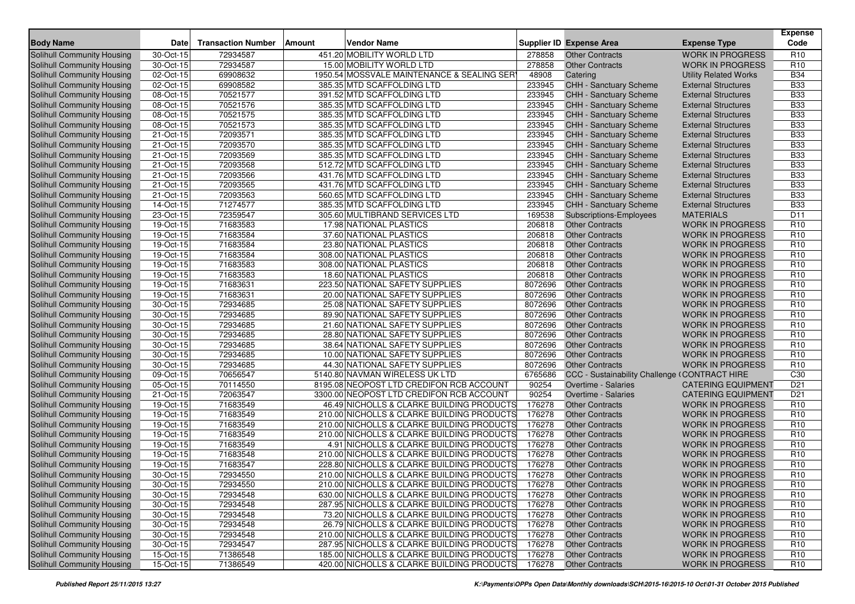| <b>Body Name</b><br><b>Expense Type</b><br><b>WORK IN PROGRESS</b><br>Solihull Community Housing<br>30-Oct-15<br>72934587<br>451.20 MOBILITY WORLD LTD<br>278858<br><b>Other Contracts</b><br>30-Oct-15<br>72934587<br>15.00 MOBILITY WORLD LTD<br>278858<br>Solihull Community Housing<br><b>Other Contracts</b><br><b>WORK IN PROGRESS</b><br>02-Oct-15<br>1950.54 MOSSVALE MAINTENANCE & SEALING SER<br>48908<br>Solihull Community Housing<br>69908632<br>Catering<br><b>Utility Related Works</b><br>233945<br>Solihull Community Housing<br>02-Oct-15<br>69908582<br>385.35 MTD SCAFFOLDING LTD<br>CHH - Sanctuary Scheme<br><b>External Structures</b><br>233945<br>08-Oct-15<br>70521577<br><b>External Structures</b><br>Solihull Community Housing<br>391.52 MTD SCAFFOLDING LTD<br>CHH - Sanctuary Scheme<br>70521576<br>233945<br>Solihull Community Housing<br>08-Oct-15<br>385.35 MTD SCAFFOLDING LTD<br>CHH - Sanctuary Scheme<br><b>External Structures</b><br>233945<br>70521575<br>385.35 MTD SCAFFOLDING LTD<br><b>CHH - Sanctuary Scheme</b><br>Solihull Community Housing<br>08-Oct-15<br><b>External Structures</b><br>70521573<br>385.35 MTD SCAFFOLDING LTD<br>233945<br>Solihull Community Housing<br>08-Oct-15<br><b>CHH - Sanctuary Scheme</b><br><b>External Structures</b><br>21-Oct-15<br>72093571<br>385.35 MTD SCAFFOLDING LTD<br>233945<br>Solihull Community Housing<br><b>CHH - Sanctuary Scheme</b><br><b>External Structures</b><br>Solihull Community Housing<br>21-Oct-15<br>72093570<br>385.35 MTD SCAFFOLDING LTD<br>233945<br><b>CHH - Sanctuary Scheme</b><br><b>External Structures</b><br>72093569<br>385.35 MTD SCAFFOLDING LTD<br>233945<br>Solihull Community Housing<br>21-Oct-15<br>CHH - Sanctuary Scheme<br><b>External Structures</b><br>21-Oct-15<br>72093568<br>512.72 MTD SCAFFOLDING LTD<br>233945<br>Solihull Community Housing<br>CHH - Sanctuary Scheme<br><b>External Structures</b><br>233945<br>21-Oct-15<br>72093566<br>Solihull Community Housing<br>431.76 MTD SCAFFOLDING LTD<br>CHH - Sanctuary Scheme<br><b>External Structures</b><br>233945<br>21-Oct-15<br>72093565<br>431.76 MTD SCAFFOLDING LTD<br><b>CHH - Sanctuary Scheme</b><br>Solihull Community Housing<br><b>External Structures</b><br>72093563<br>560.65 MTD SCAFFOLDING LTD<br>233945<br><b>CHH - Sanctuary Scheme</b><br>Solihull Community Housing<br>21-Oct-15<br><b>External Structures</b> | <b>Expense</b><br>Code             |
|--------------------------------------------------------------------------------------------------------------------------------------------------------------------------------------------------------------------------------------------------------------------------------------------------------------------------------------------------------------------------------------------------------------------------------------------------------------------------------------------------------------------------------------------------------------------------------------------------------------------------------------------------------------------------------------------------------------------------------------------------------------------------------------------------------------------------------------------------------------------------------------------------------------------------------------------------------------------------------------------------------------------------------------------------------------------------------------------------------------------------------------------------------------------------------------------------------------------------------------------------------------------------------------------------------------------------------------------------------------------------------------------------------------------------------------------------------------------------------------------------------------------------------------------------------------------------------------------------------------------------------------------------------------------------------------------------------------------------------------------------------------------------------------------------------------------------------------------------------------------------------------------------------------------------------------------------------------------------------------------------------------------------------------------------------------------------------------------------------------------------------------------------------------------------------------------------------------------------------------------------------------------------------------------------------------------------------------------------------------------------------------------------------------------------------------|------------------------------------|
|                                                                                                                                                                                                                                                                                                                                                                                                                                                                                                                                                                                                                                                                                                                                                                                                                                                                                                                                                                                                                                                                                                                                                                                                                                                                                                                                                                                                                                                                                                                                                                                                                                                                                                                                                                                                                                                                                                                                                                                                                                                                                                                                                                                                                                                                                                                                                                                                                                      | R <sub>10</sub>                    |
|                                                                                                                                                                                                                                                                                                                                                                                                                                                                                                                                                                                                                                                                                                                                                                                                                                                                                                                                                                                                                                                                                                                                                                                                                                                                                                                                                                                                                                                                                                                                                                                                                                                                                                                                                                                                                                                                                                                                                                                                                                                                                                                                                                                                                                                                                                                                                                                                                                      | R <sub>10</sub>                    |
|                                                                                                                                                                                                                                                                                                                                                                                                                                                                                                                                                                                                                                                                                                                                                                                                                                                                                                                                                                                                                                                                                                                                                                                                                                                                                                                                                                                                                                                                                                                                                                                                                                                                                                                                                                                                                                                                                                                                                                                                                                                                                                                                                                                                                                                                                                                                                                                                                                      | <b>B34</b>                         |
|                                                                                                                                                                                                                                                                                                                                                                                                                                                                                                                                                                                                                                                                                                                                                                                                                                                                                                                                                                                                                                                                                                                                                                                                                                                                                                                                                                                                                                                                                                                                                                                                                                                                                                                                                                                                                                                                                                                                                                                                                                                                                                                                                                                                                                                                                                                                                                                                                                      | <b>B33</b>                         |
|                                                                                                                                                                                                                                                                                                                                                                                                                                                                                                                                                                                                                                                                                                                                                                                                                                                                                                                                                                                                                                                                                                                                                                                                                                                                                                                                                                                                                                                                                                                                                                                                                                                                                                                                                                                                                                                                                                                                                                                                                                                                                                                                                                                                                                                                                                                                                                                                                                      | <b>B33</b>                         |
|                                                                                                                                                                                                                                                                                                                                                                                                                                                                                                                                                                                                                                                                                                                                                                                                                                                                                                                                                                                                                                                                                                                                                                                                                                                                                                                                                                                                                                                                                                                                                                                                                                                                                                                                                                                                                                                                                                                                                                                                                                                                                                                                                                                                                                                                                                                                                                                                                                      | <b>B33</b>                         |
|                                                                                                                                                                                                                                                                                                                                                                                                                                                                                                                                                                                                                                                                                                                                                                                                                                                                                                                                                                                                                                                                                                                                                                                                                                                                                                                                                                                                                                                                                                                                                                                                                                                                                                                                                                                                                                                                                                                                                                                                                                                                                                                                                                                                                                                                                                                                                                                                                                      | <b>B33</b>                         |
|                                                                                                                                                                                                                                                                                                                                                                                                                                                                                                                                                                                                                                                                                                                                                                                                                                                                                                                                                                                                                                                                                                                                                                                                                                                                                                                                                                                                                                                                                                                                                                                                                                                                                                                                                                                                                                                                                                                                                                                                                                                                                                                                                                                                                                                                                                                                                                                                                                      | <b>B33</b>                         |
|                                                                                                                                                                                                                                                                                                                                                                                                                                                                                                                                                                                                                                                                                                                                                                                                                                                                                                                                                                                                                                                                                                                                                                                                                                                                                                                                                                                                                                                                                                                                                                                                                                                                                                                                                                                                                                                                                                                                                                                                                                                                                                                                                                                                                                                                                                                                                                                                                                      | <b>B33</b>                         |
|                                                                                                                                                                                                                                                                                                                                                                                                                                                                                                                                                                                                                                                                                                                                                                                                                                                                                                                                                                                                                                                                                                                                                                                                                                                                                                                                                                                                                                                                                                                                                                                                                                                                                                                                                                                                                                                                                                                                                                                                                                                                                                                                                                                                                                                                                                                                                                                                                                      | <b>B33</b>                         |
|                                                                                                                                                                                                                                                                                                                                                                                                                                                                                                                                                                                                                                                                                                                                                                                                                                                                                                                                                                                                                                                                                                                                                                                                                                                                                                                                                                                                                                                                                                                                                                                                                                                                                                                                                                                                                                                                                                                                                                                                                                                                                                                                                                                                                                                                                                                                                                                                                                      | <b>B33</b>                         |
|                                                                                                                                                                                                                                                                                                                                                                                                                                                                                                                                                                                                                                                                                                                                                                                                                                                                                                                                                                                                                                                                                                                                                                                                                                                                                                                                                                                                                                                                                                                                                                                                                                                                                                                                                                                                                                                                                                                                                                                                                                                                                                                                                                                                                                                                                                                                                                                                                                      | <b>B33</b>                         |
|                                                                                                                                                                                                                                                                                                                                                                                                                                                                                                                                                                                                                                                                                                                                                                                                                                                                                                                                                                                                                                                                                                                                                                                                                                                                                                                                                                                                                                                                                                                                                                                                                                                                                                                                                                                                                                                                                                                                                                                                                                                                                                                                                                                                                                                                                                                                                                                                                                      | <b>B33</b>                         |
|                                                                                                                                                                                                                                                                                                                                                                                                                                                                                                                                                                                                                                                                                                                                                                                                                                                                                                                                                                                                                                                                                                                                                                                                                                                                                                                                                                                                                                                                                                                                                                                                                                                                                                                                                                                                                                                                                                                                                                                                                                                                                                                                                                                                                                                                                                                                                                                                                                      | <b>B33</b>                         |
|                                                                                                                                                                                                                                                                                                                                                                                                                                                                                                                                                                                                                                                                                                                                                                                                                                                                                                                                                                                                                                                                                                                                                                                                                                                                                                                                                                                                                                                                                                                                                                                                                                                                                                                                                                                                                                                                                                                                                                                                                                                                                                                                                                                                                                                                                                                                                                                                                                      | <b>B33</b>                         |
| 233945<br>14-Oct-15<br>71274577<br>385.35 MTD SCAFFOLDING LTD<br>Solihull Community Housing<br>CHH - Sanctuary Scheme<br><b>External Structures</b>                                                                                                                                                                                                                                                                                                                                                                                                                                                                                                                                                                                                                                                                                                                                                                                                                                                                                                                                                                                                                                                                                                                                                                                                                                                                                                                                                                                                                                                                                                                                                                                                                                                                                                                                                                                                                                                                                                                                                                                                                                                                                                                                                                                                                                                                                  | <b>B33</b>                         |
| 23-Oct-15<br>72359547<br>305.60 MULTIBRAND SERVICES LTD<br>169538<br><b>MATERIALS</b><br>Solihull Community Housing<br>Subscriptions-Employees                                                                                                                                                                                                                                                                                                                                                                                                                                                                                                                                                                                                                                                                                                                                                                                                                                                                                                                                                                                                                                                                                                                                                                                                                                                                                                                                                                                                                                                                                                                                                                                                                                                                                                                                                                                                                                                                                                                                                                                                                                                                                                                                                                                                                                                                                       | D <sub>11</sub>                    |
| Solihull Community Housing<br>71683583<br>17.98 NATIONAL PLASTICS<br>206818<br><b>WORK IN PROGRESS</b><br>19-Oct-15<br><b>Other Contracts</b>                                                                                                                                                                                                                                                                                                                                                                                                                                                                                                                                                                                                                                                                                                                                                                                                                                                                                                                                                                                                                                                                                                                                                                                                                                                                                                                                                                                                                                                                                                                                                                                                                                                                                                                                                                                                                                                                                                                                                                                                                                                                                                                                                                                                                                                                                        | R <sub>10</sub>                    |
| 19-Oct-15<br>71683584<br>37.60 NATIONAL PLASTICS<br>206818<br><b>Other Contracts</b><br>Solihull Community Housing<br><b>WORK IN PROGRESS</b>                                                                                                                                                                                                                                                                                                                                                                                                                                                                                                                                                                                                                                                                                                                                                                                                                                                                                                                                                                                                                                                                                                                                                                                                                                                                                                                                                                                                                                                                                                                                                                                                                                                                                                                                                                                                                                                                                                                                                                                                                                                                                                                                                                                                                                                                                        | R <sub>10</sub>                    |
| 19-Oct-15<br>71683584<br>23.80 NATIONAL PLASTICS<br>206818<br>Solihull Community Housing<br><b>Other Contracts</b><br><b>WORK IN PROGRESS</b>                                                                                                                                                                                                                                                                                                                                                                                                                                                                                                                                                                                                                                                                                                                                                                                                                                                                                                                                                                                                                                                                                                                                                                                                                                                                                                                                                                                                                                                                                                                                                                                                                                                                                                                                                                                                                                                                                                                                                                                                                                                                                                                                                                                                                                                                                        | R <sub>10</sub>                    |
| 206818<br>Solihull Community Housing<br>19-Oct-15<br>71683584<br>308.00 NATIONAL PLASTICS<br><b>Other Contracts</b><br><b>WORK IN PROGRESS</b>                                                                                                                                                                                                                                                                                                                                                                                                                                                                                                                                                                                                                                                                                                                                                                                                                                                                                                                                                                                                                                                                                                                                                                                                                                                                                                                                                                                                                                                                                                                                                                                                                                                                                                                                                                                                                                                                                                                                                                                                                                                                                                                                                                                                                                                                                       | R <sub>10</sub>                    |
| 71683583<br>Solihull Community Housing<br>19-Oct-15<br>308.00 NATIONAL PLASTICS<br>206818<br><b>Other Contracts</b><br><b>WORK IN PROGRESS</b>                                                                                                                                                                                                                                                                                                                                                                                                                                                                                                                                                                                                                                                                                                                                                                                                                                                                                                                                                                                                                                                                                                                                                                                                                                                                                                                                                                                                                                                                                                                                                                                                                                                                                                                                                                                                                                                                                                                                                                                                                                                                                                                                                                                                                                                                                       | R <sub>10</sub>                    |
| <b>Solihull Community Housing</b><br>19-Oct-15<br>71683583<br>18.60 NATIONAL PLASTICS<br>206818<br><b>Other Contracts</b><br><b>WORK IN PROGRESS</b>                                                                                                                                                                                                                                                                                                                                                                                                                                                                                                                                                                                                                                                                                                                                                                                                                                                                                                                                                                                                                                                                                                                                                                                                                                                                                                                                                                                                                                                                                                                                                                                                                                                                                                                                                                                                                                                                                                                                                                                                                                                                                                                                                                                                                                                                                 | R <sub>10</sub>                    |
| 19-Oct-15<br>71683631<br>8072696<br>Solihull Community Housing<br>223.50 NATIONAL SAFETY SUPPLIES<br><b>Other Contracts</b><br><b>WORK IN PROGRESS</b>                                                                                                                                                                                                                                                                                                                                                                                                                                                                                                                                                                                                                                                                                                                                                                                                                                                                                                                                                                                                                                                                                                                                                                                                                                                                                                                                                                                                                                                                                                                                                                                                                                                                                                                                                                                                                                                                                                                                                                                                                                                                                                                                                                                                                                                                               | R <sub>10</sub>                    |
| 19-Oct-15<br>71683631<br>8072696<br>Solihull Community Housing<br>20.00 NATIONAL SAFETY SUPPLIES<br><b>Other Contracts</b><br><b>WORK IN PROGRESS</b>                                                                                                                                                                                                                                                                                                                                                                                                                                                                                                                                                                                                                                                                                                                                                                                                                                                                                                                                                                                                                                                                                                                                                                                                                                                                                                                                                                                                                                                                                                                                                                                                                                                                                                                                                                                                                                                                                                                                                                                                                                                                                                                                                                                                                                                                                | R <sub>10</sub>                    |
| 30-Oct-15<br>72934685<br>25.08 NATIONAL SAFETY SUPPLIES<br>8072696<br>Solihull Community Housing<br><b>Other Contracts</b><br><b>WORK IN PROGRESS</b>                                                                                                                                                                                                                                                                                                                                                                                                                                                                                                                                                                                                                                                                                                                                                                                                                                                                                                                                                                                                                                                                                                                                                                                                                                                                                                                                                                                                                                                                                                                                                                                                                                                                                                                                                                                                                                                                                                                                                                                                                                                                                                                                                                                                                                                                                | R <sub>10</sub>                    |
| 72934685<br>Solihull Community Housing<br>30-Oct-15<br>89.90 NATIONAL SAFETY SUPPLIES<br>8072696<br><b>Other Contracts</b><br><b>WORK IN PROGRESS</b>                                                                                                                                                                                                                                                                                                                                                                                                                                                                                                                                                                                                                                                                                                                                                                                                                                                                                                                                                                                                                                                                                                                                                                                                                                                                                                                                                                                                                                                                                                                                                                                                                                                                                                                                                                                                                                                                                                                                                                                                                                                                                                                                                                                                                                                                                | R <sub>10</sub>                    |
| 30-Oct-15<br>72934685<br>21.60 NATIONAL SAFETY SUPPLIES<br>8072696<br>Solihull Community Housing<br><b>Other Contracts</b><br><b>WORK IN PROGRESS</b>                                                                                                                                                                                                                                                                                                                                                                                                                                                                                                                                                                                                                                                                                                                                                                                                                                                                                                                                                                                                                                                                                                                                                                                                                                                                                                                                                                                                                                                                                                                                                                                                                                                                                                                                                                                                                                                                                                                                                                                                                                                                                                                                                                                                                                                                                | R <sub>10</sub>                    |
| 72934685<br>8072696<br><b>WORK IN PROGRESS</b><br>Solihull Community Housing<br>30-Oct-15<br>28.80 NATIONAL SAFETY SUPPLIES<br><b>Other Contracts</b>                                                                                                                                                                                                                                                                                                                                                                                                                                                                                                                                                                                                                                                                                                                                                                                                                                                                                                                                                                                                                                                                                                                                                                                                                                                                                                                                                                                                                                                                                                                                                                                                                                                                                                                                                                                                                                                                                                                                                                                                                                                                                                                                                                                                                                                                                | R <sub>10</sub>                    |
| 30-Oct-15<br>72934685<br>8072696<br>Solihull Community Housing<br>38.64 NATIONAL SAFETY SUPPLIES<br><b>Other Contracts</b><br><b>WORK IN PROGRESS</b>                                                                                                                                                                                                                                                                                                                                                                                                                                                                                                                                                                                                                                                                                                                                                                                                                                                                                                                                                                                                                                                                                                                                                                                                                                                                                                                                                                                                                                                                                                                                                                                                                                                                                                                                                                                                                                                                                                                                                                                                                                                                                                                                                                                                                                                                                | R <sub>10</sub>                    |
| 8072696<br>Solihull Community Housing<br>30-Oct-15<br>72934685<br>10.00 NATIONAL SAFETY SUPPLIES<br><b>Other Contracts</b><br><b>WORK IN PROGRESS</b>                                                                                                                                                                                                                                                                                                                                                                                                                                                                                                                                                                                                                                                                                                                                                                                                                                                                                                                                                                                                                                                                                                                                                                                                                                                                                                                                                                                                                                                                                                                                                                                                                                                                                                                                                                                                                                                                                                                                                                                                                                                                                                                                                                                                                                                                                | R <sub>10</sub>                    |
| 72934685<br>8072696<br>Solihull Community Housing<br>30-Oct-15<br>44.30 NATIONAL SAFETY SUPPLIES<br><b>Other Contracts</b><br><b>WORK IN PROGRESS</b>                                                                                                                                                                                                                                                                                                                                                                                                                                                                                                                                                                                                                                                                                                                                                                                                                                                                                                                                                                                                                                                                                                                                                                                                                                                                                                                                                                                                                                                                                                                                                                                                                                                                                                                                                                                                                                                                                                                                                                                                                                                                                                                                                                                                                                                                                | R <sub>10</sub>                    |
| 70656547<br>5140.80 NAVMAN WIRELESS UK LTD<br>6765686<br>Solihull Community Housing<br>09-Oct-15<br>CCC - Sustainability Challenge (CONTRACT HIRE                                                                                                                                                                                                                                                                                                                                                                                                                                                                                                                                                                                                                                                                                                                                                                                                                                                                                                                                                                                                                                                                                                                                                                                                                                                                                                                                                                                                                                                                                                                                                                                                                                                                                                                                                                                                                                                                                                                                                                                                                                                                                                                                                                                                                                                                                    | C <sub>30</sub>                    |
| 90254<br>05-Oct-15<br>70114550<br>8195.08 NEOPOST LTD CREDIFON RCB ACCOUNT<br>Solihull Community Housing<br>Overtime - Salaries<br><b>CATERING EQUIPMENT</b>                                                                                                                                                                                                                                                                                                                                                                                                                                                                                                                                                                                                                                                                                                                                                                                                                                                                                                                                                                                                                                                                                                                                                                                                                                                                                                                                                                                                                                                                                                                                                                                                                                                                                                                                                                                                                                                                                                                                                                                                                                                                                                                                                                                                                                                                         | D <sub>21</sub>                    |
| Solihull Community Housing<br>21-Oct-15<br>72063547<br>3300.00 NEOPOST LTD CREDIFON RCB ACCOUNT<br>90254<br><b>Overtime - Salaries</b><br><b>CATERING EQUIPMENT</b>                                                                                                                                                                                                                                                                                                                                                                                                                                                                                                                                                                                                                                                                                                                                                                                                                                                                                                                                                                                                                                                                                                                                                                                                                                                                                                                                                                                                                                                                                                                                                                                                                                                                                                                                                                                                                                                                                                                                                                                                                                                                                                                                                                                                                                                                  | D <sub>21</sub>                    |
| 71683549<br>19-Oct-15<br>46.49 NICHOLLS & CLARKE BUILDING PRODUCTS<br>176278<br>Solihull Community Housing<br><b>Other Contracts</b><br><b>WORK IN PROGRESS</b><br>71683549<br>210.00 NICHOLLS & CLARKE BUILDING PRODUCTS<br>176278<br>Solihull Community Housing<br>19-Oct-15<br><b>Other Contracts</b><br><b>WORK IN PROGRESS</b>                                                                                                                                                                                                                                                                                                                                                                                                                                                                                                                                                                                                                                                                                                                                                                                                                                                                                                                                                                                                                                                                                                                                                                                                                                                                                                                                                                                                                                                                                                                                                                                                                                                                                                                                                                                                                                                                                                                                                                                                                                                                                                  | R <sub>10</sub><br>R <sub>10</sub> |
| 176278<br>19-Oct-15<br>71683549<br>210.00 NICHOLLS & CLARKE BUILDING PRODUCTS<br><b>Other Contracts</b><br><b>WORK IN PROGRESS</b>                                                                                                                                                                                                                                                                                                                                                                                                                                                                                                                                                                                                                                                                                                                                                                                                                                                                                                                                                                                                                                                                                                                                                                                                                                                                                                                                                                                                                                                                                                                                                                                                                                                                                                                                                                                                                                                                                                                                                                                                                                                                                                                                                                                                                                                                                                   | R <sub>10</sub>                    |
| Solihull Community Housing<br>176278<br>19-Oct-15<br>71683549<br>210.00 NICHOLLS & CLARKE BUILDING PRODUCTS<br><b>WORK IN PROGRESS</b><br>Solihull Community Housing<br><b>Other Contracts</b>                                                                                                                                                                                                                                                                                                                                                                                                                                                                                                                                                                                                                                                                                                                                                                                                                                                                                                                                                                                                                                                                                                                                                                                                                                                                                                                                                                                                                                                                                                                                                                                                                                                                                                                                                                                                                                                                                                                                                                                                                                                                                                                                                                                                                                       | R <sub>10</sub>                    |
| 19-Oct-15<br>71683549<br>4.91 NICHOLLS & CLARKE BUILDING PRODUCTS<br>176278<br><b>WORK IN PROGRESS</b><br><b>Other Contracts</b>                                                                                                                                                                                                                                                                                                                                                                                                                                                                                                                                                                                                                                                                                                                                                                                                                                                                                                                                                                                                                                                                                                                                                                                                                                                                                                                                                                                                                                                                                                                                                                                                                                                                                                                                                                                                                                                                                                                                                                                                                                                                                                                                                                                                                                                                                                     | R <sub>10</sub>                    |
| Solihull Community Housing<br>$19-Oct-15$<br>71683548<br>210.00 NICHOLLS & CLARKE BUILDING PRODUCTS<br>176278<br>Solihull Community Housing<br><b>Other Contracts</b><br><b>WORK IN PROGRESS</b>                                                                                                                                                                                                                                                                                                                                                                                                                                                                                                                                                                                                                                                                                                                                                                                                                                                                                                                                                                                                                                                                                                                                                                                                                                                                                                                                                                                                                                                                                                                                                                                                                                                                                                                                                                                                                                                                                                                                                                                                                                                                                                                                                                                                                                     | R <sub>10</sub>                    |
| 19-Oct-15<br>71683547<br>228.80 NICHOLLS & CLARKE BUILDING PRODUCTS<br>176278<br><b>Solihull Community Housing</b><br><b>Other Contracts</b><br><b>WORK IN PROGRESS</b>                                                                                                                                                                                                                                                                                                                                                                                                                                                                                                                                                                                                                                                                                                                                                                                                                                                                                                                                                                                                                                                                                                                                                                                                                                                                                                                                                                                                                                                                                                                                                                                                                                                                                                                                                                                                                                                                                                                                                                                                                                                                                                                                                                                                                                                              | R <sub>10</sub>                    |
| 72934550<br>210.00 NICHOLLS & CLARKE BUILDING PRODUCTS<br>176278<br>Solihull Community Housing<br>30-Oct-15<br><b>Other Contracts</b><br><b>WORK IN PROGRESS</b>                                                                                                                                                                                                                                                                                                                                                                                                                                                                                                                                                                                                                                                                                                                                                                                                                                                                                                                                                                                                                                                                                                                                                                                                                                                                                                                                                                                                                                                                                                                                                                                                                                                                                                                                                                                                                                                                                                                                                                                                                                                                                                                                                                                                                                                                     | R <sub>10</sub>                    |
| <b>Solihull Community Housing</b><br>30-Oct-15<br>72934550<br>176278<br>210.00 NICHOLLS & CLARKE BUILDING PRODUCTS<br><b>Other Contracts</b><br>WORK IN PROGRESS                                                                                                                                                                                                                                                                                                                                                                                                                                                                                                                                                                                                                                                                                                                                                                                                                                                                                                                                                                                                                                                                                                                                                                                                                                                                                                                                                                                                                                                                                                                                                                                                                                                                                                                                                                                                                                                                                                                                                                                                                                                                                                                                                                                                                                                                     | R <sub>10</sub>                    |
| Solihull Community Housing<br>30-Oct-15<br>72934548<br>630.00 NICHOLLS & CLARKE BUILDING PRODUCTS<br>176278<br><b>WORK IN PROGRESS</b><br><b>Other Contracts</b>                                                                                                                                                                                                                                                                                                                                                                                                                                                                                                                                                                                                                                                                                                                                                                                                                                                                                                                                                                                                                                                                                                                                                                                                                                                                                                                                                                                                                                                                                                                                                                                                                                                                                                                                                                                                                                                                                                                                                                                                                                                                                                                                                                                                                                                                     | R <sub>10</sub>                    |
| Solihull Community Housing<br>30-Oct-15<br>72934548<br>287.95 NICHOLLS & CLARKE BUILDING PRODUCTS<br>176278<br>WORK IN PROGRESS<br><b>Other Contracts</b>                                                                                                                                                                                                                                                                                                                                                                                                                                                                                                                                                                                                                                                                                                                                                                                                                                                                                                                                                                                                                                                                                                                                                                                                                                                                                                                                                                                                                                                                                                                                                                                                                                                                                                                                                                                                                                                                                                                                                                                                                                                                                                                                                                                                                                                                            | R <sub>10</sub>                    |
| Solihull Community Housing<br>30-Oct-15<br>72934548<br>73.20 NICHOLLS & CLARKE BUILDING PRODUCTS<br>176278<br><b>Other Contracts</b><br><b>WORK IN PROGRESS</b>                                                                                                                                                                                                                                                                                                                                                                                                                                                                                                                                                                                                                                                                                                                                                                                                                                                                                                                                                                                                                                                                                                                                                                                                                                                                                                                                                                                                                                                                                                                                                                                                                                                                                                                                                                                                                                                                                                                                                                                                                                                                                                                                                                                                                                                                      | R <sub>10</sub>                    |
| Solihull Community Housing<br>$30 - Oct-15$<br>26.79 NICHOLLS & CLARKE BUILDING PRODUCTS<br>72934548<br>176278<br><b>Other Contracts</b><br><b>WORK IN PROGRESS</b>                                                                                                                                                                                                                                                                                                                                                                                                                                                                                                                                                                                                                                                                                                                                                                                                                                                                                                                                                                                                                                                                                                                                                                                                                                                                                                                                                                                                                                                                                                                                                                                                                                                                                                                                                                                                                                                                                                                                                                                                                                                                                                                                                                                                                                                                  | R <sub>10</sub>                    |
| Solihull Community Housing<br>30-Oct-15<br>72934548<br>210.00 NICHOLLS & CLARKE BUILDING PRODUCTS<br>176278<br><b>Other Contracts</b><br><b>WORK IN PROGRESS</b>                                                                                                                                                                                                                                                                                                                                                                                                                                                                                                                                                                                                                                                                                                                                                                                                                                                                                                                                                                                                                                                                                                                                                                                                                                                                                                                                                                                                                                                                                                                                                                                                                                                                                                                                                                                                                                                                                                                                                                                                                                                                                                                                                                                                                                                                     | R <sub>10</sub>                    |
| 30-Oct-15<br>Solihull Community Housing<br>72934547<br>287.95 NICHOLLS & CLARKE BUILDING PRODUCTS<br>176278<br><b>Other Contracts</b><br><b>WORK IN PROGRESS</b>                                                                                                                                                                                                                                                                                                                                                                                                                                                                                                                                                                                                                                                                                                                                                                                                                                                                                                                                                                                                                                                                                                                                                                                                                                                                                                                                                                                                                                                                                                                                                                                                                                                                                                                                                                                                                                                                                                                                                                                                                                                                                                                                                                                                                                                                     | R <sub>10</sub>                    |
| <b>Solihull Community Housing</b><br>15-Oct-15<br>185.00 NICHOLLS & CLARKE BUILDING PRODUCTS<br>71386548<br>176278<br><b>Other Contracts</b><br><b>WORK IN PROGRESS</b>                                                                                                                                                                                                                                                                                                                                                                                                                                                                                                                                                                                                                                                                                                                                                                                                                                                                                                                                                                                                                                                                                                                                                                                                                                                                                                                                                                                                                                                                                                                                                                                                                                                                                                                                                                                                                                                                                                                                                                                                                                                                                                                                                                                                                                                              | R <sub>10</sub>                    |
| Solihull Community Housing<br>71386549<br>420.00 NICHOLLS & CLARKE BUILDING PRODUCTS<br>15-Oct-15<br>176278<br><b>Other Contracts</b><br>WORK IN PROGRESS                                                                                                                                                                                                                                                                                                                                                                                                                                                                                                                                                                                                                                                                                                                                                                                                                                                                                                                                                                                                                                                                                                                                                                                                                                                                                                                                                                                                                                                                                                                                                                                                                                                                                                                                                                                                                                                                                                                                                                                                                                                                                                                                                                                                                                                                            | R <sub>10</sub>                    |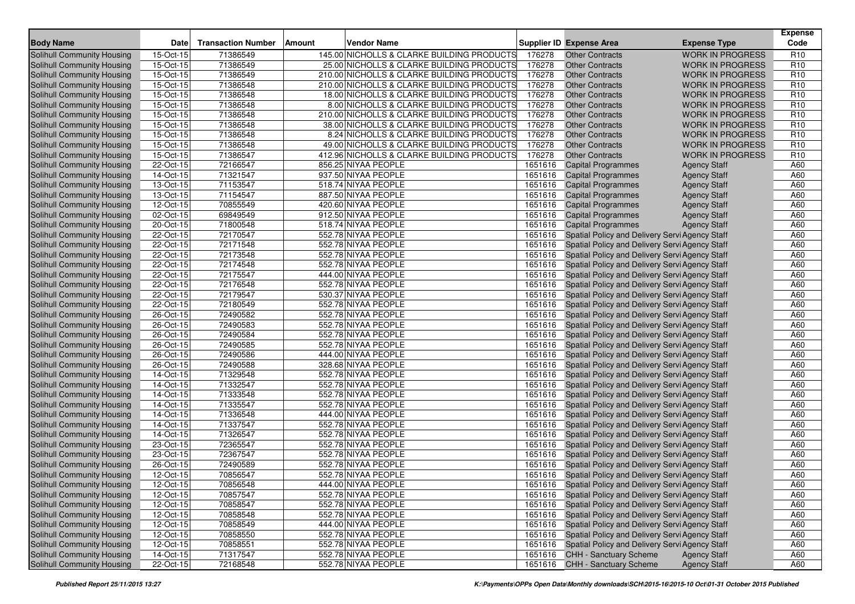| <b>Body Name</b>                  | <b>Date</b>             | <b>Transaction Number</b> | <b>Vendor Name</b><br><b>Amount</b>        |         | <b>Supplier ID Expense Area</b>                        | <b>Expense Type</b>     | <b>Expense</b><br>Code |
|-----------------------------------|-------------------------|---------------------------|--------------------------------------------|---------|--------------------------------------------------------|-------------------------|------------------------|
| Solihull Community Housing        | 15-Oct-15               | 71386549                  | 145.00 NICHOLLS & CLARKE BUILDING PRODUCTS | 176278  | <b>Other Contracts</b>                                 | <b>WORK IN PROGRESS</b> | R <sub>10</sub>        |
| Solihull Community Housing        | 15-Oct-15               | 71386549                  | 25.00 NICHOLLS & CLARKE BUILDING PRODUCTS  | 176278  | <b>Other Contracts</b>                                 | <b>WORK IN PROGRESS</b> | R <sub>10</sub>        |
| Solihull Community Housing        | 15-Oct-15               | 71386549                  | 210.00 NICHOLLS & CLARKE BUILDING PRODUCTS | 176278  | <b>Other Contracts</b>                                 | <b>WORK IN PROGRESS</b> | R <sub>10</sub>        |
| Solihull Community Housing        | 15-Oct-15               | 71386548                  | 210.00 NICHOLLS & CLARKE BUILDING PRODUCTS | 176278  | <b>Other Contracts</b>                                 | <b>WORK IN PROGRESS</b> | R <sub>10</sub>        |
| Solihull Community Housing        | 15-Oct-15               | 71386548                  | 18.00 NICHOLLS & CLARKE BUILDING PRODUCTS  | 176278  | <b>Other Contracts</b>                                 | <b>WORK IN PROGRESS</b> | R <sub>10</sub>        |
| Solihull Community Housing        | 15-Oct-15               | 71386548                  | 8.00 NICHOLLS & CLARKE BUILDING PRODUCTS   | 176278  | <b>Other Contracts</b>                                 | <b>WORK IN PROGRESS</b> | R <sub>10</sub>        |
| Solihull Community Housing        | 15-Oct-15               | 71386548                  | 210.00 NICHOLLS & CLARKE BUILDING PRODUCTS | 176278  | <b>Other Contracts</b>                                 | <b>WORK IN PROGRESS</b> | R <sub>10</sub>        |
| Solihull Community Housing        | 15-Oct-15               | 71386548                  | 38.00 NICHOLLS & CLARKE BUILDING PRODUCTS  | 176278  | <b>Other Contracts</b>                                 | <b>WORK IN PROGRESS</b> | R <sub>10</sub>        |
| Solihull Community Housing        | 15-Oct-15               | 71386548                  | 8.24 NICHOLLS & CLARKE BUILDING PRODUCTS   | 176278  | <b>Other Contracts</b>                                 | <b>WORK IN PROGRESS</b> | R <sub>10</sub>        |
| Solihull Community Housing        | 15-Oct-15               | 71386548                  | 49.00 NICHOLLS & CLARKE BUILDING PRODUCTS  | 176278  | <b>Other Contracts</b>                                 | <b>WORK IN PROGRESS</b> | R <sub>10</sub>        |
| Solihull Community Housing        | 15-Oct-15               | 71386547                  | 412.96 NICHOLLS & CLARKE BUILDING PRODUCTS | 176278  | <b>Other Contracts</b>                                 | <b>WORK IN PROGRESS</b> | R <sub>10</sub>        |
| Solihull Community Housing        | 22-Oct-15               | 72166547                  | 856.25 NIYAA PEOPLE                        | 1651616 | <b>Capital Programmes</b>                              | <b>Agency Staff</b>     | A60                    |
| Solihull Community Housing        | 14-Oct-15               | 71321547                  | 937.50 NIYAA PEOPLE                        | 1651616 | <b>Capital Programmes</b>                              | <b>Agency Staff</b>     | A60                    |
| Solihull Community Housing        | 13-Oct-15               | 71153547                  | 518.74 NIYAA PEOPLE                        | 1651616 | <b>Capital Programmes</b>                              | <b>Agency Staff</b>     | A60                    |
| Solihull Community Housing        | 13-Oct-15               | 71154547                  | 887.50 NIYAA PEOPLE                        | 1651616 | <b>Capital Programmes</b>                              | <b>Agency Staff</b>     | A60                    |
| Solihull Community Housing        | 12-Oct-15               | 70855549                  | 420.60 NIYAA PEOPLE                        | 1651616 | <b>Capital Programmes</b>                              | <b>Agency Staff</b>     | A60                    |
| Solihull Community Housing        | 02-Oct-15               | 69849549                  | 912.50 NIYAA PEOPLE                        | 1651616 | <b>Capital Programmes</b>                              | <b>Agency Staff</b>     | A60                    |
| Solihull Community Housing        | $\overline{20}$ -Oct-15 | 71800548                  | 518.74 NIYAA PEOPLE                        | 1651616 | <b>Capital Programmes</b>                              | <b>Agency Staff</b>     | A60                    |
| Solihull Community Housing        | 22-Oct-15               | 72170547                  | 552.78 NIYAA PEOPLE                        | 1651616 | Spatial Policy and Delivery Servi Agency Staff         |                         | A60                    |
| Solihull Community Housing        | 22-Oct-15               | 72171548                  | 552.78 NIYAA PEOPLE                        | 1651616 | Spatial Policy and Delivery Servi Agency Staff         |                         | A60                    |
| Solihull Community Housing        | 22-Oct-15               | 72173548                  | 552.78 NIYAA PEOPLE                        | 1651616 | Spatial Policy and Delivery Servi Agency Staff         |                         | A60                    |
| Solihull Community Housing        | 22-Oct-15               | 72174548                  | 552.78 NIYAA PEOPLE                        | 1651616 | Spatial Policy and Delivery Servi Agency Staff         |                         | A60                    |
| Solihull Community Housing        | 22-Oct-15               | 72175547                  | 444.00 NIYAA PEOPLE                        | 1651616 | Spatial Policy and Delivery Servi Agency Staff         |                         | A60                    |
| Solihull Community Housing        | 22-Oct-15               | 72176548                  | 552.78 NIYAA PEOPLE                        | 1651616 | Spatial Policy and Delivery Servi Agency Staff         |                         | A60                    |
| Solihull Community Housing        | 22-Oct-15               | 72179547                  | 530.37 NIYAA PEOPLE                        | 1651616 | Spatial Policy and Delivery Servi Agency Staff         |                         | A60                    |
| Solihull Community Housing        | 22-Oct-15               | 72180549                  | 552.78 NIYAA PEOPLE                        | 1651616 | Spatial Policy and Delivery Servi Agency Staff         |                         | A60                    |
| Solihull Community Housing        | 26-Oct-15               | 72490582                  | 552.78 NIYAA PEOPLE                        | 1651616 | Spatial Policy and Delivery Servi Agency Staff         |                         | A60                    |
| Solihull Community Housing        | 26-Oct-15               | 72490583                  | 552.78 NIYAA PEOPLE                        | 1651616 | Spatial Policy and Delivery Servi Agency Staff         |                         | A60                    |
| Solihull Community Housing        | 26-Oct-15               | 72490584                  | 552.78 NIYAA PEOPLE                        | 1651616 | Spatial Policy and Delivery Servi Agency Staff         |                         | A60                    |
| Solihull Community Housing        | 26-Oct-15               | 72490585                  | 552.78 NIYAA PEOPLE                        | 1651616 | Spatial Policy and Delivery Servi Agency Staff         |                         | A60                    |
| Solihull Community Housing        | 26-Oct-15               | 72490586                  | 444.00 NIYAA PEOPLE                        | 1651616 | Spatial Policy and Delivery Servi Agency Staff         |                         | A60                    |
| Solihull Community Housing        | 26-Oct-15               | 72490588                  | 328.68 NIYAA PEOPLE                        | 1651616 | Spatial Policy and Delivery Servi Agency Staff         |                         | A60                    |
| Solihull Community Housing        | 14-Oct-15               | 71329548                  | 552.78 NIYAA PEOPLE                        | 1651616 | Spatial Policy and Delivery Servi Agency Staff         |                         | A60                    |
| <b>Solihull Community Housing</b> | 14-Oct-15               | 71332547                  | 552.78 NIYAA PEOPLE                        | 1651616 | Spatial Policy and Delivery Servi Agency Staff         |                         | A60                    |
| Solihull Community Housing        | 14-Oct-15               | 71333548                  | 552.78 NIYAA PEOPLE                        | 1651616 | Spatial Policy and Delivery Servi Agency Staff         |                         | A60                    |
| Solihull Community Housing        | 14-Oct-15               | 71335547                  | 552.78 NIYAA PEOPLE                        | 1651616 | Spatial Policy and Delivery Servi Agency Staff         |                         | A60                    |
| Solihull Community Housing        | 14-Oct-15               | 71336548                  | 444.00 NIYAA PEOPLE                        | 1651616 | Spatial Policy and Delivery Servi Agency Staff         |                         | A60                    |
| Solihull Community Housing        | 14-Oct-15               | 71337547                  | 552.78 NIYAA PEOPLE                        | 1651616 | Spatial Policy and Delivery Servi Agency Staff         |                         | A60                    |
| Solihull Community Housing        | 14-Oct-15               | 71326547                  | 552.78 NIYAA PEOPLE                        | 1651616 | Spatial Policy and Delivery Servi Agency Staff         |                         | A60                    |
| Solihull Community Housing        | 23-Oct-15               | 72365547                  | 552.78 NIYAA PEOPLE                        | 1651616 | Spatial Policy and Delivery Servi Agency Staff         |                         | A60                    |
| Solihull Community Housing        | 23-Oct-15               | 72367547                  | 552.78 NIYAA PEOPLE                        | 1651616 | Spatial Policy and Delivery Servi Agency Staff         |                         | A60                    |
| Solihull Community Housing        | 26-Oct-15               | 72490589                  | 552.78 NIYAA PEOPLE                        | 1651616 | Spatial Policy and Delivery Servi Agency Staff         |                         | A60                    |
| Solihull Community Housing        | 12-Oct-15               | 70856547                  | 552.78 NIYAA PEOPLE                        | 1651616 | Spatial Policy and Delivery Servi Agency Staff         |                         | A60                    |
| <b>Solihull Community Housing</b> | $12-Oct-15$             | 70856548                  | 444.00 NIYAA PEOPLE                        |         | 1651616 Spatial Policy and Delivery Servi Agency Staff |                         | A60                    |
| Solihull Community Housing        | 12-Oct-15               | 70857547                  | 552.78 NIYAA PEOPLE                        |         | 1651616 Spatial Policy and Delivery Servi Agency Staff |                         | A60                    |
| Solihull Community Housing        | 12-Oct-15               | 70858547                  | 552.78 NIYAA PEOPLE                        | 1651616 | Spatial Policy and Delivery Servi Agency Staff         |                         | A60                    |
| Solihull Community Housing        | 12-Oct-15               | 70858548                  | 552.78 NIYAA PEOPLE                        |         | 1651616 Spatial Policy and Delivery Servi Agency Staff |                         | A60                    |
| Solihull Community Housing        | 12-Oct-15               | 70858549                  | 444.00 NIYAA PEOPLE                        |         | 1651616 Spatial Policy and Delivery Servi Agency Staff |                         | A60                    |
| Solihull Community Housing        | 12-Oct-15               | 70858550                  | 552.78 NIYAA PEOPLE                        |         | 1651616 Spatial Policy and Delivery Servi Agency Staff |                         | A60                    |
| Solihull Community Housing        | 12-Oct-15               | 70858551                  | 552.78 NIYAA PEOPLE                        |         | 1651616 Spatial Policy and Delivery Servi Agency Staff |                         | A60                    |
| <b>Solihull Community Housing</b> | 14-Oct-15               | 71317547                  | 552.78 NIYAA PEOPLE                        |         | 1651616 CHH - Sanctuary Scheme                         | <b>Agency Staff</b>     | A60                    |
| Solihull Community Housing        | 22-Oct-15               | 72168548                  | 552.78 NIYAA PEOPLE                        |         | 1651616 CHH - Sanctuary Scheme                         | <b>Agency Staff</b>     | A60                    |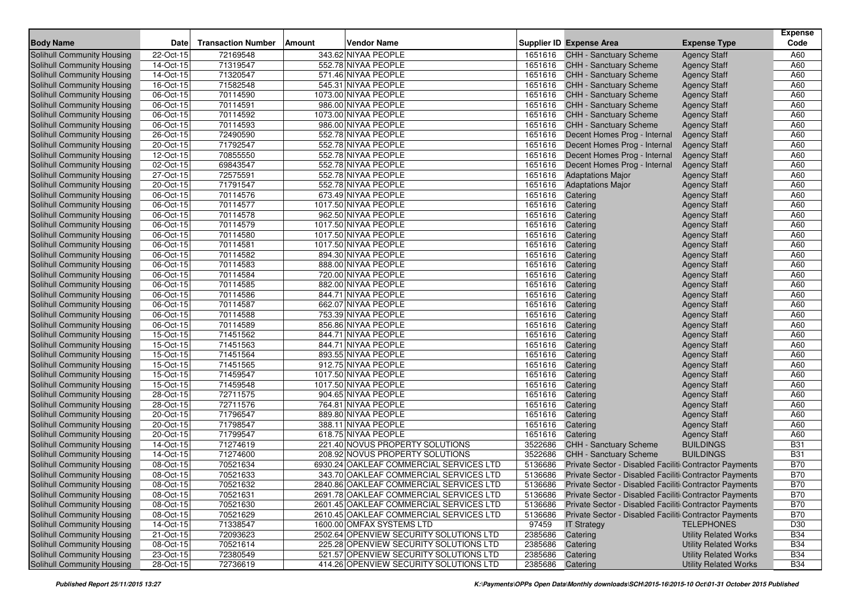|                                   |               |                           |        |                                         |         |                                                        |                              | <b>Expense</b> |
|-----------------------------------|---------------|---------------------------|--------|-----------------------------------------|---------|--------------------------------------------------------|------------------------------|----------------|
| <b>Body Name</b>                  | Date          | <b>Transaction Number</b> | Amount | <b>Vendor Name</b>                      |         | <b>Supplier ID Expense Area</b>                        | <b>Expense Type</b>          | Code           |
| <b>Solihull Community Housing</b> | 22-Oct-15     | 72169548                  |        | 343.62 NIYAA PEOPLE                     | 1651616 | CHH - Sanctuary Scheme                                 | <b>Agency Staff</b>          | A60            |
| Solihull Community Housing        | 14-Oct-15     | 71319547                  |        | 552.78 NIYAA PEOPLE                     |         | 1651616 CHH - Sanctuary Scheme                         | <b>Agency Staff</b>          | A60            |
| <b>Solihull Community Housing</b> | 14-Oct-15     | 71320547                  |        | 571.46 NIYAA PEOPLE                     | 1651616 | <b>CHH - Sanctuary Scheme</b>                          | <b>Agency Staff</b>          | A60            |
| Solihull Community Housing        | 16-Oct-15     | 71582548                  |        | 545.31 NIYAA PEOPLE                     | 1651616 | <b>CHH - Sanctuary Scheme</b>                          | <b>Agency Staff</b>          | A60            |
| Solihull Community Housing        | 06-Oct-15     | 70114590                  |        | 1073.00 NIYAA PEOPLE                    | 1651616 | CHH - Sanctuary Scheme                                 | <b>Agency Staff</b>          | A60            |
| Solihull Community Housing        | 06-Oct-15     | 70114591                  |        | 986.00 NIYAA PEOPLE                     | 1651616 | <b>CHH - Sanctuary Scheme</b>                          | <b>Agency Staff</b>          | A60            |
| Solihull Community Housing        | $06-Cct-15$   | 70114592                  |        | 1073.00 NIYAA PEOPLE                    |         | 1651616 CHH - Sanctuary Scheme                         | <b>Agency Staff</b>          | A60            |
| Solihull Community Housing        | 06-Oct-15     | 70114593                  |        | 986.00 NIYAA PEOPLE                     | 1651616 | <b>CHH - Sanctuary Scheme</b>                          | <b>Agency Staff</b>          | A60            |
| Solihull Community Housing        | 26-Oct-15     | 72490590                  |        | 552.78 NIYAA PEOPLE                     | 1651616 | Decent Homes Prog - Internal                           | <b>Agency Staff</b>          | A60            |
| Solihull Community Housing        | 20-Oct-15     | 71792547                  |        | 552.78 NIYAA PEOPLE                     | 1651616 | Decent Homes Prog - Internal                           | <b>Agency Staff</b>          | A60            |
| Solihull Community Housing        | 12-Oct-15     | 70855550                  |        | 552.78 NIYAA PEOPLE                     | 1651616 | Decent Homes Prog - Internal                           | <b>Agency Staff</b>          | A60            |
| Solihull Community Housing        | 02-Oct-15     | 69843547                  |        | 552.78 NIYAA PEOPLE                     | 1651616 | Decent Homes Prog - Internal                           | <b>Agency Staff</b>          | A60            |
| Solihull Community Housing        | 27-Oct-15     | 72575591                  |        | 552.78 NIYAA PEOPLE                     | 1651616 | <b>Adaptations Major</b>                               | <b>Agency Staff</b>          | A60            |
| <b>Solihull Community Housing</b> | 20-Oct-15     | 71791547                  |        | 552.78 NIYAA PEOPLE                     | 1651616 | <b>Adaptations Major</b>                               | <b>Agency Staff</b>          | A60            |
| Solihull Community Housing        | 06-Oct-15     | 70114576                  |        | 673.49 NIYAA PEOPLE                     | 1651616 | Catering                                               | <b>Agency Staff</b>          | A60            |
| Solihull Community Housing        | $06 - Oct-15$ | 70114577                  |        | 1017.50 NIYAA PEOPLE                    | 1651616 | Catering                                               | <b>Agency Staff</b>          | A60            |
| Solihull Community Housing        | 06-Oct-15     | 70114578                  |        | 962.50 NIYAA PEOPLE                     | 1651616 | Catering                                               | <b>Agency Staff</b>          | A60            |
| Solihull Community Housing        | 06-Oct-15     | 70114579                  |        | 1017.50 NIYAA PEOPLE                    | 1651616 | Catering                                               | <b>Agency Staff</b>          | A60            |
| Solihull Community Housing        | 06-Oct-15     | 70114580                  |        | 1017.50 NIYAA PEOPLE                    | 1651616 | Catering                                               | <b>Agency Staff</b>          | A60            |
| Solihull Community Housing        | 06-Oct-15     | 70114581                  |        | 1017.50 NIYAA PEOPLE                    | 1651616 | Catering                                               | <b>Agency Staff</b>          | A60            |
| Solihull Community Housing        | 06-Oct-15     | 70114582                  |        | 894.30 NIYAA PEOPLE                     | 1651616 | Catering                                               | <b>Agency Staff</b>          | A60            |
| Solihull Community Housing        | 06-Oct-15     | 70114583                  |        | 888.00 NIYAA PEOPLE                     | 1651616 | Catering                                               | <b>Agency Staff</b>          | A60            |
| Solihull Community Housing        | 06-Oct-15     | 70114584                  |        | 720.00 NIYAA PEOPLE                     | 1651616 | Catering                                               | <b>Agency Staff</b>          | A60            |
| Solihull Community Housing        | 06-Oct-15     | 70114585                  |        | 882.00 NIYAA PEOPLE                     | 1651616 | Catering                                               | <b>Agency Staff</b>          | A60            |
| Solihull Community Housing        | 06-Oct-15     | 70114586                  |        | 844.71 NIYAA PEOPLE                     | 1651616 | Catering                                               | <b>Agency Staff</b>          | A60            |
| Solihull Community Housing        | 06-Oct-15     | 70114587                  |        | 662.07 NIYAA PEOPLE                     | 1651616 | Catering                                               | <b>Agency Staff</b>          | A60            |
| <b>Solihull Community Housing</b> | 06-Oct-15     | 70114588                  |        | 753.39 NIYAA PEOPLE                     | 1651616 | Catering                                               | <b>Agency Staff</b>          | A60            |
| Solihull Community Housing        | 06-Oct-15     | 70114589                  |        | 856.86 NIYAA PEOPLE                     | 1651616 | Catering                                               | <b>Agency Staff</b>          | A60            |
| Solihull Community Housing        | 15-Oct-15     | 71451562                  |        | 844.71 NIYAA PEOPLE                     | 1651616 | Catering                                               | <b>Agency Staff</b>          | A60            |
| Solihull Community Housing        | 15-Oct-15     | 71451563                  |        | 844.71 NIYAA PEOPLE                     | 1651616 | Catering                                               | <b>Agency Staff</b>          | A60            |
| Solihull Community Housing        | 15-Oct-15     | 71451564                  |        | 893.55 NIYAA PEOPLE                     | 1651616 | Catering                                               | <b>Agency Staff</b>          | A60            |
| Solihull Community Housing        | 15-Oct-15     | 71451565                  |        | 912.75 NIYAA PEOPLE                     | 1651616 | Catering                                               | <b>Agency Staff</b>          | A60            |
| Solihull Community Housing        | 15-Oct-15     | 71459547                  |        | 1017.50 NIYAA PEOPLE                    | 1651616 | Catering                                               | <b>Agency Staff</b>          | A60            |
| Solihull Community Housing        | 15-Oct-15     | 71459548                  |        | 1017.50 NIYAA PEOPLE                    | 1651616 | Catering                                               | <b>Agency Staff</b>          | A60            |
| Solihull Community Housing        | 28-Oct-15     | 72711575                  |        | 904.65 NIYAA PEOPLE                     | 1651616 | Catering                                               | <b>Agency Staff</b>          | A60            |
| Solihull Community Housing        | 28-Oct-15     | 72711576                  |        | 764.81 NIYAA PEOPLE                     | 1651616 | Catering                                               | <b>Agency Staff</b>          | A60            |
| Solihull Community Housing        | 20-Oct-15     | 71796547                  |        | 889.80 NIYAA PEOPLE                     | 1651616 | Catering                                               | <b>Agency Staff</b>          | A60            |
| Solihull Community Housing        | 20-Oct-15     | 71798547                  |        | 388.11 NIYAA PEOPLE                     | 1651616 | Catering                                               | <b>Agency Staff</b>          | A60            |
| Solihull Community Housing        | 20-Oct-15     | 71799547                  |        | 618.75 NIYAA PEOPLE                     | 1651616 | Catering                                               | <b>Agency Staff</b>          | A60            |
| Solihull Community Housing        | 14-Oct-15     | 71274619                  |        | 221.40 NOVUS PROPERTY SOLUTIONS         | 3522686 | CHH - Sanctuary Scheme                                 | <b>BUILDINGS</b>             | <b>B31</b>     |
| Solihull Community Housing        | 14-Oct-15     | 71274600                  |        | 208.92 NOVUS PROPERTY SOLUTIONS         | 3522686 | <b>CHH - Sanctuary Scheme</b>                          | <b>BUILDINGS</b>             | <b>B31</b>     |
| Solihull Community Housing        | 08-Oct-15     | 70521634                  |        | 6930.24 OAKLEAF COMMERCIAL SERVICES LTD | 5136686 | Private Sector - Disabled Faciliti Contractor Payments |                              | <b>B70</b>     |
| Solihull Community Housing        | 08-Oct-15     | 70521633                  |        | 343.70 OAKLEAF COMMERCIAL SERVICES LTD  | 5136686 | Private Sector - Disabled Faciliti Contractor Payments |                              | <b>B70</b>     |
| Solihull Community Housing        | 08-Oct-15     | 70521632                  |        | 2840.86 OAKLEAF COMMERCIAL SERVICES LTD | 5136686 | Private Sector - Disabled Faciliti Contractor Payments |                              | <b>B70</b>     |
| Solihull Community Housing        | 08-Oct-15     | 70521631                  |        | 2691.78 OAKLEAF COMMERCIAL SERVICES LTD | 5136686 | Private Sector - Disabled Faciliti Contractor Payments |                              | <b>B70</b>     |
| Solihull Community Housing        | 08-Oct-15     | 70521630                  |        | 2601.45 OAKLEAF COMMERCIAL SERVICES LTD | 5136686 | Private Sector - Disabled Faciliti Contractor Payments |                              | <b>B70</b>     |
| Solihull Community Housing        | 08-Oct-15     | 70521629                  |        | 2610.45 OAKLEAF COMMERCIAL SERVICES LTD | 5136686 | Private Sector - Disabled Faciliti Contractor Payments |                              | <b>B70</b>     |
| Solihull Community Housing        | 14-Oct-15     | 71338547                  |        | 1600.00 OMFAX SYSTEMS LTD               | 97459   | <b>IT Strategy</b>                                     | <b>TELEPHONES</b>            | D30            |
| Solihull Community Housing        | 21-Oct-15     | 72093623                  |        | 2502.64 OPENVIEW SECURITY SOLUTIONS LTD | 2385686 | Catering                                               | <b>Utility Related Works</b> | <b>B34</b>     |
| Solihull Community Housing        | 08-Oct-15     | 70521614                  |        | 225.28 OPENVIEW SECURITY SOLUTIONS LTD  | 2385686 | Catering                                               | <b>Utility Related Works</b> | <b>B34</b>     |
| Solihull Community Housing        | $23-Oct-15$   | 72380549                  |        | 521.57 OPENVIEW SECURITY SOLUTIONS LTD  | 2385686 | Catering                                               | <b>Utility Related Works</b> | <b>B34</b>     |
| Solihull Community Housing        | 28-Oct-15     | 72736619                  |        | 414.26 OPENVIEW SECURITY SOLUTIONS LTD  | 2385686 | Catering                                               | <b>Utility Related Works</b> | <b>B34</b>     |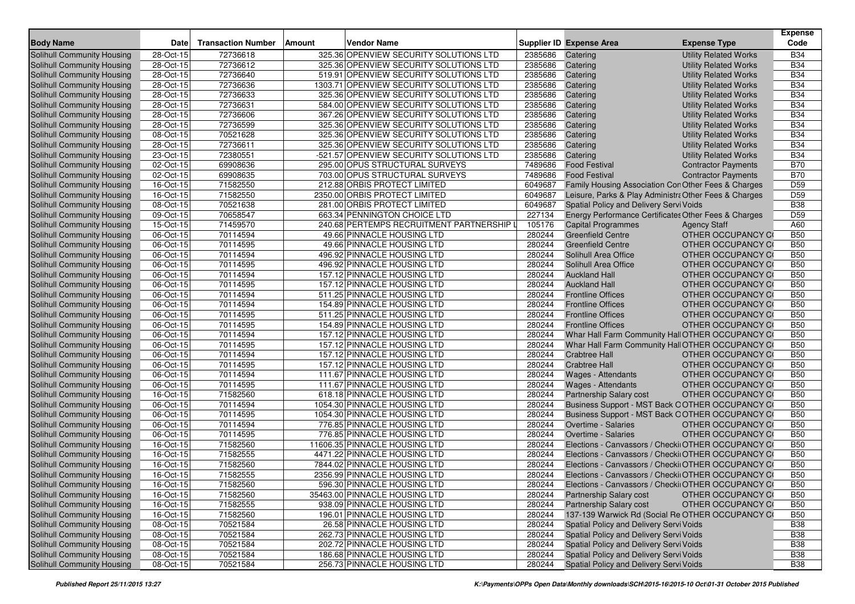| <b>Body Name</b>                  | <b>Date</b>             | <b>Transaction Number</b> | Amount | Vendor Name                               |         | Supplier ID Expense Area                              | <b>Expense Type</b>          | <b>Expense</b><br>Code |
|-----------------------------------|-------------------------|---------------------------|--------|-------------------------------------------|---------|-------------------------------------------------------|------------------------------|------------------------|
| Solihull Community Housing        | 28-Oct-15               | 72736618                  |        | 325.36 OPENVIEW SECURITY SOLUTIONS LTD    | 2385686 | Catering                                              | <b>Utility Related Works</b> | <b>B34</b>             |
| Solihull Community Housing        | 28-Oct-15               | 72736612                  |        | 325.36 OPENVIEW SECURITY SOLUTIONS LTD    | 2385686 | Catering                                              | <b>Utility Related Works</b> | <b>B34</b>             |
| Solihull Community Housing        | 28-Oct-15               | 72736640                  |        | 519.91 OPENVIEW SECURITY SOLUTIONS LTD    | 2385686 | Catering                                              | <b>Utility Related Works</b> | <b>B34</b>             |
| Solihull Community Housing        | 28-Oct-15               | 72736636                  |        | 1303.71 OPENVIEW SECURITY SOLUTIONS LTD   | 2385686 | Catering                                              | <b>Utility Related Works</b> | <b>B34</b>             |
| Solihull Community Housing        | 28-Oct-15               | 72736633                  |        | 325.36 OPENVIEW SECURITY SOLUTIONS LTD    | 2385686 | Catering                                              | <b>Utility Related Works</b> | <b>B34</b>             |
| Solihull Community Housing        | 28-Oct-15               | 72736631                  |        | 584.00 OPENVIEW SECURITY SOLUTIONS LTD    | 2385686 | Catering                                              | <b>Utility Related Works</b> | <b>B34</b>             |
| Solihull Community Housing        | 28-Oct-15               | 72736606                  |        | 367.26 OPENVIEW SECURITY SOLUTIONS LTD    | 2385686 | Catering                                              | <b>Utility Related Works</b> | <b>B34</b>             |
| Solihull Community Housing        | 28-Oct-15               | 72736599                  |        | 325.36 OPENVIEW SECURITY SOLUTIONS LTD    | 2385686 | Catering                                              | <b>Utility Related Works</b> | <b>B34</b>             |
| Solihull Community Housing        | 08-Oct-15               | 70521628                  |        | 325.36 OPENVIEW SECURITY SOLUTIONS LTD    | 2385686 | Catering                                              | <b>Utility Related Works</b> | <b>B34</b>             |
| Solihull Community Housing        | 28-Oct-15               | 72736611                  |        | 325.36 OPENVIEW SECURITY SOLUTIONS LTD    | 2385686 | Catering                                              | <b>Utility Related Works</b> | <b>B34</b>             |
| Solihull Community Housing        | 23-Oct-15               | 72380551                  |        | -521.57 OPENVIEW SECURITY SOLUTIONS LTD   | 2385686 | Catering                                              | <b>Utility Related Works</b> | <b>B34</b>             |
| <b>Solihull Community Housing</b> | 02-Oct-15               | 69908636                  |        | 295.00 OPUS STRUCTURAL SURVEYS            | 7489686 | <b>Food Festival</b>                                  | <b>Contractor Payments</b>   | <b>B70</b>             |
| Solihull Community Housing        | 02-Oct-15               | 69908635                  |        | 703.00 OPUS STRUCTURAL SURVEYS            | 7489686 | <b>Food Festival</b>                                  | <b>Contractor Payments</b>   | <b>B70</b>             |
| Solihull Community Housing        | 16-Oct-15               | 71582550                  |        | 212.88 ORBIS PROTECT LIMITED              | 6049687 | Family Housing Association Con Other Fees & Charges   |                              | D <sub>59</sub>        |
| <b>Solihull Community Housing</b> | 16-Oct-15               | 71582550                  |        | 2350.00 ORBIS PROTECT LIMITED             | 6049687 | Leisure, Parks & Play Administra Other Fees & Charges |                              | D <sub>59</sub>        |
| Solihull Community Housing        | 08-Oct-15               | 70521638                  |        | 281.00 ORBIS PROTECT LIMITED              | 6049687 | Spatial Policy and Delivery Servi Voids               |                              | <b>B38</b>             |
| Solihull Community Housing        | 09-Oct-15               | 70658547                  |        | 663.34 PENNINGTON CHOICE LTD              | 227134  | Energy Performance Certificates Other Fees & Charges  |                              | D <sub>59</sub>        |
| <b>Solihull Community Housing</b> | 15-Oct-15               | 71459570                  |        | 240.68 PERTEMPS RECRUITMENT PARTNERSHIP I | 105176  | <b>Capital Programmes</b>                             | <b>Agency Staff</b>          | A60                    |
| Solihull Community Housing        | 06-Oct-15               | 70114594                  |        | 49.66 PINNACLE HOUSING LTD                | 280244  | <b>Greenfield Centre</b>                              | OTHER OCCUPANCY CO           | <b>B50</b>             |
| Solihull Community Housing        | 06-Oct-15               | 70114595                  |        | 49.66 PINNACLE HOUSING LTD                | 280244  | <b>Greenfield Centre</b>                              | OTHER OCCUPANCY CO           | <b>B50</b>             |
| <b>Solihull Community Housing</b> | 06-Oct-15               | 70114594                  |        | 496.92 PINNACLE HOUSING LTD               | 280244  | Solihull Area Office                                  | OTHER OCCUPANCY CO           | <b>B50</b>             |
| Solihull Community Housing        | 06-Oct-15               | 70114595                  |        | 496.92 PINNACLE HOUSING LTD               | 280244  | Solihull Area Office                                  | OTHER OCCUPANCY CO           | <b>B50</b>             |
| Solihull Community Housing        | 06-Oct-15               | 70114594                  |        | 157.12 PINNACLE HOUSING LTD               | 280244  | <b>Auckland Hall</b>                                  | OTHER OCCUPANCY CO           | <b>B50</b>             |
| Solihull Community Housing        | 06-Oct-15               | 70114595                  |        | 157.12 PINNACLE HOUSING LTD               | 280244  | <b>Auckland Hall</b>                                  | OTHER OCCUPANCY CO           | <b>B50</b>             |
| Solihull Community Housing        | $\overline{06}$ -Oct-15 | 70114594                  |        | 511.25 PINNACLE HOUSING LTD               | 280244  | <b>Frontline Offices</b>                              | <b>OTHER OCCUPANCY CO</b>    | <b>B50</b>             |
| Solihull Community Housing        | 06-Oct-15               | 70114594                  |        | 154.89 PINNACLE HOUSING LTD               | 280244  | <b>Frontline Offices</b>                              | OTHER OCCUPANCY CO           | <b>B50</b>             |
| Solihull Community Housing        | 06-Oct-15               | 70114595                  |        | 511.25 PINNACLE HOUSING LTD               | 280244  | <b>Frontline Offices</b>                              | <b>OTHER OCCUPANCY CO</b>    | <b>B50</b>             |
| Solihull Community Housing        | 06-Oct-15               | 70114595                  |        | 154.89 PINNACLE HOUSING LTD               | 280244  | <b>Frontline Offices</b>                              | OTHER OCCUPANCY CO           | <b>B50</b>             |
| Solihull Community Housing        | 06-Oct-15               | 70114594                  |        | 157.12 PINNACLE HOUSING LTD               | 280244  | Whar Hall Farm Community Hall OTHER OCCUPANCY CO      |                              | <b>B50</b>             |
| Solihull Community Housing        | 06-Oct-15               | 70114595                  |        | 157.12 PINNACLE HOUSING LTD               | 280244  | Whar Hall Farm Community Hall OTHER OCCUPANCY CO      |                              | <b>B50</b>             |
| Solihull Community Housing        | 06-Oct-15               | 70114594                  |        | 157.12 PINNACLE HOUSING LTD               | 280244  | <b>Crabtree Hall</b>                                  | OTHER OCCUPANCY CO           | <b>B50</b>             |
| <b>Solihull Community Housing</b> | 06-Oct-15               | 70114595                  |        | 157.12 PINNACLE HOUSING LTD               | 280244  | <b>Crabtree Hall</b>                                  | OTHER OCCUPANCY CO           | <b>B50</b>             |
| Solihull Community Housing        | 06-Oct-15               | 70114594                  |        | 111.67 PINNACLE HOUSING LTD               | 280244  | Wages - Attendants                                    | OTHER OCCUPANCY CO           | <b>B50</b>             |
| Solihull Community Housing        | 06-Oct-15               | 70114595                  |        | 111.67 PINNACLE HOUSING LTD               | 280244  | Wages - Attendants                                    | OTHER OCCUPANCY CO           | <b>B50</b>             |
| Solihull Community Housing        | 16-Oct-15               | 71582560                  |        | 618.18 PINNACLE HOUSING LTD               | 280244  | Partnership Salary cost                               | OTHER OCCUPANCY CO           | <b>B50</b>             |
| Solihull Community Housing        | 06-Oct-15               | 70114594                  |        | 1054.30 PINNACLE HOUSING LTD              | 280244  | Business Support - MST Back OOTHER OCCUPANCY CO       |                              | <b>B50</b>             |
| <b>Solihull Community Housing</b> | 06-Oct-15               | 70114595                  |        | 1054.30 PINNACLE HOUSING LTD              | 280244  | Business Support - MST Back OOTHER OCCUPANCY CO       |                              | <b>B50</b>             |
| Solihull Community Housing        | 06-Oct-15               | 70114594                  |        | 776.85 PINNACLE HOUSING LTD               | 280244  | Overtime - Salaries                                   | OTHER OCCUPANCY CO           | <b>B50</b>             |
| Solihull Community Housing        | 06-Oct-15               | 70114595                  |        | 776.85 PINNACLE HOUSING LTD               | 280244  | Overtime - Salaries                                   | OTHER OCCUPANCY CO           | <b>B50</b>             |
| <b>Solihull Community Housing</b> | 16-Oct-15               | 71582560                  |        | 11606.35 PINNACLE HOUSING LTD             | 280244  | Elections - Canvassors / Checki OTHER OCCUPANCY CO    |                              | <b>B50</b>             |
| Solihull Community Housing        | 16-Oct-15               | 71582555                  |        | 4471.22 PINNACLE HOUSING LTD              | 280244  | Elections - Canvassors / Checkij OTHER OCCUPANCY Co   |                              | <b>B50</b>             |
| Solihull Community Housing        | 16-Oct-15               | 71582560                  |        | 7844.02 PINNACLE HOUSING LTD              | 280244  | Elections - Canvassors / Checkii OTHER OCCUPANCY C    |                              | <b>B50</b>             |
| <b>Solihull Community Housing</b> | $\overline{16}$ -Oct-15 | 71582555                  |        | 2356.99 PINNACLE HOUSING LTD              | 280244  | Elections - Canvassors / Checkii OTHER OCCUPANCY Co   |                              | <b>B50</b>             |
| Solihull Community Housing        | $16$ -Oct-15            | 71582560                  |        | 596.30 PINNACLE HOUSING LTD               | 280244  | Elections - Canvassors / Checkii OTHER OCCUPANCY Co   |                              | <b>B50</b>             |
| Solihull Community Housing        | 16-Oct-15               | 71582560                  |        | 35463.00 PINNACLE HOUSING LTD             | 280244  | Partnership Salary cost                               | OTHER OCCUPANCY CO           | <b>B50</b>             |
| Solihull Community Housing        | 16-Oct-15               | 71582555                  |        | 938.09 PINNACLE HOUSING LTD               | 280244  | Partnership Salary cost                               | OTHER OCCUPANCY CO           | <b>B50</b>             |
| Solihull Community Housing        | 16-Oct-15               | 71582560                  |        | 196.01 PINNACLE HOUSING LTD               | 280244  | 137-139 Warwick Rd (Social Re OTHER OCCUPANCY CO      |                              | <b>B50</b>             |
| Solihull Community Housing        | 08-Oct-15               | 70521584                  |        | 26.58 PINNACLE HOUSING LTD                | 280244  | Spatial Policy and Delivery Servi Voids               |                              | <b>B38</b>             |
| Solihull Community Housing        | 08-Oct-15               | 70521584                  |        | 262.73 PINNACLE HOUSING LTD               | 280244  | Spatial Policy and Delivery Servi Voids               |                              | <b>B38</b>             |
| Solihull Community Housing        | 08-Oct-15               | 70521584                  |        | 202.72 PINNACLE HOUSING LTD               | 280244  | Spatial Policy and Delivery Servi Voids               |                              | <b>B38</b>             |
| Solihull Community Housing        | 08-Oct-15               | 70521584                  |        | 186.68 PINNACLE HOUSING LTD               | 280244  | Spatial Policy and Delivery Servi Voids               |                              | <b>B38</b>             |
| <b>Solihull Community Housing</b> | 08-Oct-15               | 70521584                  |        | 256.73 PINNACLE HOUSING LTD               | 280244  | Spatial Policy and Delivery Servi Voids               |                              | <b>B38</b>             |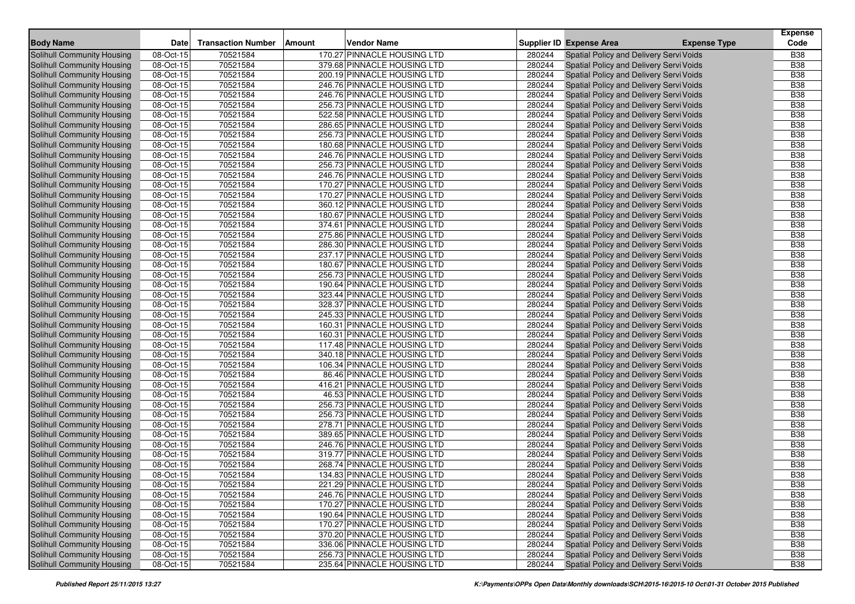| <b>Body Name</b>                  |           | <b>Transaction Number</b> | <b>Amount</b> | <b>Vendor Name</b>          |        | <b>Supplier ID Expense Area</b>         |                     | <b>Expense</b><br>Code |
|-----------------------------------|-----------|---------------------------|---------------|-----------------------------|--------|-----------------------------------------|---------------------|------------------------|
|                                   | Date      |                           |               |                             |        |                                         | <b>Expense Type</b> |                        |
| <b>Solihull Community Housing</b> | 08-Oct-15 | 70521584                  |               | 170.27 PINNACLE HOUSING LTD | 280244 | Spatial Policy and Delivery Servi Voids |                     | <b>B38</b>             |
| Solihull Community Housing        | 08-Oct-15 | 70521584                  |               | 379.68 PINNACLE HOUSING LTD | 280244 | Spatial Policy and Delivery Servi Voids |                     | <b>B38</b>             |
| Solihull Community Housing        | 08-Oct-15 | 70521584                  |               | 200.19 PINNACLE HOUSING LTD | 280244 | Spatial Policy and Delivery Servi Voids |                     | <b>B38</b>             |
| Solihull Community Housing        | 08-Oct-15 | 70521584                  |               | 246.76 PINNACLE HOUSING LTD | 280244 | Spatial Policy and Delivery Servi Voids |                     | <b>B38</b>             |
| Solihull Community Housing        | 08-Oct-15 | 70521584                  |               | 246.76 PINNACLE HOUSING LTD | 280244 | Spatial Policy and Delivery Servi Voids |                     | <b>B38</b>             |
| Solihull Community Housing        | 08-Oct-15 | 70521584                  |               | 256.73 PINNACLE HOUSING LTD | 280244 | Spatial Policy and Delivery Servi Voids |                     | <b>B38</b>             |
| Solihull Community Housing        | 08-Oct-15 | 70521584                  |               | 522.58 PINNACLE HOUSING LTD | 280244 | Spatial Policy and Delivery Servi Voids |                     | <b>B38</b>             |
| Solihull Community Housing        | 08-Oct-15 | 70521584                  |               | 286.65 PINNACLE HOUSING LTD | 280244 | Spatial Policy and Delivery Servi Voids |                     | <b>B38</b>             |
| Solihull Community Housing        | 08-Oct-15 | 70521584                  |               | 256.73 PINNACLE HOUSING LTD | 280244 | Spatial Policy and Delivery Servi Voids |                     | <b>B38</b>             |
| Solihull Community Housing        | 08-Oct-15 | 70521584                  |               | 180.68 PINNACLE HOUSING LTD | 280244 | Spatial Policy and Delivery Servi Voids |                     | <b>B38</b>             |
| Solihull Community Housing        | 08-Oct-15 | 70521584                  |               | 246.76 PINNACLE HOUSING LTD | 280244 | Spatial Policy and Delivery Servi Voids |                     | <b>B38</b>             |
| Solihull Community Housing        | 08-Oct-15 | 70521584                  |               | 256.73 PINNACLE HOUSING LTD | 280244 | Spatial Policy and Delivery Servi Voids |                     | <b>B38</b>             |
| Solihull Community Housing        | 08-Oct-15 | 70521584                  |               | 246.76 PINNACLE HOUSING LTD | 280244 | Spatial Policy and Delivery Servi Voids |                     | <b>B38</b>             |
| Solihull Community Housing        | 08-Oct-15 | 70521584                  |               | 170.27 PINNACLE HOUSING LTD | 280244 | Spatial Policy and Delivery Servi Voids |                     | <b>B38</b>             |
| Solihull Community Housing        | 08-Oct-15 | 70521584                  |               | 170.27 PINNACLE HOUSING LTD | 280244 | Spatial Policy and Delivery Servi Voids |                     | <b>B38</b>             |
| Solihull Community Housing        | 08-Oct-15 | 70521584                  |               | 360.12 PINNACLE HOUSING LTD | 280244 | Spatial Policy and Delivery Servi Voids |                     | <b>B38</b>             |
| Solihull Community Housing        | 08-Oct-15 | 70521584                  |               | 180.67 PINNACLE HOUSING LTD | 280244 | Spatial Policy and Delivery Servi Voids |                     | <b>B38</b>             |
| Solihull Community Housing        | 08-Oct-15 | 70521584                  |               | 374.61 PINNACLE HOUSING LTD | 280244 | Spatial Policy and Delivery Servi Voids |                     | <b>B38</b>             |
| Solihull Community Housing        | 08-Oct-15 | 70521584                  |               | 275.86 PINNACLE HOUSING LTD | 280244 | Spatial Policy and Delivery Servi Voids |                     | <b>B38</b>             |
| Solihull Community Housing        | 08-Oct-15 | 70521584                  |               | 286.30 PINNACLE HOUSING LTD | 280244 | Spatial Policy and Delivery Servi Voids |                     | <b>B38</b>             |
| Solihull Community Housing        | 08-Oct-15 | 70521584                  |               | 237.17 PINNACLE HOUSING LTD | 280244 | Spatial Policy and Delivery Servi Voids |                     | <b>B38</b>             |
| Solihull Community Housing        | 08-Oct-15 | 70521584                  |               | 180.67 PINNACLE HOUSING LTD | 280244 | Spatial Policy and Delivery Servi Voids |                     | <b>B38</b>             |
| Solihull Community Housing        | 08-Oct-15 | 70521584                  |               | 256.73 PINNACLE HOUSING LTD | 280244 | Spatial Policy and Delivery Servi Voids |                     | <b>B38</b>             |
| Solihull Community Housing        | 08-Oct-15 | 70521584                  |               | 190.64 PINNACLE HOUSING LTD | 280244 | Spatial Policy and Delivery Servi Voids |                     | <b>B38</b>             |
| Solihull Community Housing        | 08-Oct-15 | 70521584                  |               | 323.44 PINNACLE HOUSING LTD | 280244 | Spatial Policy and Delivery Servi Voids |                     | <b>B38</b>             |
| Solihull Community Housing        | 08-Oct-15 | 70521584                  |               | 328.37 PINNACLE HOUSING LTD | 280244 | Spatial Policy and Delivery Servi Voids |                     | <b>B38</b>             |
| Solihull Community Housing        | 08-Oct-15 | 70521584                  |               | 245.33 PINNACLE HOUSING LTD | 280244 | Spatial Policy and Delivery Servi Voids |                     | <b>B38</b>             |
| Solihull Community Housing        | 08-Oct-15 | 70521584                  |               | 160.31 PINNACLE HOUSING LTD | 280244 | Spatial Policy and Delivery Servi Voids |                     | <b>B38</b>             |
| Solihull Community Housing        | 08-Oct-15 | 70521584                  |               | 160.31 PINNACLE HOUSING LTD | 280244 | Spatial Policy and Delivery Servi Voids |                     | <b>B38</b>             |
| Solihull Community Housing        | 08-Oct-15 | 70521584                  |               | 117.48 PINNACLE HOUSING LTD | 280244 | Spatial Policy and Delivery Servi Voids |                     | <b>B</b> 38            |
| Solihull Community Housing        | 08-Oct-15 | 70521584                  |               | 340.18 PINNACLE HOUSING LTD | 280244 | Spatial Policy and Delivery Servi Voids |                     | <b>B38</b>             |
| Solihull Community Housing        | 08-Oct-15 | 70521584                  |               | 106.34 PINNACLE HOUSING LTD | 280244 | Spatial Policy and Delivery Servi Voids |                     | <b>B38</b>             |
| Solihull Community Housing        | 08-Oct-15 | 70521584                  |               | 86.46 PINNACLE HOUSING LTD  | 280244 | Spatial Policy and Delivery Servi Voids |                     | <b>B38</b>             |
| Solihull Community Housing        | 08-Oct-15 | 70521584                  |               | 416.21 PINNACLE HOUSING LTD | 280244 | Spatial Policy and Delivery Servi Voids |                     | <b>B38</b>             |
| Solihull Community Housing        | 08-Oct-15 | 70521584                  |               | 46.53 PINNACLE HOUSING LTD  | 280244 | Spatial Policy and Delivery Servi Voids |                     | <b>B38</b>             |
| Solihull Community Housing        | 08-Oct-15 | 70521584                  |               | 256.73 PINNACLE HOUSING LTD | 280244 | Spatial Policy and Delivery Servi Voids |                     | <b>B38</b>             |
| Solihull Community Housing        | 08-Oct-15 | 70521584                  |               | 256.73 PINNACLE HOUSING LTD | 280244 | Spatial Policy and Delivery Servi Voids |                     | <b>B38</b>             |
| Solihull Community Housing        | 08-Oct-15 | 70521584                  |               | 278.71 PINNACLE HOUSING LTD | 280244 | Spatial Policy and Delivery Servi Voids |                     | <b>B38</b>             |
| Solihull Community Housing        | 08-Oct-15 | 70521584                  |               | 389.65 PINNACLE HOUSING LTD | 280244 | Spatial Policy and Delivery Servi Voids |                     | <b>B38</b>             |
| Solihull Community Housing        | 08-Oct-15 | 70521584                  |               | 246.76 PINNACLE HOUSING LTD | 280244 | Spatial Policy and Delivery Servi Voids |                     | <b>B38</b>             |
| Solihull Community Housing        | 08-Oct-15 | 70521584                  |               | 319.77 PINNACLE HOUSING LTD | 280244 | Spatial Policy and Delivery Servi Voids |                     | <b>B38</b>             |
| Solihull Community Housing        | 08-Oct-15 | 70521584                  |               | 268.74 PINNACLE HOUSING LTD | 280244 | Spatial Policy and Delivery Servi Voids |                     | <b>B38</b>             |
| Solihull Community Housing        | 08-Oct-15 | 70521584                  |               | 134.83 PINNACLE HOUSING LTD | 280244 | Spatial Policy and Delivery Servi Voids |                     | <b>B38</b>             |
| Solihull Community Housing        | 08-Oct-15 | 70521584                  |               | 221.29 PINNACLE HOUSING LTD | 280244 | Spatial Policy and Delivery Servi Voids |                     | <b>B38</b>             |
| Solihull Community Housing        | 08-Oct-15 | 70521584                  |               | 246.76 PINNACLE HOUSING LTD | 280244 | Spatial Policy and Delivery Servi Voids |                     | <b>B38</b>             |
| Solihull Community Housing        | 08-Oct-15 | 70521584                  |               | 170.27 PINNACLE HOUSING LTD | 280244 | Spatial Policy and Delivery Servi Voids |                     | <b>B38</b>             |
| Solihull Community Housing        | 08-Oct-15 | 70521584                  |               | 190.64 PINNACLE HOUSING LTD | 280244 | Spatial Policy and Delivery Servi Voids |                     | <b>B38</b>             |
| Solihull Community Housing        | 08-Oct-15 | 70521584                  |               | 170.27 PINNACLE HOUSING LTD | 280244 | Spatial Policy and Delivery Servi Voids |                     | <b>B38</b>             |
| Solihull Community Housing        | 08-Oct-15 | 70521584                  |               | 370.20 PINNACLE HOUSING LTD | 280244 | Spatial Policy and Delivery Servi Voids |                     | <b>B38</b>             |
| Solihull Community Housing        | 08-Oct-15 | 70521584                  |               | 336.06 PINNACLE HOUSING LTD | 280244 | Spatial Policy and Delivery Servi Voids |                     | <b>B38</b>             |
| Solihull Community Housing        | 08-Oct-15 | 70521584                  |               | 256.73 PINNACLE HOUSING LTD | 280244 | Spatial Policy and Delivery Servi Voids |                     | <b>B38</b>             |
| Solihull Community Housing        | 08-Oct-15 | 70521584                  |               | 235.64 PINNACLE HOUSING LTD | 280244 | Spatial Policy and Delivery Servi Voids |                     | <b>B38</b>             |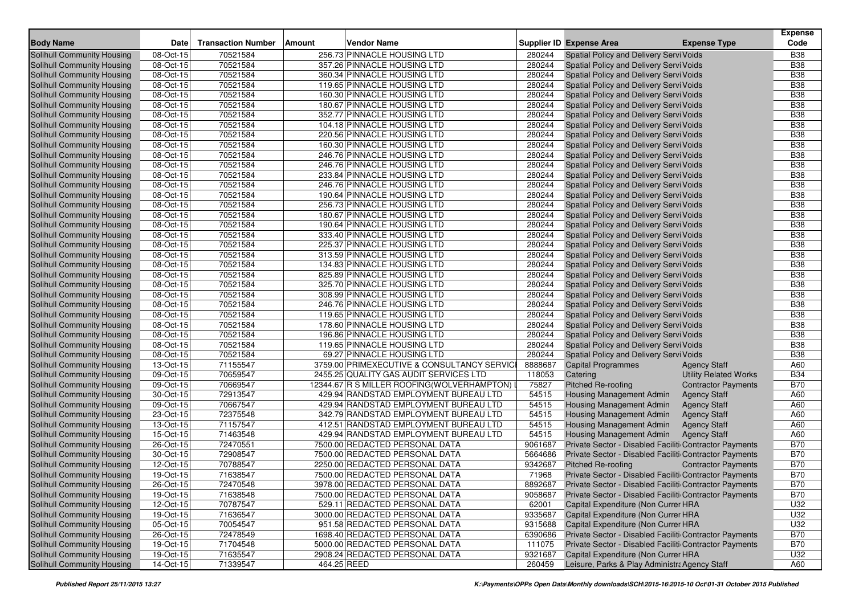| <b>Body Name</b>                  | <b>Date</b> | <b>Transaction Number</b> | <b>Vendor Name</b><br>Amount               |         | Supplier ID Expense Area<br><b>Expense Type</b>         | <b>Expense</b><br>Code |
|-----------------------------------|-------------|---------------------------|--------------------------------------------|---------|---------------------------------------------------------|------------------------|
| Solihull Community Housing        | 08-Oct-15   | 70521584                  | 256.73 PINNACLE HOUSING LTD                | 280244  | Spatial Policy and Delivery Servi Voids                 | <b>B38</b>             |
| Solihull Community Housing        | 08-Oct-15   | 70521584                  | 357.26 PINNACLE HOUSING LTD                | 280244  | Spatial Policy and Delivery Servi Voids                 | <b>B38</b>             |
| Solihull Community Housing        | 08-Oct-15   | 70521584                  | 360.34 PINNACLE HOUSING LTD                | 280244  | Spatial Policy and Delivery Servi Voids                 | <b>B38</b>             |
| Solihull Community Housing        | 08-Oct-15   | 70521584                  | 119.65 PINNACLE HOUSING LTD                | 280244  | Spatial Policy and Delivery Servi Voids                 | <b>B38</b>             |
| Solihull Community Housing        | 08-Oct-15   | 70521584                  | 160.30 PINNACLE HOUSING LTD                | 280244  | Spatial Policy and Delivery Servi Voids                 | <b>B38</b>             |
| Solihull Community Housing        | 08-Oct-15   | 70521584                  | 180.67 PINNACLE HOUSING LTD                | 280244  | Spatial Policy and Delivery Servi Voids                 | <b>B38</b>             |
| Solihull Community Housing        | 08-Oct-15   | 70521584                  | 352.77 PINNACLE HOUSING LTD                | 280244  | Spatial Policy and Delivery Servi Voids                 | <b>B38</b>             |
| Solihull Community Housing        | 08-Oct-15   | 70521584                  | 104.18 PINNACLE HOUSING LTD                | 280244  | Spatial Policy and Delivery Servi Voids                 | <b>B38</b>             |
| Solihull Community Housing        | 08-Oct-15   | 70521584                  | 220.56 PINNACLE HOUSING LTD                | 280244  | Spatial Policy and Delivery Servi Voids                 | <b>B38</b>             |
| Solihull Community Housing        | 08-Oct-15   | 70521584                  | 160.30 PINNACLE HOUSING LTD                | 280244  | Spatial Policy and Delivery Servi Voids                 | <b>B38</b>             |
| Solihull Community Housing        | 08-Oct-15   | 70521584                  | 246.76 PINNACLE HOUSING LTD                | 280244  | Spatial Policy and Delivery Servi Voids                 | <b>B38</b>             |
| Solihull Community Housing        | 08-Oct-15   | 70521584                  | 246.76 PINNACLE HOUSING LTD                | 280244  | Spatial Policy and Delivery Servi Voids                 | <b>B38</b>             |
| Solihull Community Housing        | 08-Oct-15   | 70521584                  | 233.84 PINNACLE HOUSING LTD                | 280244  | Spatial Policy and Delivery Servi Voids                 | <b>B38</b>             |
| Solihull Community Housing        | 08-Oct-15   | 70521584                  | 246.76 PINNACLE HOUSING LTD                | 280244  | Spatial Policy and Delivery Servi Voids                 | <b>B38</b>             |
| Solihull Community Housing        | 08-Oct-15   | 70521584                  | 190.64 PINNACLE HOUSING LTD                | 280244  | Spatial Policy and Delivery Servi Voids                 | <b>B38</b>             |
| Solihull Community Housing        | 08-Oct-15   | 70521584                  | 256.73 PINNACLE HOUSING LTD                | 280244  | Spatial Policy and Delivery Servi Voids                 | <b>B38</b>             |
| Solihull Community Housing        | 08-Oct-15   | 70521584                  | 180.67 PINNACLE HOUSING LTD                | 280244  | Spatial Policy and Delivery Servi Voids                 | <b>B38</b>             |
| Solihull Community Housing        | 08-Oct-15   | 70521584                  | 190.64 PINNACLE HOUSING LTD                | 280244  | Spatial Policy and Delivery Servi Voids                 | <b>B38</b>             |
| Solihull Community Housing        | 08-Oct-15   | 70521584                  | 333.40 PINNACLE HOUSING LTD                | 280244  | Spatial Policy and Delivery Servi Voids                 | <b>B38</b>             |
| Solihull Community Housing        | 08-Oct-15   | 70521584                  | 225.37 PINNACLE HOUSING LTD                | 280244  | Spatial Policy and Delivery Servi Voids                 | <b>B38</b>             |
| Solihull Community Housing        | 08-Oct-15   | 70521584                  | 313.59 PINNACLE HOUSING LTD                | 280244  | Spatial Policy and Delivery Servi Voids                 | <b>B38</b>             |
| Solihull Community Housing        | 08-Oct-15   | 70521584                  | 134.83 PINNACLE HOUSING LTD                | 280244  | Spatial Policy and Delivery Servi Voids                 | <b>B38</b>             |
| Solihull Community Housing        | 08-Oct-15   | 70521584                  | 825.89 PINNACLE HOUSING LTD                | 280244  | Spatial Policy and Delivery Servi Voids                 | <b>B38</b>             |
| Solihull Community Housing        | 08-Oct-15   | 70521584                  | 325.70 PINNACLE HOUSING LTD                | 280244  | Spatial Policy and Delivery Servi Voids                 | <b>B38</b>             |
| Solihull Community Housing        | 08-Oct-15   | 70521584                  | 308.99 PINNACLE HOUSING LTD                | 280244  | Spatial Policy and Delivery Servi Voids                 | <b>B38</b>             |
| Solihull Community Housing        | 08-Oct-15   | 70521584                  | 246.76 PINNACLE HOUSING LTD                | 280244  | Spatial Policy and Delivery Servi Voids                 | <b>B38</b>             |
| Solihull Community Housing        | 08-Oct-15   | 70521584                  | 119.65 PINNACLE HOUSING LTD                | 280244  | Spatial Policy and Delivery Servi Voids                 | <b>B38</b>             |
| Solihull Community Housing        | 08-Oct-15   | 70521584                  | 178.60 PINNACLE HOUSING LTD                | 280244  | Spatial Policy and Delivery Servi Voids                 | <b>B38</b>             |
| Solihull Community Housing        | 08-Oct-15   | 70521584                  | 196.86 PINNACLE HOUSING LTD                | 280244  | Spatial Policy and Delivery Servi Voids                 | <b>B38</b>             |
| Solihull Community Housing        | 08-Oct-15   | 70521584                  | 119.65 PINNACLE HOUSING LTD                | 280244  | Spatial Policy and Delivery Servi Voids                 | <b>B38</b>             |
| Solihull Community Housing        | 08-Oct-15   | 70521584                  | 69.27 PINNACLE HOUSING LTD                 | 280244  | Spatial Policy and Delivery Servi Voids                 | <b>B38</b>             |
| Solihull Community Housing        | 13-Oct-15   | 71155547                  | 3759.00 PRIMEXECUTIVE & CONSULTANCY SERVIC | 8888687 | <b>Capital Programmes</b><br><b>Agency Staff</b>        | A60                    |
| Solihull Community Housing        | 09-Oct-15   | 70659547                  | 2455.25 QUALITY GAS AUDIT SERVICES LTD     | 118053  | Catering<br><b>Utility Related Works</b>                | <b>B34</b>             |
| Solihull Community Housing        | 09-Oct-15   | 70669547                  | 12344.67 R S MILLER ROOFING(WOLVERHAMPTON) | 75827   | <b>Pitched Re-roofing</b><br><b>Contractor Payments</b> | <b>B70</b>             |
| Solihull Community Housing        | 30-Oct-15   | 72913547                  | 429.94 RANDSTAD EMPLOYMENT BUREAU LTD      | 54515   | Housing Management Admin<br><b>Agency Staff</b>         | A60                    |
| Solihull Community Housing        | 09-Oct-15   | 70667547                  | 429.94 RANDSTAD EMPLOYMENT BUREAU LTD      | 54515   | Housing Management Admin<br><b>Agency Staff</b>         | A60                    |
| Solihull Community Housing        | 23-Oct-15   | 72375548                  | 342.79 RANDSTAD EMPLOYMENT BUREAU LTD      | 54515   | Housing Management Admin<br><b>Agency Staff</b>         | A60                    |
| Solihull Community Housing        | 13-Oct-15   | 71157547                  | 412.51 RANDSTAD EMPLOYMENT BUREAU LTD      | 54515   | <b>Housing Management Admin</b><br><b>Agency Staff</b>  | A60                    |
| Solihull Community Housing        | 15-Oct-15   | 71463548                  | 429.94 RANDSTAD EMPLOYMENT BUREAU LTD      | 54515   | Housing Management Admin<br><b>Agency Staff</b>         | A60                    |
| Solihull Community Housing        | 26-Oct-15   | 72470551                  | 7500.00 REDACTED PERSONAL DATA             | 9061687 | Private Sector - Disabled Faciliti Contractor Payments  | <b>B70</b>             |
| Solihull Community Housing        | 30-Oct-15   | 72908547                  | 7500.00 REDACTED PERSONAL DATA             | 5664686 | Private Sector - Disabled Faciliti Contractor Payments  | <b>B70</b>             |
| Solihull Community Housing        | 12-Oct-15   | 70788547                  | 2250.00 REDACTED PERSONAL DATA             | 9342687 | <b>Pitched Re-roofing</b><br><b>Contractor Payments</b> | <b>B70</b>             |
| Solihull Community Housing        | 19-Oct-15   | 71638547                  | 7500.00 REDACTED PERSONAL DATA             | 71968   | Private Sector - Disabled Faciliti Contractor Payments  | <b>B70</b>             |
| <b>Solihull Community Housing</b> | 26-Oct-15   | 72470548                  | 3978.00 REDACTED PERSONAL DATA             | 8892687 | Private Sector - Disabled Faciliti Contractor Payments  | <b>B70</b>             |
| Solihull Community Housing        | 19-Oct-15   | 71638548                  | 7500.00 REDACTED PERSONAL DATA             | 9058687 | Private Sector - Disabled Faciliti Contractor Payments  | <b>B70</b>             |
| Solihull Community Housing        | 12-Oct-15   | 70787547                  | 529.11 REDACTED PERSONAL DATA              | 62001   | Capital Expenditure (Non Currer HRA                     | U32                    |
| Solihull Community Housing        | 19-Oct-15   | 71636547                  | 3000.00 REDACTED PERSONAL DATA             | 9335687 | Capital Expenditure (Non Currer HRA                     | U32                    |
| Solihull Community Housing        | $05-Cct-15$ | 70054547                  | 951.58 REDACTED PERSONAL DATA              | 9315688 | Capital Expenditure (Non Currer HRA                     | U32                    |
| Solihull Community Housing        | 26-Oct-15   | 72478549                  | 1698.40 REDACTED PERSONAL DATA             | 6390686 | Private Sector - Disabled Faciliti Contractor Payments  | <b>B70</b>             |
| Solihull Community Housing        | 19-Oct-15   | 71704548                  | 5000.00 REDACTED PERSONAL DATA             | 111075  | Private Sector - Disabled Faciliti Contractor Payments  | <b>B70</b>             |
| Solihull Community Housing        | 19-Oct-15   | 71635547                  | 2908.24 REDACTED PERSONAL DATA             | 9321687 | Capital Expenditure (Non Currer HRA                     | U32                    |
| Solihull Community Housing        | 14-Oct-15   | 71339547                  | 464.25 REED                                | 260459  | Leisure, Parks & Play Administra Agency Staff           | A60                    |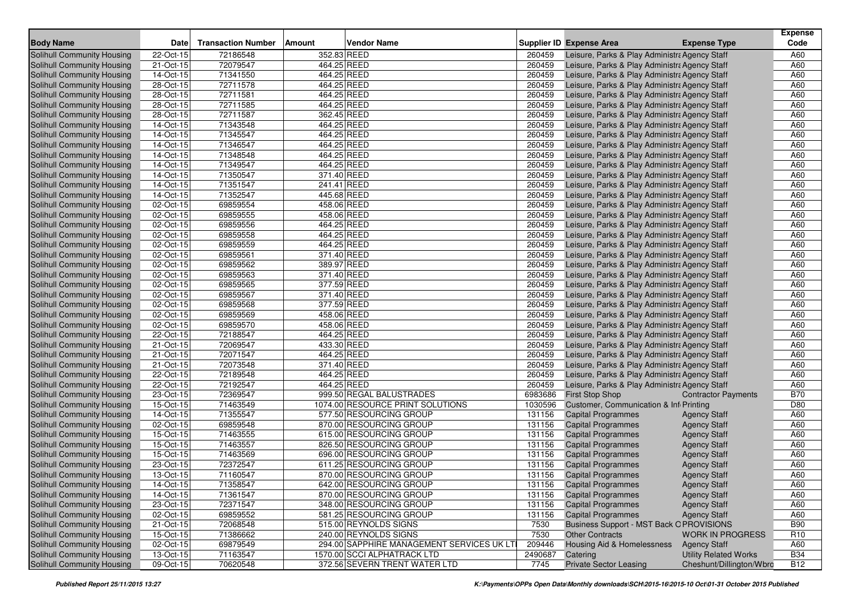| <b>Body Name</b>                  | Date                    | <b>Transaction Number</b> | Amount      | Vendor Name                               |         | Supplier ID Expense Area                       | <b>Expense Type</b>          | <b>Expense</b><br>Code |
|-----------------------------------|-------------------------|---------------------------|-------------|-------------------------------------------|---------|------------------------------------------------|------------------------------|------------------------|
| Solihull Community Housing        | 22-Oct-15               | 72186548                  | 352.83 REED |                                           | 260459  | Leisure, Parks & Play Administra Agency Staff  |                              | A60                    |
| Solihull Community Housing        | 21-Oct-15               | 72079547                  | 464.25 REED |                                           | 260459  | Leisure, Parks & Play Administra Agency Staff  |                              | A60                    |
| Solihull Community Housing        | 14-Oct-15               | 71341550                  | 464.25 REED |                                           | 260459  | Leisure, Parks & Play Administra Agency Staff  |                              | A60                    |
| Solihull Community Housing        | $\overline{28}$ -Oct-15 | 72711578                  | 464.25 REED |                                           | 260459  | Leisure, Parks & Play Administra Agency Staff  |                              | A60                    |
| Solihull Community Housing        | 28-Oct-15               | 72711581                  | 464.25 REED |                                           | 260459  | Leisure, Parks & Play Administra Agency Staff  |                              | A60                    |
| Solihull Community Housing        | 28-Oct-15               | 72711585                  | 464.25 REED |                                           | 260459  | Leisure, Parks & Play Administra Agency Staff  |                              | A60                    |
| Solihull Community Housing        | 28-Oct-15               | 72711587                  | 362.45 REED |                                           | 260459  | Leisure, Parks & Play Administra Agency Staff  |                              | A60                    |
| Solihull Community Housing        | 14-Oct-15               | 71343548                  | 464.25 REED |                                           | 260459  | Leisure, Parks & Play Administra Agency Staff  |                              | A60                    |
| Solihull Community Housing        | 14-Oct-15               | 71345547                  | 464.25 REED |                                           | 260459  | Leisure, Parks & Play Administra Agency Staff  |                              | A60                    |
| <b>Solihull Community Housing</b> | 14-Oct-15               | 71346547                  | 464.25 REED |                                           | 260459  | Leisure, Parks & Play Administra Agency Staff  |                              | A60                    |
| Solihull Community Housing        | 14-Oct-15               | 71348548                  | 464.25 REED |                                           | 260459  | Leisure, Parks & Play Administra Agency Staff  |                              | A60                    |
| <b>Solihull Community Housing</b> | 14-Oct-15               | 71349547                  | 464.25 REED |                                           | 260459  | Leisure, Parks & Play Administra Agency Staff  |                              | A60                    |
| Solihull Community Housing        | 14-Oct-15               | 71350547                  | 371.40 REED |                                           | 260459  | Leisure, Parks & Play Administra Agency Staff  |                              | A60                    |
| Solihull Community Housing        | 14-Oct-15               | 71351547                  | 241.41 REED |                                           | 260459  | Leisure, Parks & Play Administra Agency Staff  |                              | A60                    |
| <b>Solihull Community Housing</b> | 14-Oct-15               | 71352547                  | 445.68 REED |                                           | 260459  | Leisure, Parks & Play Administra Agency Staff  |                              | A60                    |
| Solihull Community Housing        | 02-Oct-15               | 69859554                  | 458.06 REED |                                           | 260459  | Leisure, Parks & Play Administra Agency Staff  |                              | A60                    |
| Solihull Community Housing        | 02-Oct-15               | 69859555                  | 458.06 REED |                                           | 260459  | Leisure, Parks & Play Administra Agency Staff  |                              | A60                    |
| Solihull Community Housing        | 02-Oct-15               | 69859556                  | 464.25 REED |                                           | 260459  | Leisure, Parks & Play Administra Agency Staff  |                              | A60                    |
| Solihull Community Housing        | 02-Oct-15               | 69859558                  | 464.25 REED |                                           | 260459  | Leisure, Parks & Play Administra Agency Staff  |                              | A60                    |
| Solihull Community Housing        | 02-Oct-15               | 69859559                  | 464.25 REED |                                           | 260459  | Leisure, Parks & Play Administra Agency Staff  |                              | A60                    |
| <b>Solihull Community Housing</b> | 02-Oct-15               | 69859561                  | 371.40 REED |                                           | 260459  | Leisure, Parks & Play Administra Agency Staff  |                              | A60                    |
| Solihull Community Housing        | 02-Oct-15               | 69859562                  | 389.97 REED |                                           | 260459  | Leisure, Parks & Play Administra Agency Staff  |                              | A60                    |
| Solihull Community Housing        | 02-Oct-15               | 69859563                  | 371.40 REED |                                           | 260459  | Leisure, Parks & Play Administra Agency Staff  |                              | A60                    |
| Solihull Community Housing        | 02-Oct-15               | 69859565                  | 377.59 REED |                                           | 260459  | Leisure, Parks & Play Administra Agency Staff  |                              | A60                    |
| Solihull Community Housing        | 02-Oct-15               | 69859567                  | 371.40 REED |                                           | 260459  | Leisure, Parks & Play Administra Agency Staff  |                              | A60                    |
| Solihull Community Housing        | 02-Oct-15               | 69859568                  | 377.59 REED |                                           | 260459  | Leisure, Parks & Play Administra Agency Staff  |                              | A60                    |
| Solihull Community Housing        | 02-Oct-15               | 69859569                  | 458.06 REED |                                           | 260459  | Leisure, Parks & Play Administra Agency Staff  |                              | A60                    |
| Solihull Community Housing        | 02-Oct-15               | 69859570                  | 458.06 REED |                                           | 260459  | Leisure, Parks & Play Administra Agency Staff  |                              | A60                    |
| Solihull Community Housing        | 22-Oct-15               | 72188547                  | 464.25 REED |                                           | 260459  | Leisure, Parks & Play Administra Agency Staff  |                              | A60                    |
| Solihull Community Housing        | 21-Oct-15               | 72069547                  | 433.30 REED |                                           | 260459  | Leisure, Parks & Play Administra Agency Staff  |                              | A60                    |
| Solihull Community Housing        | 21-Oct-15               | 72071547                  | 464.25 REED |                                           | 260459  | Leisure, Parks & Play Administra Agency Staff  |                              | A60                    |
| Solihull Community Housing        | 21-Oct-15               | 72073548                  | 371.40 REED |                                           | 260459  | Leisure, Parks & Play Administra Agency Staff  |                              | A60                    |
| Solihull Community Housing        | 22-Oct-15               | 72189548                  | 464.25 REED |                                           | 260459  | Leisure, Parks & Play Administra Agency Staff  |                              | A60                    |
| Solihull Community Housing        | 22-Oct-15               | 72192547                  | 464.25 REED |                                           | 260459  | Leisure, Parks & Play Administra Agency Staff  |                              | A60                    |
| Solihull Community Housing        | 23-Oct-15               | 72369547                  |             | 999.50 REGAL BALUSTRADES                  | 6983686 | <b>First Stop Shop</b>                         | <b>Contractor Payments</b>   | <b>B70</b>             |
| Solihull Community Housing        | 15-Oct-15               | 71463549                  |             | 1074.00 RESOURCE PRINT SOLUTIONS          | 1030596 | Customer, Communication & Inf Printing         |                              | D80                    |
| <b>Solihull Community Housing</b> | 14-Oct-15               | 71355547                  |             | 577.50 RESOURCING GROUP                   | 131156  | <b>Capital Programmes</b>                      | <b>Agency Staff</b>          | A60                    |
| Solihull Community Housing        | 02-Oct-15               | 69859548                  |             | 870.00 RESOURCING GROUP                   | 131156  | <b>Capital Programmes</b>                      | <b>Agency Staff</b>          | A60                    |
| Solihull Community Housing        | 15-Oct-15               | 71463555                  |             | 615.00 RESOURCING GROUP                   | 131156  | <b>Capital Programmes</b>                      | <b>Agency Staff</b>          | A60                    |
| <b>Solihull Community Housing</b> | 15-Oct-15               | 71463557                  |             | 826.50 RESOURCING GROUP                   | 131156  | <b>Capital Programmes</b>                      | <b>Agency Staff</b>          | A60                    |
| Solihull Community Housing        | 15-Oct-15               | 71463569                  |             | 696.00 RESOURCING GROUP                   | 131156  | <b>Capital Programmes</b>                      | <b>Agency Staff</b>          | A60                    |
| Solihull Community Housing        | 23-Oct-15               | 72372547                  |             | 611.25 RESOURCING GROUP                   | 131156  | <b>Capital Programmes</b>                      | <b>Agency Staff</b>          | A60                    |
| Solihull Community Housing        | 13-Oct-15               | 71160547                  |             | 870.00 RESOURCING GROUP                   | 131156  | <b>Capital Programmes</b>                      | <b>Agency Staff</b>          | A60                    |
| Solihull Community Housing        | 14-Oct-15               | 71358547                  |             | 642.00 RESOURCING GROUP                   | 131156  | <b>Capital Programmes</b>                      | <b>Agency Staff</b>          | A60                    |
| Solihull Community Housing        | 14-Oct-15               | 71361547                  |             | 870.00 RESOURCING GROUP                   | 131156  | <b>Capital Programmes</b>                      | <b>Agency Staff</b>          | A60                    |
| <b>Solihull Community Housing</b> | 23-Oct-15               | 72371547                  |             | 348.00 RESOURCING GROUP                   | 131156  | <b>Capital Programmes</b>                      | <b>Agency Staff</b>          | A60                    |
| Solihull Community Housing        | 02-Oct-15               | 69859552                  |             | 581.25 RESOURCING GROUP                   | 131156  | <b>Capital Programmes</b>                      | <b>Agency Staff</b>          | A60                    |
| <b>Solihull Community Housing</b> | $21-Oct-15$             | 72068548                  |             | 515.00 REYNOLDS SIGNS                     | 7530    | <b>Business Support - MST Back OPROVISIONS</b> |                              | <b>B90</b>             |
| Solihull Community Housing        | 15-Oct-15               | 71386662                  |             | 240.00 REYNOLDS SIGNS                     | 7530    | <b>Other Contracts</b>                         | <b>WORK IN PROGRESS</b>      | R <sub>10</sub>        |
| Solihull Community Housing        | 02-Oct-15               | 69879549                  |             | 294.00 SAPPHIRE MANAGEMENT SERVICES UK LT | 209446  | Housing Aid & Homelessness                     | <b>Agency Staff</b>          | A60                    |
| <b>Solihull Community Housing</b> | 13-Oct-15               | 71163547                  |             | 1570.00 SCCI ALPHATRACK LTD               | 2490687 | Catering                                       | <b>Utility Related Works</b> | <b>B34</b>             |
| <b>Solihull Community Housing</b> | 09-Oct-15               | 70620548                  |             | 372.56 SEVERN TRENT WATER LTD             | 7745    | <b>Private Sector Leasing</b>                  | Cheshunt/Dillington/Wbrc     | <b>B12</b>             |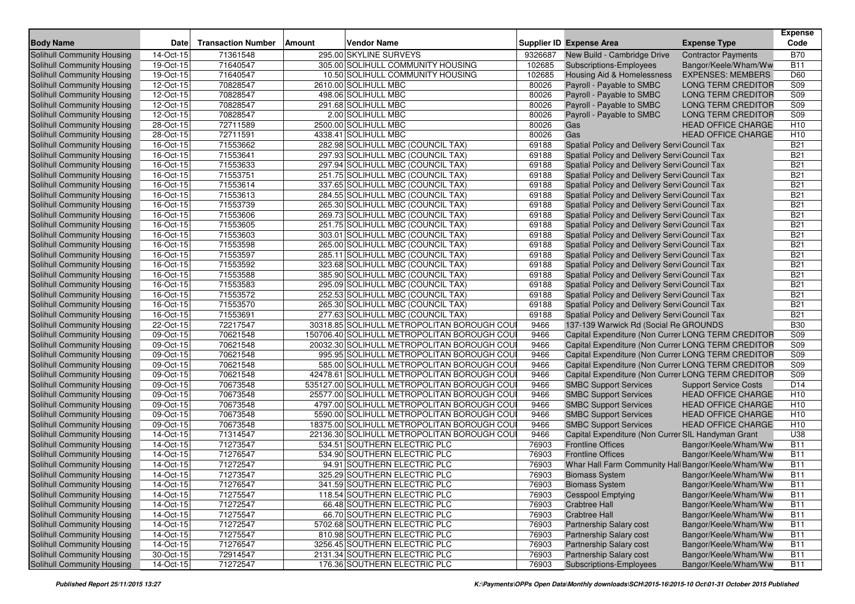| <b>Body Name</b>                                         | Date                   | <b>Transaction Number</b> | Amount | Vendor Name                                                  |               | Supplier ID Expense Area                                                       | <b>Expense Type</b>          | <b>Expense</b><br>Code   |
|----------------------------------------------------------|------------------------|---------------------------|--------|--------------------------------------------------------------|---------------|--------------------------------------------------------------------------------|------------------------------|--------------------------|
| <b>Solihull Community Housing</b>                        | 14-Oct-15              | 71361548                  |        | 295.00 SKYLINE SURVEYS                                       | 9326687       | New Build - Cambridge Drive                                                    | <b>Contractor Payments</b>   | <b>B70</b>               |
| Solihull Community Housing                               | 19-Oct-15              | 71640547                  |        | 305.00 SOLIHULL COMMUNITY HOUSING                            | 102685        | <b>Subscriptions-Employees</b>                                                 | Bangor/Keele/Wham/Ww         | <b>B11</b>               |
| Solihull Community Housing                               | 19-Oct-15              | 71640547                  |        | 10.50 SOLIHULL COMMUNITY HOUSING                             | 102685        | Housing Aid & Homelessness                                                     | <b>EXPENSES: MEMBERS</b>     | D60                      |
| Solihull Community Housing                               | 12-Oct-15              | 70828547                  |        | 2610.00 SOLIHULL MBC                                         | 80026         | Payroll - Payable to SMBC                                                      | <b>LONG TERM CREDITOR</b>    | S <sub>09</sub>          |
| Solihull Community Housing                               | $12-Oct-15$            | 70828547                  |        | 498.06 SOLIHULL MBC                                          | 80026         | Payroll - Payable to SMBC                                                      | <b>LONG TERM CREDITOR</b>    | S <sub>09</sub>          |
| Solihull Community Housing                               | 12-Oct-15              | 70828547                  |        | 291.68 SOLIHULL MBC                                          | 80026         | Payroll - Payable to SMBC                                                      | <b>LONG TERM CREDITOR</b>    | S09                      |
| Solihull Community Housing                               | 12-Oct-15              | 70828547                  |        | 2.00 SOLIHULL MBC                                            | 80026         | Payroll - Payable to SMBC                                                      | <b>LONG TERM CREDITOR</b>    | S <sub>09</sub>          |
| Solihull Community Housing                               | 28-Oct-15              | 72711589                  |        | 2500.00 SOLIHULL MBC                                         | 80026         | Gas                                                                            | <b>HEAD OFFICE CHARGE</b>    | H <sub>10</sub>          |
| Solihull Community Housing                               | 28-Oct-15              | 72711591                  |        | 4338.41 SOLIHULL MBC                                         | 80026         | Gas                                                                            | <b>HEAD OFFICE CHARGE</b>    | H <sub>10</sub>          |
| Solihull Community Housing                               | 16-Oct-15              | 71553662                  |        | 282.98 SOLIHULL MBC (COUNCIL TAX)                            | 69188         | Spatial Policy and Delivery Servi Council Tax                                  |                              | <b>B21</b>               |
| Solihull Community Housing                               | 16-Oct-15              | 71553641                  |        | 297.93 SOLIHULL MBC (COUNCIL TAX)                            | 69188         | Spatial Policy and Delivery Servi Council Tax                                  |                              | <b>B21</b>               |
| Solihull Community Housing                               | 16-Oct-15              | 71553633                  |        | 297.94 SOLIHULL MBC (COUNCIL TAX)                            | 69188         | Spatial Policy and Delivery Servi Council Tax                                  |                              | <b>B21</b>               |
| Solihull Community Housing                               | 16-Oct-15              | 71553751                  |        | 251.75 SOLIHULL MBC (COUNCIL TAX)                            | 69188         | Spatial Policy and Delivery Servi Council Tax                                  |                              | <b>B21</b>               |
| Solihull Community Housing                               | 16-Oct-15              | 71553614                  |        | 337.65 SOLIHULL MBC (COUNCIL TAX)                            | 69188         | Spatial Policy and Delivery Servi Council Tax                                  |                              | <b>B21</b>               |
| Solihull Community Housing                               | 16-Oct-15              | 71553613                  |        | 284.55 SOLIHULL MBC (COUNCIL TAX)                            | 69188         | Spatial Policy and Delivery Servi Council Tax                                  |                              | <b>B21</b>               |
| Solihull Community Housing                               | 16-Oct-15              | 71553739                  |        | 265.30 SOLIHULL MBC (COUNCIL TAX)                            | 69188         | Spatial Policy and Delivery Servi Council Tax                                  |                              | <b>B21</b>               |
| Solihull Community Housing                               | 16-Oct-15              | 71553606                  |        | 269.73 SOLIHULL MBC (COUNCIL TAX)                            | 69188         | Spatial Policy and Delivery Servi Council Tax                                  |                              | <b>B21</b>               |
| Solihull Community Housing                               | 16-Oct-15              | 71553605                  |        | 251.75 SOLIHULL MBC (COUNCIL TAX)                            | 69188         | Spatial Policy and Delivery Servi Council Tax                                  |                              | <b>B21</b>               |
| Solihull Community Housing                               | 16-Oct-15              | 71553603                  |        | 303.01 SOLIHULL MBC (COUNCIL TAX)                            | 69188         | Spatial Policy and Delivery Servi Council Tax                                  |                              | <b>B21</b>               |
| Solihull Community Housing                               | 16-Oct-15              | 71553598                  |        | 265.00 SOLIHULL MBC (COUNCIL TAX)                            | 69188         | Spatial Policy and Delivery Servi Council Tax                                  |                              | <b>B21</b>               |
| Solihull Community Housing                               | 16-Oct-15              | 71553597                  |        | 285.11 SOLIHULL MBC (COUNCIL TAX)                            | 69188         | Spatial Policy and Delivery Servi Council Tax                                  |                              | <b>B21</b>               |
| Solihull Community Housing                               | 16-Oct-15              | 71553592                  |        | 323.68 SOLIHULL MBC (COUNCIL TAX)                            | 69188         | Spatial Policy and Delivery Servi Council Tax                                  |                              | <b>B21</b>               |
| Solihull Community Housing                               | 16-Oct-15              | 71553588                  |        | 385.90 SOLIHULL MBC (COUNCIL TAX)                            | 69188         | Spatial Policy and Delivery Servi Council Tax                                  |                              | <b>B21</b>               |
| Solihull Community Housing                               | 16-Oct-15              | 71553583                  |        | 295.09 SOLIHULL MBC (COUNCIL TAX)                            | 69188         | Spatial Policy and Delivery Servi Council Tax                                  |                              | <b>B21</b>               |
| Solihull Community Housing                               | 16-Oct-15              | 71553572                  |        | 252.53 SOLIHULL MBC (COUNCIL TAX)                            | 69188         | Spatial Policy and Delivery Servi Council Tax                                  |                              | <b>B21</b>               |
| Solihull Community Housing                               | 16-Oct-15              | 71553570                  |        | 265.30 SOLIHULL MBC (COUNCIL TAX)                            | 69188         | Spatial Policy and Delivery Servi Council Tax                                  |                              | <b>B21</b>               |
| Solihull Community Housing                               | 16-Oct-15              | 71553691                  |        | 277.63 SOLIHULL MBC (COUNCIL TAX)                            | 69188         | Spatial Policy and Delivery Servi Council Tax                                  |                              | <b>B21</b>               |
| Solihull Community Housing                               | 22-Oct-15              | 72217547                  |        | 30318.85 SOLIHULL METROPOLITAN BOROUGH COU                   | 9466          | 137-139 Warwick Rd (Social Re GROUNDS                                          |                              | <b>B30</b>               |
| Solihull Community Housing                               | 09-Oct-15              | 70621548                  |        | 150706.40 SOLIHULL METROPOLITAN BOROUGH COU                  | 9466          | Capital Expenditure (Non Currer LONG TERM CREDITOR                             |                              | S <sub>09</sub>          |
| Solihull Community Housing                               | 09-Oct-15              | 70621548                  |        | 20032.30 SOLIHULL METROPOLITAN BOROUGH COU                   | 9466          | Capital Expenditure (Non Currer LONG TERM CREDITOR                             |                              | S <sub>09</sub>          |
| Solihull Community Housing                               | 09-Oct-15              | 70621548                  |        | 995.95 SOLIHULL METROPOLITAN BOROUGH COU                     | 9466          | Capital Expenditure (Non Currer LONG TERM CREDITOR                             |                              | S09                      |
| Solihull Community Housing                               | 09-Oct-15              | 70621548                  |        | 585.00 SOLIHULL METROPOLITAN BOROUGH COU                     | 9466          | Capital Expenditure (Non Currer LONG TERM CREDITOR                             |                              | S <sub>09</sub>          |
| Solihull Community Housing                               | 09-Oct-15              | 70621548                  |        | 42478.61 SOLIHULL METROPOLITAN BOROUGH COU                   | 9466          | Capital Expenditure (Non Currer LONG TERM CREDITOR                             |                              | S09                      |
| Solihull Community Housing                               | 09-Oct-15              | 70673548                  |        | 535127.00 SOLIHULL METROPOLITAN BOROUGH COU                  | 9466          | <b>SMBC Support Services</b>                                                   | <b>Support Service Costs</b> | D <sub>14</sub>          |
| Solihull Community Housing                               | 09-Oct-15              | 70673548                  |        | 25577.00 SOLIHULL METROPOLITAN BOROUGH COU                   | 9466          | <b>SMBC Support Services</b>                                                   | <b>HEAD OFFICE CHARGE</b>    | H <sub>10</sub>          |
| Solihull Community Housing                               | 09-Oct-15              | 70673548                  |        | 4797.00 SOLIHULL METROPOLITAN BOROUGH COU                    | 9466          | <b>SMBC Support Services</b>                                                   | <b>HEAD OFFICE CHARGE</b>    | H <sub>10</sub>          |
| Solihull Community Housing                               | 09-Oct-15              | 70673548                  |        | 5590.00 SOLIHULL METROPOLITAN BOROUGH COU                    | 9466          | <b>SMBC Support Services</b>                                                   | <b>HEAD OFFICE CHARGE</b>    | H <sub>10</sub>          |
| Solihull Community Housing                               | 09-Oct-15              | 70673548                  |        | 18375.00 SOLIHULL METROPOLITAN BOROUGH COU                   | 9466          | <b>SMBC Support Services</b>                                                   | <b>HEAD OFFICE CHARGE</b>    | H <sub>10</sub>          |
| Solihull Community Housing<br>Solihull Community Housing | 14-Oct-15              | 71314547                  |        | 22136.30 SOLIHULL METROPOLITAN BOROUGH COU                   | 9466<br>76903 | Capital Expenditure (Non Currer SIL Handyman Grant<br><b>Frontline Offices</b> |                              | U38                      |
| Solihull Community Housing                               | 14-Oct-15<br>14-Oct-15 | 71273547<br>71276547      |        | 534.51 SOUTHERN ELECTRIC PLC<br>534.90 SOUTHERN ELECTRIC PLC | 76903         | <b>Frontline Offices</b>                                                       | Bangor/Keele/Wham/Ww         | <b>B11</b><br><b>B11</b> |
| <b>Solihull Community Housing</b>                        | 14-Oct-15              | 71272547                  |        | 94.91 SOUTHERN ELECTRIC PLC                                  | 76903         | Whar Hall Farm Community Hall Bangor/Keele/Wham/Ww                             | Bangor/Keele/Wham/Ww         | $\overline{B11}$         |
| Solihull Community Housing                               | 14-Oct-15              | 71273547                  |        | 325.29 SOUTHERN ELECTRIC PLC                                 | 76903         | <b>Biomass System</b>                                                          | Bangor/Keele/Wham/Ww         | <b>B11</b>               |
| Solihull Community Housing                               | 14-Oct-15              | 71276547                  |        | 341.59 SOUTHERN ELECTRIC PLC                                 | 76903         | <b>Biomass System</b>                                                          | Bangor/Keele/Wham/Ww         | <b>B11</b>               |
| Solihull Community Housing                               | 14-Oct-15              | 71275547                  |        | 118.54 SOUTHERN ELECTRIC PLC                                 | 76903         | <b>Cesspool Emptying</b>                                                       | Bangor/Keele/Wham/Ww         | <b>B11</b>               |
| Solihull Community Housing                               | 14-Oct-15              | 71272547                  |        | 66.48 SOUTHERN ELECTRIC PLC                                  | 76903         | <b>Crabtree Hall</b>                                                           | Bangor/Keele/Wham/Ww         | <b>B11</b>               |
| Solihull Community Housing                               | 14-Oct-15              | 71275547                  |        | 66.70 SOUTHERN ELECTRIC PLC                                  | 76903         | <b>Crabtree Hall</b>                                                           | Bangor/Keele/Wham/Ww         | <b>B11</b>               |
| Solihull Community Housing                               | 14-Oct-15              | 71272547                  |        | 5702.68 SOUTHERN ELECTRIC PLC                                | 76903         | Partnership Salary cost                                                        | Bangor/Keele/Wham/Ww         | <b>B11</b>               |
| Solihull Community Housing                               | 14-Oct-15              | 71275547                  |        | 810.98 SOUTHERN ELECTRIC PLC                                 | 76903         | <b>Partnership Salary cost</b>                                                 | Bangor/Keele/Wham/Ww         | <b>B11</b>               |
| Solihull Community Housing                               | 14-Oct-15              | 71276547                  |        | 3256.45 SOUTHERN ELECTRIC PLC                                | 76903         | Partnership Salary cost                                                        | Bangor/Keele/Wham/Ww         | <b>B11</b>               |
| Solihull Community Housing                               | 30-Oct-15              | 72914547                  |        | 2131.34 SOUTHERN ELECTRIC PLC                                | 76903         | Partnership Salary cost                                                        | Bangor/Keele/Wham/Ww         | <b>B11</b>               |
| Solihull Community Housing                               | $14$ -Oct-15           | 71272547                  |        | 176.36 SOUTHERN ELECTRIC PLC                                 | 76903         | Subscriptions-Employees                                                        | Bangor/Keele/Wham/Ww         | <b>B11</b>               |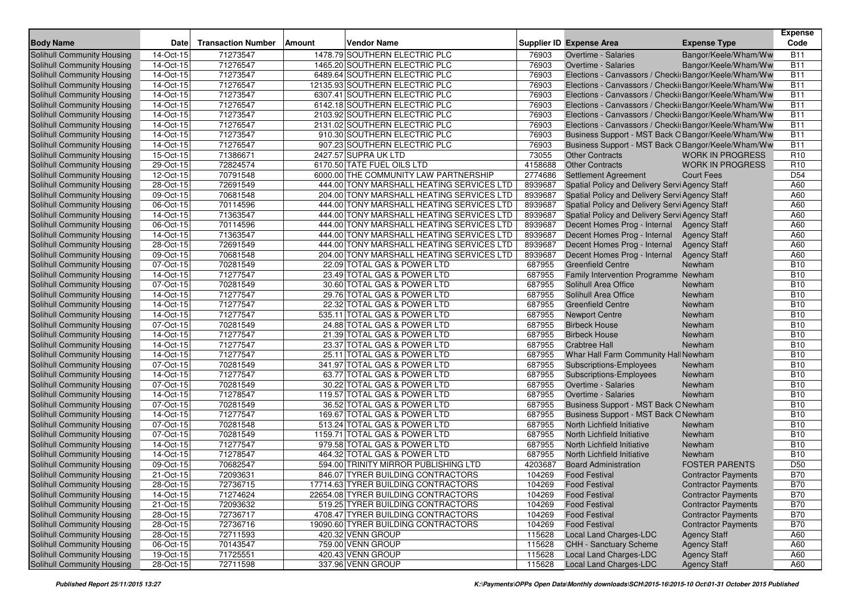| <b>Body Name</b>                  | <b>Date</b>             | <b>Transaction Number</b> | Amount | <b>Vendor Name</b>                        |         | <b>Supplier ID Expense Area</b>                       | <b>Expense Type</b>        | <b>Expense</b><br>Code |
|-----------------------------------|-------------------------|---------------------------|--------|-------------------------------------------|---------|-------------------------------------------------------|----------------------------|------------------------|
| <b>Solihull Community Housing</b> | 14-Oct-15               | 71273547                  |        | 1478.79 SOUTHERN ELECTRIC PLC             | 76903   | Overtime - Salaries                                   | Bangor/Keele/Wham/Ww       | <b>B11</b>             |
| Solihull Community Housing        | 14-Oct-15               | 71276547                  |        | 1465.20 SOUTHERN ELECTRIC PLC             | 76903   | Overtime - Salaries                                   | Bangor/Keele/Wham/Ww       | <b>B11</b>             |
| Solihull Community Housing        | 14-Oct-15               | 71273547                  |        | 6489.64 SOUTHERN ELECTRIC PLC             | 76903   | Elections - Canvassors / Checki Bangor/Keele/Wham/Ww  |                            | <b>B11</b>             |
| Solihull Community Housing        | 14-Oct-15               | 71276547                  |        | 12135.93 SOUTHERN ELECTRIC PLC            | 76903   | Elections - Canvassors / Checki Bangor/Keele/Wham/Ww  |                            | <b>B11</b>             |
| Solihull Community Housing        | 14-Oct-15               | 71273547                  |        | 6307.41 SOUTHERN ELECTRIC PLC             | 76903   | Elections - Canvassors / Checki Bangor/Keele/Wham/Ww  |                            | <b>B11</b>             |
| Solihull Community Housing        | 14-Oct-15               | 71276547                  |        | 6142.18 SOUTHERN ELECTRIC PLC             | 76903   | Elections - Canvassors / Checki Bangor/Keele/Wham/Ww  |                            | <b>B11</b>             |
| Solihull Community Housing        | 14-Oct-15               | 71273547                  |        | 2103.92 SOUTHERN ELECTRIC PLC             | 76903   | Elections - Canvassors / Checkiı Bangor/Keele/Wham/Ww |                            | <b>B11</b>             |
| Solihull Community Housing        | 14-Oct-15               | 71276547                  |        | 2131.02 SOUTHERN ELECTRIC PLC             | 76903   | Elections - Canvassors / Checki Bangor/Keele/Wham/Ww  |                            | <b>B11</b>             |
| Solihull Community Housing        | 14-Oct-15               | 71273547                  |        | 910.30 SOUTHERN ELECTRIC PLC              | 76903   | Business Support - MST Back OBangor/Keele/Wham/Ww     |                            | <b>B11</b>             |
| Solihull Community Housing        | 14-Oct-15               | 71276547                  |        | 907.23 SOUTHERN ELECTRIC PLC              | 76903   | Business Support - MST Back OBangor/Keele/Wham/Ww     |                            | <b>B11</b>             |
| Solihull Community Housing        | 15-Oct-15               | 71386671                  |        | 2427.57 SUPRA UK LTD                      | 73055   | <b>Other Contracts</b>                                | <b>WORK IN PROGRESS</b>    | R <sub>10</sub>        |
| <b>Solihull Community Housing</b> | 29-Oct-15               | 72824574                  |        | 6170.50 TATE FUEL OILS LTD                | 4158688 | <b>Other Contracts</b>                                | <b>WORK IN PROGRESS</b>    | R <sub>10</sub>        |
| Solihull Community Housing        | 12-Oct-15               | 70791548                  |        | 6000.00 THE COMMUNITY LAW PARTNERSHIP     | 2774686 | <b>Settlement Agreement</b>                           | <b>Court Fees</b>          | D <sub>54</sub>        |
| Solihull Community Housing        | 28-Oct-15               | 72691549                  |        | 444.00 TONY MARSHALL HEATING SERVICES LTD | 8939687 | Spatial Policy and Delivery Servi Agency Staff        |                            | A60                    |
| Solihull Community Housing        | 09-Oct-15               | 70681548                  |        | 204.00 TONY MARSHALL HEATING SERVICES LTD | 8939687 | Spatial Policy and Delivery Servi Agency Staff        |                            | A60                    |
| Solihull Community Housing        | 06-Oct-15               | 70114596                  |        | 444.00 TONY MARSHALL HEATING SERVICES LTD | 8939687 | Spatial Policy and Delivery Servi Agency Staff        |                            | A60                    |
| Solihull Community Housing        | 14-Oct-15               | 71363547                  |        | 444.00 TONY MARSHALL HEATING SERVICES LTD | 8939687 | Spatial Policy and Delivery Servi Agency Staff        |                            | A60                    |
| Solihull Community Housing        | 06-Oct-15               | 70114596                  |        | 444.00 TONY MARSHALL HEATING SERVICES LTD | 8939687 | Decent Homes Prog - Internal Agency Staff             |                            | A60                    |
| Solihull Community Housing        | 14-Oct-15               | 71363547                  |        | 444.00 TONY MARSHALL HEATING SERVICES LTD | 8939687 | Decent Homes Prog - Internal                          | <b>Agency Staff</b>        | A60                    |
| Solihull Community Housing        | 28-Oct-15               | 72691549                  |        | 444.00 TONY MARSHALL HEATING SERVICES LTD | 8939687 | Decent Homes Prog - Internal                          | <b>Agency Staff</b>        | A60                    |
| Solihull Community Housing        | 09-Oct-15               | 70681548                  |        | 204.00 TONY MARSHALL HEATING SERVICES LTD | 8939687 | Decent Homes Prog - Internal                          | <b>Agency Staff</b>        | A60                    |
| Solihull Community Housing        | 07-Oct-15               | 70281549                  |        | 22.09 TOTAL GAS & POWER LTD               | 687955  | <b>Greenfield Centre</b>                              | Newham                     | <b>B10</b>             |
| Solihull Community Housing        | 14-Oct-15               | 71277547                  |        | 23.49 TOTAL GAS & POWER LTD               | 687955  | Family Intervention Programme Newham                  |                            | <b>B10</b>             |
| Solihull Community Housing        | 07-Oct-15               | 70281549                  |        | 30.60 TOTAL GAS & POWER LTD               | 687955  | Solihull Area Office                                  | Newham                     | <b>B10</b>             |
| Solihull Community Housing        | 14-Oct-15               | 71277547                  |        | 29.76 TOTAL GAS & POWER LTD               | 687955  | Solihull Area Office                                  | Newham                     | <b>B10</b>             |
| Solihull Community Housing        | 14-Oct-15               | 71277547                  |        | 22.32 TOTAL GAS & POWER LTD               | 687955  | <b>Greenfield Centre</b>                              | Newham                     | <b>B10</b>             |
| Solihull Community Housing        | 14-Oct-15               | 71277547                  |        | 535.11 TOTAL GAS & POWER LTD              | 687955  | <b>Newport Centre</b>                                 | Newham                     | <b>B10</b>             |
| Solihull Community Housing        | 07-Oct-15               | 70281549                  |        | 24.88 TOTAL GAS & POWER LTD               | 687955  | <b>Birbeck House</b>                                  | Newham                     | <b>B10</b>             |
| Solihull Community Housing        | 14-Oct-15               | 71277547                  |        | 21.39 TOTAL GAS & POWER LTD               | 687955  | <b>Birbeck House</b>                                  | Newham                     | <b>B10</b>             |
| Solihull Community Housing        | 14-Oct-15               | 71277547                  |        | 23.37 TOTAL GAS & POWER LTD               | 687955  | <b>Crabtree Hall</b>                                  | Newham                     | <b>B10</b>             |
| Solihull Community Housing        | $14-Oct-15$             | 71277547                  |        | 25.11 TOTAL GAS & POWER LTD               | 687955  | Whar Hall Farm Community Hall Newham                  |                            | <b>B10</b>             |
| Solihull Community Housing        | 07-Oct-15               | 70281549                  |        | 341.97 TOTAL GAS & POWER LTD              | 687955  | <b>Subscriptions-Employees</b>                        | Newham                     | <b>B10</b>             |
| Solihull Community Housing        | 14-Oct-15               | 71277547                  |        | 63.77 TOTAL GAS & POWER LTD               | 687955  | Subscriptions-Employees                               | Newham                     | <b>B10</b>             |
| Solihull Community Housing        | 07-Oct-15               | 70281549                  |        | 30.22 TOTAL GAS & POWER LTD               | 687955  | Overtime - Salaries                                   | Newham                     | <b>B10</b>             |
| Solihull Community Housing        | 14-Oct-15               | 71278547                  |        | 119.57 TOTAL GAS & POWER LTD              | 687955  | Overtime - Salaries                                   | Newham                     | <b>B10</b>             |
| Solihull Community Housing        | 07-Oct-15               | 70281549                  |        | 36.52 TOTAL GAS & POWER LTD               | 687955  | Business Support - MST Back ONewham                   |                            | <b>B10</b>             |
| Solihull Community Housing        | 14-Oct-15               | 71277547                  |        | 169.67 TOTAL GAS & POWER LTD              | 687955  | Business Support - MST Back ONewham                   |                            | <b>B10</b>             |
| Solihull Community Housing        | 07-Oct-15               | 70281548                  |        | 513.24 TOTAL GAS & POWER LTD              | 687955  | North Lichfield Initiative                            | Newham                     | <b>B10</b>             |
| Solihull Community Housing        | 07-Oct-15               | 70281549                  |        | 1159.71 TOTAL GAS & POWER LTD             | 687955  | North Lichfield Initiative                            | Newham                     | <b>B10</b>             |
| Solihull Community Housing        | 14-Oct-15               | 71277547                  |        | 979.58 TOTAL GAS & POWER LTD              | 687955  | North Lichfield Initiative                            | Newham                     | <b>B10</b>             |
| Solihull Community Housing        | 14-Oct-15               | 71278547                  |        | 464.32 TOTAL GAS & POWER LTD              | 687955  | North Lichfield Initiative                            | Newham                     | <b>B10</b>             |
| Solihull Community Housing        | 09-Oct-15               | 70682547                  |        | 594.00 TRINITY MIRROR PUBLISHING LTD      | 4203687 | <b>Board Administration</b>                           | <b>FOSTER PARENTS</b>      | D <sub>50</sub>        |
| Solihull Community Housing        | $\overline{21}$ -Oct-15 | 72093631                  |        | 846.07 TYRER BUILDING CONTRACTORS         | 104269  | <b>Food Festival</b>                                  | <b>Contractor Payments</b> | <b>B70</b>             |
| <b>Solihull Community Housing</b> | 28-Oct-15               | 72736715                  |        | 17714.63 TYRER BUILDING CONTRACTORS       | 104269  | <b>Food Festival</b>                                  | <b>Contractor Payments</b> | <b>B70</b>             |
| Solihull Community Housing        | 14-Oct-15               | 71274624                  |        | 22654.08 TYRER BUILDING CONTRACTORS       | 104269  | <b>Food Festival</b>                                  | <b>Contractor Payments</b> | <b>B70</b>             |
| Solihull Community Housing        | 21-Oct-15               | 72093632                  |        | 519.25 TYRER BUILDING CONTRACTORS         | 104269  | <b>Food Festival</b>                                  | <b>Contractor Payments</b> | <b>B70</b>             |
| Solihull Community Housing        | 28-Oct-15               | 72736717                  |        | 4708.47 TYRER BUILDING CONTRACTORS        | 104269  | <b>Food Festival</b>                                  | <b>Contractor Payments</b> | <b>B70</b>             |
| Solihull Community Housing        | 28-Oct-15               | 72736716                  |        | 19090.60 TYRER BUILDING CONTRACTORS       | 104269  | <b>Food Festival</b>                                  | <b>Contractor Payments</b> | <b>B70</b>             |
| Solihull Community Housing        | 28-Oct-15               | 72711593                  |        | 420.32 VENN GROUP                         | 115628  | Local Land Charges-LDC                                | <b>Agency Staff</b>        | A60                    |
| Solihull Community Housing        | 06-Oct-15               | 70143547                  |        | 759.00 VENN GROUP                         | 115628  | <b>CHH - Sanctuary Scheme</b>                         | <b>Agency Staff</b>        | A60                    |
| <b>Solihull Community Housing</b> | 19-Oct-15               | 71725551                  |        | 420.43 VENN GROUP                         | 115628  | Local Land Charges-LDC                                | <b>Agency Staff</b>        | A60                    |
| Solihull Community Housing        | 28-Oct-15               | 72711598                  |        | 337.96 VENN GROUP                         | 115628  | <b>Local Land Charges-LDC</b>                         | <b>Agency Staff</b>        | A60                    |